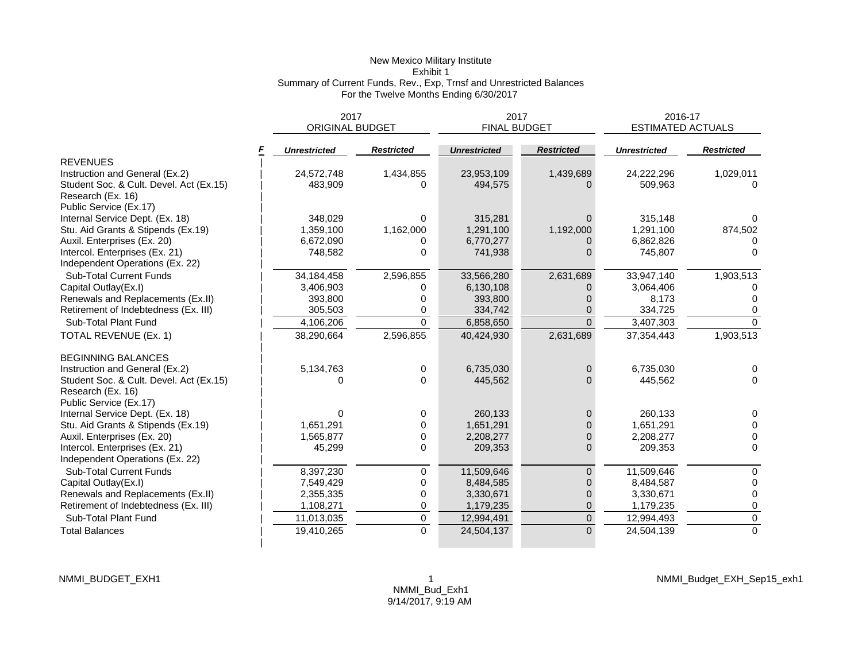# New Mexico Military Institute Exhibit 1 Summary of Current Funds, Rev., Exp, Trnsf and Unrestricted Balances For the Twelve Months Ending 6/30/2017

| <b>ORIGINAL BUDGET</b><br><b>FINAL BUDGET</b><br><b>ESTIMATED ACTUALS</b><br><b>Restricted</b><br><b>Restricted</b><br><b>Restricted</b><br><b>Unrestricted</b><br><b>Unrestricted</b><br><b>Unrestricted</b><br><b>REVENUES</b><br>Instruction and General (Ex.2)<br>24,572,748<br>1,434,855<br>23,953,109<br>1,439,689<br>24,222,296<br>Student Soc. & Cult. Devel. Act (Ex.15)<br>483,909<br>509,963<br>494,575<br>0<br>Research (Ex. 16)<br>Public Service (Ex.17)<br>Internal Service Dept. (Ex. 18)<br>348,029<br>315,281<br>315,148<br>$\Omega$<br>1,162,000<br>1,192,000<br>Stu. Aid Grants & Stipends (Ex.19)<br>1,359,100<br>1,291,100<br>1,291,100<br>Auxil. Enterprises (Ex. 20)<br>6,672,090<br>6,770,277<br>6,862,826<br>0<br>0 | 2016-17   |  |  |
|-----------------------------------------------------------------------------------------------------------------------------------------------------------------------------------------------------------------------------------------------------------------------------------------------------------------------------------------------------------------------------------------------------------------------------------------------------------------------------------------------------------------------------------------------------------------------------------------------------------------------------------------------------------------------------------------------------------------------------------------------|-----------|--|--|
|                                                                                                                                                                                                                                                                                                                                                                                                                                                                                                                                                                                                                                                                                                                                               |           |  |  |
|                                                                                                                                                                                                                                                                                                                                                                                                                                                                                                                                                                                                                                                                                                                                               |           |  |  |
|                                                                                                                                                                                                                                                                                                                                                                                                                                                                                                                                                                                                                                                                                                                                               |           |  |  |
|                                                                                                                                                                                                                                                                                                                                                                                                                                                                                                                                                                                                                                                                                                                                               | 1,029,011 |  |  |
|                                                                                                                                                                                                                                                                                                                                                                                                                                                                                                                                                                                                                                                                                                                                               | $\Omega$  |  |  |
|                                                                                                                                                                                                                                                                                                                                                                                                                                                                                                                                                                                                                                                                                                                                               |           |  |  |
|                                                                                                                                                                                                                                                                                                                                                                                                                                                                                                                                                                                                                                                                                                                                               |           |  |  |
|                                                                                                                                                                                                                                                                                                                                                                                                                                                                                                                                                                                                                                                                                                                                               |           |  |  |
|                                                                                                                                                                                                                                                                                                                                                                                                                                                                                                                                                                                                                                                                                                                                               | 874,502   |  |  |
|                                                                                                                                                                                                                                                                                                                                                                                                                                                                                                                                                                                                                                                                                                                                               |           |  |  |
| Intercol. Enterprises (Ex. 21)<br>748,582<br>$\mathbf{0}$<br>741,938<br>745,807<br>0                                                                                                                                                                                                                                                                                                                                                                                                                                                                                                                                                                                                                                                          | $\Omega$  |  |  |
| Independent Operations (Ex. 22)                                                                                                                                                                                                                                                                                                                                                                                                                                                                                                                                                                                                                                                                                                               |           |  |  |
| <b>Sub-Total Current Funds</b><br>34,184,458<br>2,596,855<br>2,631,689<br>33,947,140<br>33,566,280                                                                                                                                                                                                                                                                                                                                                                                                                                                                                                                                                                                                                                            | 1,903,513 |  |  |
| Capital Outlay(Ex.I)<br>3,406,903<br>3,064,406<br>6,130,108<br>0                                                                                                                                                                                                                                                                                                                                                                                                                                                                                                                                                                                                                                                                              |           |  |  |
| Renewals and Replacements (Ex.II)<br>393,800<br>393,800<br>0<br>8,173                                                                                                                                                                                                                                                                                                                                                                                                                                                                                                                                                                                                                                                                         |           |  |  |
| Retirement of Indebtedness (Ex. III)<br>305,503<br>334,742<br>334,725<br>0<br>0                                                                                                                                                                                                                                                                                                                                                                                                                                                                                                                                                                                                                                                               | 0         |  |  |
| $\Omega$<br>Sub-Total Plant Fund<br>4,106,206<br>6,858,650<br>$\Omega$<br>3,407,303                                                                                                                                                                                                                                                                                                                                                                                                                                                                                                                                                                                                                                                           | $\Omega$  |  |  |
| 2,596,855<br>2,631,689<br>TOTAL REVENUE (Ex. 1)<br>38,290,664<br>40,424,930<br>37,354,443                                                                                                                                                                                                                                                                                                                                                                                                                                                                                                                                                                                                                                                     | 1,903,513 |  |  |
| <b>BEGINNING BALANCES</b>                                                                                                                                                                                                                                                                                                                                                                                                                                                                                                                                                                                                                                                                                                                     |           |  |  |
| Instruction and General (Ex.2)<br>5,134,763<br>6,735,030<br>6,735,030<br>0<br>0                                                                                                                                                                                                                                                                                                                                                                                                                                                                                                                                                                                                                                                               | $\Omega$  |  |  |
| Student Soc. & Cult. Devel. Act (Ex.15)<br>$\Omega$<br>445,562<br>445.562<br>$\Omega$<br><sup>0</sup>                                                                                                                                                                                                                                                                                                                                                                                                                                                                                                                                                                                                                                         | $\Omega$  |  |  |
| Research (Ex. 16)                                                                                                                                                                                                                                                                                                                                                                                                                                                                                                                                                                                                                                                                                                                             |           |  |  |
| Public Service (Ex.17)                                                                                                                                                                                                                                                                                                                                                                                                                                                                                                                                                                                                                                                                                                                        |           |  |  |
| Internal Service Dept. (Ex. 18)<br>0<br>260,133<br>$\overline{0}$<br>260,133<br>0                                                                                                                                                                                                                                                                                                                                                                                                                                                                                                                                                                                                                                                             | $\Omega$  |  |  |
| Stu. Aid Grants & Stipends (Ex.19)<br>1,651,291<br>1,651,291<br>$\Omega$<br>1,651,291<br>0                                                                                                                                                                                                                                                                                                                                                                                                                                                                                                                                                                                                                                                    | $\Omega$  |  |  |
| Auxil. Enterprises (Ex. 20)<br>1,565,877<br>0<br>2,208,277<br>$\Omega$<br>2,208,277                                                                                                                                                                                                                                                                                                                                                                                                                                                                                                                                                                                                                                                           | $\Omega$  |  |  |
| 0<br>Intercol. Enterprises (Ex. 21)<br>45,299<br>209,353<br>$\Omega$<br>209,353                                                                                                                                                                                                                                                                                                                                                                                                                                                                                                                                                                                                                                                               | $\Omega$  |  |  |
| Independent Operations (Ex. 22)                                                                                                                                                                                                                                                                                                                                                                                                                                                                                                                                                                                                                                                                                                               |           |  |  |
| 11,509,646<br>Sub-Total Current Funds<br>8,397,230<br>11,509,646<br>0<br>$\overline{0}$                                                                                                                                                                                                                                                                                                                                                                                                                                                                                                                                                                                                                                                       | $\Omega$  |  |  |
| 0<br>Capital Outlay(Ex.I)<br>7,549,429<br>8,484,585<br>8,484,587<br>0                                                                                                                                                                                                                                                                                                                                                                                                                                                                                                                                                                                                                                                                         | $\Omega$  |  |  |
| Renewals and Replacements (Ex.II)<br>0<br>3,330,671<br>3,330,671<br>2,355,335<br>$\Omega$                                                                                                                                                                                                                                                                                                                                                                                                                                                                                                                                                                                                                                                     | 0         |  |  |
| Retirement of Indebtedness (Ex. III)<br>1,108,271<br>0<br>1,179,235<br>$\overline{0}$<br>1,179,235                                                                                                                                                                                                                                                                                                                                                                                                                                                                                                                                                                                                                                            | 0         |  |  |
| $\overline{0}$<br>Sub-Total Plant Fund<br>$\pmb{0}$<br>11,013,035<br>12,994,491<br>12,994,493                                                                                                                                                                                                                                                                                                                                                                                                                                                                                                                                                                                                                                                 | $\pmb{0}$ |  |  |
| $\mathbf 0$<br>$\Omega$<br><b>Total Balances</b><br>19,410,265<br>24,504,137<br>24,504,139                                                                                                                                                                                                                                                                                                                                                                                                                                                                                                                                                                                                                                                    | $\Omega$  |  |  |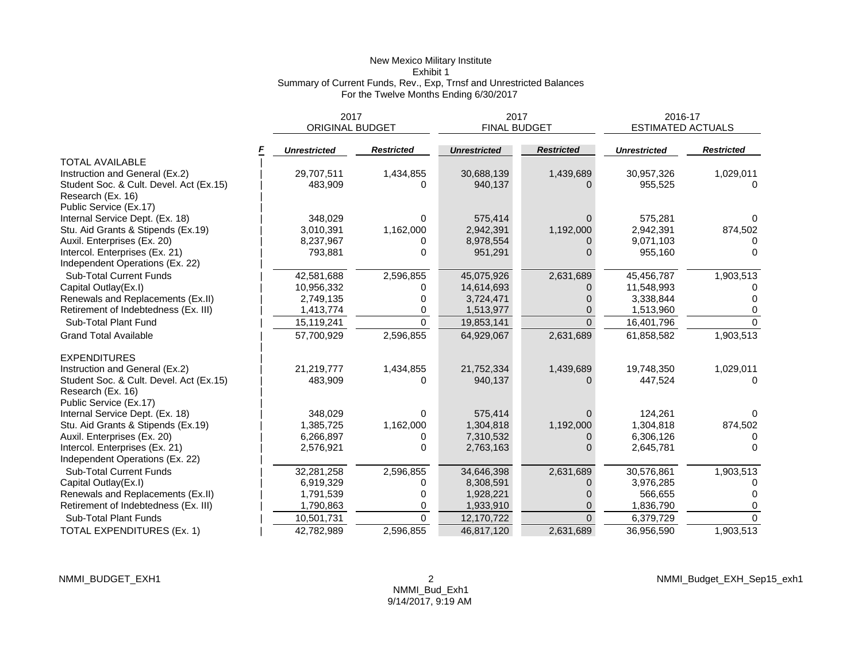# New Mexico Military Institute Exhibit 1 Summary of Current Funds, Rev., Exp, Trnsf and Unrestricted Balances For the Twelve Months Ending 6/30/2017

|                                         | 2017                   |                   | 2017                |                   | 2016-17                  |                   |  |
|-----------------------------------------|------------------------|-------------------|---------------------|-------------------|--------------------------|-------------------|--|
|                                         | <b>ORIGINAL BUDGET</b> |                   | <b>FINAL BUDGET</b> |                   | <b>ESTIMATED ACTUALS</b> |                   |  |
|                                         | <b>Unrestricted</b>    | <b>Restricted</b> | <b>Unrestricted</b> | <b>Restricted</b> | <b>Unrestricted</b>      | <b>Restricted</b> |  |
| <b>TOTAL AVAILABLE</b>                  |                        |                   |                     |                   |                          |                   |  |
| Instruction and General (Ex.2)          | 29,707,511             | 1,434,855         | 30,688,139          | 1,439,689         | 30,957,326               | 1,029,011         |  |
| Student Soc. & Cult. Devel. Act (Ex.15) | 483,909                | 0                 | 940,137             |                   | 955,525                  | $\Omega$          |  |
| Research (Ex. 16)                       |                        |                   |                     |                   |                          |                   |  |
| Public Service (Ex.17)                  |                        |                   |                     |                   |                          |                   |  |
| Internal Service Dept. (Ex. 18)         | 348,029                | $\Omega$          | 575,414             | $\Omega$          | 575,281                  | 0                 |  |
| Stu. Aid Grants & Stipends (Ex.19)      | 3,010,391              | 1,162,000         | 2,942,391           | 1,192,000         | 2,942,391                | 874,502           |  |
| Auxil. Enterprises (Ex. 20)             | 8,237,967              | 0                 | 8,978,554           |                   | 9,071,103                |                   |  |
| Intercol. Enterprises (Ex. 21)          | 793,881                | $\Omega$          | 951,291             | U                 | 955,160                  | $\Omega$          |  |
| Independent Operations (Ex. 22)         |                        |                   |                     |                   |                          |                   |  |
| <b>Sub-Total Current Funds</b>          | 42,581,688             | 2,596,855         | 45,075,926          | 2,631,689         | 45,456,787               | 1,903,513         |  |
| Capital Outlay(Ex.I)                    | 10,956,332             | 0                 | 14,614,693          |                   | 11,548,993               |                   |  |
| Renewals and Replacements (Ex.II)       | 2,749,135              | 0                 | 3,724,471           |                   | 3,338,844                |                   |  |
| Retirement of Indebtedness (Ex. III)    | 1,413,774              | 0                 | 1,513,977           | $\Omega$          | 1,513,960                | 0                 |  |
| Sub-Total Plant Fund                    | 15,119,241             | $\Omega$          | 19,853,141          | $\Omega$          | 16,401,796               | $\Omega$          |  |
| <b>Grand Total Available</b>            | 57,700,929             | 2,596,855         | 64,929,067          | 2,631,689         | 61,858,582               | 1,903,513         |  |
| <b>EXPENDITURES</b>                     |                        |                   |                     |                   |                          |                   |  |
| Instruction and General (Ex.2)          | 21,219,777             | 1,434,855         | 21,752,334          | 1,439,689         | 19,748,350               | 1,029,011         |  |
| Student Soc. & Cult. Devel. Act (Ex.15) | 483,909                | O                 | 940,137             |                   | 447,524                  | $\Omega$          |  |
| Research (Ex. 16)                       |                        |                   |                     |                   |                          |                   |  |
| Public Service (Ex.17)                  |                        |                   |                     |                   |                          |                   |  |
| Internal Service Dept. (Ex. 18)         | 348,029                | $\Omega$          | 575,414             | $\Omega$          | 124,261                  |                   |  |
| Stu. Aid Grants & Stipends (Ex.19)      | 1,385,725              | 1,162,000         | 1,304,818           | 1,192,000         | 1,304,818                | 874,502           |  |
| Auxil. Enterprises (Ex. 20)             | 6,266,897              | 0                 | 7,310,532           | $\Omega$          | 6,306,126                | 0                 |  |
| Intercol. Enterprises (Ex. 21)          | 2,576,921              | $\Omega$          | 2,763,163           |                   | 2,645,781                | $\Omega$          |  |
| Independent Operations (Ex. 22)         |                        |                   |                     |                   |                          |                   |  |
| Sub-Total Current Funds                 | 32,281,258             | 2,596,855         | 34,646,398          | 2,631,689         | 30,576,861               | 1,903,513         |  |
| Capital Outlay(Ex.I)                    | 6,919,329              | 0                 | 8,308,591           | $\Omega$          | 3,976,285                |                   |  |
| Renewals and Replacements (Ex.II)       | 1,791,539              | $\Omega$          | 1,928,221           |                   | 566,655                  | <sup>0</sup>      |  |
| Retirement of Indebtedness (Ex. III)    | 1,790,863              | 0                 | 1,933,910           | 0                 | 1,836,790                | 0                 |  |
| Sub-Total Plant Funds                   | 10,501,731             | $\Omega$          | 12,170,722          | $\Omega$          | 6,379,729                | $\Omega$          |  |
| TOTAL EXPENDITURES (Ex. 1)              | 42,782,989             | 2,596,855         | 46,817,120          | 2,631,689         | 36,956,590               | 1,903,513         |  |

NMMI\_Budget\_EXH\_Sep15\_exh1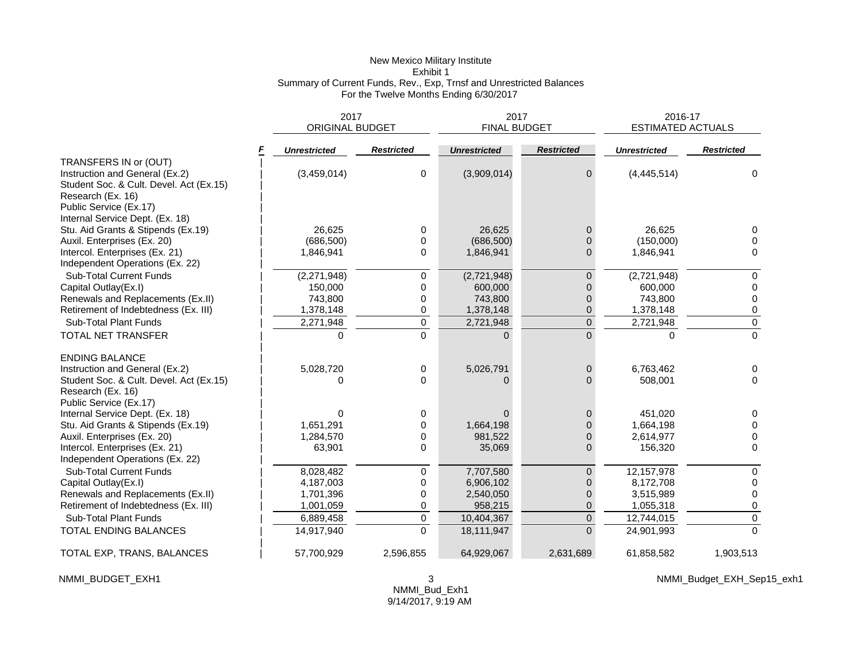# New Mexico Military Institute Exhibit 1 Summary of Current Funds, Rev., Exp, Trnsf and Unrestricted Balances For the Twelve Months Ending 6/30/2017

|                                         |                     | 2017<br>2017<br><b>FINAL BUDGET</b><br><b>ORIGINAL BUDGET</b> |                     | 2016-17<br><b>ESTIMATED ACTUALS</b> |                     |                   |
|-----------------------------------------|---------------------|---------------------------------------------------------------|---------------------|-------------------------------------|---------------------|-------------------|
|                                         | <b>Unrestricted</b> | <b>Restricted</b>                                             | <b>Unrestricted</b> | <b>Restricted</b>                   | <b>Unrestricted</b> | <b>Restricted</b> |
| TRANSFERS IN or (OUT)                   |                     |                                                               |                     |                                     |                     |                   |
| Instruction and General (Ex.2)          | (3,459,014)         | 0                                                             | (3,909,014)         | $\mathbf{0}$                        | (4, 445, 514)       | 0                 |
| Student Soc. & Cult. Devel. Act (Ex.15) |                     |                                                               |                     |                                     |                     |                   |
| Research (Ex. 16)                       |                     |                                                               |                     |                                     |                     |                   |
| Public Service (Ex.17)                  |                     |                                                               |                     |                                     |                     |                   |
| Internal Service Dept. (Ex. 18)         |                     |                                                               |                     |                                     |                     |                   |
| Stu. Aid Grants & Stipends (Ex.19)      | 26,625              | 0                                                             | 26,625              | $\mathbf{0}$                        | 26,625              | 0                 |
| Auxil. Enterprises (Ex. 20)             | (686, 500)          | 0                                                             | (686, 500)          | $\Omega$                            | (150,000)           | 0                 |
| Intercol. Enterprises (Ex. 21)          | 1,846,941           | $\Omega$                                                      | 1,846,941           | $\Omega$                            | 1,846,941           | $\Omega$          |
| Independent Operations (Ex. 22)         |                     |                                                               |                     |                                     |                     |                   |
| <b>Sub-Total Current Funds</b>          | (2,271,948)         | 0                                                             | (2,721,948)         | $\overline{0}$                      | (2,721,948)         | $\Omega$          |
| Capital Outlay(Ex.I)                    | 150,000             | 0                                                             | 600,000             | $\Omega$                            | 600,000             | 0                 |
| Renewals and Replacements (Ex.II)       | 743,800             | 0                                                             | 743,800             | $\overline{0}$                      | 743,800             | $\Omega$          |
| Retirement of Indebtedness (Ex. III)    | 1,378,148           | 0                                                             | 1,378,148           | 0                                   | 1,378,148           | 0                 |
| Sub-Total Plant Funds                   | 2,271,948           | 0                                                             | 2,721,948           | $\boldsymbol{0}$                    | 2,721,948           | 0                 |
| TOTAL NET TRANSFER                      |                     | $\Omega$                                                      |                     | $\Omega$                            |                     | $\overline{0}$    |
| <b>ENDING BALANCE</b>                   |                     |                                                               |                     |                                     |                     |                   |
| Instruction and General (Ex.2)          | 5,028,720           | 0                                                             | 5,026,791           | $\mathbf{0}$                        | 6,763,462           | 0                 |
| Student Soc. & Cult. Devel. Act (Ex.15) | O                   | $\Omega$                                                      | $\Omega$            | $\Omega$                            | 508,001             | $\Omega$          |
| Research (Ex. 16)                       |                     |                                                               |                     |                                     |                     |                   |
| Public Service (Ex.17)                  |                     |                                                               |                     |                                     |                     |                   |
| Internal Service Dept. (Ex. 18)         | 0                   | 0                                                             | $\Omega$            | $\mathbf{0}$                        | 451.020             | 0                 |
| Stu. Aid Grants & Stipends (Ex.19)      | 1,651,291           | 0                                                             | 1,664,198           | $\overline{0}$                      | 1,664,198           | $\Omega$          |
| Auxil. Enterprises (Ex. 20)             | 1,284,570           | 0                                                             | 981,522             | $\overline{0}$                      | 2,614,977           | 0                 |
| Intercol. Enterprises (Ex. 21)          | 63,901              | 0                                                             | 35,069              | $\overline{0}$                      | 156,320             | $\Omega$          |
| Independent Operations (Ex. 22)         |                     |                                                               |                     |                                     |                     |                   |
| <b>Sub-Total Current Funds</b>          | 8,028,482           | 0                                                             | 7,707,580           | $\overline{0}$                      | 12,157,978          | 0                 |
| Capital Outlay(Ex.I)                    | 4,187,003           | 0                                                             | 6,906,102           | $\Omega$                            | 8,172,708           | 0                 |
| Renewals and Replacements (Ex.II)       | 1,701,396           | 0                                                             | 2,540,050           | $\mathbf{0}$                        | 3,515,989           | 0                 |
| Retirement of Indebtedness (Ex. III)    | 1,001,059           | 0                                                             | 958,215             | $\overline{0}$                      | 1,055,318           | 0                 |
| Sub-Total Plant Funds                   | 6,889,458           | 0                                                             | 10,404,367          | $\mathbf 0$                         | 12,744,015          | 0                 |
| <b>TOTAL ENDING BALANCES</b>            | 14,917,940          | $\mathbf 0$                                                   | 18,111,947          | $\overline{0}$                      | 24,901,993          | $\Omega$          |
| TOTAL EXP, TRANS, BALANCES              | 57,700,929          | 2,596,855                                                     | 64,929,067          | 2,631,689                           | 61,858,582          | 1,903,513         |

NMMI\_BUDGET\_EXH1 3

NMMI\_Budget\_EXH\_Sep15\_exh1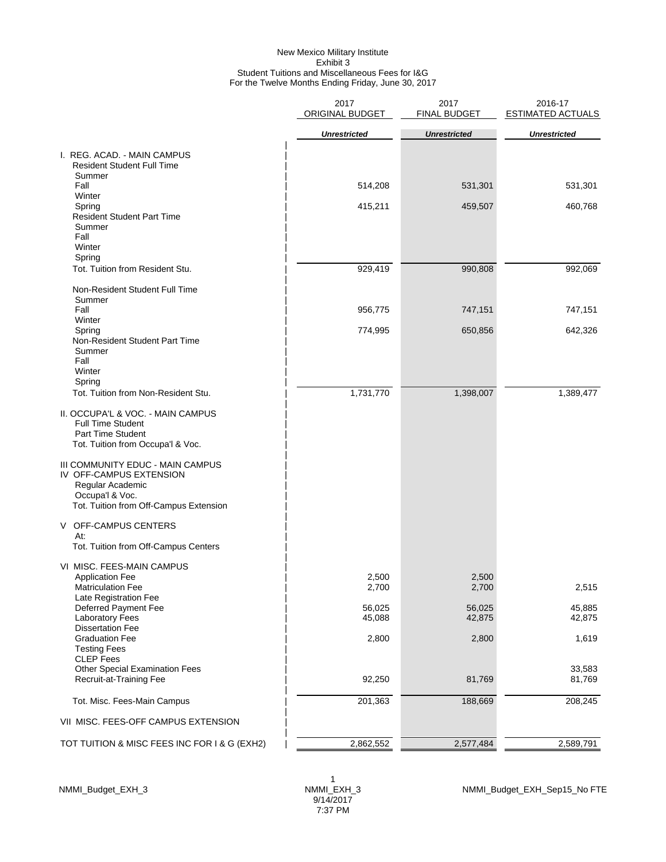#### New Mexico Military Institute Exhibit 3 Student Tuitions and Miscellaneous Fees for I&G For the Twelve Months Ending Friday, June 30, 2017

|                                                                                                                                              | 2017<br>ORIGINAL BUDGET | 2017<br><b>FINAL BUDGET</b> | 2016-17<br><b>ESTIMATED ACTUALS</b> |
|----------------------------------------------------------------------------------------------------------------------------------------------|-------------------------|-----------------------------|-------------------------------------|
|                                                                                                                                              | <b>Unrestricted</b>     | <b>Unrestricted</b>         | <b>Unrestricted</b>                 |
| I. REG. ACAD. - MAIN CAMPUS<br><b>Resident Student Full Time</b><br>Summer                                                                   |                         |                             |                                     |
| Fall                                                                                                                                         | 514,208                 | 531,301                     | 531,301                             |
| Winter<br>Spring<br><b>Resident Student Part Time</b><br>Summer<br>Fall<br>Winter                                                            | 415,211                 | 459,507                     | 460,768                             |
| Spring<br>Tot. Tuition from Resident Stu.                                                                                                    | 929,419                 | 990,808                     | 992,069                             |
| Non-Resident Student Full Time<br>Summer                                                                                                     |                         |                             |                                     |
| Fall<br>Winter                                                                                                                               | 956,775                 | 747,151                     | 747,151                             |
| Spring<br>Non-Resident Student Part Time<br>Summer<br>Fall<br>Winter                                                                         | 774,995                 | 650,856                     | 642,326                             |
| Spring<br>Tot. Tuition from Non-Resident Stu.                                                                                                | 1,731,770               | 1,398,007                   | 1,389,477                           |
| II. OCCUPA'L & VOC. - MAIN CAMPUS<br><b>Full Time Student</b><br>Part Time Student<br>Tot. Tuition from Occupa'l & Voc.                      |                         |                             |                                     |
| III COMMUNITY EDUC - MAIN CAMPUS<br>IV OFF-CAMPUS EXTENSION<br>Regular Academic<br>Occupa'l & Voc.<br>Tot. Tuition from Off-Campus Extension |                         |                             |                                     |
| V OFF-CAMPUS CENTERS<br>At:<br>Tot. Tuition from Off-Campus Centers                                                                          |                         |                             |                                     |
| VI MISC. FEES-MAIN CAMPUS<br><b>Application Fee</b><br><b>Matriculation Fee</b>                                                              | 2,500<br>2,700          | 2,500<br>2,700              | 2,515                               |
| Late Registration Fee<br>Deferred Payment Fee<br><b>Laboratory Fees</b>                                                                      | 56,025<br>45,088        | 56,025<br>42,875            | 45,885<br>42,875                    |
| <b>Dissertation Fee</b><br><b>Graduation Fee</b><br><b>Testing Fees</b>                                                                      | 2,800                   | 2,800                       | 1,619                               |
| <b>CLEP Fees</b><br><b>Other Special Examination Fees</b><br>Recruit-at-Training Fee                                                         | 92,250                  | 81,769                      | 33,583<br>81,769                    |
| Tot. Misc. Fees-Main Campus                                                                                                                  | 201,363                 | 188,669                     | 208,245                             |
| VII MISC. FEES-OFF CAMPUS EXTENSION                                                                                                          |                         |                             |                                     |
| TOT TUITION & MISC FEES INC FOR I & G (EXH2)                                                                                                 | 2,862,552               | 2,577,484                   | 2,589,791                           |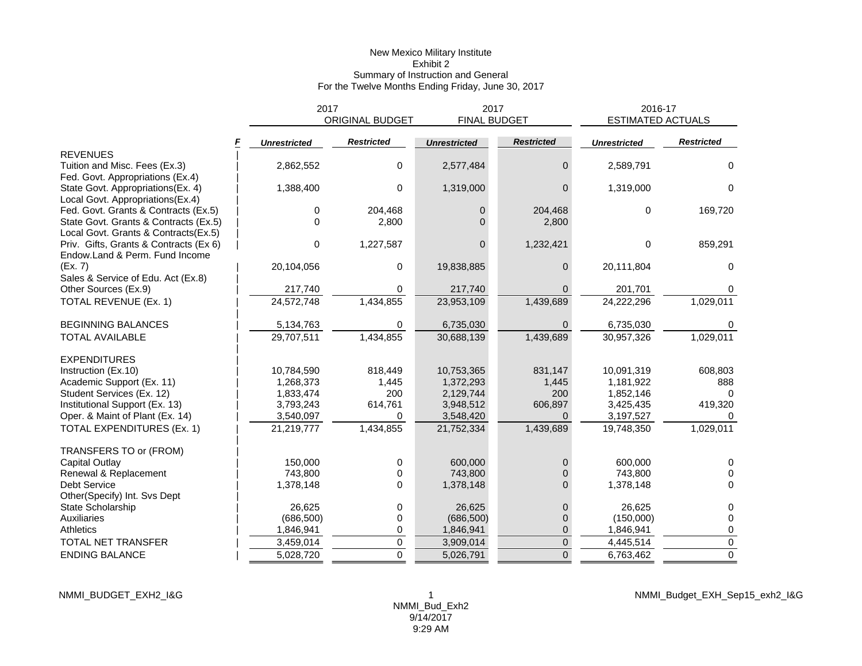## New Mexico Military Institute Exhibit 2 Summary of Instruction and General For the Twelve Months Ending Friday, June 30, 2017

|                                        | 2017                | <b>ORIGINAL BUDGET</b> | 2017<br><b>FINAL BUDGET</b> |                   | 2016-17<br><b>ESTIMATED ACTUALS</b> |                   |
|----------------------------------------|---------------------|------------------------|-----------------------------|-------------------|-------------------------------------|-------------------|
|                                        | <b>Unrestricted</b> | <b>Restricted</b>      | <b>Unrestricted</b>         | <b>Restricted</b> | <b>Unrestricted</b>                 | <b>Restricted</b> |
| <b>REVENUES</b>                        |                     |                        |                             |                   |                                     |                   |
| Tuition and Misc. Fees (Ex.3)          | 2,862,552           | 0                      | 2,577,484                   | 0                 | 2,589,791                           | 0                 |
| Fed. Govt. Appropriations (Ex.4)       |                     |                        |                             |                   |                                     |                   |
| State Govt. Appropriations(Ex. 4)      | 1,388,400           | 0                      | 1,319,000                   | 0                 | 1,319,000                           | $\Omega$          |
| Local Govt. Appropriations(Ex.4)       |                     |                        |                             |                   |                                     |                   |
| Fed. Govt. Grants & Contracts (Ex.5)   | 0                   | 204,468                | $\mathbf{0}$                | 204,468           | $\Omega$                            | 169,720           |
| State Govt. Grants & Contracts (Ex.5)  | 0                   | 2,800                  | 0                           | 2,800             |                                     |                   |
| Local Govt. Grants & Contracts(Ex.5)   |                     |                        |                             |                   |                                     |                   |
| Priv. Gifts, Grants & Contracts (Ex 6) | 0                   | 1,227,587              | $\overline{0}$              | 1,232,421         | $\Omega$                            | 859,291           |
| Endow.Land & Perm. Fund Income         |                     |                        |                             |                   |                                     |                   |
| (Ex. 7)                                | 20,104,056          | 0                      | 19,838,885                  | 0                 | 20,111,804                          | $\Omega$          |
| Sales & Service of Edu. Act (Ex.8)     |                     |                        |                             |                   |                                     |                   |
| Other Sources (Ex.9)                   | 217,740             | 0                      | 217,740                     |                   | 201,701                             |                   |
| TOTAL REVENUE (Ex. 1)                  | 24,572,748          | 1,434,855              | 23,953,109                  | 1,439,689         | 24,222,296                          | 1,029,011         |
| <b>BEGINNING BALANCES</b>              | 5,134,763           | 0                      | 6,735,030                   | 0                 | 6,735,030                           |                   |
| TOTAL AVAILABLE                        | 29,707,511          | 1,434,855              | 30,688,139                  | 1,439,689         | 30,957,326                          | 1,029,011         |
| <b>EXPENDITURES</b>                    |                     |                        |                             |                   |                                     |                   |
| Instruction (Ex.10)                    | 10,784,590          | 818,449                | 10,753,365                  | 831,147           | 10,091,319                          | 608,803           |
| Academic Support (Ex. 11)              | 1,268,373           | 1,445                  | 1,372,293                   | 1,445             | 1,181,922                           | 888               |
| Student Services (Ex. 12)              | 1,833,474           | 200                    | 2,129,744                   | 200               | 1,852,146                           |                   |
| Institutional Support (Ex. 13)         | 3,793,243           | 614,761                | 3,948,512                   | 606,897           | 3,425,435                           | 419,320           |
| Oper. & Maint of Plant (Ex. 14)        | 3,540,097           | 0                      | 3,548,420                   | $\Omega$          | 3,197,527                           |                   |
| TOTAL EXPENDITURES (Ex. 1)             | 21,219,777          | 1,434,855              | 21,752,334                  | 1,439,689         | 19,748,350                          | 1,029,011         |
| TRANSFERS TO or (FROM)                 |                     |                        |                             |                   |                                     |                   |
| Capital Outlay                         | 150,000             | 0                      | 600,000                     | 0                 | 600,000                             | 0                 |
| Renewal & Replacement                  | 743.800             | 0                      | 743,800                     |                   | 743.800                             | $\Omega$          |
| Debt Service                           | 1,378,148           | 0                      | 1,378,148                   | 0                 | 1,378,148                           | $\Omega$          |
| Other(Specify) Int. Svs Dept           |                     |                        |                             |                   |                                     |                   |
| State Scholarship                      | 26,625              | 0                      | 26,625                      | 0                 | 26,625                              | 0                 |
| Auxiliaries                            | (686, 500)          | 0                      | (686, 500)                  | 0                 | (150,000)                           | 0                 |
| <b>Athletics</b>                       | 1,846,941           | 0                      | 1,846,941                   | 0                 | 1,846,941                           | 0                 |
| TOTAL NET TRANSFER                     | 3,459,014           | 0                      | 3,909,014                   | 0                 | 4,445,514                           | $\mathbf 0$       |
| <b>ENDING BALANCE</b>                  | 5,028,720           | $\Omega$               | 5,026,791                   | $\Omega$          | 6,763,462                           | $\mathbf 0$       |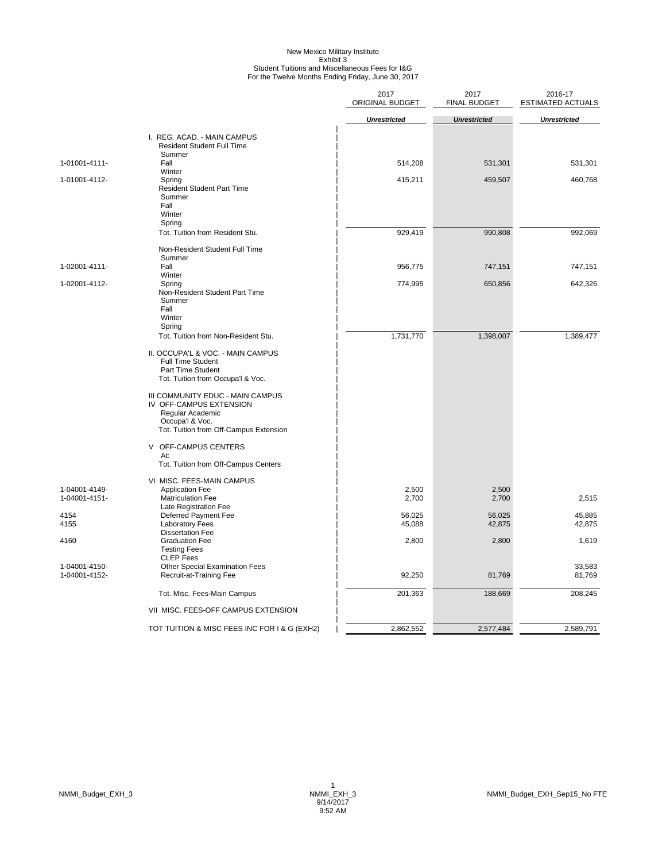# New Mexico Military Institute<br>Exhibit 3<br>Student Tuitions and Miscellaneous Fees for I&G<br>For the Twelve Months Ending Friday, June 30, 2017

|                                |                                                                                                                                                                                                                                                                         | 2017<br>ORIGINAL BUDGET | 2017<br><b>FINAL BUDGET</b> | 2016-17<br><b>ESTIMATED ACTUALS</b> |
|--------------------------------|-------------------------------------------------------------------------------------------------------------------------------------------------------------------------------------------------------------------------------------------------------------------------|-------------------------|-----------------------------|-------------------------------------|
|                                |                                                                                                                                                                                                                                                                         | <b>Unrestricted</b>     | <b>Unrestricted</b>         | <b>Unrestricted</b>                 |
|                                | I. REG. ACAD. - MAIN CAMPUS<br><b>Resident Student Full Time</b><br>Summer                                                                                                                                                                                              |                         |                             |                                     |
| 1-01001-4111-                  | Fall<br>Winter                                                                                                                                                                                                                                                          | 514,208                 | 531,301                     | 531,301                             |
| 1-01001-4112-                  | Spring<br><b>Resident Student Part Time</b><br>Summer<br>Fall<br>Winter                                                                                                                                                                                                 | 415,211                 | 459,507                     | 460,768                             |
|                                | Spring<br>Tot. Tuition from Resident Stu.                                                                                                                                                                                                                               | 929,419                 | 990,808                     | 992,069                             |
|                                | Non-Resident Student Full Time<br>Summer                                                                                                                                                                                                                                |                         |                             |                                     |
| 1-02001-4111-                  | Fall<br>Winter                                                                                                                                                                                                                                                          | 956,775                 | 747,151                     | 747,151                             |
| 1-02001-4112-                  | Spring<br>Non-Resident Student Part Time<br>Summer<br>Fall<br>Winter<br>Spring                                                                                                                                                                                          | 774,995                 | 650,856                     | 642,326                             |
|                                | Tot. Tuition from Non-Resident Stu.                                                                                                                                                                                                                                     | 1,731,770               | 1,398,007                   | 1,389,477                           |
|                                | II. OCCUPA'L & VOC. - MAIN CAMPUS<br><b>Full Time Student</b><br>Part Time Student<br>Tot. Tuition from Occupa'l & Voc.<br>III COMMUNITY EDUC - MAIN CAMPUS<br>IV OFF-CAMPUS EXTENSION<br>Regular Academic<br>Occupa'l & Voc.<br>Tot. Tuition from Off-Campus Extension |                         |                             |                                     |
|                                | V OFF-CAMPUS CENTERS<br>At:<br>Tot. Tuition from Off-Campus Centers                                                                                                                                                                                                     |                         |                             |                                     |
| 1-04001-4149-<br>1-04001-4151- | VI MISC. FEES-MAIN CAMPUS<br><b>Application Fee</b><br><b>Matriculation Fee</b><br>Late Registration Fee                                                                                                                                                                | 2,500<br>2,700          | 2,500<br>2,700              | 2,515                               |
| 4154<br>4155                   | Deferred Payment Fee<br><b>Laboratory Fees</b>                                                                                                                                                                                                                          | 56,025<br>45,088        | 56,025<br>42,875            | 45,885<br>42,875                    |
| 4160                           | <b>Dissertation Fee</b><br><b>Graduation Fee</b><br><b>Testing Fees</b>                                                                                                                                                                                                 | 2,800                   | 2,800                       | 1,619                               |
| 1-04001-4150-<br>1-04001-4152- | <b>CLEP</b> Fees<br>Other Special Examination Fees<br>Recruit-at-Training Fee                                                                                                                                                                                           | 92,250                  | 81,769                      | 33,583<br>81,769                    |
|                                | Tot. Misc. Fees-Main Campus                                                                                                                                                                                                                                             | 201,363                 | 188,669                     | 208,245                             |
|                                | VII MISC. FEES-OFF CAMPUS EXTENSION                                                                                                                                                                                                                                     |                         |                             |                                     |
|                                | TOT TUITION & MISC FEES INC FOR I & G (EXH2)                                                                                                                                                                                                                            | 2,862,552               | 2,577,484                   | 2,589,791                           |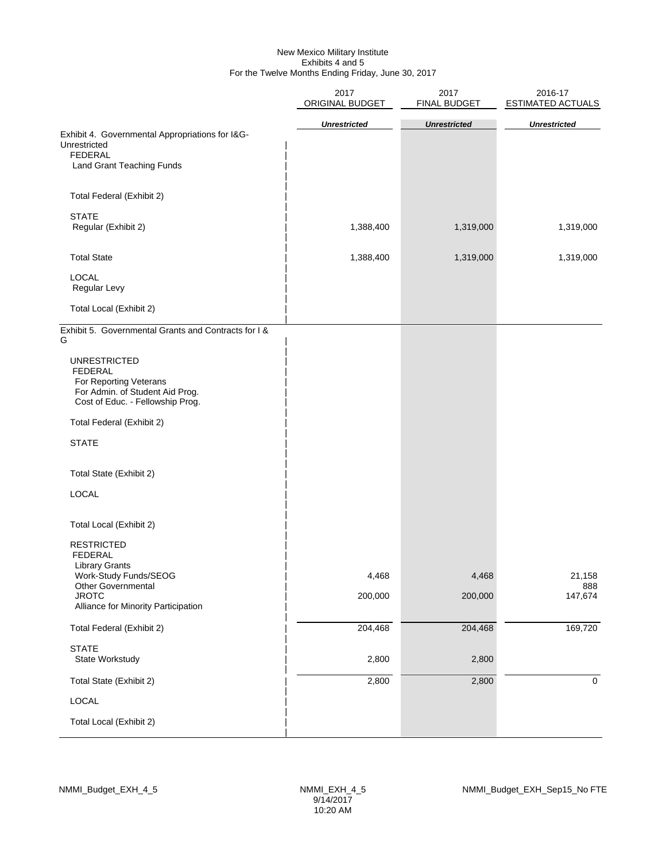#### New Mexico Military Institute Exhibits 4 and 5 For the Twelve Months Ending Friday, June 30, 2017

|                                                                                                                                        | 2017<br>ORIGINAL BUDGET | 2017<br>FINAL BUDGET | 2016-17<br><b>ESTIMATED ACTUALS</b> |  |  |
|----------------------------------------------------------------------------------------------------------------------------------------|-------------------------|----------------------|-------------------------------------|--|--|
|                                                                                                                                        | <b>Unrestricted</b>     | <b>Unrestricted</b>  | <b>Unrestricted</b>                 |  |  |
| Exhibit 4. Governmental Appropriations for I&G-<br>Unrestricted                                                                        |                         |                      |                                     |  |  |
| <b>FEDERAL</b><br>Land Grant Teaching Funds                                                                                            |                         |                      |                                     |  |  |
| Total Federal (Exhibit 2)                                                                                                              |                         |                      |                                     |  |  |
| <b>STATE</b><br>Regular (Exhibit 2)                                                                                                    | 1,388,400               | 1,319,000            | 1,319,000                           |  |  |
| <b>Total State</b>                                                                                                                     | 1,388,400               | 1,319,000            | 1,319,000                           |  |  |
| <b>LOCAL</b><br>Regular Levy                                                                                                           |                         |                      |                                     |  |  |
| Total Local (Exhibit 2)                                                                                                                |                         |                      |                                     |  |  |
| Exhibit 5. Governmental Grants and Contracts for I &<br>G                                                                              |                         |                      |                                     |  |  |
| <b>UNRESTRICTED</b><br><b>FEDERAL</b><br>For Reporting Veterans<br>For Admin. of Student Aid Prog.<br>Cost of Educ. - Fellowship Prog. |                         |                      |                                     |  |  |
| Total Federal (Exhibit 2)                                                                                                              |                         |                      |                                     |  |  |
| <b>STATE</b>                                                                                                                           |                         |                      |                                     |  |  |
| Total State (Exhibit 2)                                                                                                                |                         |                      |                                     |  |  |
| <b>LOCAL</b>                                                                                                                           |                         |                      |                                     |  |  |
| Total Local (Exhibit 2)                                                                                                                |                         |                      |                                     |  |  |
| <b>RESTRICTED</b><br><b>FEDERAL</b><br><b>Library Grants</b><br>Work-Study Funds/SEOG<br>Other Governmental                            | 4,468                   | 4,468                | 21,158<br>888                       |  |  |
| <b>JROTC</b><br>Alliance for Minority Participation                                                                                    | 200,000                 | 200,000              | 147,674                             |  |  |
| Total Federal (Exhibit 2)                                                                                                              | 204,468                 | 204,468              | 169,720                             |  |  |
| <b>STATE</b><br>State Workstudy                                                                                                        | 2,800                   | 2,800                |                                     |  |  |
| Total State (Exhibit 2)                                                                                                                | 2,800                   | 2,800                | $\mathbf 0$                         |  |  |
| LOCAL                                                                                                                                  |                         |                      |                                     |  |  |
| Total Local (Exhibit 2)                                                                                                                |                         |                      |                                     |  |  |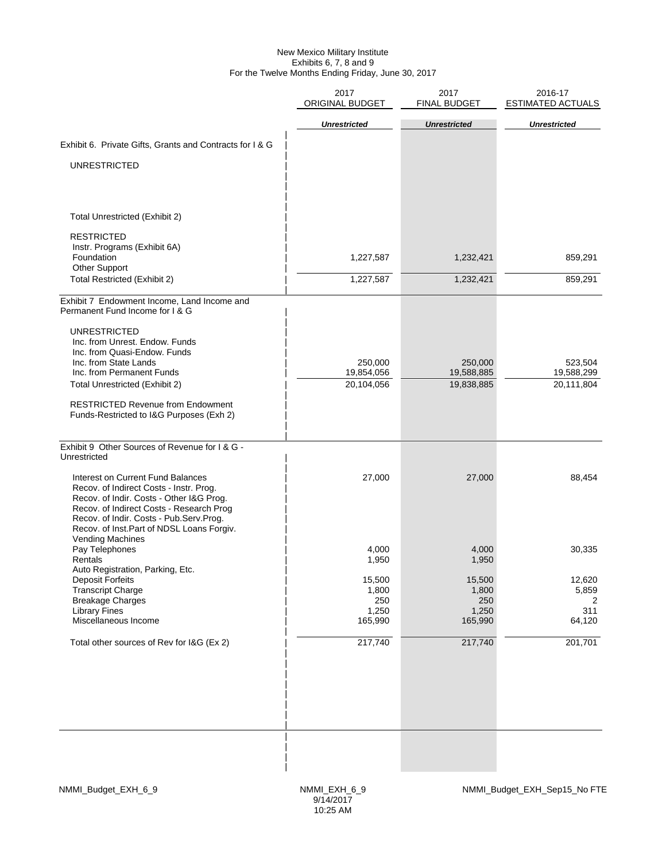#### New Mexico Military Institute Exhibits 6, 7, 8 and 9 For the Twelve Months Ending Friday, June 30, 2017

|                                                                                      | 2017<br>ORIGINAL BUDGET | 2017<br><b>FINAL BUDGET</b> | 2016-17<br><b>ESTIMATED ACTUALS</b> |
|--------------------------------------------------------------------------------------|-------------------------|-----------------------------|-------------------------------------|
|                                                                                      | <b>Unrestricted</b>     | <b>Unrestricted</b>         | <b>Unrestricted</b>                 |
|                                                                                      |                         |                             |                                     |
| Exhibit 6. Private Gifts, Grants and Contracts for I & G                             |                         |                             |                                     |
| <b>UNRESTRICTED</b>                                                                  |                         |                             |                                     |
|                                                                                      |                         |                             |                                     |
| Total Unrestricted (Exhibit 2)                                                       |                         |                             |                                     |
|                                                                                      |                         |                             |                                     |
| <b>RESTRICTED</b><br>Instr. Programs (Exhibit 6A)                                    |                         |                             |                                     |
| Foundation                                                                           | 1,227,587               | 1,232,421                   | 859,291                             |
| <b>Other Support</b><br><b>Total Restricted (Exhibit 2)</b>                          | 1,227,587               | 1,232,421                   | 859,291                             |
|                                                                                      |                         |                             |                                     |
| Exhibit 7 Endowment Income, Land Income and<br>Permanent Fund Income for I & G       |                         |                             |                                     |
| <b>UNRESTRICTED</b>                                                                  |                         |                             |                                     |
| Inc. from Unrest. Endow. Funds                                                       |                         |                             |                                     |
| Inc. from Quasi-Endow. Funds<br>Inc. from State Lands                                | 250,000                 | 250,000                     | 523,504                             |
| Inc. from Permanent Funds                                                            | 19,854,056              | 19,588,885                  | 19,588,299                          |
| Total Unrestricted (Exhibit 2)                                                       | 20,104,056              | 19,838,885                  | 20,111,804                          |
| <b>RESTRICTED Revenue from Endowment</b>                                             |                         |                             |                                     |
| Funds-Restricted to I&G Purposes (Exh 2)                                             |                         |                             |                                     |
| Exhibit 9 Other Sources of Revenue for I & G -                                       |                         |                             |                                     |
| Unrestricted                                                                         |                         |                             |                                     |
| Interest on Current Fund Balances                                                    | 27,000                  | 27,000                      | 88,454                              |
| Recov. of Indirect Costs - Instr. Prog.<br>Recov. of Indir. Costs - Other I&G Prog.  |                         |                             |                                     |
| Recov. of Indirect Costs - Research Prog                                             |                         |                             |                                     |
| Recov. of Indir. Costs - Pub.Serv.Prog.<br>Recov. of Inst.Part of NDSL Loans Forgiv. |                         |                             |                                     |
| Vending Machines                                                                     |                         |                             |                                     |
| Pay Telephones<br>Rentals                                                            | 4,000<br>1,950          | 4,000<br>1,950              | 30,335                              |
| Auto Registration, Parking, Etc.                                                     | 15,500                  | 15,500                      | 12,620                              |
| Deposit Forteits<br><b>Transcript Charge</b>                                         | 1,800                   | 1,800                       | 5,859                               |
| <b>Breakage Charges</b><br><b>Library Fines</b>                                      | 250<br>1,250            | 250<br>1,250                | 2<br>311                            |
| Miscellaneous Income                                                                 | 165,990                 | 165,990                     | 64,120                              |
| Total other sources of Rev for I&G (Ex 2)                                            | 217,740                 | 217,740                     | 201,701                             |
|                                                                                      |                         |                             |                                     |
|                                                                                      |                         |                             |                                     |
|                                                                                      |                         |                             |                                     |
|                                                                                      |                         |                             |                                     |
|                                                                                      |                         |                             |                                     |
|                                                                                      |                         |                             |                                     |
|                                                                                      |                         |                             |                                     |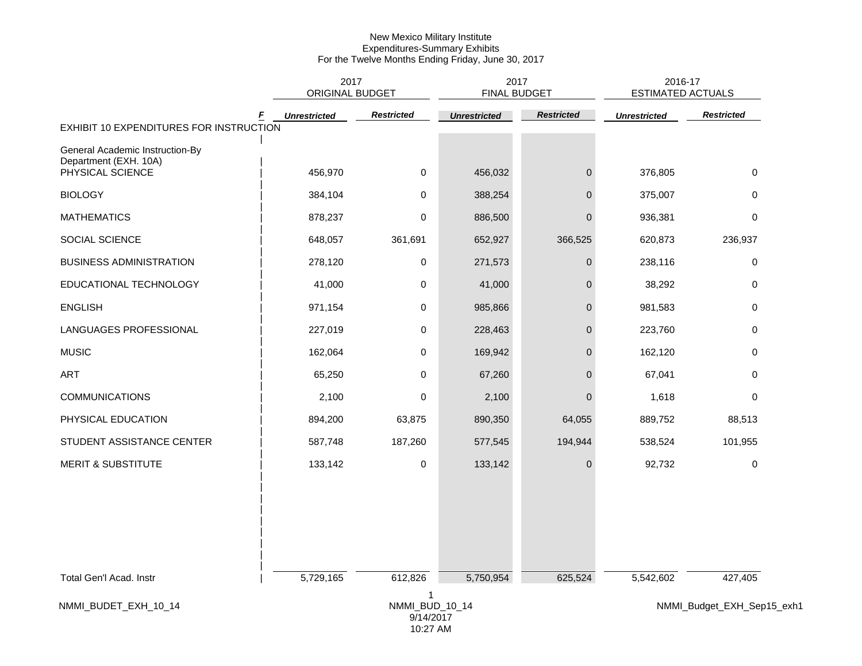|                                                          |                     | 2017<br>2017<br>ORIGINAL BUDGET<br><b>FINAL BUDGET</b> |                     |                   |                     | 2016-17<br><b>ESTIMATED ACTUALS</b> |
|----------------------------------------------------------|---------------------|--------------------------------------------------------|---------------------|-------------------|---------------------|-------------------------------------|
| EXHIBIT 10 EXPENDITURES FOR INSTRUCTION                  | <b>Unrestricted</b> | <b>Restricted</b>                                      | <b>Unrestricted</b> | <b>Restricted</b> | <b>Unrestricted</b> | <b>Restricted</b>                   |
|                                                          |                     |                                                        |                     |                   |                     |                                     |
| General Academic Instruction-By<br>Department (EXH. 10A) |                     |                                                        |                     |                   |                     |                                     |
| PHYSICAL SCIENCE                                         | 456,970             | $\mathbf 0$                                            | 456,032             | $\mathbf 0$       | 376,805             | 0                                   |
| <b>BIOLOGY</b>                                           | 384,104             | 0                                                      | 388,254             | $\mathbf{0}$      | 375,007             | 0                                   |
| <b>MATHEMATICS</b>                                       | 878,237             | 0                                                      | 886,500             | $\mathbf 0$       | 936,381             | 0                                   |
| SOCIAL SCIENCE                                           | 648,057             | 361,691                                                | 652,927             | 366,525           | 620,873             | 236,937                             |
| <b>BUSINESS ADMINISTRATION</b>                           | 278,120             | 0                                                      | 271,573             | $\mathbf 0$       | 238,116             | 0                                   |
| EDUCATIONAL TECHNOLOGY                                   | 41,000              | 0                                                      | 41,000              | $\pmb{0}$         | 38,292              | 0                                   |
| <b>ENGLISH</b>                                           | 971,154             | 0                                                      | 985,866             | $\mathbf{0}$      | 981,583             | 0                                   |
| LANGUAGES PROFESSIONAL                                   | 227,019             | 0                                                      | 228,463             | $\mathbf 0$       | 223,760             | 0                                   |
| <b>MUSIC</b>                                             | 162,064             | 0                                                      | 169,942             | $\mathbf 0$       | 162,120             | 0                                   |
| ART                                                      | 65,250              | 0                                                      | 67,260              | $\mathbf{0}$      | 67,041              | $\mathbf 0$                         |
| <b>COMMUNICATIONS</b>                                    | 2,100               | 0                                                      | 2,100               | $\mathbf{0}$      | 1,618               | 0                                   |
| PHYSICAL EDUCATION                                       | 894,200             | 63,875                                                 | 890,350             | 64,055            | 889,752             | 88,513                              |
| STUDENT ASSISTANCE CENTER                                | 587,748             | 187,260                                                | 577,545             | 194,944           | 538,524             | 101,955                             |
| <b>MERIT &amp; SUBSTITUTE</b>                            | 133,142             | 0                                                      | 133,142             | $\mathbf 0$       | 92,732              | 0                                   |
|                                                          |                     |                                                        |                     |                   |                     |                                     |
| Total Gen'l Acad. Instr                                  | 5,729,165           | 612,826                                                | 5,750,954           | 625,524           | 5,542,602           | 427,405                             |
| NMMI_BUDET_EXH_10_14                                     |                     | 1<br>NMMI_BUD_10_14<br>9/14/2017<br>10:27 AM           |                     |                   |                     | NMMI_Budget_EXH_Sep15_exh1          |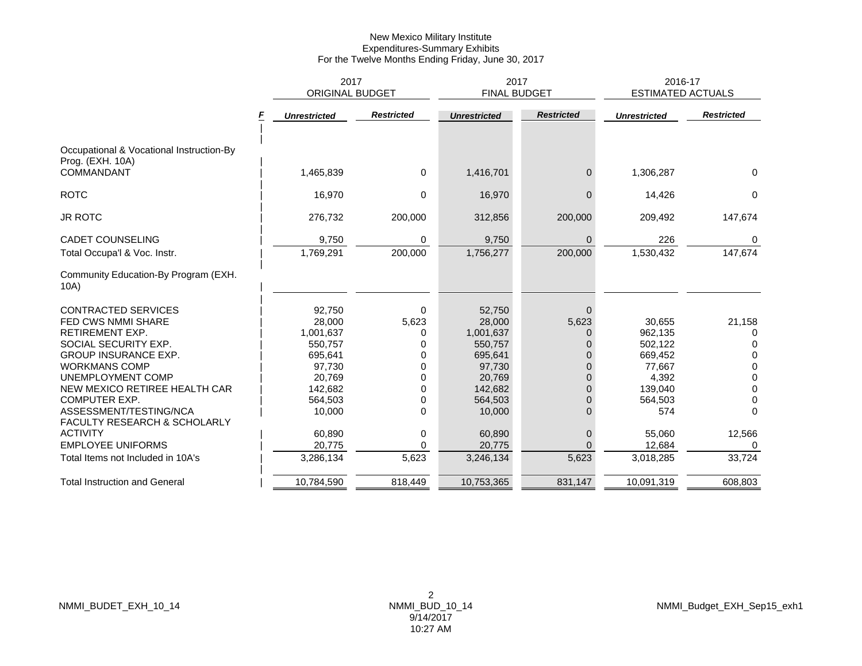|                                                              | 2017                   |                   | 2017                |                     | 2016-17                  |                   |
|--------------------------------------------------------------|------------------------|-------------------|---------------------|---------------------|--------------------------|-------------------|
|                                                              | <b>ORIGINAL BUDGET</b> |                   |                     | <b>FINAL BUDGET</b> | <b>ESTIMATED ACTUALS</b> |                   |
|                                                              | <b>Unrestricted</b>    | <b>Restricted</b> | <b>Unrestricted</b> | <b>Restricted</b>   | <b>Unrestricted</b>      | <b>Restricted</b> |
| Occupational & Vocational Instruction-By<br>Prog. (EXH. 10A) |                        |                   |                     |                     |                          |                   |
| <b>COMMANDANT</b>                                            | 1,465,839              | 0                 | 1,416,701           | $\overline{0}$      | 1,306,287                | $\Omega$          |
| <b>ROTC</b>                                                  | 16,970                 | $\Omega$          | 16,970              | $\Omega$            | 14,426                   | $\Omega$          |
| <b>JR ROTC</b>                                               | 276,732                | 200,000           | 312,856             | 200,000             | 209,492                  | 147,674           |
| <b>CADET COUNSELING</b>                                      | 9,750                  | 0                 | 9,750               | $\Omega$            | 226                      | $\Omega$          |
| Total Occupa'l & Voc. Instr.                                 | 1,769,291              | 200,000           | 1,756,277           | 200,000             | 1,530,432                | 147,674           |
| Community Education-By Program (EXH.<br>10A)                 |                        |                   |                     |                     |                          |                   |
| <b>CONTRACTED SERVICES</b>                                   | 92,750                 | $\Omega$          | 52,750              | $\Omega$            |                          |                   |
| <b>FED CWS NMMI SHARE</b>                                    | 28,000                 | 5,623             | 28,000              | 5,623               | 30,655                   | 21,158            |
| <b>RETIREMENT EXP.</b>                                       | 1,001,637              | 0                 | 1,001,637           | 0                   | 962,135                  | 0                 |
| SOCIAL SECURITY EXP.                                         | 550,757                | 0                 | 550,757             | $\Omega$            | 502,122                  | $\Omega$          |
| <b>GROUP INSURANCE EXP.</b>                                  | 695,641                | 0                 | 695,641             | $\Omega$            | 669,452                  | $\Omega$          |
| <b>WORKMANS COMP</b>                                         | 97,730                 | 0                 | 97,730              | $\Omega$            | 77,667                   | $\Omega$          |
| UNEMPLOYMENT COMP                                            | 20,769                 | O                 | 20.769              | $\Omega$            | 4,392                    | 0                 |
| NEW MEXICO RETIREE HEALTH CAR                                | 142,682                | O                 | 142,682             | $\Omega$            | 139,040                  | $\Omega$          |
| <b>COMPUTER EXP.</b>                                         | 564,503                | O                 | 564,503             | $\Omega$            | 564,503                  | 0                 |
| ASSESSMENT/TESTING/NCA<br>FACULTY RESEARCH & SCHOLARLY       | 10,000                 | $\Omega$          | 10,000              | $\Omega$            | 574                      | $\Omega$          |
| <b>ACTIVITY</b>                                              | 60,890                 | $\Omega$          | 60,890              | $\mathbf{0}$        | 55,060                   | 12,566            |
| <b>EMPLOYEE UNIFORMS</b>                                     | 20,775                 | 0                 | 20,775              | $\Omega$            | 12,684                   | 0                 |
| Total Items not Included in 10A's                            | 3,286,134              | 5,623             | 3,246,134           | 5,623               | 3,018,285                | 33,724            |
| <b>Total Instruction and General</b>                         | 10,784,590             | 818,449           | 10,753,365          | 831,147             | 10,091,319               | 608,803           |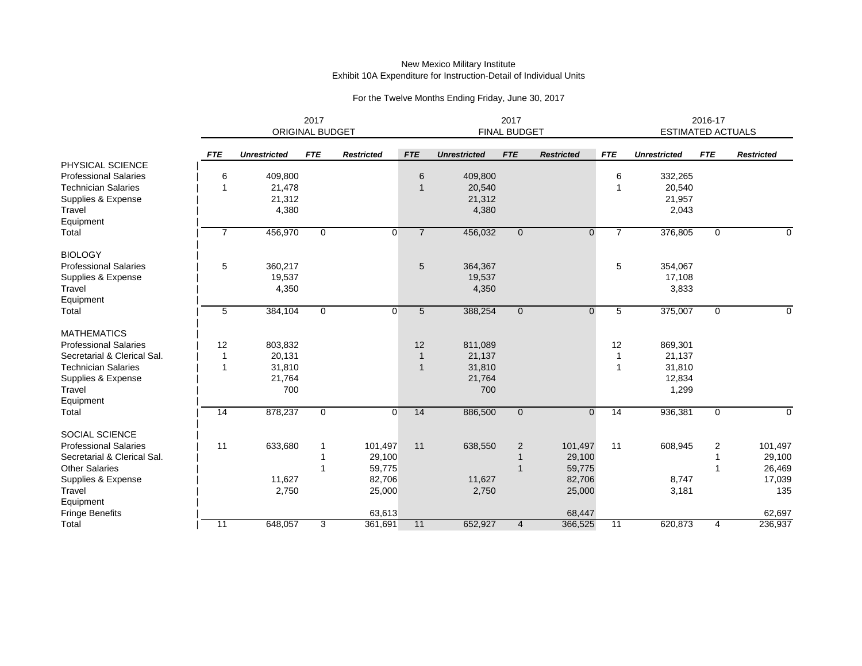|                                     | 2017<br>ORIGINAL BUDGET |                     |              |                   |                | 2017<br><b>FINAL BUDGET</b> |                |                   |                 | 2016-17<br><b>ESTIMATED ACTUALS</b> |             |                   |
|-------------------------------------|-------------------------|---------------------|--------------|-------------------|----------------|-----------------------------|----------------|-------------------|-----------------|-------------------------------------|-------------|-------------------|
|                                     | <b>FTE</b>              | <b>Unrestricted</b> | <b>FTE</b>   | <b>Restricted</b> | <b>FTE</b>     | <b>Unrestricted</b>         | <b>FTE</b>     | <b>Restricted</b> | <b>FTE</b>      | <b>Unrestricted</b>                 | <b>FTE</b>  | <b>Restricted</b> |
| PHYSICAL SCIENCE                    |                         |                     |              |                   |                |                             |                |                   |                 |                                     |             |                   |
| <b>Professional Salaries</b>        | 6                       | 409,800             |              |                   | 6              | 409,800                     |                |                   | 6               | 332,265                             |             |                   |
| <b>Technician Salaries</b>          | $\overline{1}$          | 21,478              |              |                   | $\mathbf 1$    | 20,540                      |                |                   |                 | 20,540                              |             |                   |
| Supplies & Expense                  |                         | 21,312              |              |                   |                | 21,312                      |                |                   |                 | 21,957                              |             |                   |
| Travel                              |                         | 4,380               |              |                   |                | 4,380                       |                |                   |                 | 2,043                               |             |                   |
| Equipment                           |                         |                     |              |                   |                |                             |                |                   |                 |                                     |             |                   |
| Total                               | $\overline{7}$          | 456,970             | $\mathbf{0}$ | $\mathbf{0}$      | $\overline{7}$ | 456,032                     | $\mathbf{0}$   | $\mathbf 0$       | $\overline{7}$  | 376,805                             | $\mathbf 0$ | 0                 |
| <b>BIOLOGY</b>                      |                         |                     |              |                   |                |                             |                |                   |                 |                                     |             |                   |
| <b>Professional Salaries</b>        | 5                       | 360.217             |              |                   | 5              | 364,367                     |                |                   | 5               | 354,067                             |             |                   |
| Supplies & Expense                  |                         | 19,537              |              |                   |                | 19,537                      |                |                   |                 | 17,108                              |             |                   |
| Travel                              |                         | 4,350               |              |                   |                | 4,350                       |                |                   |                 | 3,833                               |             |                   |
| Equipment                           |                         |                     |              |                   |                |                             |                |                   |                 |                                     |             |                   |
| Total                               | 5                       | 384,104             | $\mathbf{0}$ | $\overline{0}$    | 5              | 388,254                     | $\mathbf{0}$   | $\mathbf 0$       | 5               | 375,007                             | $\mathbf 0$ | 0                 |
| <b>MATHEMATICS</b>                  |                         |                     |              |                   |                |                             |                |                   |                 |                                     |             |                   |
| <b>Professional Salaries</b>        | 12                      | 803,832             |              |                   | 12             | 811,089                     |                |                   | 12              | 869,301                             |             |                   |
| Secretarial & Clerical Sal.         |                         | 20,131              |              |                   |                | 21,137                      |                |                   |                 | 21,137                              |             |                   |
| <b>Technician Salaries</b>          | 1                       | 31,810              |              |                   |                | 31,810                      |                |                   |                 | 31,810                              |             |                   |
| Supplies & Expense                  |                         | 21,764              |              |                   |                | 21,764                      |                |                   |                 | 12,834                              |             |                   |
| Travel                              |                         | 700                 |              |                   |                | 700                         |                |                   |                 | 1,299                               |             |                   |
| Equipment                           |                         |                     |              |                   |                |                             |                |                   |                 |                                     |             |                   |
| Total                               | $\overline{14}$         | 878,237             | $\mathbf 0$  | 0                 | 14             | 886,500                     | $\mathbf{0}$   | $\mathbf 0$       | $\overline{14}$ | 936,381                             | $\mathbf 0$ | $\mathbf 0$       |
| <b>SOCIAL SCIENCE</b>               |                         |                     |              |                   |                |                             |                |                   |                 |                                     |             |                   |
| <b>Professional Salaries</b>        | 11                      | 633,680             |              | 101,497           | 11             | 638,550                     | $\overline{2}$ | 101,497           | 11              | 608,945                             | 2           | 101,497           |
| Secretarial & Clerical Sal.         |                         |                     |              | 29,100            |                |                             |                | 29,100            |                 |                                     |             | 29,100            |
| <b>Other Salaries</b>               |                         |                     | -1           | 59,775            |                |                             |                | 59,775            |                 |                                     |             | 26,469            |
| Supplies & Expense                  |                         | 11,627              |              | 82,706            |                | 11,627                      |                | 82,706            |                 | 8,747                               |             | 17,039            |
| Travel                              |                         | 2,750               |              | 25,000            |                | 2,750                       |                | 25,000            |                 | 3,181                               |             | 135               |
| Equipment<br><b>Fringe Benefits</b> |                         |                     |              | 63,613            |                |                             |                | 68,447            |                 |                                     |             | 62,697            |
| Total                               | 11                      | 648,057             | 3            | 361,691           | 11             | 652,927                     | $\overline{4}$ | 366,525           | 11              | 620,873                             | 4           | 236,937           |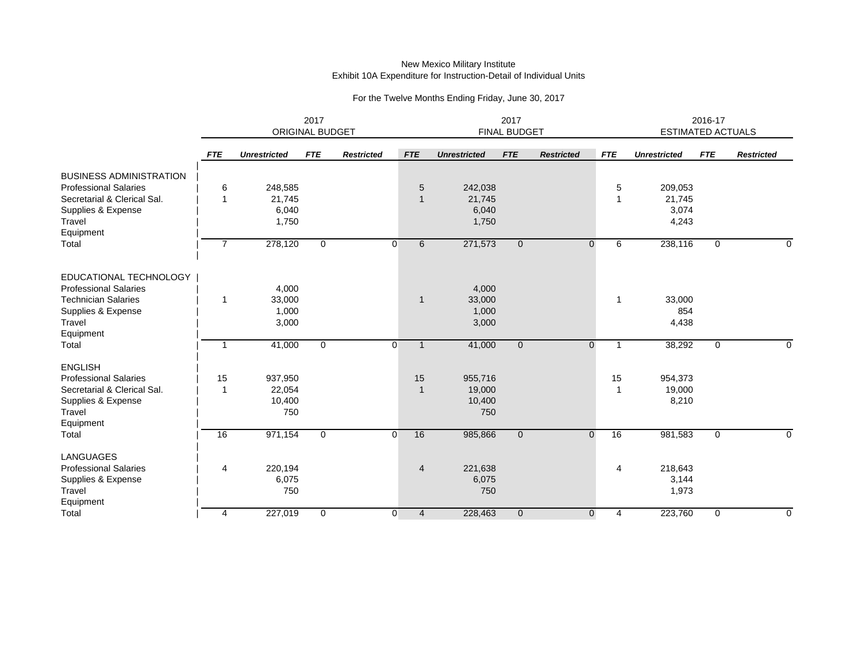|                                | 2017<br>ORIGINAL BUDGET |                     |              |                   |                | 2017<br><b>FINAL BUDGET</b> |              |                   |              | 2016-17<br><b>ESTIMATED ACTUALS</b> |              |                   |  |
|--------------------------------|-------------------------|---------------------|--------------|-------------------|----------------|-----------------------------|--------------|-------------------|--------------|-------------------------------------|--------------|-------------------|--|
|                                | <b>FTE</b>              | <b>Unrestricted</b> | <b>FTE</b>   | <b>Restricted</b> | <b>FTE</b>     | <b>Unrestricted</b>         | <b>FTE</b>   | <b>Restricted</b> | <b>FTE</b>   | <b>Unrestricted</b>                 | <b>FTE</b>   | <b>Restricted</b> |  |
| <b>BUSINESS ADMINISTRATION</b> |                         |                     |              |                   |                |                             |              |                   |              |                                     |              |                   |  |
| <b>Professional Salaries</b>   | 6                       | 248,585             |              |                   | 5              | 242,038                     |              |                   | 5            | 209,053                             |              |                   |  |
| Secretarial & Clerical Sal.    | 1                       | 21,745              |              |                   | $\mathbf 1$    | 21,745                      |              |                   | 1            | 21,745                              |              |                   |  |
| Supplies & Expense             |                         | 6,040               |              |                   |                | 6,040                       |              |                   |              | 3,074                               |              |                   |  |
| Travel                         |                         | 1,750               |              |                   |                | 1,750                       |              |                   |              | 4,243                               |              |                   |  |
| Equipment                      |                         |                     |              |                   |                |                             |              |                   |              |                                     |              |                   |  |
| Total                          | $\overline{7}$          | 278,120             | $\mathbf{0}$ | $\overline{0}$    | 6              | 271,573                     | $\mathbf{0}$ | $\mathbf 0$       | 6            | 238,116                             | 0            | $\Omega$          |  |
| EDUCATIONAL TECHNOLOGY         |                         |                     |              |                   |                |                             |              |                   |              |                                     |              |                   |  |
| <b>Professional Salaries</b>   |                         | 4,000               |              |                   |                | 4,000                       |              |                   |              |                                     |              |                   |  |
| <b>Technician Salaries</b>     | $\overline{1}$          | 33,000              |              |                   | $\mathbf{1}$   | 33,000                      |              |                   | $\mathbf{1}$ | 33,000                              |              |                   |  |
| Supplies & Expense             |                         | 1,000               |              |                   |                | 1,000                       |              |                   |              | 854                                 |              |                   |  |
| Travel                         |                         | 3,000               |              |                   |                | 3,000                       |              |                   |              | 4,438                               |              |                   |  |
| Equipment                      |                         |                     |              |                   |                |                             |              |                   |              |                                     |              |                   |  |
| Total                          | $\overline{1}$          | 41,000              | $\mathbf{0}$ | $\overline{0}$    | $\mathbf{1}$   | 41,000                      | $\mathbf{0}$ | $\mathbf{0}$      | 1            | 38,292                              | 0            | $\Omega$          |  |
| <b>ENGLISH</b>                 |                         |                     |              |                   |                |                             |              |                   |              |                                     |              |                   |  |
| <b>Professional Salaries</b>   | 15                      | 937,950             |              |                   | 15             | 955,716                     |              |                   | 15           | 954,373                             |              |                   |  |
| Secretarial & Clerical Sal.    | 1                       | 22,054              |              |                   | $\mathbf 1$    | 19,000                      |              |                   |              | 19,000                              |              |                   |  |
| Supplies & Expense             |                         | 10,400              |              |                   |                | 10,400                      |              |                   |              | 8,210                               |              |                   |  |
| Travel                         |                         | 750                 |              |                   |                | 750                         |              |                   |              |                                     |              |                   |  |
| Equipment                      |                         |                     |              |                   |                |                             |              |                   |              |                                     |              |                   |  |
| Total                          | 16                      | 971,154             | $\mathbf{0}$ | $\mathbf 0$       | 16             | 985,866                     | $\mathbf{0}$ | $\mathbf 0$       | 16           | 981,583                             | $\mathbf{0}$ | $\Omega$          |  |
| <b>LANGUAGES</b>               |                         |                     |              |                   |                |                             |              |                   |              |                                     |              |                   |  |
| <b>Professional Salaries</b>   | $\overline{4}$          | 220,194             |              |                   | $\overline{4}$ | 221,638                     |              |                   | 4            | 218,643                             |              |                   |  |
| Supplies & Expense             |                         | 6,075               |              |                   |                | 6,075                       |              |                   |              | 3,144                               |              |                   |  |
| Travel                         |                         | 750                 |              |                   |                | 750                         |              |                   |              | 1,973                               |              |                   |  |
| Equipment                      |                         |                     |              |                   |                |                             |              |                   |              |                                     |              |                   |  |
| Total                          | 4                       | 227,019             | 0            | $\overline{0}$    | $\overline{4}$ | 228,463                     | $\mathbf 0$  | $\mathbf 0$       | 4            | 223,760                             | 0            | 0                 |  |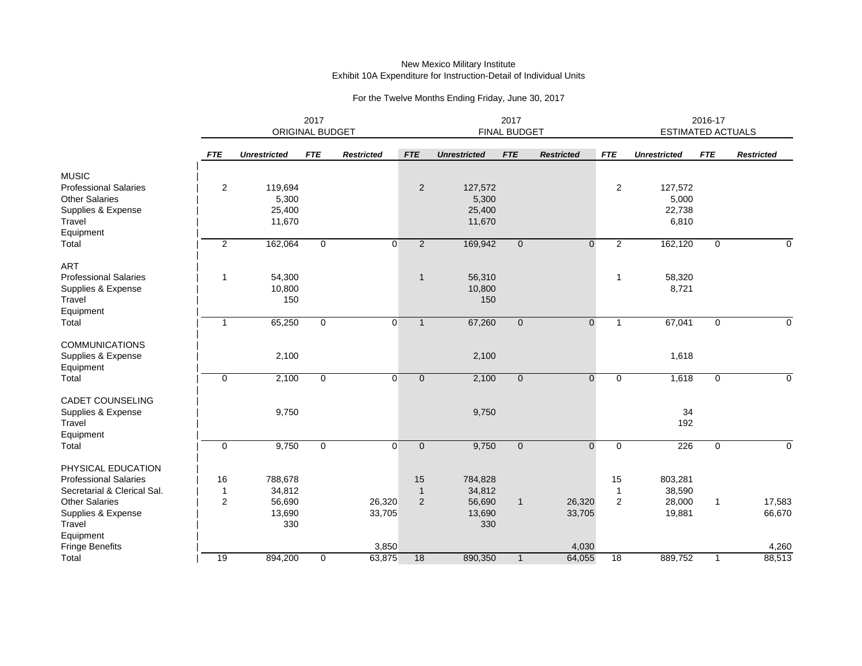|                              |                | 2017<br>ORIGINAL BUDGET |              |                   |                | 2017<br><b>FINAL BUDGET</b> |                |                   |                |                     | 2016-17<br>ESTIMATED ACTUALS |                   |  |  |
|------------------------------|----------------|-------------------------|--------------|-------------------|----------------|-----------------------------|----------------|-------------------|----------------|---------------------|------------------------------|-------------------|--|--|
|                              | <b>FTE</b>     | <b>Unrestricted</b>     | <b>FTE</b>   | <b>Restricted</b> | <b>FTE</b>     | <b>Unrestricted</b>         | <b>FTE</b>     | <b>Restricted</b> | <b>FTE</b>     | <b>Unrestricted</b> | <b>FTE</b>                   | <b>Restricted</b> |  |  |
| <b>MUSIC</b>                 |                |                         |              |                   |                |                             |                |                   |                |                     |                              |                   |  |  |
| <b>Professional Salaries</b> | $\overline{2}$ | 119,694                 |              |                   | $\overline{2}$ | 127,572                     |                |                   | $\overline{2}$ | 127,572             |                              |                   |  |  |
| <b>Other Salaries</b>        |                | 5,300                   |              |                   |                | 5,300                       |                |                   |                | 5,000               |                              |                   |  |  |
| Supplies & Expense           |                | 25,400                  |              |                   |                | 25,400                      |                |                   |                | 22,738              |                              |                   |  |  |
| Travel                       |                | 11,670                  |              |                   |                | 11,670                      |                |                   |                | 6,810               |                              |                   |  |  |
| Equipment                    |                |                         |              |                   |                |                             |                |                   |                |                     |                              |                   |  |  |
| Total                        | 2              | 162,064                 | $\mathbf{0}$ | $\overline{0}$    | $\overline{2}$ | 169,942                     | $\mathbf{0}$   | $\mathbf{0}$      | $\overline{2}$ | 162,120             | 0                            | $\Omega$          |  |  |
| <b>ART</b>                   |                |                         |              |                   |                |                             |                |                   |                |                     |                              |                   |  |  |
| <b>Professional Salaries</b> | $\mathbf{1}$   | 54,300                  |              |                   | $\mathbf{1}$   | 56,310                      |                |                   | $\mathbf{1}$   | 58,320              |                              |                   |  |  |
| Supplies & Expense           |                | 10,800                  |              |                   |                | 10,800                      |                |                   |                | 8,721               |                              |                   |  |  |
| Travel                       |                | 150                     |              |                   |                | 150                         |                |                   |                |                     |                              |                   |  |  |
| Equipment                    |                |                         |              |                   |                |                             |                |                   |                |                     |                              |                   |  |  |
| Total                        | $\mathbf 1$    | 65,250                  | $\mathbf{0}$ | $\overline{0}$    | $\mathbf{1}$   | 67,260                      | $\mathbf{0}$   | $\overline{0}$    | $\mathbf{1}$   | 67,041              | $\mathbf 0$                  | $\Omega$          |  |  |
| <b>COMMUNICATIONS</b>        |                |                         |              |                   |                |                             |                |                   |                |                     |                              |                   |  |  |
| Supplies & Expense           |                | 2,100                   |              |                   |                | 2,100                       |                |                   |                | 1,618               |                              |                   |  |  |
| Equipment                    |                |                         |              |                   |                |                             |                |                   |                |                     |                              |                   |  |  |
| Total                        | $\mathbf 0$    | 2,100                   | $\mathbf{0}$ | $\overline{0}$    | $\mathbf{0}$   | 2,100                       | $\overline{0}$ | $\mathbf{0}$      | 0              | 1,618               | 0                            | $\mathbf 0$       |  |  |
| CADET COUNSELING             |                |                         |              |                   |                |                             |                |                   |                |                     |                              |                   |  |  |
| Supplies & Expense           |                | 9,750                   |              |                   |                | 9,750                       |                |                   |                | 34                  |                              |                   |  |  |
| Travel                       |                |                         |              |                   |                |                             |                |                   |                | 192                 |                              |                   |  |  |
| Equipment                    |                |                         |              |                   |                |                             |                |                   |                |                     |                              |                   |  |  |
| Total                        | $\mathbf 0$    | 9,750                   | 0            | 0                 | $\mathbf 0$    | 9,750                       | $\mathbf 0$    | $\mathbf{0}$      | 0              | 226                 | 0                            | $\mathbf 0$       |  |  |
| PHYSICAL EDUCATION           |                |                         |              |                   |                |                             |                |                   |                |                     |                              |                   |  |  |
| <b>Professional Salaries</b> | 16             | 788,678                 |              |                   | 15             | 784,828                     |                |                   | 15             | 803,281             |                              |                   |  |  |
| Secretarial & Clerical Sal.  | $\mathbf 1$    | 34,812                  |              |                   | $\mathbf{1}$   | 34,812                      |                |                   | $\mathbf{1}$   | 38,590              |                              |                   |  |  |
| <b>Other Salaries</b>        | 2              | 56,690                  |              | 26,320            | 2              | 56,690                      | $\mathbf{1}$   | 26,320            | 2              | 28,000              | $\mathbf{1}$                 | 17,583            |  |  |
| Supplies & Expense           |                | 13,690                  |              | 33,705            |                | 13,690                      |                | 33,705            |                | 19,881              |                              | 66,670            |  |  |
| Travel                       |                | 330                     |              |                   |                | 330                         |                |                   |                |                     |                              |                   |  |  |
| Equipment                    |                |                         |              |                   |                |                             |                |                   |                |                     |                              |                   |  |  |
| Fringe Benefits              |                |                         |              | 3,850             |                |                             |                | 4,030             |                |                     |                              | 4,260             |  |  |
| Total                        | 19             | 894,200                 | $\mathbf{0}$ | 63,875            | 18             | 890,350                     | $\mathbf{1}$   | 64,055            | 18             | 889,752             | $\mathbf{1}$                 | 88,513            |  |  |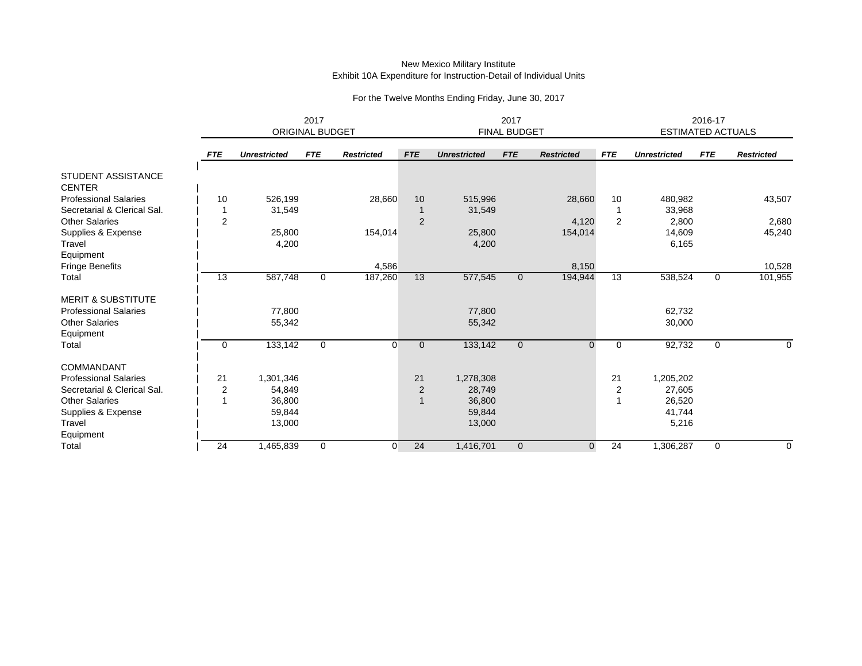|                                                             | 2017<br><b>ORIGINAL BUDGET</b> |                     |            |                   | 2017<br><b>FINAL BUDGET</b> |                     |                |                   |                | 2016-17<br><b>ESTIMATED ACTUALS</b> |             |                   |  |
|-------------------------------------------------------------|--------------------------------|---------------------|------------|-------------------|-----------------------------|---------------------|----------------|-------------------|----------------|-------------------------------------|-------------|-------------------|--|
|                                                             |                                |                     |            |                   |                             |                     |                |                   |                |                                     |             |                   |  |
|                                                             | <b>FTE</b>                     | <b>Unrestricted</b> | <b>FTE</b> | <b>Restricted</b> | <b>FTE</b>                  | <b>Unrestricted</b> | <b>FTE</b>     | <b>Restricted</b> | <b>FTE</b>     | <b>Unrestricted</b>                 | <b>FTE</b>  | <b>Restricted</b> |  |
| <b>STUDENT ASSISTANCE</b><br><b>CENTER</b>                  |                                |                     |            |                   |                             |                     |                |                   |                |                                     |             |                   |  |
| <b>Professional Salaries</b><br>Secretarial & Clerical Sal. | 10                             | 526,199<br>31,549   |            | 28,660            | 10                          | 515,996<br>31,549   |                | 28,660            | 10             | 480,982<br>33,968                   |             | 43,507            |  |
| <b>Other Salaries</b>                                       | $\overline{2}$                 |                     |            |                   | 2                           |                     |                | 4,120             | $\overline{2}$ | 2,800                               |             | 2,680             |  |
| Supplies & Expense                                          |                                | 25,800              |            | 154,014           |                             | 25,800              |                | 154,014           |                | 14,609                              |             | 45,240            |  |
| Travel                                                      |                                | 4,200               |            |                   |                             | 4,200               |                |                   |                | 6,165                               |             |                   |  |
| Equipment                                                   |                                |                     |            |                   |                             |                     |                |                   |                |                                     |             |                   |  |
| Fringe Benefits                                             |                                |                     |            | 4,586             |                             |                     |                | 8,150             |                |                                     |             | 10,528            |  |
| Total                                                       | $\overline{13}$                | 587,748             | 0          | 187,260           | 13                          | 577,545             | $\mathbf{0}$   | 194,944           | 13             | 538,524                             | $\mathbf 0$ | 101,955           |  |
| <b>MERIT &amp; SUBSTITUTE</b>                               |                                |                     |            |                   |                             |                     |                |                   |                |                                     |             |                   |  |
| <b>Professional Salaries</b>                                |                                | 77,800              |            |                   |                             | 77,800              |                |                   |                | 62,732                              |             |                   |  |
| <b>Other Salaries</b>                                       |                                | 55,342              |            |                   |                             | 55,342              |                |                   |                | 30,000                              |             |                   |  |
| Equipment                                                   |                                |                     |            |                   |                             |                     |                |                   |                |                                     |             |                   |  |
| Total                                                       | $\mathbf 0$                    | 133,142             | $\Omega$   | $\Omega$          | $\overline{0}$              | 133,142             | $\overline{0}$ | $\Omega$          | $\Omega$       | 92,732                              | $\Omega$    | $\Omega$          |  |
| COMMANDANT                                                  |                                |                     |            |                   |                             |                     |                |                   |                |                                     |             |                   |  |
| <b>Professional Salaries</b>                                | 21                             | 1,301,346           |            |                   | 21                          | 1,278,308           |                |                   | 21             | 1,205,202                           |             |                   |  |
| Secretarial & Clerical Sal.                                 | $\overline{c}$                 | 54,849              |            |                   | $\overline{2}$              | 28,749              |                |                   | 2              | 27,605                              |             |                   |  |
| <b>Other Salaries</b>                                       |                                | 36,800              |            |                   |                             | 36,800              |                |                   |                | 26,520                              |             |                   |  |
| Supplies & Expense                                          |                                | 59,844              |            |                   |                             | 59,844              |                |                   |                | 41,744                              |             |                   |  |
| Travel                                                      |                                | 13,000              |            |                   |                             | 13,000              |                |                   |                | 5,216                               |             |                   |  |
| Equipment                                                   |                                |                     |            |                   |                             |                     |                |                   |                |                                     |             |                   |  |
| Total                                                       | 24                             | 1,465,839           | $\Omega$   | $\Omega$          | 24                          | 1,416,701           | $\Omega$       | $\mathbf 0$       | 24             | 1,306,287                           | $\Omega$    | $\Omega$          |  |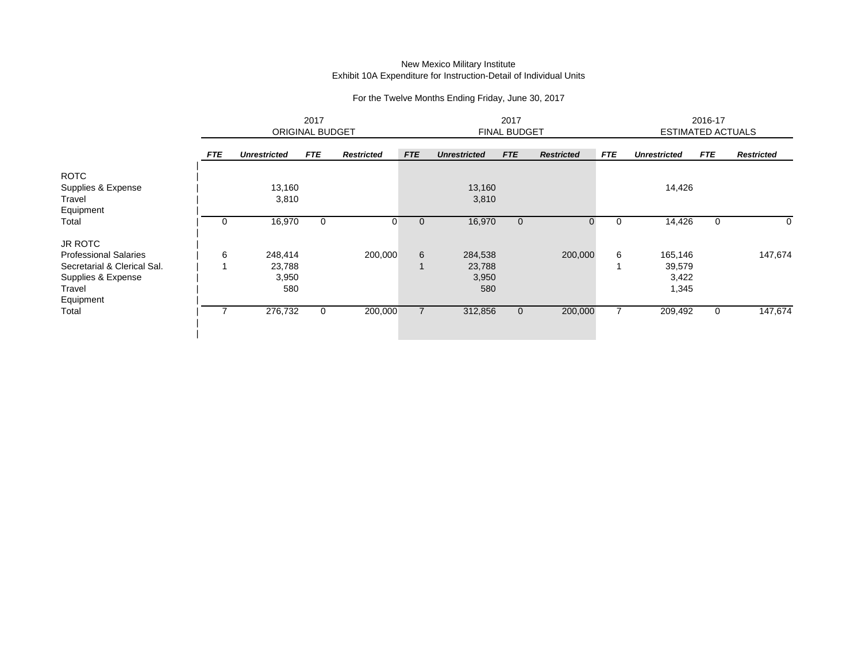|                              |            | 2017<br><b>ORIGINAL BUDGET</b> |            |                   | 2017<br><b>FINAL BUDGET</b> |                     |            |                   | 2016-17<br><b>ESTIMATED ACTUALS</b> |                     |            |                   |
|------------------------------|------------|--------------------------------|------------|-------------------|-----------------------------|---------------------|------------|-------------------|-------------------------------------|---------------------|------------|-------------------|
|                              | <b>FTE</b> | <b>Unrestricted</b>            | <b>FTE</b> | <b>Restricted</b> | <b>FTE</b>                  | <b>Unrestricted</b> | <b>FTE</b> | <b>Restricted</b> | <b>FTE</b>                          | <b>Unrestricted</b> | <b>FTE</b> | <b>Restricted</b> |
| <b>ROTC</b>                  |            |                                |            |                   |                             |                     |            |                   |                                     |                     |            |                   |
| Supplies & Expense           |            | 13,160                         |            |                   |                             | 13,160              |            |                   |                                     | 14,426              |            |                   |
| Travel                       |            | 3,810                          |            |                   |                             | 3,810               |            |                   |                                     |                     |            |                   |
| Equipment                    |            |                                |            |                   |                             |                     |            |                   |                                     |                     |            |                   |
| Total                        | 0          | 16,970                         | 0          | 0                 | $\mathbf 0$                 | 16,970              |            |                   | 0                                   | 14,426              | 0          | 0                 |
| <b>JR ROTC</b>               |            |                                |            |                   |                             |                     |            |                   |                                     |                     |            |                   |
| <b>Professional Salaries</b> | 6          | 248,414                        |            | 200,000           | 6                           | 284,538             |            | 200,000           | 6                                   | 165,146             |            | 147,674           |
| Secretarial & Clerical Sal.  |            | 23,788                         |            |                   |                             | 23,788              |            |                   |                                     | 39,579              |            |                   |
| Supplies & Expense           |            | 3,950                          |            |                   |                             | 3,950               |            |                   |                                     | 3,422               |            |                   |
| Travel                       |            | 580                            |            |                   |                             | 580                 |            |                   |                                     | 1,345               |            |                   |
| Equipment                    |            |                                |            |                   |                             |                     |            |                   |                                     |                     |            |                   |
| Total                        |            | 276,732                        | 0          | 200,000           |                             | 312,856             | $\cup$     | 200,000           |                                     | 209,492             | 0          | 147,674           |
|                              |            |                                |            |                   |                             |                     |            |                   |                                     |                     |            |                   |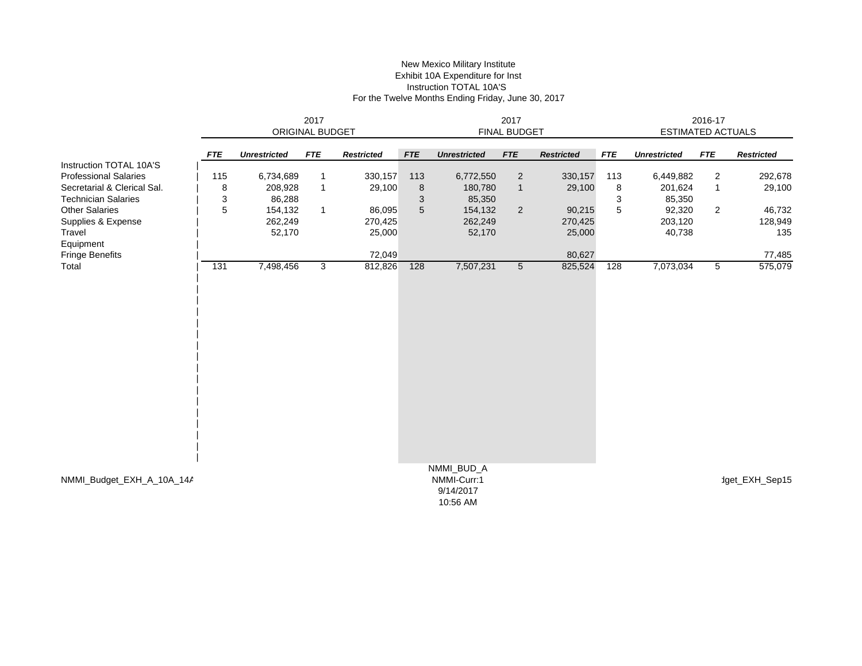#### New Mexico Military Institute Exhibit 10A Expenditure for Inst Instruction TOTAL 10A'S For the Twelve Months Ending Friday, June 30, 2017

|                              | 2017<br>ORIGINAL BUDGET |                     |              |                   | 2017<br><b>FINAL BUDGET</b> |                                                    |                 |                   |            | 2016-17<br><b>ESTIMATED ACTUALS</b> |                |                   |  |
|------------------------------|-------------------------|---------------------|--------------|-------------------|-----------------------------|----------------------------------------------------|-----------------|-------------------|------------|-------------------------------------|----------------|-------------------|--|
|                              |                         |                     |              |                   |                             |                                                    |                 |                   |            |                                     |                |                   |  |
|                              | <b>FTE</b>              | <b>Unrestricted</b> | <b>FTE</b>   | <b>Restricted</b> | <b>FTE</b>                  | <b>Unrestricted</b>                                | <b>FTE</b>      | <b>Restricted</b> | <b>FTE</b> | <b>Unrestricted</b>                 | <b>FTE</b>     | <b>Restricted</b> |  |
| Instruction TOTAL 10A'S      |                         |                     |              |                   |                             |                                                    |                 |                   |            |                                     |                |                   |  |
| <b>Professional Salaries</b> | 115                     | 6,734,689           | $\mathbf 1$  | 330,157           | 113                         | 6,772,550                                          | $\overline{c}$  | 330,157           | 113        | 6,449,882                           | 2              | 292,678           |  |
| Secretarial & Clerical Sal.  | 8                       | 208,928             | $\mathbf{1}$ | 29,100            | $\, 8$                      | 180,780                                            | $\mathbf{1}$    | 29,100            | 8          | 201,624                             | $\mathbf{1}$   | 29,100            |  |
| <b>Technician Salaries</b>   | 3                       | 86,288              |              |                   | 3                           | 85,350                                             |                 |                   | 3          | 85,350                              |                |                   |  |
| <b>Other Salaries</b>        | 5                       | 154,132             | $\mathbf{1}$ | 86,095            | $5\phantom{1}$              | 154,132                                            | $\overline{2}$  | 90,215            | 5          | 92,320                              | $\overline{2}$ | 46,732            |  |
| Supplies & Expense           |                         | 262,249             |              | 270,425           |                             | 262,249                                            |                 | 270,425           |            | 203,120                             |                | 128,949           |  |
| Travel                       |                         | 52,170              |              | 25,000            |                             | 52,170                                             |                 | 25,000            |            | 40,738                              |                | 135               |  |
| Equipment                    |                         |                     |              |                   |                             |                                                    |                 |                   |            |                                     |                |                   |  |
| Fringe Benefits              |                         |                     |              | 72,049            |                             |                                                    |                 | 80,627            |            |                                     |                | 77,485            |  |
| Total                        | 131                     | 7,498,456           | 3            | 812,826           | 128                         | 7,507,231                                          | $5\phantom{.0}$ | 825,524           | 128        | 7,073,034                           | 5              | 575,079           |  |
|                              |                         |                     |              |                   |                             |                                                    |                 |                   |            |                                     |                |                   |  |
| NMMI_Budget_EXH_A_10A_14A    |                         |                     |              |                   |                             | NMMI_BUD_A<br>NMMI-Curr:1<br>9/14/2017<br>10:56 AM |                 |                   |            |                                     |                | 1get_EXH_Sep15    |  |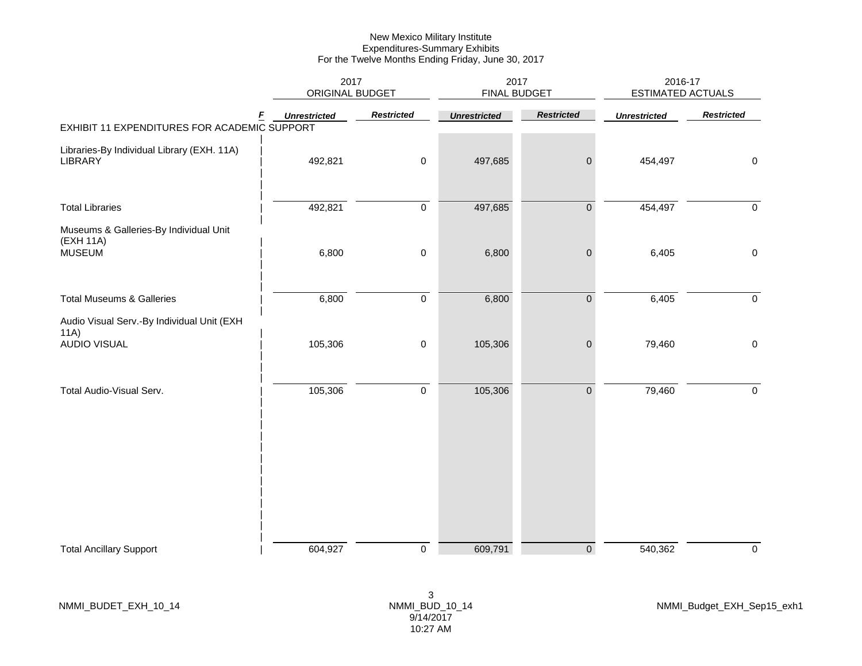|                                                              | 2017<br>ORIGINAL BUDGET |                   | 2017<br><b>FINAL BUDGET</b> |                   | 2016-17<br><b>ESTIMATED ACTUALS</b> |                   |
|--------------------------------------------------------------|-------------------------|-------------------|-----------------------------|-------------------|-------------------------------------|-------------------|
| F<br>EXHIBIT 11 EXPENDITURES FOR ACADEMIC SUPPORT            | <b>Unrestricted</b>     | <b>Restricted</b> | <b>Unrestricted</b>         | <b>Restricted</b> | <b>Unrestricted</b>                 | <b>Restricted</b> |
|                                                              |                         |                   |                             |                   |                                     |                   |
| Libraries-By Individual Library (EXH. 11A)<br><b>LIBRARY</b> | 492,821                 | $\,0\,$           | 497,685                     | $\pmb{0}$         | 454,497                             | $\mathsf 0$       |
| <b>Total Libraries</b>                                       | 492,821                 | $\pmb{0}$         | 497,685                     | $\pmb{0}$         | 454,497                             | $\mathbf 0$       |
| Museums & Galleries-By Individual Unit<br>(EXH 11A)          |                         |                   |                             |                   |                                     |                   |
| <b>MUSEUM</b>                                                | 6,800                   | $\,0\,$           | 6,800                       | $\pmb{0}$         | 6,405                               | $\mathbf 0$       |
| <b>Total Museums &amp; Galleries</b>                         | 6,800                   | $\mathsf 0$       | 6,800                       | $\mathbf 0$       | 6,405                               | $\overline{0}$    |
| Audio Visual Serv.-By Individual Unit (EXH<br>11A)           |                         |                   |                             |                   |                                     |                   |
| <b>AUDIO VISUAL</b>                                          | 105,306                 | $\pmb{0}$         | 105,306                     | $\pmb{0}$         | 79,460                              | $\mathbf 0$       |
| Total Audio-Visual Serv.                                     | 105,306                 | $\pmb{0}$         | 105,306                     | $\pmb{0}$         | 79,460                              | $\mathbf 0$       |
|                                                              |                         |                   |                             |                   |                                     |                   |
|                                                              |                         |                   |                             |                   |                                     |                   |
|                                                              |                         |                   |                             |                   |                                     |                   |
|                                                              |                         |                   |                             |                   |                                     |                   |
|                                                              |                         | $\pmb{0}$         | 609,791                     | $\overline{0}$    |                                     | $\mathsf 0$       |
| <b>Total Ancillary Support</b>                               | 604,927                 |                   |                             |                   | 540,362                             |                   |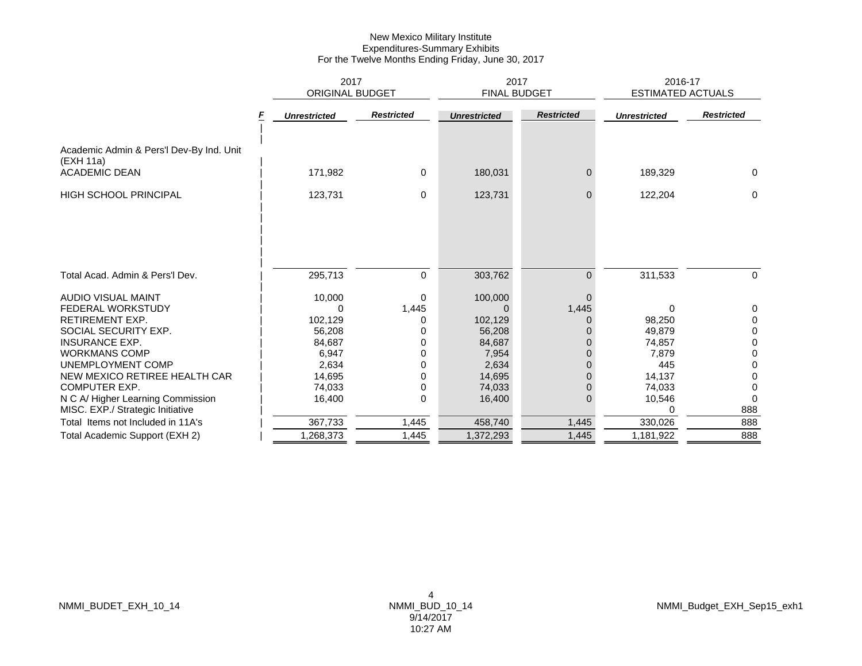|                                                                               | 2017                   |                   | 2017                |                   | 2016-17                  |                   |
|-------------------------------------------------------------------------------|------------------------|-------------------|---------------------|-------------------|--------------------------|-------------------|
|                                                                               | <b>ORIGINAL BUDGET</b> |                   | <b>FINAL BUDGET</b> |                   | <b>ESTIMATED ACTUALS</b> |                   |
|                                                                               | <b>Unrestricted</b>    | <b>Restricted</b> | <b>Unrestricted</b> | <b>Restricted</b> | <b>Unrestricted</b>      | <b>Restricted</b> |
| Academic Admin & Pers'l Dev-By Ind. Unit<br>(EXH 11a)<br><b>ACADEMIC DEAN</b> | 171,982                | 0                 | 180,031             | 0                 | 189,329                  | 0                 |
| <b>HIGH SCHOOL PRINCIPAL</b>                                                  | 123,731                | $\mathbf 0$       | 123,731             | $\mathbf{0}$      | 122,204                  | $\Omega$          |
| Total Acad. Admin & Pers'l Dev.                                               | 295,713                | $\Omega$          | 303,762             | $\overline{0}$    | 311,533                  | $\Omega$          |
|                                                                               |                        |                   |                     |                   |                          |                   |
| AUDIO VISUAL MAINT                                                            | 10,000                 | $\Omega$          | 100,000             | $\Omega$          |                          |                   |
| <b>FEDERAL WORKSTUDY</b>                                                      | ი                      | 1,445             | U                   | 1,445             | 0                        | 0                 |
| <b>RETIREMENT EXP.</b>                                                        | 102,129                | 0                 | 102,129             |                   | 98,250                   | 0                 |
| SOCIAL SECURITY EXP.                                                          | 56,208                 | 0                 | 56,208              |                   | 49,879                   | 0                 |
| <b>INSURANCE EXP.</b>                                                         | 84,687                 | $\Omega$          | 84,687              | 0                 | 74,857                   | $\Omega$          |
| <b>WORKMANS COMP</b>                                                          | 6,947                  | 0                 | 7,954               | $\Omega$          | 7,879                    | 0                 |
| UNEMPLOYMENT COMP                                                             | 2,634                  | $\Omega$          | 2,634               |                   | 445                      | 0                 |
| NEW MEXICO RETIREE HEALTH CAR                                                 | 14,695                 | <sup>0</sup>      | 14,695              |                   | 14,137                   | 0                 |
| <b>COMPUTER EXP.</b>                                                          | 74.033                 | 0                 | 74,033              | 0                 | 74,033                   | 0                 |
| N C A/ Higher Learning Commission<br>MISC. EXP./ Strategic Initiative         | 16,400                 | 0                 | 16,400              | $\mathbf{0}$      | 10,546<br>O              | 888               |
| Total Items not Included in 11A's                                             | 367,733                | 1,445             | 458,740             | 1,445             | 330,026                  | 888               |
| Total Academic Support (EXH 2)                                                | 1,268,373              | 1,445             | 1,372,293           | 1,445             | 1,181,922                | 888               |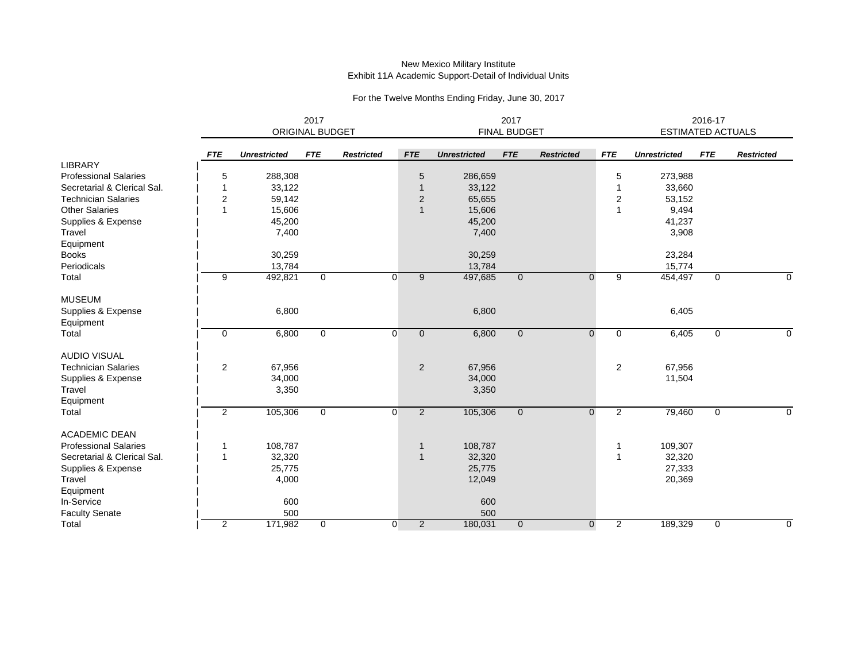#### New Mexico Military Institute Exhibit 11A Academic Support-Detail of Individual Units

|                              |                | 2017<br><b>ORIGINAL BUDGET</b> |              |                   |                                  | <b>FINAL BUDGET</b> |                | <b>ESTIMATED ACTUALS</b> | 2016-17        |                     |              |                   |
|------------------------------|----------------|--------------------------------|--------------|-------------------|----------------------------------|---------------------|----------------|--------------------------|----------------|---------------------|--------------|-------------------|
|                              | <b>FTE</b>     | <b>Unrestricted</b>            | <b>FTE</b>   | <b>Restricted</b> | <b>FTE</b>                       | <b>Unrestricted</b> | <b>FTE</b>     | <b>Restricted</b>        | <b>FTE</b>     | <b>Unrestricted</b> | <b>FTE</b>   | <b>Restricted</b> |
| <b>LIBRARY</b>               |                |                                |              |                   |                                  |                     |                |                          |                |                     |              |                   |
| <b>Professional Salaries</b> | 5              | 288,308                        |              |                   | 5                                | 286,659             |                |                          | 5              | 273,988             |              |                   |
| Secretarial & Clerical Sal.  | $\mathbf{1}$   | 33,122                         |              |                   | 1                                | 33,122              |                |                          | 1              | 33,660              |              |                   |
| <b>Technician Salaries</b>   | $\overline{c}$ | 59,142                         |              |                   | 2                                | 65,655              |                |                          | 2              | 53,152              |              |                   |
| <b>Other Salaries</b>        | $\overline{1}$ | 15,606                         |              |                   | $\mathbf{1}$                     | 15,606              |                |                          | 1              | 9,494               |              |                   |
| Supplies & Expense           |                | 45,200                         |              |                   |                                  | 45,200              |                |                          |                | 41,237              |              |                   |
| Travel                       |                | 7,400                          |              |                   |                                  | 7,400               |                |                          |                | 3,908               |              |                   |
| Equipment                    |                |                                |              |                   |                                  |                     |                |                          |                |                     |              |                   |
| <b>Books</b>                 |                | 30,259                         |              |                   |                                  | 30,259              |                |                          |                | 23,284              |              |                   |
| Periodicals                  |                | 13,784                         |              |                   |                                  | 13,784              |                |                          |                | 15,774              |              |                   |
| Total                        | 9              | 492,821                        | $\mathbf 0$  |                   | $\overline{0}$<br>9              | 497,685             | $\mathbf{0}$   | $\mathbf{0}$             | 9              | 454,497             | $\mathbf{0}$ | 0                 |
| <b>MUSEUM</b>                |                |                                |              |                   |                                  |                     |                |                          |                |                     |              |                   |
| Supplies & Expense           |                | 6,800                          |              |                   |                                  | 6,800               |                |                          |                | 6,405               |              |                   |
| Equipment                    |                |                                |              |                   |                                  |                     |                |                          |                |                     |              |                   |
| Total                        | 0              | 6,800                          | 0            |                   | $\overline{0}$<br>$\overline{0}$ | 6,800               | $\mathbf 0$    | $\mathbf 0$              | 0              | 6,405               | 0            | $\mathbf 0$       |
| <b>AUDIO VISUAL</b>          |                |                                |              |                   |                                  |                     |                |                          |                |                     |              |                   |
| <b>Technician Salaries</b>   | 2              | 67,956                         |              |                   | $\overline{2}$                   | 67,956              |                |                          | $\overline{2}$ | 67,956              |              |                   |
| Supplies & Expense           |                | 34,000                         |              |                   |                                  | 34,000              |                |                          |                | 11,504              |              |                   |
| Travel                       |                | 3,350                          |              |                   |                                  | 3,350               |                |                          |                |                     |              |                   |
| Equipment                    |                |                                |              |                   |                                  |                     |                |                          |                |                     |              |                   |
| Total                        | 2              | 105,306                        | $\mathbf 0$  |                   | 0<br>2                           | 105,306             | $\mathbf{0}$   | $\mathbf 0$              | $\overline{2}$ | 79,460              | 0            | $\Omega$          |
| <b>ACADEMIC DEAN</b>         |                |                                |              |                   |                                  |                     |                |                          |                |                     |              |                   |
| <b>Professional Salaries</b> | $\mathbf 1$    | 108,787                        |              |                   | $\mathbf 1$                      | 108,787             |                |                          |                | 109,307             |              |                   |
| Secretarial & Clerical Sal.  | $\mathbf{1}$   | 32,320                         |              |                   | $\mathbf{1}$                     | 32,320              |                |                          |                | 32,320              |              |                   |
| Supplies & Expense           |                | 25,775                         |              |                   |                                  | 25,775              |                |                          |                | 27,333              |              |                   |
| Travel                       |                | 4,000                          |              |                   |                                  | 12,049              |                |                          |                | 20,369              |              |                   |
| Equipment                    |                |                                |              |                   |                                  |                     |                |                          |                |                     |              |                   |
| In-Service                   |                | 600                            |              |                   |                                  | 600                 |                |                          |                |                     |              |                   |
| <b>Faculty Senate</b>        |                | 500                            |              |                   |                                  | 500                 |                |                          |                |                     |              |                   |
| Total                        | 2              | 171,982                        | $\mathbf{0}$ |                   | $\overline{2}$<br>$\overline{0}$ | 180,031             | $\overline{0}$ | $\mathbf 0$              | $\overline{2}$ | 189,329             | 0            | $\Omega$          |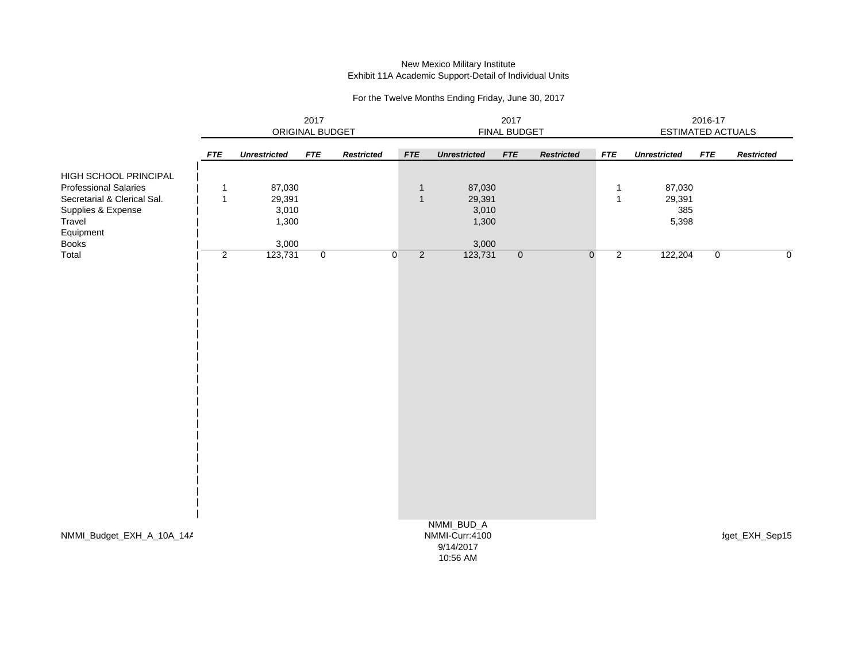#### New Mexico Military Institute Exhibit 11A Academic Support-Detail of Individual Units

|                              | 2017<br>ORIGINAL BUDGET |                     |                |                   | 2017<br><b>FINAL BUDGET</b> |                                                       |                |                   |                               | 2016-17<br><b>ESTIMATED ACTUALS</b> |             |                   |  |
|------------------------------|-------------------------|---------------------|----------------|-------------------|-----------------------------|-------------------------------------------------------|----------------|-------------------|-------------------------------|-------------------------------------|-------------|-------------------|--|
|                              | <b>FTE</b>              | <b>Unrestricted</b> | <b>FTE</b>     | <b>Restricted</b> | ${\it FTE}$                 | <b>Unrestricted</b>                                   | ${\it FTE}$    | <b>Restricted</b> | ${\it FTE}$                   | <b>Unrestricted</b>                 | ${\it FTE}$ | <b>Restricted</b> |  |
| HIGH SCHOOL PRINCIPAL        |                         |                     |                |                   |                             |                                                       |                |                   |                               |                                     |             |                   |  |
| <b>Professional Salaries</b> | $\mathbf{1}$            | 87,030              |                |                   | $\overline{1}$              | 87,030                                                |                |                   | 1                             | 87,030                              |             |                   |  |
| Secretarial & Clerical Sal.  | $\overline{1}$          | 29,391              |                |                   | $\overline{1}$              | 29,391                                                |                |                   | $\mathbf{1}$                  | 29,391                              |             |                   |  |
| Supplies & Expense           |                         | 3,010               |                |                   |                             | 3,010                                                 |                |                   |                               | 385                                 |             |                   |  |
| Travel                       |                         | 1,300               |                |                   |                             | 1,300                                                 |                |                   |                               | 5,398                               |             |                   |  |
| Equipment                    |                         |                     |                |                   |                             |                                                       |                |                   |                               |                                     |             |                   |  |
| <b>Books</b>                 |                         | 3,000               |                |                   |                             | 3,000                                                 |                |                   |                               |                                     |             |                   |  |
| Total                        | $\overline{2}$          | 123,731             | $\overline{0}$ | $\overline{0}$    | $\overline{2}$              | 123,731                                               | $\overline{0}$ |                   | $\overline{2}$<br>$\mathbf 0$ | 122,204                             | $\mathbf 0$ | $\mathbf 0$       |  |
|                              |                         |                     |                |                   |                             |                                                       |                |                   |                               |                                     |             |                   |  |
| NMMI_Budget_EXH_A_10A_14A    |                         |                     |                |                   |                             | NMMI_BUD_A<br>NMMI-Curr:4100<br>9/14/2017<br>10:56 AM |                |                   |                               |                                     |             | dget_EXH_Sep15    |  |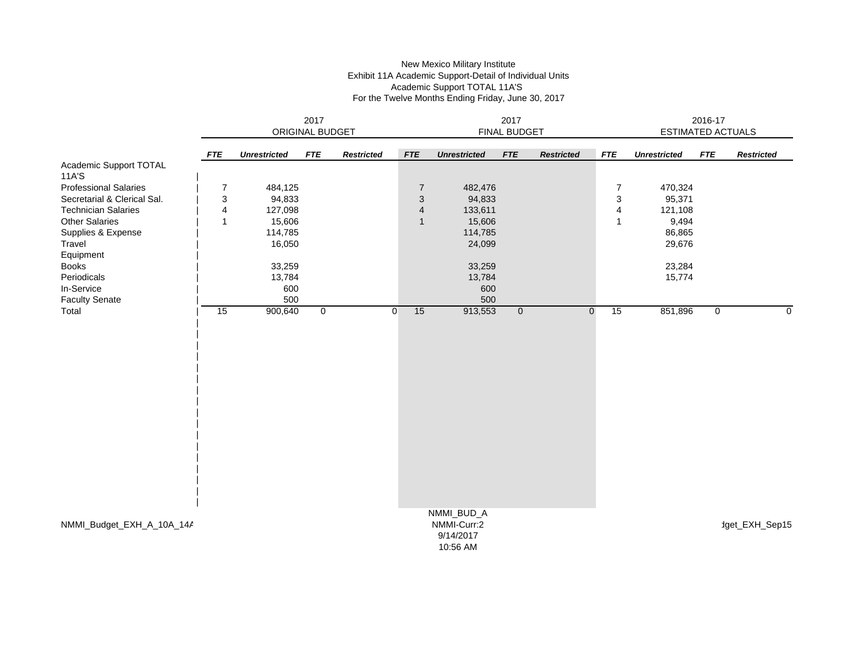### New Mexico Military Institute Exhibit 11A Academic Support-Detail of Individual Units Academic Support TOTAL 11A'S For the Twelve Months Ending Friday, June 30, 2017

|                              | 2017<br>ORIGINAL BUDGET |                     |             |                   | 2017<br><b>FINAL BUDGET</b> |                                                    |                |                   |                   | 2016-17<br><b>ESTIMATED ACTUALS</b> |            |                   |  |
|------------------------------|-------------------------|---------------------|-------------|-------------------|-----------------------------|----------------------------------------------------|----------------|-------------------|-------------------|-------------------------------------|------------|-------------------|--|
|                              |                         |                     |             |                   |                             |                                                    |                |                   |                   |                                     |            |                   |  |
|                              | <b>FTE</b>              | <b>Unrestricted</b> | <b>FTE</b>  | <b>Restricted</b> | <b>FTE</b>                  | <b>Unrestricted</b>                                | <b>FTE</b>     | <b>Restricted</b> | <b>FTE</b>        | <b>Unrestricted</b>                 | <b>FTE</b> | <b>Restricted</b> |  |
| Academic Support TOTAL       |                         |                     |             |                   |                             |                                                    |                |                   |                   |                                     |            |                   |  |
| 11A'S                        |                         |                     |             |                   |                             |                                                    |                |                   |                   |                                     |            |                   |  |
| <b>Professional Salaries</b> | $\overline{7}$          | 484,125             |             |                   | $\overline{7}$              | 482,476                                            |                |                   | 7                 | 470,324                             |            |                   |  |
| Secretarial & Clerical Sal.  | 3                       | 94,833              |             |                   | $\sqrt{3}$                  | 94,833                                             |                |                   | 3                 | 95,371                              |            |                   |  |
| <b>Technician Salaries</b>   | 4                       | 127,098             |             |                   | $\overline{4}$              | 133,611                                            |                |                   | 4                 | 121,108                             |            |                   |  |
| <b>Other Salaries</b>        | $\mathbf{1}$            | 15,606              |             |                   | $\mathbf{1}$                | 15,606                                             |                |                   | 1                 | 9,494                               |            |                   |  |
| Supplies & Expense           |                         | 114,785             |             |                   |                             | 114,785                                            |                |                   |                   | 86,865                              |            |                   |  |
| Travel                       |                         | 16,050              |             |                   |                             | 24,099                                             |                |                   |                   | 29,676                              |            |                   |  |
| Equipment                    |                         |                     |             |                   |                             |                                                    |                |                   |                   |                                     |            |                   |  |
| <b>Books</b>                 |                         | 33,259              |             |                   |                             | 33,259                                             |                |                   |                   | 23,284                              |            |                   |  |
| Periodicals                  |                         | 13,784              |             |                   |                             | 13,784                                             |                |                   |                   | 15,774                              |            |                   |  |
| In-Service                   |                         | 600                 |             |                   |                             | 600                                                |                |                   |                   |                                     |            |                   |  |
| <b>Faculty Senate</b>        |                         | 500                 |             |                   |                             | 500                                                |                |                   |                   |                                     |            |                   |  |
| Total                        | 15                      | 900,640             | $\mathbf 0$ |                   | 15<br>$\overline{0}$        | 913,553                                            | $\overline{0}$ |                   | 15<br>$\mathbf 0$ | 851,896                             | 0          | $\mathbf 0$       |  |
|                              |                         |                     |             |                   |                             |                                                    |                |                   |                   |                                     |            |                   |  |
| NMMI_Budget_EXH_A_10A_14A    |                         |                     |             |                   |                             | NMMI_BUD_A<br>NMMI-Curr:2<br>9/14/2017<br>10:56 AM |                |                   |                   |                                     |            | dget_EXH_Sep15    |  |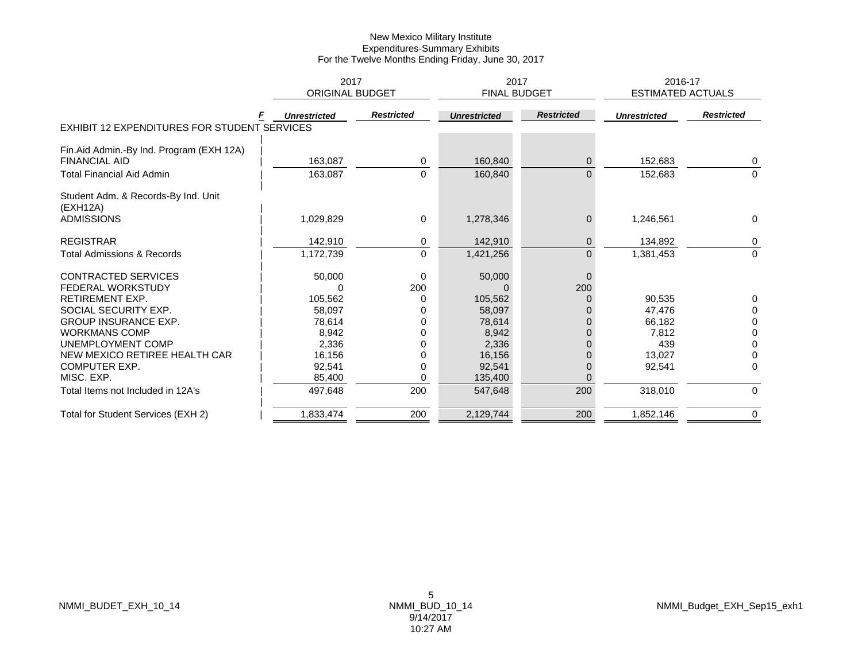|                                              | 2017                   |                   | 2017                |                   | 2016-17                  |                   |
|----------------------------------------------|------------------------|-------------------|---------------------|-------------------|--------------------------|-------------------|
|                                              | <b>ORIGINAL BUDGET</b> |                   | <b>FINAL BUDGET</b> |                   | <b>ESTIMATED ACTUALS</b> |                   |
|                                              | <b>Unrestricted</b>    | <b>Restricted</b> | <b>Unrestricted</b> | <b>Restricted</b> | <b>Unrestricted</b>      | <b>Restricted</b> |
| EXHIBIT 12 EXPENDITURES FOR STUDENT SERVICES |                        |                   |                     |                   |                          |                   |
| Fin.Aid Admin.-By Ind. Program (EXH 12A)     |                        |                   |                     |                   |                          |                   |
| <b>FINANCIAL AID</b>                         | 163,087                | 0                 | 160,840             | $\mathbf{0}$      | 152,683                  | 0                 |
| <b>Total Financial Aid Admin</b>             | 163,087                | $\Omega$          | 160,840             | $\Omega$          | 152,683                  | $\Omega$          |
| Student Adm. & Records-By Ind. Unit          |                        |                   |                     |                   |                          |                   |
| (EXH12A)                                     |                        |                   |                     |                   |                          |                   |
| <b>ADMISSIONS</b>                            | 1,029,829              | 0                 | 1,278,346           | $\mathbf{0}$      | 1,246,561                | $\Omega$          |
| <b>REGISTRAR</b>                             | 142,910                | 0                 | 142,910             | $\mathbf{0}$      | 134,892                  | 0                 |
| <b>Total Admissions &amp; Records</b>        | 1,172,739              | $\mathbf 0$       | 1,421,256           | $\overline{0}$    | 1,381,453                | $\Omega$          |
| <b>CONTRACTED SERVICES</b>                   | 50,000                 | $\Omega$          | 50,000              | $\mathbf 0$       |                          |                   |
| <b>FEDERAL WORKSTUDY</b>                     |                        | 200               |                     | 200               |                          |                   |
| <b>RETIREMENT EXP.</b>                       | 105,562                | 0                 | 105,562             |                   | 90,535                   | 0                 |
| SOCIAL SECURITY EXP.                         | 58,097                 |                   | 58,097              |                   | 47,476                   | $\Omega$          |
| <b>GROUP INSURANCE EXP.</b>                  | 78,614                 |                   | 78,614              |                   | 66,182                   | 0                 |
| <b>WORKMANS COMP</b>                         | 8,942                  |                   | 8,942               |                   | 7,812                    | $\Omega$          |
| UNEMPLOYMENT COMP                            | 2,336                  |                   | 2,336               |                   | 439                      | 0                 |
| NEW MEXICO RETIREE HEALTH CAR                | 16,156                 |                   | 16,156              |                   | 13,027                   | 0                 |
| <b>COMPUTER EXP.</b>                         | 92,541                 |                   | 92,541              |                   | 92,541                   | $\Omega$          |
| MISC. EXP.                                   | 85,400                 | 0                 | 135,400             |                   |                          |                   |
| Total Items not Included in 12A's            | 497,648                | 200               | 547,648             | 200               | 318,010                  | $\mathbf 0$       |
| Total for Student Services (EXH 2)           | 1,833,474              | 200               | 2,129,744           | 200               | 1,852,146                | 0                 |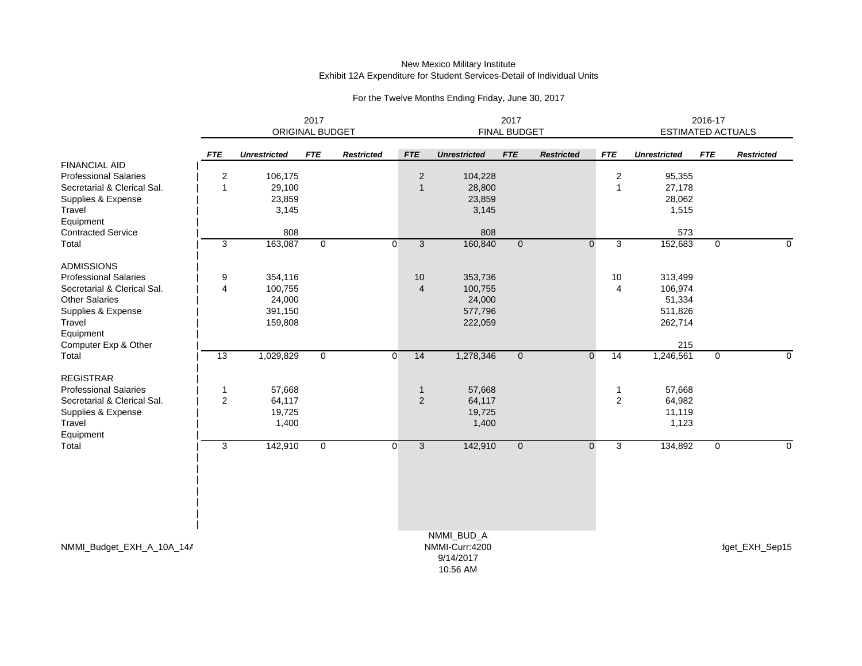# New Mexico Military Institute Exhibit 12A Expenditure for Student Services-Detail of Individual Units

# For the Twelve Months Ending Friday, June 30, 2017

|                              | 2017<br><b>ORIGINAL BUDGET</b> |                     |              | 2017<br>FINAL BUDGET |                |                     |              | 2016-17<br><b>ESTIMATED ACTUALS</b> |                 |                     |             |                   |
|------------------------------|--------------------------------|---------------------|--------------|----------------------|----------------|---------------------|--------------|-------------------------------------|-----------------|---------------------|-------------|-------------------|
|                              | <b>FTE</b>                     | <b>Unrestricted</b> | <b>FTE</b>   | <b>Restricted</b>    | <b>FTE</b>     | <b>Unrestricted</b> | <b>FTE</b>   | <b>Restricted</b>                   | <b>FTE</b>      | <b>Unrestricted</b> | <b>FTE</b>  | <b>Restricted</b> |
| <b>FINANCIAL AID</b>         |                                |                     |              |                      |                |                     |              |                                     |                 |                     |             |                   |
| <b>Professional Salaries</b> | $\overline{2}$                 | 106,175             |              |                      | 2              | 104,228             |              |                                     | $\mathbf{2}$    | 95,355              |             |                   |
| Secretarial & Clerical Sal.  | $\overline{1}$                 | 29,100              |              |                      | $\mathbf{1}$   | 28,800              |              |                                     | $\overline{1}$  | 27,178              |             |                   |
| Supplies & Expense           |                                | 23,859              |              |                      |                | 23,859              |              |                                     |                 | 28,062              |             |                   |
| Travel                       |                                | 3,145               |              |                      |                | 3,145               |              |                                     |                 | 1,515               |             |                   |
| Equipment                    |                                |                     |              |                      |                |                     |              |                                     |                 |                     |             |                   |
| <b>Contracted Service</b>    |                                | 808                 |              |                      |                | 808                 |              |                                     |                 | 573                 |             |                   |
| Total                        | 3                              | 163,087             | $\mathbf 0$  | $\overline{0}$       | 3              | 160,840             | $\mathbf{0}$ | $\mathbf 0$                         | 3               | 152,683             | $\mathbf 0$ | $\Omega$          |
| <b>ADMISSIONS</b>            |                                |                     |              |                      |                |                     |              |                                     |                 |                     |             |                   |
| <b>Professional Salaries</b> | 9                              | 354,116             |              |                      | 10             | 353,736             |              |                                     | 10              | 313,499             |             |                   |
| Secretarial & Clerical Sal.  | 4                              | 100,755             |              |                      | $\overline{4}$ | 100,755             |              |                                     | 4               | 106,974             |             |                   |
| <b>Other Salaries</b>        |                                | 24,000              |              |                      |                | 24,000              |              |                                     |                 | 51,334              |             |                   |
| Supplies & Expense           |                                | 391,150             |              |                      |                | 577,796             |              |                                     |                 | 511,826             |             |                   |
| Travel                       |                                | 159,808             |              |                      |                | 222,059             |              |                                     |                 | 262,714             |             |                   |
| Equipment                    |                                |                     |              |                      |                |                     |              |                                     |                 |                     |             |                   |
| Computer Exp & Other         |                                |                     |              |                      |                |                     |              |                                     |                 | 215                 |             |                   |
| Total                        | $\overline{13}$                | 1,029,829           | $\mathbf{0}$ | $\overline{0}$       | 14             | 1,278,346           | $\mathbf{0}$ | $\mathbf 0$                         | $\overline{14}$ | 1,246,561           | $\mathbf 0$ | $\mathbf 0$       |
| <b>REGISTRAR</b>             |                                |                     |              |                      |                |                     |              |                                     |                 |                     |             |                   |
| <b>Professional Salaries</b> | -1                             | 57,668              |              |                      | $\mathbf{1}$   | 57,668              |              |                                     | 1               | 57,668              |             |                   |
| Secretarial & Clerical Sal.  | $\overline{c}$                 | 64,117              |              |                      | 2              | 64,117              |              |                                     | $\mathbf{2}$    | 64,982              |             |                   |
| Supplies & Expense           |                                | 19,725              |              |                      |                | 19,725              |              |                                     |                 | 11,119              |             |                   |
| Travel                       |                                | 1,400               |              |                      |                | 1,400               |              |                                     |                 | 1,123               |             |                   |
| Equipment                    |                                |                     |              |                      |                |                     |              |                                     |                 |                     |             |                   |
| Total                        | 3                              | 142,910             | $\mathbf 0$  | $\overline{0}$       | 3              | 142,910             | $\mathbf 0$  | $\mathbf 0$                         | 3               | 134,892             | 0           | $\mathbf 0$       |
|                              |                                |                     |              |                      |                |                     |              |                                     |                 |                     |             |                   |
|                              |                                |                     |              |                      |                |                     |              |                                     |                 |                     |             |                   |
|                              |                                |                     |              |                      |                |                     |              |                                     |                 |                     |             |                   |
|                              |                                |                     |              |                      |                |                     |              |                                     |                 |                     |             |                   |
|                              |                                |                     |              |                      |                | NMMI_BUD_A          |              |                                     |                 |                     |             |                   |
| NMMI_Budget_EXH_A_10A_14A    |                                |                     |              |                      |                | NMMI-Curr:4200      |              |                                     |                 |                     |             | dget_EXH_Sep15    |
|                              |                                |                     |              |                      |                | 9/14/2017           |              |                                     |                 |                     |             |                   |

10:56 AM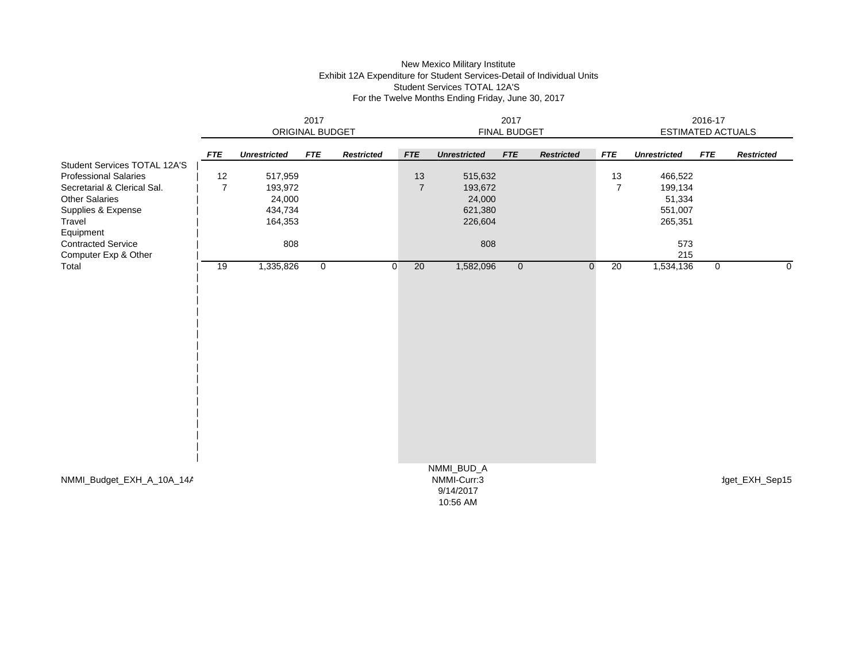# New Mexico Military Institute Exhibit 12A Expenditure for Student Services-Detail of Individual Units Student Services TOTAL 12A'S For the Twelve Months Ending Friday, June 30, 2017

|                                                                                                                                                                   | 2017<br>ORIGINAL BUDGET |                                                    |             |                   | 2017<br>FINAL BUDGET |                                                    |                |                   |                      | 2016-17<br><b>ESTIMATED ACTUALS</b>                |             |                   |  |
|-------------------------------------------------------------------------------------------------------------------------------------------------------------------|-------------------------|----------------------------------------------------|-------------|-------------------|----------------------|----------------------------------------------------|----------------|-------------------|----------------------|----------------------------------------------------|-------------|-------------------|--|
|                                                                                                                                                                   | <b>FTE</b>              | <b>Unrestricted</b>                                | <b>FTE</b>  | <b>Restricted</b> | <b>FTE</b>           | <b>Unrestricted</b>                                | <b>FTE</b>     | <b>Restricted</b> | <b>FTE</b>           | <b>Unrestricted</b>                                | <b>FTE</b>  | <b>Restricted</b> |  |
| Student Services TOTAL 12A'S<br><b>Professional Salaries</b><br>Secretarial & Clerical Sal.<br><b>Other Salaries</b><br>Supplies & Expense<br>Travel<br>Equipment | 12<br>$\overline{7}$    | 517,959<br>193,972<br>24,000<br>434,734<br>164,353 |             |                   | 13<br>$\overline{7}$ | 515,632<br>193,672<br>24,000<br>621,380<br>226,604 |                |                   | 13<br>$\overline{7}$ | 466,522<br>199,134<br>51,334<br>551,007<br>265,351 |             |                   |  |
| <b>Contracted Service</b><br>Computer Exp & Other                                                                                                                 |                         | 808                                                |             |                   |                      | 808                                                |                |                   |                      | 573<br>215                                         |             |                   |  |
| Total                                                                                                                                                             | 19                      | 1,335,826                                          | $\mathbf 0$ |                   | 20<br>$\overline{0}$ | 1,582,096                                          | $\overline{0}$ | $\mathbf 0$       | 20                   | 1,534,136                                          | $\mathbf 0$ | $\mathbf 0$       |  |
| NMMI_Budget_EXH_A_10A_14A                                                                                                                                         |                         |                                                    |             |                   |                      | NMMI_BUD_A<br>NMMI-Curr:3<br>9/14/2017<br>10:56 AM |                |                   |                      |                                                    |             | dget_EXH_Sep15    |  |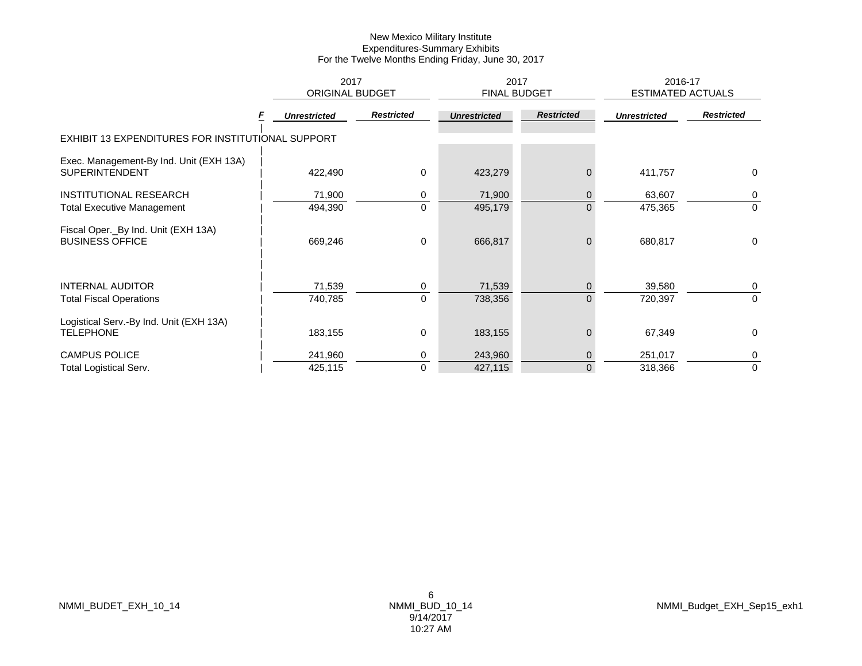|                                                                  | 2017<br><b>ORIGINAL BUDGET</b> |                   | 2017<br><b>FINAL BUDGET</b> |                   | 2016-17<br><b>ESTIMATED ACTUALS</b> |                   |  |
|------------------------------------------------------------------|--------------------------------|-------------------|-----------------------------|-------------------|-------------------------------------|-------------------|--|
|                                                                  | <b>Unrestricted</b>            | <b>Restricted</b> | <b>Unrestricted</b>         | <b>Restricted</b> | <b>Unrestricted</b>                 | <b>Restricted</b> |  |
| EXHIBIT 13 EXPENDITURES FOR INSTITUTIONAL SUPPORT                |                                |                   |                             |                   |                                     |                   |  |
| Exec. Management-By Ind. Unit (EXH 13A)<br><b>SUPERINTENDENT</b> | 422,490                        | $\mathbf 0$       | 423,279                     | 0                 | 411,757                             | 0                 |  |
| INSTITUTIONAL RESEARCH                                           | 71,900                         | 0                 | 71,900                      | 0                 | 63,607                              | 0                 |  |
| <b>Total Executive Management</b>                                | 494,390                        | $\Omega$          | 495,179                     | $\overline{0}$    | 475,365                             | $\mathbf 0$       |  |
| Fiscal Oper._By Ind. Unit (EXH 13A)<br><b>BUSINESS OFFICE</b>    | 669,246                        | $\mathbf 0$       | 666,817                     | $\overline{0}$    | 680,817                             | 0                 |  |
| <b>INTERNAL AUDITOR</b>                                          | 71,539                         | 0                 | 71,539                      | $\mathbf{0}$      | 39,580                              | 0                 |  |
| <b>Total Fiscal Operations</b>                                   | 740,785                        | $\mathbf 0$       | 738,356                     | $\overline{0}$    | 720,397                             | $\mathbf 0$       |  |
| Logistical Serv.-By Ind. Unit (EXH 13A)<br><b>TELEPHONE</b>      | 183,155                        | $\mathbf 0$       | 183,155                     | $\Omega$          | 67,349                              | $\mathbf 0$       |  |
| <b>CAMPUS POLICE</b>                                             | 241,960                        | 0                 | 243,960                     | $\overline{0}$    | 251,017                             | 0                 |  |
| <b>Total Logistical Serv.</b>                                    | 425,115                        | $\mathbf 0$       | 427,115                     | $\overline{0}$    | 318,366                             | $\mathbf 0$       |  |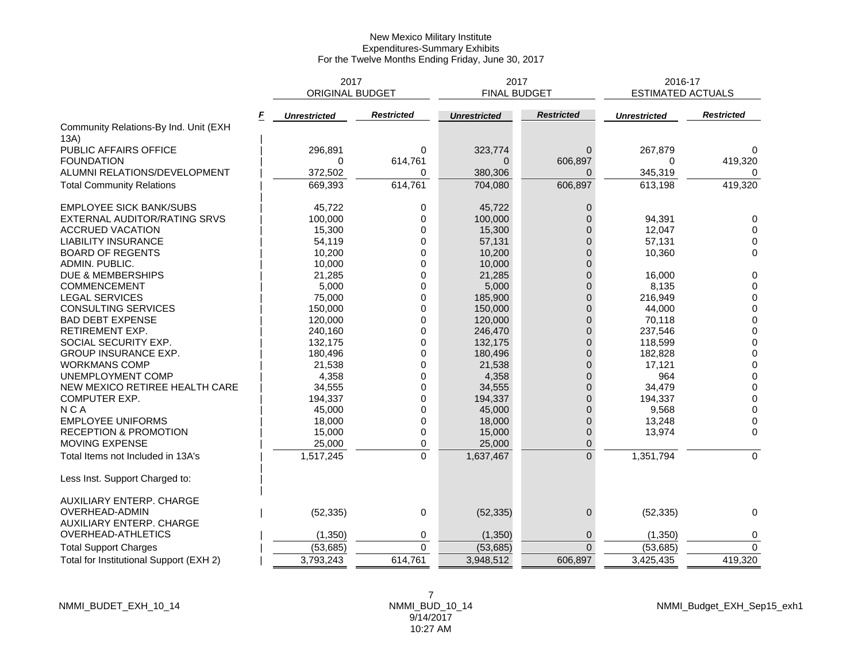|                                            | 2017<br><b>ORIGINAL BUDGET</b> |                   | 2017<br><b>FINAL BUDGET</b> |                   | 2016-17<br><b>ESTIMATED ACTUALS</b> |                   |
|--------------------------------------------|--------------------------------|-------------------|-----------------------------|-------------------|-------------------------------------|-------------------|
|                                            |                                |                   |                             |                   |                                     |                   |
| F<br>Community Relations-By Ind. Unit (EXH | <b>Unrestricted</b>            | <b>Restricted</b> | <b>Unrestricted</b>         | <b>Restricted</b> | <b>Unrestricted</b>                 | <b>Restricted</b> |
| 13A)                                       |                                |                   |                             |                   |                                     |                   |
| PUBLIC AFFAIRS OFFICE                      | 296,891                        | 0                 | 323,774                     | $\Omega$          | 267,879                             | $\Omega$          |
| <b>FOUNDATION</b>                          | $\Omega$                       | 614,761           | $\Omega$                    | 606,897           | 0                                   | 419,320           |
| ALUMNI RELATIONS/DEVELOPMENT               | 372,502                        | 0                 | 380,306                     | $\Omega$          | 345,319                             |                   |
| <b>Total Community Relations</b>           | 669,393                        | 614,761           | 704,080                     | 606,897           | 613,198                             | 419,320           |
| <b>EMPLOYEE SICK BANK/SUBS</b>             | 45,722                         | 0                 | 45,722                      | $\overline{0}$    |                                     |                   |
| EXTERNAL AUDITOR/RATING SRVS               | 100,000                        | $\Omega$          | 100,000                     | $\Omega$          | 94,391                              | $\mathbf 0$       |
| <b>ACCRUED VACATION</b>                    | 15,300                         | $\Omega$          | 15,300                      | $\Omega$          | 12,047                              | $\Omega$          |
| <b>LIABILITY INSURANCE</b>                 | 54,119                         | 0                 | 57,131                      | $\Omega$          | 57,131                              | $\mathbf 0$       |
| <b>BOARD OF REGENTS</b>                    | 10,200                         | 0                 | 10,200                      | $\Omega$          | 10,360                              | $\mathbf 0$       |
| ADMIN. PUBLIC.                             | 10,000                         | $\Omega$          | 10,000                      | $\Omega$          |                                     |                   |
| DUE & MEMBERSHIPS                          | 21,285                         | 0                 | 21,285                      | $\Omega$          | 16,000                              | $\mathbf 0$       |
| <b>COMMENCEMENT</b>                        | 5,000                          | $\Omega$          | 5,000                       | $\overline{0}$    | 8,135                               | $\mathbf 0$       |
| <b>LEGAL SERVICES</b>                      | 75,000                         | 0                 | 185,900                     | $\Omega$          | 216,949                             | $\mathbf 0$       |
| CONSULTING SERVICES                        | 150,000                        | 0                 | 150,000                     | $\Omega$          | 44,000                              | $\mathbf 0$       |
| <b>BAD DEBT EXPENSE</b>                    | 120,000                        | 0                 | 120,000                     | $\Omega$          | 70,118                              | $\mathbf 0$       |
| RETIREMENT EXP.                            | 240,160                        | $\Omega$          | 246,470                     | $\Omega$          | 237,546                             | $\pmb{0}$         |
| SOCIAL SECURITY EXP.                       | 132,175                        | 0                 | 132,175                     | $\overline{0}$    | 118,599                             | $\mathbf 0$       |
| <b>GROUP INSURANCE EXP.</b>                | 180,496                        | 0                 | 180,496                     | $\Omega$          | 182,828                             | $\pmb{0}$         |
| <b>WORKMANS COMP</b>                       | 21,538                         | 0                 | 21,538                      | $\overline{0}$    | 17,121                              | $\mathbf 0$       |
| UNEMPLOYMENT COMP                          | 4,358                          | 0                 | 4,358                       | $\Omega$          | 964                                 | $\,0\,$           |
| NEW MEXICO RETIREE HEALTH CARE             | 34,555                         | 0                 | 34,555                      | $\Omega$          | 34,479                              | $\mathbf 0$       |
| COMPUTER EXP.                              | 194,337                        | 0                 | 194,337                     | $\mathbf{0}$      | 194,337                             | $\mathbf 0$       |
| <b>NCA</b>                                 | 45,000                         | $\Omega$          | 45,000                      | $\Omega$          | 9,568                               | 0                 |
| <b>EMPLOYEE UNIFORMS</b>                   | 18,000                         | 0                 | 18,000                      | $\Omega$          | 13,248                              | 0                 |
| RECEPTION & PROMOTION                      | 15,000                         | 0                 | 15,000                      | $\mathbf 0$       | 13,974                              | 0                 |
| MOVING EXPENSE                             | 25,000                         | 0                 | 25,000                      | 0                 |                                     |                   |
| Total Items not Included in 13A's          | 1,517,245                      | $\mathbf 0$       | 1,637,467                   | $\overline{0}$    | 1,351,794                           | $\mathbf 0$       |
| Less Inst. Support Charged to:             |                                |                   |                             |                   |                                     |                   |
| AUXILIARY ENTERP. CHARGE                   |                                |                   |                             |                   |                                     |                   |
| OVERHEAD-ADMIN                             | (52, 335)                      | 0                 | (52, 335)                   | 0                 | (52, 335)                           | $\mathbf 0$       |
| AUXILIARY ENTERP. CHARGE                   |                                |                   |                             |                   |                                     |                   |
| OVERHEAD-ATHLETICS                         | (1, 350)                       | 0                 | (1, 350)                    | 0                 | (1, 350)                            | 0                 |
| <b>Total Support Charges</b>               | (53, 685)                      | $\Omega$          | (53, 685)                   | $\Omega$          | (53, 685)                           | $\Omega$          |
| Total for Institutional Support (EXH 2)    | 3,793,243                      | 614,761           | 3,948,512                   | 606,897           | 3,425,435                           | 419,320           |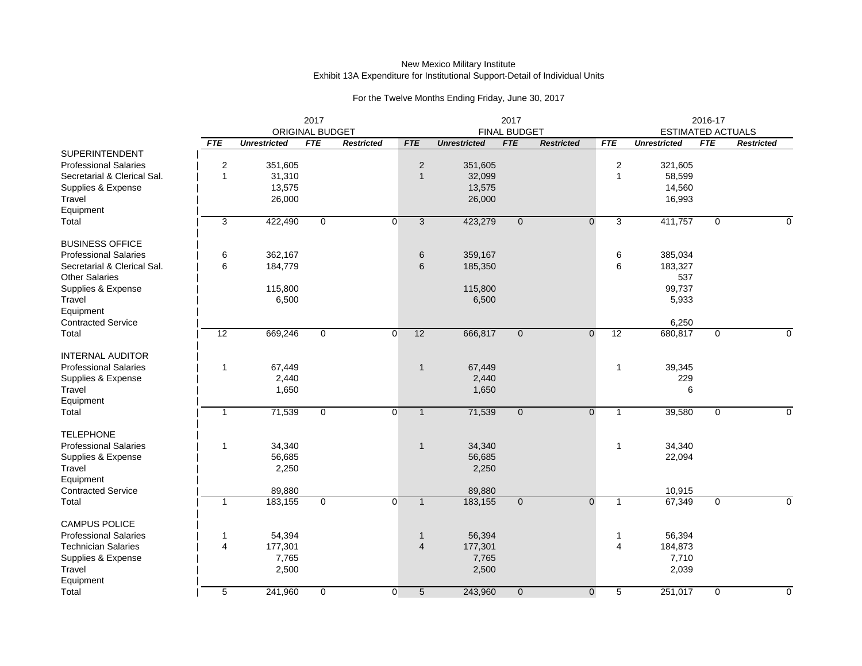|                              |                |                     |                               |                   |                 |                     |                                   | 2016-17           |                                                                             |         |                |                   |
|------------------------------|----------------|---------------------|-------------------------------|-------------------|-----------------|---------------------|-----------------------------------|-------------------|-----------------------------------------------------------------------------|---------|----------------|-------------------|
|                              | <b>FTE</b>     | <b>Unrestricted</b> | ORIGINAL BUDGET<br><b>FTE</b> | <b>Restricted</b> | <b>FTE</b>      | <b>Unrestricted</b> | <b>FINAL BUDGET</b><br><b>FTE</b> | <b>Restricted</b> | <b>ESTIMATED ACTUALS</b><br><b>FTE</b><br><b>FTE</b><br><b>Unrestricted</b> |         |                | <b>Restricted</b> |
| <b>SUPERINTENDENT</b>        |                |                     |                               |                   |                 |                     |                                   |                   |                                                                             |         |                |                   |
| <b>Professional Salaries</b> | $\overline{2}$ | 351,605             |                               |                   | $\overline{2}$  | 351,605             |                                   |                   | $\overline{2}$                                                              | 321,605 |                |                   |
| Secretarial & Clerical Sal.  | $\overline{1}$ | 31,310              |                               |                   | $\mathbf{1}$    | 32,099              |                                   |                   | $\mathbf{1}$                                                                | 58,599  |                |                   |
| Supplies & Expense           |                | 13,575              |                               |                   |                 | 13,575              |                                   |                   |                                                                             | 14,560  |                |                   |
| Travel                       |                | 26,000              |                               |                   |                 | 26,000              |                                   |                   |                                                                             | 16,993  |                |                   |
|                              |                |                     |                               |                   |                 |                     |                                   |                   |                                                                             |         |                |                   |
| Equipment<br>Total           | 3              | 422,490             |                               | $\overline{0}$    | $\overline{3}$  | 423,279             |                                   | $\overline{0}$    | 3                                                                           | 411,757 | $\overline{0}$ |                   |
|                              |                |                     | $\mathbf 0$                   |                   |                 |                     | $\overline{0}$                    |                   |                                                                             |         |                | $\Omega$          |
| <b>BUSINESS OFFICE</b>       |                |                     |                               |                   |                 |                     |                                   |                   |                                                                             |         |                |                   |
| <b>Professional Salaries</b> | 6              | 362,167             |                               |                   | 6               | 359,167             |                                   |                   | 6                                                                           | 385,034 |                |                   |
| Secretarial & Clerical Sal.  | 6              | 184,779             |                               |                   | 6               | 185,350             |                                   |                   | 6                                                                           | 183,327 |                |                   |
| <b>Other Salaries</b>        |                |                     |                               |                   |                 |                     |                                   |                   |                                                                             | 537     |                |                   |
| Supplies & Expense           |                | 115,800             |                               |                   |                 | 115,800             |                                   |                   |                                                                             | 99,737  |                |                   |
| Travel                       |                | 6,500               |                               |                   |                 | 6,500               |                                   |                   |                                                                             | 5,933   |                |                   |
| Equipment                    |                |                     |                               |                   |                 |                     |                                   |                   |                                                                             |         |                |                   |
| <b>Contracted Service</b>    |                |                     |                               |                   |                 |                     |                                   |                   |                                                                             | 6,250   |                |                   |
| Total                        | 12             | 669,246             | 0                             | 0                 | 12              | 666,817             | $\mathbf{0}$                      | $\mathbf 0$       | 12                                                                          | 680,817 | 0              | $\Omega$          |
|                              |                |                     |                               |                   |                 |                     |                                   |                   |                                                                             |         |                |                   |
| <b>INTERNAL AUDITOR</b>      |                |                     |                               |                   |                 |                     |                                   |                   |                                                                             |         |                |                   |
| <b>Professional Salaries</b> | $\overline{1}$ | 67,449              |                               |                   | $\mathbf{1}$    | 67,449              |                                   |                   | $\mathbf{1}$                                                                | 39,345  |                |                   |
| Supplies & Expense           |                | 2,440               |                               |                   |                 | 2,440               |                                   |                   |                                                                             | 229     |                |                   |
| Travel                       |                | 1,650               |                               |                   |                 | 1,650               |                                   |                   |                                                                             | 6       |                |                   |
| Equipment                    |                |                     |                               |                   |                 |                     |                                   |                   |                                                                             |         |                |                   |
| Total                        | $\overline{1}$ | 71,539              | $\mathbf{0}$                  | $\overline{0}$    | $\mathbf{1}$    | 71,539              |                                   | $\mathbf 0$       | $\mathbf{1}$                                                                | 39,580  | 0              | $\mathbf 0$       |
|                              |                |                     |                               |                   |                 |                     | $\mathbf 0$                       |                   |                                                                             |         |                |                   |
| <b>TELEPHONE</b>             |                |                     |                               |                   |                 |                     |                                   |                   |                                                                             |         |                |                   |
| <b>Professional Salaries</b> | $\overline{1}$ | 34,340              |                               |                   | $\mathbf{1}$    | 34,340              |                                   |                   | $\mathbf{1}$                                                                | 34,340  |                |                   |
| Supplies & Expense           |                | 56,685              |                               |                   |                 | 56,685              |                                   |                   |                                                                             | 22,094  |                |                   |
| Travel                       |                | 2,250               |                               |                   |                 | 2,250               |                                   |                   |                                                                             |         |                |                   |
| Equipment                    |                |                     |                               |                   |                 |                     |                                   |                   |                                                                             |         |                |                   |
| <b>Contracted Service</b>    |                | 89,880              |                               |                   |                 | 89,880              |                                   |                   |                                                                             | 10,915  |                |                   |
| Total                        | $\overline{1}$ | 183,155             | $\mathbf 0$                   | $\mathbf 0$       | $\mathbf{1}$    | 183,155             | $\mathbf{0}$                      | $\mathbf{0}$      | $\mathbf{1}$                                                                | 67,349  | 0              | $\Omega$          |
|                              |                |                     |                               |                   |                 |                     |                                   |                   |                                                                             |         |                |                   |
| <b>CAMPUS POLICE</b>         |                |                     |                               |                   |                 |                     |                                   |                   |                                                                             |         |                |                   |
| <b>Professional Salaries</b> | $\mathbf 1$    | 54,394              |                               |                   | $\mathbf 1$     | 56,394              |                                   |                   | 1                                                                           | 56,394  |                |                   |
| <b>Technician Salaries</b>   | $\overline{4}$ | 177,301             |                               |                   | $\overline{4}$  | 177,301             |                                   |                   | 4                                                                           | 184,873 |                |                   |
| Supplies & Expense           |                | 7,765               |                               |                   |                 | 7,765               |                                   |                   |                                                                             | 7,710   |                |                   |
| Travel                       |                | 2,500               |                               |                   |                 | 2,500               |                                   |                   |                                                                             | 2,039   |                |                   |
| Equipment                    |                |                     |                               |                   |                 |                     |                                   |                   |                                                                             |         |                |                   |
| Total                        | 5              | 241,960             | 0                             | 0                 | $5\phantom{.0}$ | 243,960             | $\mathbf{0}$                      | $\mathbf 0$       | 5                                                                           | 251,017 | 0              | $\Omega$          |
|                              |                |                     |                               |                   |                 |                     |                                   |                   |                                                                             |         |                |                   |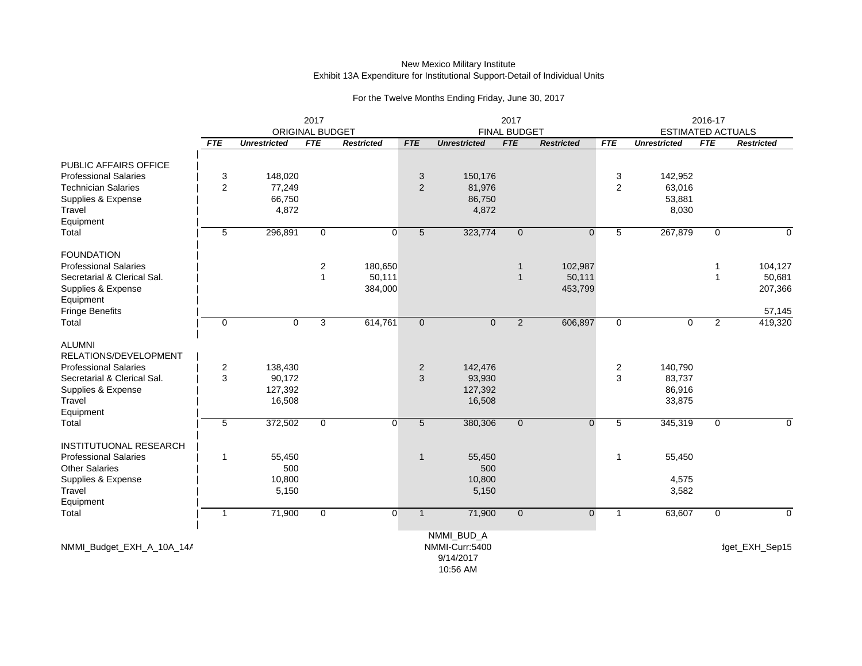|                               | 2017<br><b>ORIGINAL BUDGET</b> |                     |                |                   |                 | <b>FINAL BUDGET</b>          |                |                   | 2016-17<br><b>ESTIMATED ACTUALS</b> |                     |                |                   |
|-------------------------------|--------------------------------|---------------------|----------------|-------------------|-----------------|------------------------------|----------------|-------------------|-------------------------------------|---------------------|----------------|-------------------|
|                               | <b>FTE</b>                     | <b>Unrestricted</b> | <b>FTE</b>     | <b>Restricted</b> | <b>FTE</b>      | <b>Unrestricted</b>          | <b>FTE</b>     | <b>Restricted</b> | <b>FTE</b>                          | <b>Unrestricted</b> | <b>FTE</b>     | <b>Restricted</b> |
| PUBLIC AFFAIRS OFFICE         |                                |                     |                |                   |                 |                              |                |                   |                                     |                     |                |                   |
| <b>Professional Salaries</b>  | 3                              | 148,020             |                |                   | 3               | 150,176                      |                |                   | 3                                   | 142,952             |                |                   |
| <b>Technician Salaries</b>    | 2                              | 77,249              |                |                   | 2               | 81,976                       |                |                   | 2                                   | 63,016              |                |                   |
| Supplies & Expense            |                                | 66,750              |                |                   |                 | 86,750                       |                |                   |                                     | 53,881              |                |                   |
| Travel                        |                                | 4,872               |                |                   |                 | 4,872                        |                |                   |                                     | 8,030               |                |                   |
| Equipment                     |                                |                     |                |                   |                 |                              |                |                   |                                     |                     |                |                   |
| Total                         | 5                              | 296,891             | $\mathbf{0}$   | $\overline{0}$    | $5\phantom{.0}$ | 323,774                      | $\mathbf{0}$   | $\mathbf{0}$      | 5                                   | 267,879             | $\mathbf 0$    | $\Omega$          |
| <b>FOUNDATION</b>             |                                |                     |                |                   |                 |                              |                |                   |                                     |                     |                |                   |
| <b>Professional Salaries</b>  |                                |                     | $\overline{2}$ | 180,650           |                 |                              | $\mathbf{1}$   | 102,987           |                                     |                     | $\mathbf{1}$   | 104,127           |
| Secretarial & Clerical Sal.   |                                |                     | $\mathbf{1}$   | 50,111            |                 |                              | $\mathbf{1}$   | 50,111            |                                     |                     |                | 50,681            |
| Supplies & Expense            |                                |                     |                | 384,000           |                 |                              |                | 453,799           |                                     |                     |                | 207,366           |
| Equipment                     |                                |                     |                |                   |                 |                              |                |                   |                                     |                     |                |                   |
| Fringe Benefits               |                                |                     |                |                   |                 |                              |                |                   |                                     |                     |                | 57,145            |
| Total                         | $\mathbf 0$                    | $\mathbf 0$         | 3              | 614,761           | $\mathbf 0$     | $\mathbf 0$                  | $\overline{2}$ | 606,897           | $\mathbf 0$                         | 0                   | $\overline{2}$ | 419,320           |
| <b>ALUMNI</b>                 |                                |                     |                |                   |                 |                              |                |                   |                                     |                     |                |                   |
| RELATIONS/DEVELOPMENT         |                                |                     |                |                   |                 |                              |                |                   |                                     |                     |                |                   |
| <b>Professional Salaries</b>  | $\overline{2}$                 | 138,430             |                |                   | $\overline{2}$  | 142,476                      |                |                   | $\overline{c}$                      | 140,790             |                |                   |
| Secretarial & Clerical Sal.   | 3                              | 90,172              |                |                   | 3               | 93,930                       |                |                   | 3                                   | 83,737              |                |                   |
| Supplies & Expense            |                                | 127,392             |                |                   |                 | 127,392                      |                |                   |                                     | 86,916              |                |                   |
| Travel                        |                                | 16,508              |                |                   |                 | 16,508                       |                |                   |                                     | 33,875              |                |                   |
| Equipment                     |                                |                     |                |                   |                 |                              |                |                   |                                     |                     |                |                   |
| Total                         | 5                              | 372,502             | $\mathbf{0}$   | $\Omega$          | $5\phantom{.0}$ | 380,306                      | $\mathbf{0}$   | $\Omega$          | 5                                   | 345,319             | $\mathbf 0$    | $\Omega$          |
| <b>INSTITUTUONAL RESEARCH</b> |                                |                     |                |                   |                 |                              |                |                   |                                     |                     |                |                   |
| <b>Professional Salaries</b>  | $\overline{1}$                 | 55,450              |                |                   | $\mathbf{1}$    | 55,450                       |                |                   | 1                                   | 55,450              |                |                   |
| <b>Other Salaries</b>         |                                | 500                 |                |                   |                 | 500                          |                |                   |                                     |                     |                |                   |
| Supplies & Expense            |                                | 10,800              |                |                   |                 | 10,800                       |                |                   |                                     | 4,575               |                |                   |
| Travel                        |                                | 5,150               |                |                   |                 | 5,150                        |                |                   |                                     | 3,582               |                |                   |
| Equipment                     |                                |                     |                |                   |                 |                              |                |                   |                                     |                     |                |                   |
| Total                         | $\mathbf{1}$                   | 71,900              | $\mathbf 0$    | $\overline{0}$    | $\mathbf{1}$    | 71,900                       | $\mathbf{0}$   | $\mathbf{0}$      | $\mathbf{1}$                        | 63,607              | $\mathbf 0$    | $\Omega$          |
|                               |                                |                     |                |                   |                 |                              |                |                   |                                     |                     |                |                   |
| NMMI_Budget_EXH_A_10A_14A     |                                |                     |                |                   |                 | NMMI_BUD_A<br>NMMI-Curr:5400 |                |                   |                                     |                     |                | dget_EXH_Sep15    |
|                               |                                |                     |                |                   |                 | 9/14/2017                    |                |                   |                                     |                     |                |                   |
|                               |                                |                     |                |                   |                 |                              |                |                   |                                     |                     |                |                   |
|                               |                                |                     |                |                   |                 | 10:56 AM                     |                |                   |                                     |                     |                |                   |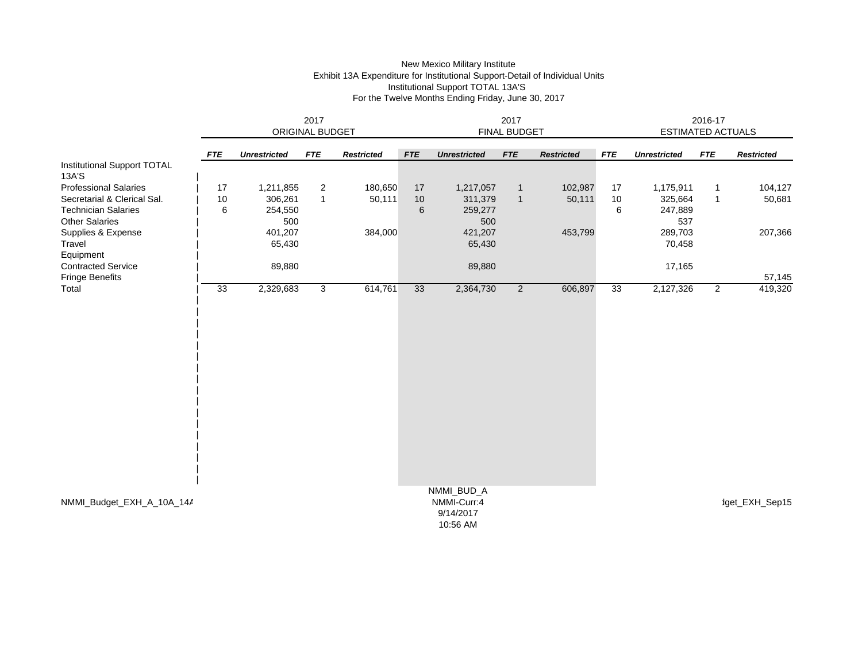## New Mexico Military Institute Exhibit 13A Expenditure for Institutional Support-Detail of Individual Units Institutional Support TOTAL 13A'S For the Twelve Months Ending Friday, June 30, 2017

|                                      | 2017<br>ORIGINAL BUDGET |                     |                |                   |            | 2017<br><b>FINAL BUDGET</b>          |                |                   |            |                     | 2016-17<br><b>ESTIMATED ACTUALS</b> |                   |  |  |
|--------------------------------------|-------------------------|---------------------|----------------|-------------------|------------|--------------------------------------|----------------|-------------------|------------|---------------------|-------------------------------------|-------------------|--|--|
|                                      | <b>FTE</b>              | <b>Unrestricted</b> | <b>FTE</b>     | <b>Restricted</b> | <b>FTE</b> | <b>Unrestricted</b>                  | <b>FTE</b>     | <b>Restricted</b> | <b>FTE</b> | <b>Unrestricted</b> | <b>FTE</b>                          | <b>Restricted</b> |  |  |
| Institutional Support TOTAL<br>13A'S |                         |                     |                |                   |            |                                      |                |                   |            |                     |                                     |                   |  |  |
| <b>Professional Salaries</b>         | 17                      | 1,211,855           | $\overline{2}$ | 180,650           | 17         | 1,217,057                            | $\mathbf{1}$   | 102,987           | 17         | 1,175,911           | $\mathbf{1}$                        | 104,127           |  |  |
| Secretarial & Clerical Sal.          | 10                      | 306,261             | $\mathbf{1}$   | 50,111            | 10         | 311,379                              | $\overline{1}$ | 50,111            | 10         | 325,664             | $\mathbf{1}$                        | 50,681            |  |  |
| <b>Technician Salaries</b>           | 6                       | 254,550             |                |                   | 6          | 259,277                              |                |                   | 6          | 247,889             |                                     |                   |  |  |
| <b>Other Salaries</b>                |                         | 500                 |                |                   |            | 500                                  |                |                   |            | 537                 |                                     |                   |  |  |
| Supplies & Expense                   |                         | 401,207             |                | 384,000           |            | 421,207                              |                | 453,799           |            | 289,703             |                                     | 207,366           |  |  |
| Travel                               |                         | 65,430              |                |                   |            | 65,430                               |                |                   |            | 70,458              |                                     |                   |  |  |
| Equipment                            |                         |                     |                |                   |            |                                      |                |                   |            |                     |                                     |                   |  |  |
| <b>Contracted Service</b>            |                         | 89,880              |                |                   |            | 89,880                               |                |                   |            | 17,165              |                                     |                   |  |  |
| <b>Fringe Benefits</b>               |                         |                     |                |                   |            |                                      |                |                   |            |                     |                                     | 57,145            |  |  |
| Total                                | 33                      | 2,329,683           | $\mathbf{3}$   | 614,761           | 33         | 2,364,730                            | $\overline{2}$ | 606,897           | 33         | 2,127,326           | $\overline{2}$                      | 419,320           |  |  |
|                                      |                         |                     |                |                   |            |                                      |                |                   |            |                     |                                     |                   |  |  |
|                                      |                         |                     |                |                   |            | NMMI_BUD_A                           |                |                   |            |                     |                                     |                   |  |  |
| NMMI_Budget_EXH_A_10A_14A            |                         |                     |                |                   |            | NMMI-Curr:4<br>9/14/2017<br>10:56 AM |                |                   |            |                     |                                     | dget_EXH_Sep15    |  |  |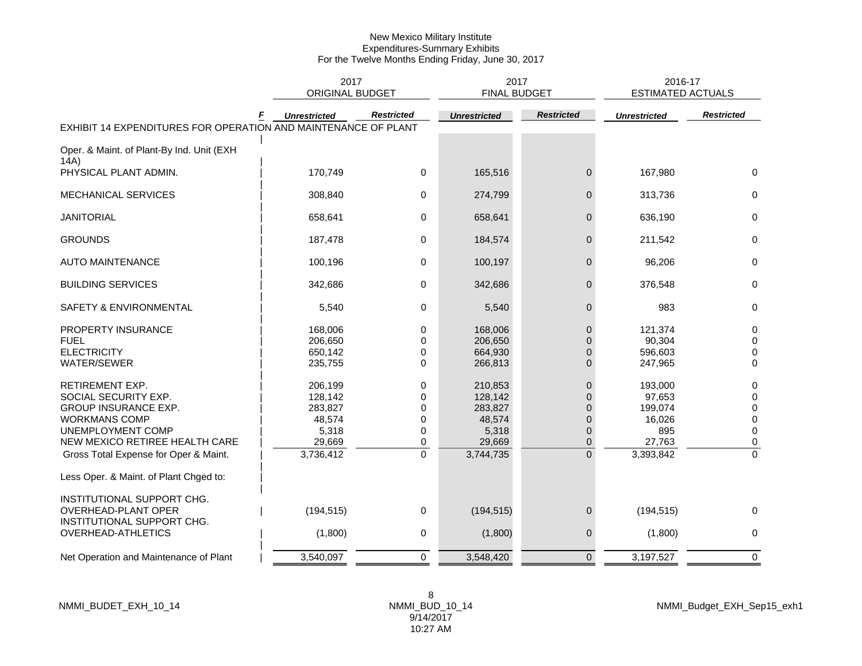|                                                                                                                                                                                                |                                                                         | 2017<br><b>ORIGINAL BUDGET</b>            |                                                                         | 2017<br><b>FINAL BUDGET</b>                                                                                    | 2016-17<br><b>ESTIMATED ACTUALS</b>                                  |                                                     |
|------------------------------------------------------------------------------------------------------------------------------------------------------------------------------------------------|-------------------------------------------------------------------------|-------------------------------------------|-------------------------------------------------------------------------|----------------------------------------------------------------------------------------------------------------|----------------------------------------------------------------------|-----------------------------------------------------|
| EXHIBIT 14 EXPENDITURES FOR OPERATION AND MAINTENANCE OF PLANT                                                                                                                                 | <b>Unrestricted</b>                                                     | <b>Restricted</b>                         | <b>Unrestricted</b>                                                     | <b>Restricted</b>                                                                                              | <b>Unrestricted</b>                                                  | <b>Restricted</b>                                   |
|                                                                                                                                                                                                |                                                                         |                                           |                                                                         |                                                                                                                |                                                                      |                                                     |
| Oper. & Maint. of Plant-By Ind. Unit (EXH<br>14A)                                                                                                                                              |                                                                         |                                           |                                                                         |                                                                                                                |                                                                      |                                                     |
| PHYSICAL PLANT ADMIN.                                                                                                                                                                          | 170,749                                                                 | 0                                         | 165,516                                                                 | 0                                                                                                              | 167,980                                                              | $\mathbf 0$                                         |
| <b>MECHANICAL SERVICES</b>                                                                                                                                                                     | 308,840                                                                 | 0                                         | 274,799                                                                 | 0                                                                                                              | 313,736                                                              | 0                                                   |
| <b>JANITORIAL</b>                                                                                                                                                                              | 658,641                                                                 | 0                                         | 658,641                                                                 | $\mathbf{0}$                                                                                                   | 636,190                                                              | $\Omega$                                            |
| <b>GROUNDS</b>                                                                                                                                                                                 | 187,478                                                                 | 0                                         | 184,574                                                                 | $\mathbf 0$                                                                                                    | 211,542                                                              | $\mathbf 0$                                         |
| <b>AUTO MAINTENANCE</b>                                                                                                                                                                        | 100,196                                                                 | 0                                         | 100,197                                                                 | $\mathbf 0$                                                                                                    | 96,206                                                               | 0                                                   |
| <b>BUILDING SERVICES</b>                                                                                                                                                                       | 342,686                                                                 | 0                                         | 342,686                                                                 | $\mathbf 0$                                                                                                    | 376,548                                                              | 0                                                   |
| SAFETY & ENVIRONMENTAL                                                                                                                                                                         | 5,540                                                                   | 0                                         | 5,540                                                                   | 0                                                                                                              | 983                                                                  | 0                                                   |
| PROPERTY INSURANCE<br><b>FUEL</b><br><b>ELECTRICITY</b><br><b>WATER/SEWER</b>                                                                                                                  | 168,006<br>206,650<br>650,142<br>235,755                                | 0<br>$\Omega$<br>0<br>0                   | 168,006<br>206,650<br>664,930<br>266,813                                | $\mathbf{0}$<br>$\Omega$<br>$\Omega$<br>$\overline{0}$                                                         | 121,374<br>90,304<br>596,603<br>247,965                              | 0<br>$\Omega$<br>0<br>$\mathbf 0$                   |
| RETIREMENT EXP.<br>SOCIAL SECURITY EXP.<br><b>GROUP INSURANCE EXP.</b><br><b>WORKMANS COMP</b><br>UNEMPLOYMENT COMP<br>NEW MEXICO RETIREE HEALTH CARE<br>Gross Total Expense for Oper & Maint. | 206,199<br>128,142<br>283,827<br>48,574<br>5,318<br>29,669<br>3,736,412 | 0<br>0<br>0<br>0<br>0<br>0<br>$\mathbf 0$ | 210,853<br>128,142<br>283,827<br>48,574<br>5,318<br>29,669<br>3,744,735 | $\mathbf{0}$<br>$\overline{0}$<br>$\overline{0}$<br>$\overline{0}$<br>$\mathbf{0}$<br>$\mathbf{0}$<br>$\Omega$ | 193,000<br>97,653<br>199,074<br>16,026<br>895<br>27,763<br>3,393,842 | 0<br>0<br>0<br>0<br>$\mathbf 0$<br>0<br>$\mathbf 0$ |
| Less Oper. & Maint. of Plant Chged to:                                                                                                                                                         |                                                                         |                                           |                                                                         |                                                                                                                |                                                                      |                                                     |
| INSTITUTIONAL SUPPORT CHG.<br>OVERHEAD-PLANT OPER                                                                                                                                              | (194, 515)                                                              | 0                                         | (194, 515)                                                              | $\mathbf 0$                                                                                                    | (194, 515)                                                           | $\Omega$                                            |
| INSTITUTIONAL SUPPORT CHG.<br>OVERHEAD-ATHLETICS                                                                                                                                               | (1,800)                                                                 | 0                                         | (1,800)                                                                 | 0                                                                                                              | (1,800)                                                              | 0                                                   |
| Net Operation and Maintenance of Plant                                                                                                                                                         | 3,540,097                                                               | $\boldsymbol{0}$                          | 3,548,420                                                               | $\mathbf{0}$                                                                                                   | 3,197,527                                                            | $\pmb{0}$                                           |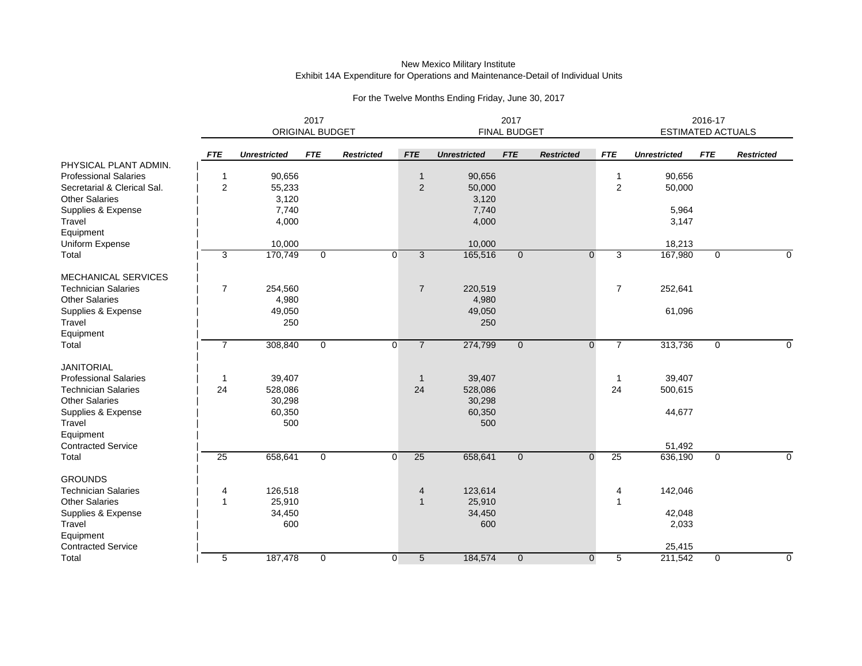#### New Mexico Military Institute Exhibit 14A Expenditure for Operations and Maintenance-Detail of Individual Units

|                              |                         | <b>ORIGINAL BUDGET</b> |                |                   | FINAL BUDGET   |                     |                | 2016-17<br><b>ESTIMATED ACTUALS</b> |                |                     |             |                   |
|------------------------------|-------------------------|------------------------|----------------|-------------------|----------------|---------------------|----------------|-------------------------------------|----------------|---------------------|-------------|-------------------|
|                              | <b>FTE</b>              | <b>Unrestricted</b>    | <b>FTE</b>     | <b>Restricted</b> | <b>FTE</b>     | <b>Unrestricted</b> | <b>FTE</b>     | <b>Restricted</b>                   | <b>FTE</b>     | <b>Unrestricted</b> | <b>FTE</b>  | <b>Restricted</b> |
| PHYSICAL PLANT ADMIN.        |                         |                        |                |                   |                |                     |                |                                     |                |                     |             |                   |
| <b>Professional Salaries</b> | $\overline{\mathbf{1}}$ | 90,656                 |                |                   | $\mathbf{1}$   | 90,656              |                |                                     | 1              | 90,656              |             |                   |
| Secretarial & Clerical Sal.  | $\overline{c}$          | 55,233                 |                |                   | $\overline{2}$ | 50,000              |                |                                     | $\overline{c}$ | 50,000              |             |                   |
| <b>Other Salaries</b>        |                         | 3,120                  |                |                   |                | 3,120               |                |                                     |                |                     |             |                   |
| Supplies & Expense           |                         | 7,740                  |                |                   |                | 7,740               |                |                                     |                | 5,964               |             |                   |
| Travel                       |                         | 4,000                  |                |                   |                | 4,000               |                |                                     |                | 3,147               |             |                   |
| Equipment                    |                         |                        |                |                   |                |                     |                |                                     |                |                     |             |                   |
| Uniform Expense              |                         | 10,000                 |                |                   |                | 10,000              |                |                                     |                | 18,213              |             |                   |
| Total                        | 3                       | 170,749                | $\mathbf 0$    | $\overline{0}$    | 3              | 165,516             | $\mathbf 0$    | $\mathbf 0$                         | 3              | 167,980             | 0           | 0                 |
| <b>MECHANICAL SERVICES</b>   |                         |                        |                |                   |                |                     |                |                                     |                |                     |             |                   |
| <b>Technician Salaries</b>   | $\overline{7}$          | 254,560                |                |                   | $\overline{7}$ | 220,519             |                |                                     | $\overline{7}$ | 252,641             |             |                   |
| <b>Other Salaries</b>        |                         | 4,980                  |                |                   |                | 4,980               |                |                                     |                |                     |             |                   |
| Supplies & Expense           |                         | 49,050                 |                |                   |                | 49,050              |                |                                     |                | 61,096              |             |                   |
| Travel                       |                         | 250                    |                |                   |                | 250                 |                |                                     |                |                     |             |                   |
| Equipment                    |                         |                        |                |                   |                |                     |                |                                     |                |                     |             |                   |
| Total                        | $\overline{7}$          | 308,840                | $\mathbf{0}$   | $\overline{0}$    | $\overline{7}$ | 274,799             | $\mathbf{0}$   | $\mathbf{0}$                        | $\overline{7}$ | 313,736             | 0           | 0                 |
| <b>JANITORIAL</b>            |                         |                        |                |                   |                |                     |                |                                     |                |                     |             |                   |
| <b>Professional Salaries</b> | -1                      | 39,407                 |                |                   | $\mathbf 1$    | 39,407              |                |                                     | 1              | 39,407              |             |                   |
| <b>Technician Salaries</b>   | 24                      | 528,086                |                |                   | 24             | 528,086             |                |                                     | 24             | 500,615             |             |                   |
| <b>Other Salaries</b>        |                         | 30,298                 |                |                   |                | 30,298              |                |                                     |                |                     |             |                   |
| Supplies & Expense           |                         | 60,350                 |                |                   |                | 60,350              |                |                                     |                | 44,677              |             |                   |
| Travel                       |                         | 500                    |                |                   |                | 500                 |                |                                     |                |                     |             |                   |
| Equipment                    |                         |                        |                |                   |                |                     |                |                                     |                |                     |             |                   |
| <b>Contracted Service</b>    |                         |                        |                |                   |                |                     |                |                                     |                | 51,492              |             |                   |
| Total                        | $\overline{25}$         | 658,641                | $\overline{0}$ | $\overline{0}$    | 25             | 658,641             | $\mathbf{0}$   | $\mathbf{0}$                        | 25             | 636,190             | $\mathbf 0$ | $\Omega$          |
| <b>GROUNDS</b>               |                         |                        |                |                   |                |                     |                |                                     |                |                     |             |                   |
| <b>Technician Salaries</b>   | 4                       | 126,518                |                |                   | 4              | 123,614             |                |                                     | 4              | 142,046             |             |                   |
| <b>Other Salaries</b>        | $\overline{1}$          | 25,910                 |                |                   | $\mathbf{1}$   | 25,910              |                |                                     | 1              |                     |             |                   |
| Supplies & Expense           |                         | 34,450                 |                |                   |                | 34,450              |                |                                     |                | 42,048              |             |                   |
| Travel                       |                         | 600                    |                |                   |                | 600                 |                |                                     |                | 2,033               |             |                   |
| Equipment                    |                         |                        |                |                   |                |                     |                |                                     |                |                     |             |                   |
| <b>Contracted Service</b>    |                         |                        |                |                   |                |                     |                |                                     |                | 25,415              |             |                   |
| Total                        | 5                       | 187,478                | $\mathbf 0$    | $\overline{0}$    | 5 <sup>5</sup> | 184,574             | $\overline{0}$ | $\mathbf 0$                         | 5              | 211,542             | 0           | $\Omega$          |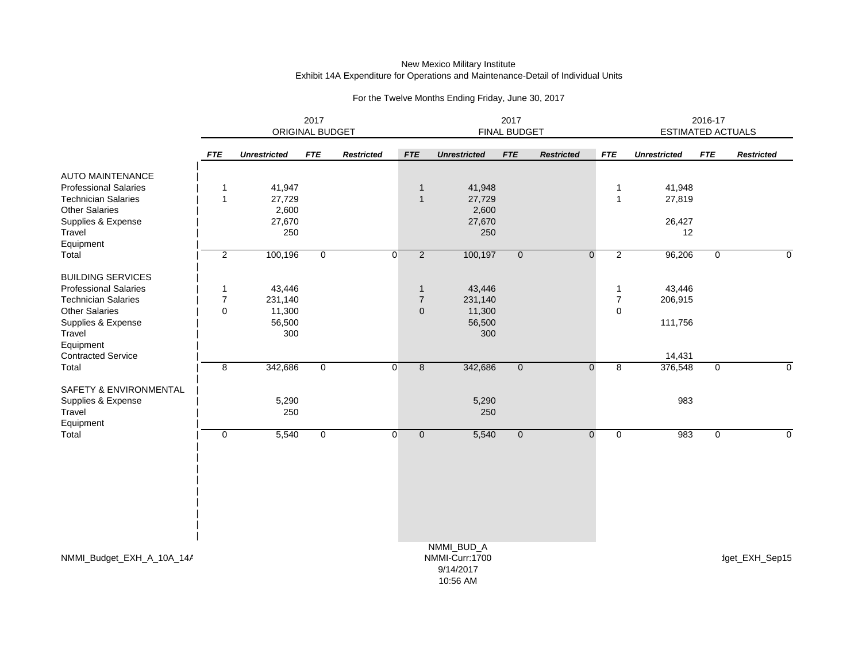#### New Mexico Military Institute Exhibit 14A Expenditure for Operations and Maintenance-Detail of Individual Units

|                              | 2017<br>ORIGINAL BUDGET |                     |              |                   |                |                       | 2017<br>FINAL BUDGET | 2016-17<br><b>ESTIMATED ACTUALS</b> |                               |                     |                |                   |
|------------------------------|-------------------------|---------------------|--------------|-------------------|----------------|-----------------------|----------------------|-------------------------------------|-------------------------------|---------------------|----------------|-------------------|
|                              | <b>FTE</b>              | <b>Unrestricted</b> | <b>FTE</b>   | <b>Restricted</b> | <b>FTE</b>     | <b>Unrestricted</b>   | <b>FTE</b>           | <b>Restricted</b>                   | <b>FTE</b>                    | <b>Unrestricted</b> | <b>FTE</b>     | <b>Restricted</b> |
| <b>AUTO MAINTENANCE</b>      |                         |                     |              |                   |                |                       |                      |                                     |                               |                     |                |                   |
| <b>Professional Salaries</b> | 1                       | 41,947              |              |                   | $\overline{1}$ | 41,948                |                      |                                     | 1                             | 41,948              |                |                   |
| <b>Technician Salaries</b>   | $\mathbf{1}$            | 27,729              |              |                   | $\overline{1}$ | 27,729                |                      |                                     | $\mathbf 1$                   | 27,819              |                |                   |
| Other Salaries               |                         | 2,600               |              |                   |                | 2,600                 |                      |                                     |                               |                     |                |                   |
| Supplies & Expense           |                         | 27,670              |              |                   |                | 27,670                |                      |                                     |                               | 26,427              |                |                   |
| Travel                       |                         | 250                 |              |                   |                | 250                   |                      |                                     |                               | 12                  |                |                   |
| Equipment                    |                         |                     |              |                   |                |                       |                      |                                     |                               |                     |                |                   |
| Total                        | $\overline{2}$          | 100,196             | $\mathbf 0$  | $\overline{0}$    | $\overline{2}$ | 100,197               | $\overline{0}$       | $\mathbf 0$                         | $\overline{2}$                | 96,206              | $\mathbf 0$    | 0                 |
| <b>BUILDING SERVICES</b>     |                         |                     |              |                   |                |                       |                      |                                     |                               |                     |                |                   |
| <b>Professional Salaries</b> | $\mathbf{1}$            | 43,446              |              |                   | $\mathbf{1}$   | 43,446                |                      |                                     | -1                            | 43,446              |                |                   |
| <b>Technician Salaries</b>   | $\overline{7}$          | 231,140             |              |                   | $\overline{7}$ | 231,140               |                      |                                     | 7                             | 206,915             |                |                   |
| Other Salaries               | $\Omega$                | 11,300              |              |                   | $\mathbf{0}$   | 11,300                |                      |                                     | $\Omega$                      |                     |                |                   |
| Supplies & Expense           |                         | 56,500              |              |                   |                | 56,500                |                      |                                     |                               | 111,756             |                |                   |
| Travel                       |                         | 300                 |              |                   |                | 300                   |                      |                                     |                               |                     |                |                   |
| Equipment                    |                         |                     |              |                   |                |                       |                      |                                     |                               |                     |                |                   |
| <b>Contracted Service</b>    |                         |                     |              |                   |                |                       |                      |                                     |                               | 14,431              |                |                   |
| Total                        | 8                       | 342,686             | $\mathbf{0}$ | $\Omega$          | $\overline{8}$ | 342,686               | $\overline{0}$       |                                     | $\overline{8}$<br>$\mathbf 0$ | 376,548             | $\overline{0}$ | $\mathbf 0$       |
| SAFETY & ENVIRONMENTAL       |                         |                     |              |                   |                |                       |                      |                                     |                               |                     |                |                   |
| Supplies & Expense           |                         | 5,290               |              |                   |                | 5,290                 |                      |                                     |                               | 983                 |                |                   |
| Travel                       |                         | 250                 |              |                   |                | 250                   |                      |                                     |                               |                     |                |                   |
| Equipment                    |                         |                     |              |                   |                |                       |                      |                                     |                               |                     |                |                   |
| Total                        | $\mathbf 0$             | 5,540               | $\mathbf{0}$ | $\overline{0}$    | $\overline{0}$ | 5,540                 | $\overline{0}$       | $\mathbf 0$                         | $\mathbf 0$                   | 983                 | $\mathbf 0$    | $\mathbf 0$       |
|                              |                         |                     |              |                   |                |                       |                      |                                     |                               |                     |                |                   |
|                              |                         |                     |              |                   |                |                       |                      |                                     |                               |                     |                |                   |
|                              |                         |                     |              |                   |                |                       |                      |                                     |                               |                     |                |                   |
|                              |                         |                     |              |                   |                |                       |                      |                                     |                               |                     |                |                   |
|                              |                         |                     |              |                   |                |                       |                      |                                     |                               |                     |                |                   |
|                              |                         |                     |              |                   |                | NMMI_BUD_A            |                      |                                     |                               |                     |                |                   |
| NMMI_Budget_EXH_A_10A_14A    |                         |                     |              |                   |                | NMMI-Curr:1700        |                      |                                     |                               |                     |                | dget_EXH_Sep15    |
|                              |                         |                     |              |                   |                | 9/14/2017<br>AOCFOAIA |                      |                                     |                               |                     |                |                   |

For the Twelve Months Ending Friday, June 30, 2017

10:56 AM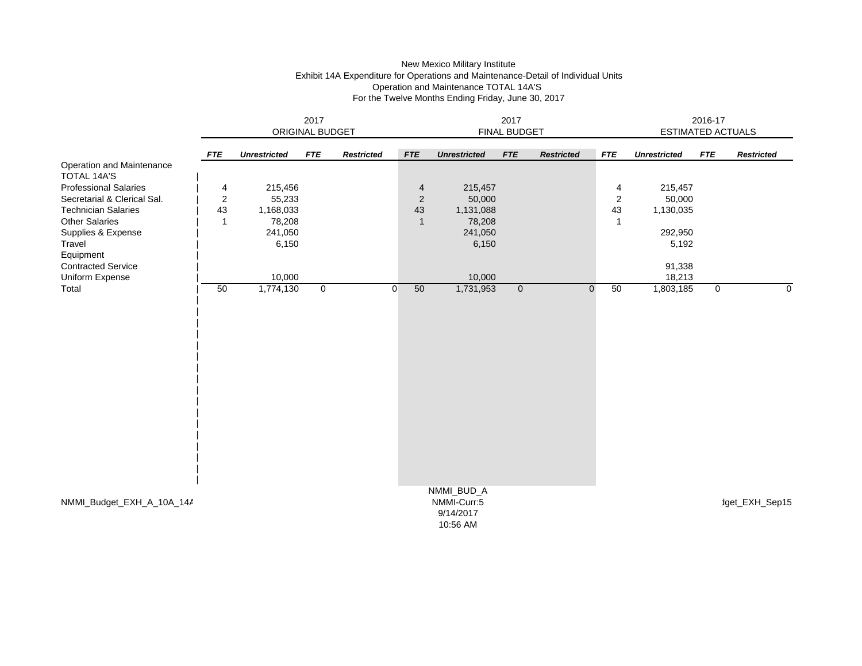# New Mexico Military Institute Exhibit 14A Expenditure for Operations and Maintenance-Detail of Individual Units Operation and Maintenance TOTAL 14A'S For the Twelve Months Ending Friday, June 30, 2017

|                                                 | 2017<br>ORIGINAL BUDGET |                     |                |                   |                | FINAL BUDGET                                       |                |                   | 2016-17<br><b>ESTIMATED ACTUALS</b> |                     |                |                   |
|-------------------------------------------------|-------------------------|---------------------|----------------|-------------------|----------------|----------------------------------------------------|----------------|-------------------|-------------------------------------|---------------------|----------------|-------------------|
|                                                 | <b>FTE</b>              | <b>Unrestricted</b> | <b>FTE</b>     | <b>Restricted</b> | <b>FTE</b>     | <b>Unrestricted</b>                                | <b>FTE</b>     | <b>Restricted</b> | <b>FTE</b>                          | <b>Unrestricted</b> | <b>FTE</b>     | <b>Restricted</b> |
| Operation and Maintenance<br><b>TOTAL 14A'S</b> |                         |                     |                |                   |                |                                                    |                |                   |                                     |                     |                |                   |
| <b>Professional Salaries</b>                    | 4                       | 215,456             |                |                   | 4              | 215,457                                            |                |                   | 4                                   | 215,457             |                |                   |
| Secretarial & Clerical Sal.                     | $\boldsymbol{2}$        | 55,233              |                |                   | $\overline{2}$ | 50,000                                             |                |                   | $\overline{\mathbf{c}}$             | 50,000              |                |                   |
| <b>Technician Salaries</b>                      | 43                      | 1,168,033           |                |                   | 43             | 1,131,088                                          |                |                   | 43                                  | 1,130,035           |                |                   |
| <b>Other Salaries</b>                           | $\mathbf{1}$            | 78,208              |                |                   | $\overline{1}$ | 78,208                                             |                |                   | -1                                  |                     |                |                   |
| Supplies & Expense                              |                         | 241,050             |                |                   |                | 241,050                                            |                |                   |                                     | 292,950             |                |                   |
| Travel                                          |                         | 6,150               |                |                   |                | 6,150                                              |                |                   |                                     | 5,192               |                |                   |
| Equipment                                       |                         |                     |                |                   |                |                                                    |                |                   |                                     |                     |                |                   |
| <b>Contracted Service</b>                       |                         |                     |                |                   |                |                                                    |                |                   |                                     | 91,338              |                |                   |
| Uniform Expense                                 |                         | 10,000              |                |                   |                | 10,000                                             |                |                   |                                     | 18,213              |                |                   |
| Total                                           | 50                      | 1,774,130           | $\overline{0}$ | $\overline{0}$    | 50             | 1,731,953                                          | $\overline{0}$ | 0                 | 50                                  | 1,803,185           | $\overline{0}$ | $\mathbf 0$       |
|                                                 |                         |                     |                |                   |                |                                                    |                |                   |                                     |                     |                |                   |
| NMMI_Budget_EXH_A_10A_14A                       |                         |                     |                |                   |                | NMMI_BUD_A<br>NMMI-Curr:5<br>9/14/2017<br>10:56 AM |                |                   |                                     |                     |                | dget_EXH_Sep15    |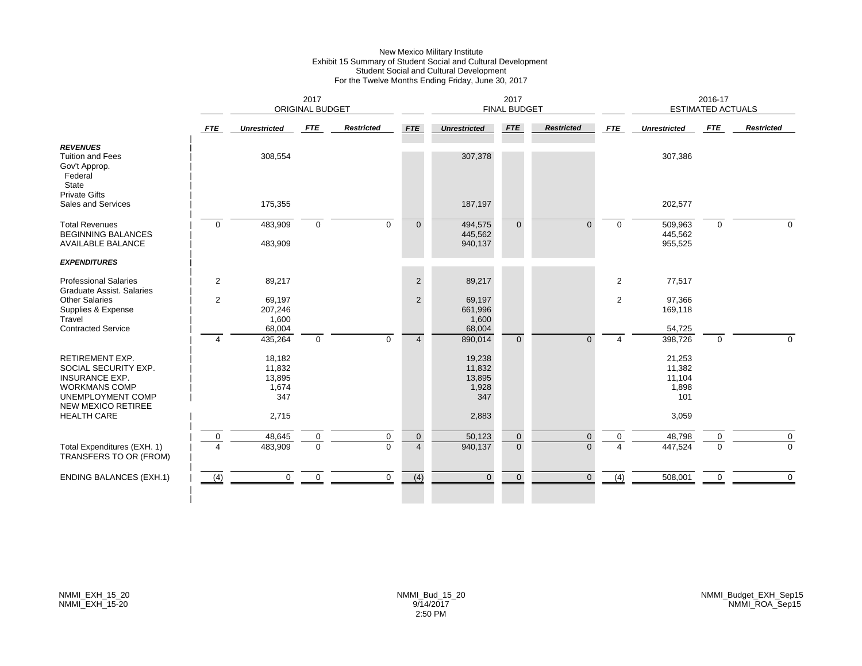#### New Mexico Military Institute Exhibit 15 Summary of Student Social and Cultural Development Student Social and Cultural Development For the Twelve Months Ending Friday, June 30, 2017

|                                                                                                                                                   |                  | 2017<br><b>ORIGINAL BUDGET</b>             |                             |                         |                               |                                            | <b>FINAL BUDGET</b>              | 2016-17<br><b>ESTIMATED ACTUALS</b> |                |                                            |               |                   |
|---------------------------------------------------------------------------------------------------------------------------------------------------|------------------|--------------------------------------------|-----------------------------|-------------------------|-------------------------------|--------------------------------------------|----------------------------------|-------------------------------------|----------------|--------------------------------------------|---------------|-------------------|
|                                                                                                                                                   | <b>FTE</b>       | <b>Unrestricted</b>                        | <b>FTE</b>                  | <b>Restricted</b>       | <b>FTE</b>                    | <b>Unrestricted</b>                        | <b>FTE</b>                       | <b>Restricted</b>                   | <b>FTE</b>     | <b>Unrestricted</b>                        | FTE           | <b>Restricted</b> |
| <b>REVENUES</b><br><b>Tuition and Fees</b><br>Gov't Approp.<br>Federal<br>State                                                                   |                  | 308,554                                    |                             |                         |                               | 307,378                                    |                                  |                                     |                | 307,386                                    |               |                   |
| <b>Private Gifts</b><br>Sales and Services                                                                                                        |                  | 175,355                                    |                             |                         |                               | 187,197                                    |                                  |                                     |                | 202,577                                    |               |                   |
| <b>Total Revenues</b><br><b>BEGINNING BALANCES</b><br><b>AVAILABLE BALANCE</b>                                                                    | $\mathbf 0$      | 483,909<br>483,909                         | $\mathbf 0$                 | $\Omega$                | $\overline{0}$                | 494,575<br>445,562<br>940,137              | $\Omega$                         | $\Omega$                            | $\mathbf 0$    | 509,963<br>445,562<br>955,525              | $\Omega$      | $\Omega$          |
| <b>EXPENDITURES</b>                                                                                                                               |                  |                                            |                             |                         |                               |                                            |                                  |                                     |                |                                            |               |                   |
| <b>Professional Salaries</b><br>Graduate Assist. Salaries                                                                                         | $\overline{c}$   | 89,217                                     |                             |                         | $\overline{2}$                | 89,217                                     |                                  |                                     | $\overline{2}$ | 77,517                                     |               |                   |
| <b>Other Salaries</b><br>Supplies & Expense<br>Travel                                                                                             | $\overline{2}$   | 69,197<br>207,246<br>1,600                 |                             |                         | $\overline{2}$                | 69,197<br>661,996<br>1,600                 |                                  |                                     | $\overline{2}$ | 97,366<br>169,118                          |               |                   |
| <b>Contracted Service</b>                                                                                                                         | $\overline{4}$   | 68,004<br>435,264                          | $\mathbf 0$                 | $\Omega$                | $\overline{4}$                | 68,004<br>890,014                          | $\Omega$                         | $\Omega$                            | 4              | 54,725<br>398,726                          | $\Omega$      | $\Omega$          |
| <b>RETIREMENT EXP.</b><br>SOCIAL SECURITY EXP.<br><b>INSURANCE EXP.</b><br><b>WORKMANS COMP</b><br>UNEMPLOYMENT COMP<br><b>NEW MEXICO RETIREE</b> |                  | 18,182<br>11,832<br>13,895<br>1,674<br>347 |                             |                         |                               | 19,238<br>11,832<br>13,895<br>1,928<br>347 |                                  |                                     |                | 21,253<br>11,382<br>11,104<br>1,898<br>101 |               |                   |
| <b>HEALTH CARE</b>                                                                                                                                |                  | 2,715                                      |                             |                         |                               | 2,883                                      |                                  |                                     |                | 3,059                                      |               |                   |
| Total Expenditures (EXH. 1)<br>TRANSFERS TO OR (FROM)                                                                                             | $\mathbf 0$<br>4 | 48,645<br>483,909                          | $\mathbf 0$<br>$\mathbf{0}$ | $\mathbf 0$<br>$\Omega$ | $\mathbf 0$<br>$\overline{4}$ | 50,123<br>940,137                          | $\overline{0}$<br>$\overline{0}$ | $\mathbf{0}$<br>$\Omega$            | $\Omega$       | 48,798<br>447,524                          | 0<br>$\Omega$ | 0<br>$\Omega$     |
| <b>ENDING BALANCES (EXH.1)</b>                                                                                                                    | (4)              | 0                                          | $\mathbf 0$                 | $\mathbf 0$             | (4)                           | $\overline{0}$                             | $\overline{0}$                   | $\mathbf{0}$                        | (4)            | 508,001                                    | $\mathbf 0$   | $\mathbf 0$       |
|                                                                                                                                                   |                  |                                            |                             |                         |                               |                                            |                                  |                                     |                |                                            |               |                   |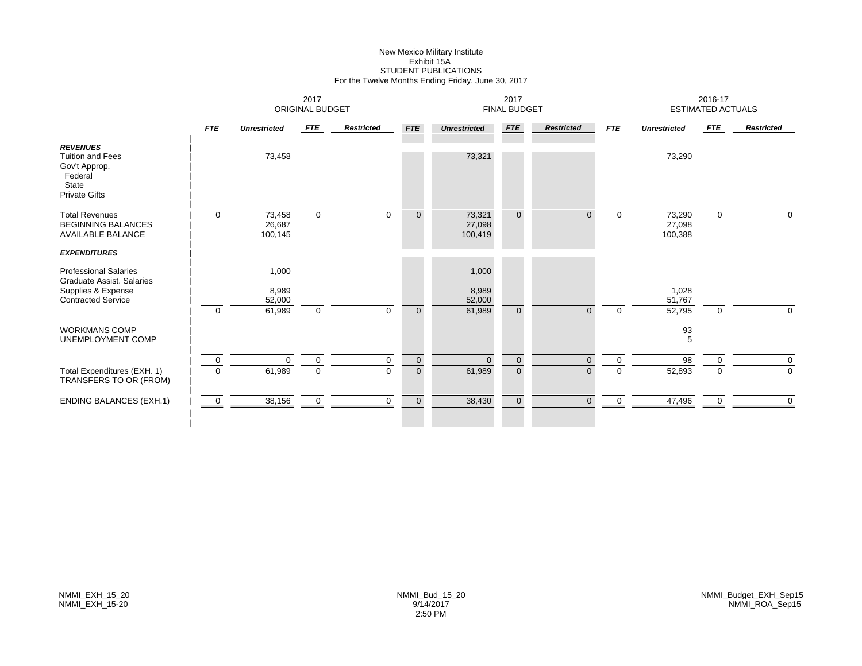# New Mexico Military Institute Exhibit 15ASTUDENT PUBLICATIONS For the Twelve Months Ending Friday, June 30, 2017

|                                                                                                                     |                | 2017<br><b>ORIGINAL BUDGET</b> |             |                   |                | 2017<br><b>FINAL BUDGET</b> |                |                   |             | 2016-17<br><b>ESTIMATED ACTUALS</b> |             |                   |
|---------------------------------------------------------------------------------------------------------------------|----------------|--------------------------------|-------------|-------------------|----------------|-----------------------------|----------------|-------------------|-------------|-------------------------------------|-------------|-------------------|
|                                                                                                                     | <b>FTE</b>     | <b>Unrestricted</b>            | FTE         | <b>Restricted</b> | <b>FTE</b>     | <b>Unrestricted</b>         | <b>FTE</b>     | <b>Restricted</b> | <b>FTE</b>  | <b>Unrestricted</b>                 | FTE         | <b>Restricted</b> |
| <b>REVENUES</b><br><b>Tuition and Fees</b><br>Gov't Approp.<br>Federal<br><b>State</b><br><b>Private Gifts</b>      |                | 73,458                         |             |                   |                | 73,321                      |                |                   |             | 73,290                              |             |                   |
| <b>Total Revenues</b><br><b>BEGINNING BALANCES</b><br><b>AVAILABLE BALANCE</b>                                      | $\mathbf 0$    | 73,458<br>26,687<br>100,145    | $\mathbf 0$ | $\Omega$          | $\overline{0}$ | 73,321<br>27,098<br>100,419 | $\Omega$       | $\Omega$          | $\Omega$    | 73,290<br>27,098<br>100,388         | $\mathbf 0$ | $\Omega$          |
| <b>EXPENDITURES</b>                                                                                                 |                |                                |             |                   |                |                             |                |                   |             |                                     |             |                   |
| <b>Professional Salaries</b><br><b>Graduate Assist. Salaries</b><br>Supplies & Expense<br><b>Contracted Service</b> |                | 1,000<br>8,989<br>52,000       |             |                   |                | 1,000<br>8,989<br>52,000    |                |                   |             | 1,028<br>51,767                     |             |                   |
|                                                                                                                     | $\mathbf 0$    | 61,989                         | $\mathbf 0$ | $\Omega$          | $\mathbf{0}$   | 61,989                      | $\Omega$       | $\Omega$          | $\Omega$    | 52,795                              | $\mathbf 0$ | 0                 |
| <b>WORKMANS COMP</b><br>UNEMPLOYMENT COMP                                                                           |                |                                |             |                   |                |                             |                |                   |             | 93<br>5                             |             |                   |
|                                                                                                                     | $\overline{0}$ | $\Omega$                       | $\mathbf 0$ | 0                 | $\mathbf{0}$   | $\Omega$                    | $\overline{0}$ | $\mathbf{0}$      | 0           | 98                                  | $\Omega$    | $\mathbf 0$       |
| Total Expenditures (EXH. 1)<br>TRANSFERS TO OR (FROM)                                                               | $\Omega$       | 61,989                         | $\pmb{0}$   | $\mathbf 0$       | $\overline{0}$ | 61,989                      | $\overline{0}$ | $\overline{0}$    | $\mathbf 0$ | 52,893                              | $\mathbf 0$ | $\mathbf 0$       |
| <b>ENDING BALANCES (EXH.1)</b>                                                                                      | 0              | 38,156                         | 0           | $\mathbf 0$       | $\mathbf{0}$   | 38,430                      | $\Omega$       | $\Omega$          | $\Omega$    | 47,496                              | $\mathbf 0$ | $\mathbf 0$       |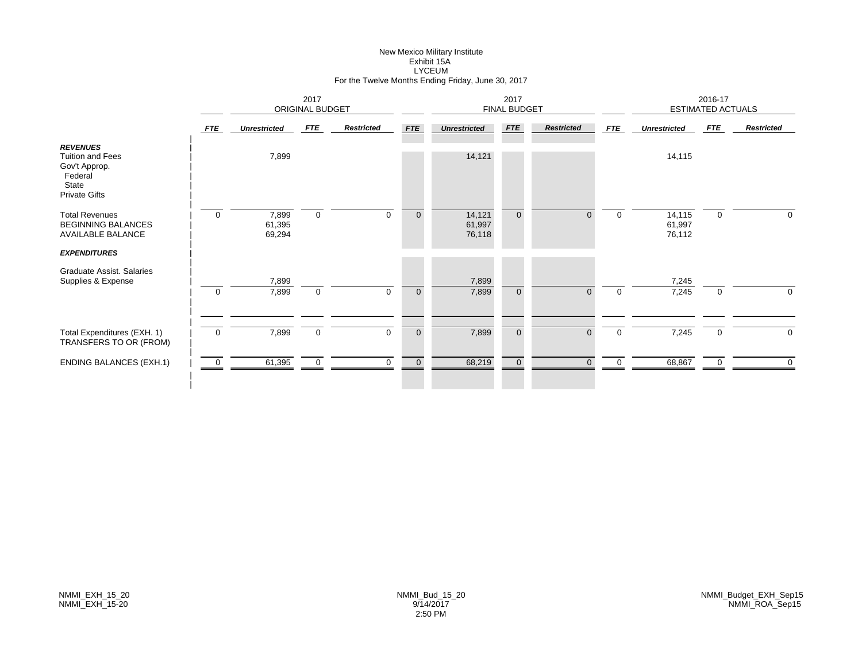# New Mexico Military Institute Exhibit 15ALYCEUM For the Twelve Months Ending Friday, June 30, 2017

|                                                                                                         |                |                           | 2017        | ORIGINAL BUDGET   |                | 2017<br><b>FINAL BUDGET</b> |                |                   |             | 2016-17<br><b>ESTIMATED ACTUALS</b> |              |                   |
|---------------------------------------------------------------------------------------------------------|----------------|---------------------------|-------------|-------------------|----------------|-----------------------------|----------------|-------------------|-------------|-------------------------------------|--------------|-------------------|
|                                                                                                         | <b>FTE</b>     | <b>Unrestricted</b>       | <b>FTE</b>  | <b>Restricted</b> | <b>FTE</b>     | <b>Unrestricted</b>         | FTE            | <b>Restricted</b> | FTE         | <b>Unrestricted</b>                 | FTE          | <b>Restricted</b> |
| <b>REVENUES</b><br><b>Tuition and Fees</b><br>Gov't Approp.<br>Federal<br>State<br><b>Private Gifts</b> |                | 7,899                     |             |                   |                | 14,121                      |                |                   |             | 14,115                              |              |                   |
| <b>Total Revenues</b><br><b>BEGINNING BALANCES</b><br><b>AVAILABLE BALANCE</b>                          | $\Omega$       | 7,899<br>61,395<br>69,294 | $\mathbf 0$ | $\Omega$          | $\mathbf 0$    | 14,121<br>61,997<br>76,118  | $\overline{0}$ | $\Omega$          | $\mathbf 0$ | 14,115<br>61,997<br>76,112          | $\mathbf 0$  | 0                 |
| <b>EXPENDITURES</b><br>Graduate Assist, Salaries<br>Supplies & Expense                                  |                | 7,899                     |             |                   |                | 7,899                       |                |                   |             | 7,245                               |              |                   |
|                                                                                                         | $\mathbf 0$    | 7,899                     | $\mathbf 0$ | $\mathbf 0$       | $\mathbf 0$    | 7,899                       | $\overline{0}$ | $\mathbf{0}$      | $\mathbf 0$ | 7,245                               | $\mathbf 0$  | $\mathbf 0$       |
| Total Expenditures (EXH. 1)<br>TRANSFERS TO OR (FROM)                                                   | $\overline{0}$ | 7,899                     | $\mathbf 0$ | $\mathbf 0$       | $\overline{0}$ | 7,899                       | $\mathbf{0}$   | $\Omega$          | $\mathbf 0$ | 7,245                               | $\mathbf{0}$ | 0                 |
| <b>ENDING BALANCES (EXH.1)</b>                                                                          | $\mathbf 0$    | 61,395                    | 0           | 0                 | $\overline{0}$ | 68,219                      | $\mathbf{0}$   | $\overline{0}$    | 0           | 68,867                              | 0            | 0                 |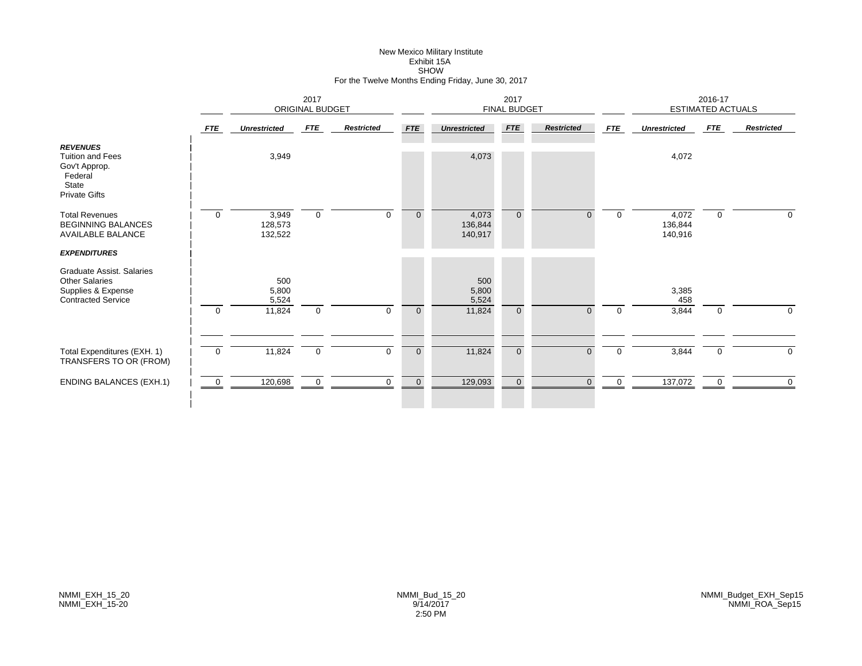#### New Mexico Military Institute Exhibit 15A SHOW For the Twelve Months Ending Friday, June 30, 2017

|                                                                                                         |                | ORIGINAL BUDGET             |                  |                   | 2017<br>FINAL BUDGET |                             |                |                   | 2016-17<br>ESTIMATED ACTUALS |                             |             |                   |
|---------------------------------------------------------------------------------------------------------|----------------|-----------------------------|------------------|-------------------|----------------------|-----------------------------|----------------|-------------------|------------------------------|-----------------------------|-------------|-------------------|
|                                                                                                         | <b>FTE</b>     | <b>Unrestricted</b>         | <b>FTE</b>       | <b>Restricted</b> | <b>FTE</b>           | <b>Unrestricted</b>         | <b>FTE</b>     | <b>Restricted</b> | <b>FTE</b>                   | <b>Unrestricted</b>         | <b>FTE</b>  | <b>Restricted</b> |
| <b>REVENUES</b><br><b>Tuition and Fees</b><br>Gov't Approp.<br>Federal<br>State<br><b>Private Gifts</b> |                | 3,949                       |                  |                   |                      | 4,073                       |                |                   |                              | 4,072                       |             |                   |
| <b>Total Revenues</b><br><b>BEGINNING BALANCES</b><br><b>AVAILABLE BALANCE</b>                          | $\mathbf 0$    | 3,949<br>128,573<br>132,522 | $\boldsymbol{0}$ | $\Omega$          | $\mathbf{0}$         | 4,073<br>136,844<br>140,917 | $\overline{0}$ | $\Omega$          | $\Omega$                     | 4,072<br>136,844<br>140,916 | $\mathbf 0$ | $\mathbf 0$       |
| <b>EXPENDITURES</b>                                                                                     |                |                             |                  |                   |                      |                             |                |                   |                              |                             |             |                   |
| Graduate Assist. Salaries<br><b>Other Salaries</b><br>Supplies & Expense<br><b>Contracted Service</b>   |                | 500<br>5,800<br>5,524       |                  |                   |                      | 500<br>5,800<br>5,524       |                |                   |                              | 3,385<br>458                |             |                   |
|                                                                                                         | $\overline{0}$ | 11,824                      | $\boldsymbol{0}$ | $\mathbf 0$       | $\mathbf 0$          | 11,824                      | $\overline{0}$ | $\overline{0}$    | $\mathbf 0$                  | 3,844                       | $\mathbf 0$ | $\mathbf 0$       |
|                                                                                                         |                |                             |                  |                   |                      |                             |                |                   |                              |                             |             |                   |
| Total Expenditures (EXH. 1)<br>TRANSFERS TO OR (FROM)                                                   | $\overline{0}$ | 11,824                      | $\mathbf 0$      | $\mathbf 0$       | $\mathbf 0$          | 11,824                      | $\overline{0}$ | $\overline{0}$    | $\mathbf 0$                  | 3,844                       | 0           | 0                 |
| <b>ENDING BALANCES (EXH.1)</b>                                                                          | $\overline{0}$ | 120,698                     | 0                | $\mathbf 0$       | $\mathbf 0$          | 129,093                     | $\overline{0}$ | $\Omega$          | 0                            | 137,072                     | $\mathbf 0$ | $\Omega$          |
|                                                                                                         |                |                             |                  |                   |                      |                             |                |                   |                              |                             |             |                   |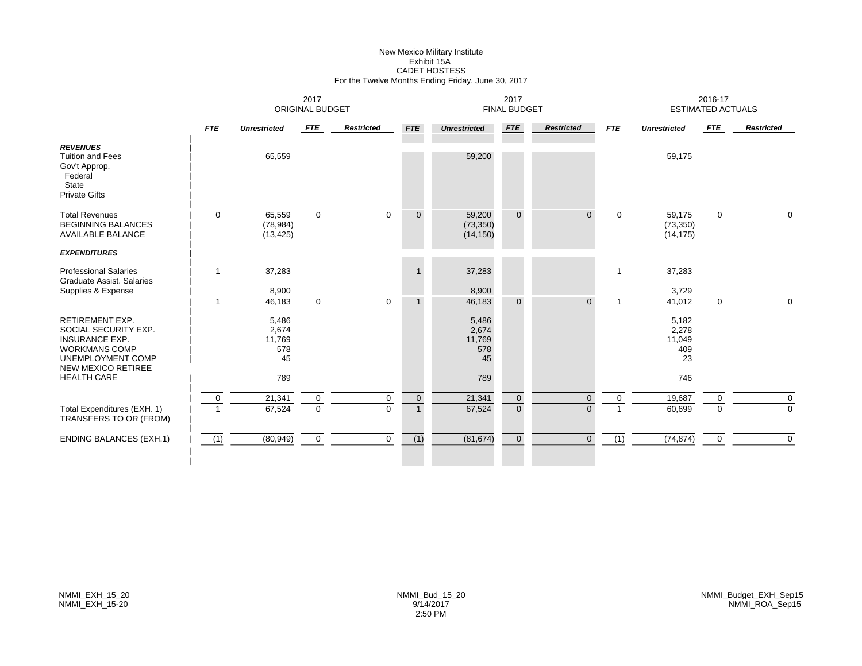# New Mexico Military Institute Exhibit 15ACADET HOSTESS For the Twelve Months Ending Friday, June 30, 2017

|                                                                                                                                            |                                  | 2017<br><b>ORIGINAL BUDGET</b>        |                            |                         |                                |                                       | 2017<br><b>FINAL BUDGET</b> |                      |             |                                       | 2016-17<br><b>ESTIMATED ACTUALS</b> |                         |
|--------------------------------------------------------------------------------------------------------------------------------------------|----------------------------------|---------------------------------------|----------------------------|-------------------------|--------------------------------|---------------------------------------|-----------------------------|----------------------|-------------|---------------------------------------|-------------------------------------|-------------------------|
|                                                                                                                                            | <b>FTE</b>                       | <b>Unrestricted</b>                   | <b>FTE</b>                 | <b>Restricted</b>       | <b>FTE</b>                     | <b>Unrestricted</b>                   | <b>FTE</b>                  | <b>Restricted</b>    | <b>FTE</b>  | <b>Unrestricted</b>                   | <b>FTE</b>                          | <b>Restricted</b>       |
| <b>REVENUES</b><br><b>Tuition and Fees</b><br>Gov't Approp.<br>Federal<br>State<br><b>Private Gifts</b>                                    |                                  | 65,559                                |                            |                         |                                | 59,200                                |                             |                      |             | 59,175                                |                                     |                         |
| <b>Total Revenues</b><br><b>BEGINNING BALANCES</b><br><b>AVAILABLE BALANCE</b>                                                             | $\mathbf 0$                      | 65,559<br>(78, 984)<br>(13, 425)      | $\mathbf 0$                | $\mathbf 0$             | $\overline{0}$                 | 59,200<br>(73, 350)<br>(14, 150)      | $\overline{0}$              | $\Omega$             | $\mathbf 0$ | 59,175<br>(73, 350)<br>(14, 175)      | $\mathbf 0$                         | $\Omega$                |
| <b>EXPENDITURES</b>                                                                                                                        |                                  |                                       |                            |                         |                                |                                       |                             |                      |             |                                       |                                     |                         |
| <b>Professional Salaries</b><br><b>Graduate Assist, Salaries</b><br>Supplies & Expense                                                     | -1                               | 37,283<br>8,900                       |                            |                         |                                | 37,283<br>8,900                       |                             |                      |             | 37,283<br>3,729                       |                                     |                         |
|                                                                                                                                            | $\overline{1}$                   | 46,183                                | $\mathbf 0$                | $\Omega$                |                                | 46,183                                | $\Omega$                    | $\Omega$             |             | 41,012                                | $\mathbf 0$                         | $\Omega$                |
| RETIREMENT EXP.<br>SOCIAL SECURITY EXP.<br><b>INSURANCE EXP.</b><br><b>WORKMANS COMP</b><br>UNEMPLOYMENT COMP<br><b>NEW MEXICO RETIREE</b> |                                  | 5,486<br>2,674<br>11,769<br>578<br>45 |                            |                         |                                | 5,486<br>2,674<br>11,769<br>578<br>45 |                             |                      |             | 5,182<br>2,278<br>11,049<br>409<br>23 |                                     |                         |
| <b>HEALTH CARE</b>                                                                                                                         |                                  | 789                                   |                            |                         |                                | 789                                   |                             |                      |             | 746                                   |                                     |                         |
| Total Expenditures (EXH. 1)<br>TRANSFERS TO OR (FROM)                                                                                      | $\overline{0}$<br>$\overline{1}$ | 21,341<br>67,524                      | $\mathsf 0$<br>$\mathbf 0$ | $\mathbf 0$<br>$\Omega$ | $\overline{0}$<br>$\mathbf{1}$ | 21,341<br>67,524                      | $\mathbf 0$<br>$\Omega$     | $\Omega$<br>$\Omega$ | $\Omega$    | 19,687<br>60,699                      | $\mathbf 0$<br>$\Omega$             | $\mathbf 0$<br>$\Omega$ |
| <b>ENDING BALANCES (EXH.1)</b>                                                                                                             | (1)                              | (80, 949)                             | $\mathbf 0$                | $\mathbf 0$             | (1)                            | (81, 674)                             | $\overline{0}$              | $\overline{0}$       | (1)         | (74, 874)                             | 0                                   | $\overline{0}$          |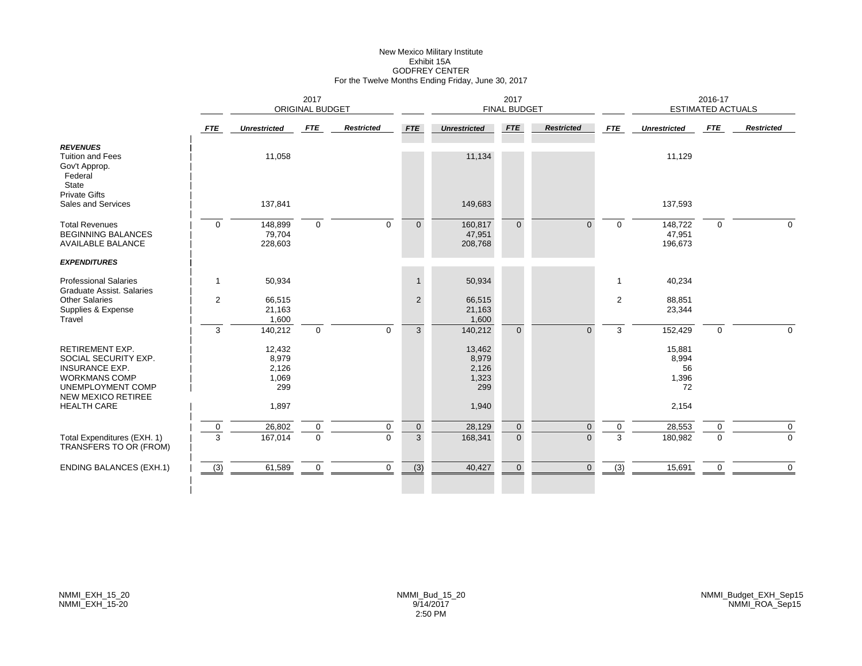# New Mexico Military Institute Exhibit 15AGODFREY CENTER For the Twelve Months Ending Friday, June 30, 2017

|                                                                                                                                                   |                  | 2017<br><b>ORIGINAL BUDGET</b>           |                             |                   |                               |                                          | 2017<br><b>FINAL BUDGET</b>   |                   |              |                                      | 2016-17<br><b>ESTIMATED ACTUALS</b> |                             |
|---------------------------------------------------------------------------------------------------------------------------------------------------|------------------|------------------------------------------|-----------------------------|-------------------|-------------------------------|------------------------------------------|-------------------------------|-------------------|--------------|--------------------------------------|-------------------------------------|-----------------------------|
|                                                                                                                                                   | <b>FTE</b>       | <b>Unrestricted</b>                      | FTE                         | <b>Restricted</b> | <b>FTE</b>                    | <b>Unrestricted</b>                      | <b>FTE</b>                    | <b>Restricted</b> | <b>FTE</b>   | <b>Unrestricted</b>                  | FTE                                 | <b>Restricted</b>           |
| <b>REVENUES</b><br><b>Tuition and Fees</b><br>Gov't Approp.<br>Federal<br>State                                                                   |                  | 11,058                                   |                             |                   |                               | 11,134                                   |                               |                   |              | 11,129                               |                                     |                             |
| <b>Private Gifts</b><br>Sales and Services                                                                                                        |                  | 137,841                                  |                             |                   |                               | 149,683                                  |                               |                   |              | 137,593                              |                                     |                             |
| <b>Total Revenues</b><br><b>BEGINNING BALANCES</b><br><b>AVAILABLE BALANCE</b>                                                                    | $\mathbf 0$      | 148,899<br>79,704<br>228,603             | $\mathbf 0$                 | $\mathbf 0$       | $\overline{0}$                | 160,817<br>47,951<br>208,768             | $\Omega$                      | $\Omega$          | $\mathbf 0$  | 148,722<br>47,951<br>196,673         | 0                                   | $\mathbf 0$                 |
| <b>EXPENDITURES</b>                                                                                                                               |                  |                                          |                             |                   |                               |                                          |                               |                   |              |                                      |                                     |                             |
| <b>Professional Salaries</b><br><b>Graduate Assist, Salaries</b>                                                                                  | $\mathbf{1}$     | 50,934                                   |                             |                   | $\mathbf{1}$                  | 50,934                                   |                               |                   | $\mathbf{1}$ | 40,234                               |                                     |                             |
| <b>Other Salaries</b><br>Supplies & Expense<br>Travel                                                                                             | 2                | 66,515<br>21,163<br>1,600                |                             |                   | $\overline{2}$                | 66,515<br>21,163<br>1,600                |                               |                   | 2            | 88,851<br>23,344                     |                                     |                             |
|                                                                                                                                                   | 3                | 140,212                                  | $\mathbf 0$                 | $\mathbf 0$       | $\mathbf{3}$                  | 140,212                                  | $\overline{0}$                | $\Omega$          | 3            | 152,429                              | $\mathbf{0}$                        | $\mathbf 0$                 |
| <b>RETIREMENT EXP.</b><br>SOCIAL SECURITY EXP.<br><b>INSURANCE EXP.</b><br><b>WORKMANS COMP</b><br>UNEMPLOYMENT COMP<br><b>NEW MEXICO RETIREE</b> |                  | 12,432<br>8,979<br>2,126<br>1,069<br>299 |                             |                   |                               | 13,462<br>8,979<br>2,126<br>1,323<br>299 |                               |                   |              | 15,881<br>8,994<br>56<br>1,396<br>72 |                                     |                             |
| <b>HEALTH CARE</b>                                                                                                                                |                  | 1,897                                    |                             |                   |                               | 1,940                                    |                               |                   |              | 2,154                                |                                     |                             |
| Total Expenditures (EXH. 1)<br>TRANSFERS TO OR (FROM)                                                                                             | $\mathbf 0$<br>3 | 26,802<br>167,014                        | $\mathbf 0$<br>$\mathbf{0}$ | 0<br>$\Omega$     | $\mathbf 0$<br>$\overline{3}$ | 28,129<br>168,341                        | $\mathbf 0$<br>$\overline{0}$ | 0<br>$\Omega$     | 0<br>3       | 28,553<br>180,982                    | 0<br>$\mathbf{0}$                   | $\mathbf 0$<br>$\mathbf{0}$ |
| <b>ENDING BALANCES (EXH.1)</b>                                                                                                                    | (3)              | 61,589                                   | $\mathbf 0$                 | $\mathbf 0$       | (3)                           | 40,427                                   | $\overline{0}$                | $\Omega$          | (3)          | 15,691                               | $\mathbf 0$                         | $\mathbf{0}$                |
|                                                                                                                                                   |                  |                                          |                             |                   |                               |                                          |                               |                   |              |                                      |                                     |                             |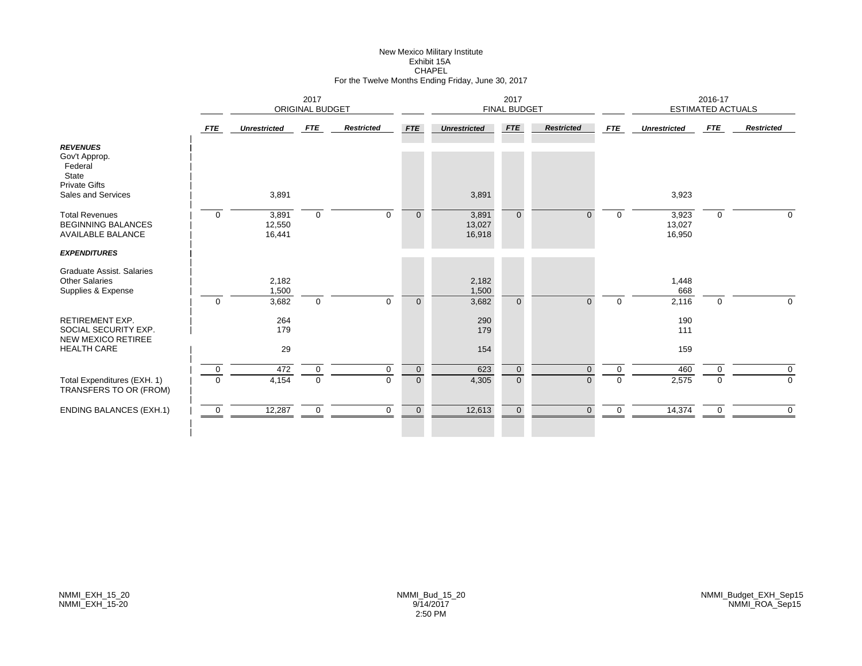# New Mexico Military Institute Exhibit 15ACHAPEL For the Twelve Months Ending Friday, June 30, 2017

|                                                                                                    | 2017<br><b>ORIGINAL BUDGET</b> |                           |                               |                   |                                  | 2017<br><b>FINAL BUDGET</b> |                         |                      |               | 2016-17<br><b>ESTIMATED ACTUALS</b> |               |                            |
|----------------------------------------------------------------------------------------------------|--------------------------------|---------------------------|-------------------------------|-------------------|----------------------------------|-----------------------------|-------------------------|----------------------|---------------|-------------------------------------|---------------|----------------------------|
|                                                                                                    | <b>FTE</b>                     | <b>Unrestricted</b>       | FTE                           | <b>Restricted</b> | <b>FTE</b>                       | <b>Unrestricted</b>         | <b>FTE</b>              | <b>Restricted</b>    | <b>FTE</b>    | <b>Unrestricted</b>                 | FTE           | <b>Restricted</b>          |
| <b>REVENUES</b><br>Gov't Approp.<br>Federal<br>State<br><b>Private Gifts</b><br>Sales and Services |                                | 3,891                     |                               |                   |                                  | 3,891                       |                         |                      |               | 3,923                               |               |                            |
| <b>Total Revenues</b><br><b>BEGINNING BALANCES</b><br><b>AVAILABLE BALANCE</b>                     | $\mathbf 0$                    | 3,891<br>12,550<br>16,441 | $\mathbf 0$                   | $\mathbf 0$       | $\mathbf{0}$                     | 3,891<br>13,027<br>16,918   | $\overline{0}$          | $\Omega$             | $\mathbf 0$   | 3,923<br>13,027<br>16,950           | $\mathbf 0$   | $\mathbf 0$                |
| <b>EXPENDITURES</b>                                                                                |                                |                           |                               |                   |                                  |                             |                         |                      |               |                                     |               |                            |
| Graduate Assist. Salaries<br><b>Other Salaries</b><br>Supplies & Expense                           | $\mathbf 0$                    | 2,182<br>1,500<br>3,682   | $\mathbf 0$                   | $\mathbf 0$       | $\overline{0}$                   | 2,182<br>1,500<br>3,682     | $\Omega$                | $\Omega$             | $\mathbf 0$   | 1,448<br>668<br>2,116               | $\mathbf{0}$  | $\Omega$                   |
| RETIREMENT EXP.<br>SOCIAL SECURITY EXP.<br><b>NEW MEXICO RETIREE</b><br><b>HEALTH CARE</b>         |                                | 264<br>179<br>29          |                               |                   |                                  | 290<br>179<br>154           |                         |                      |               | 190<br>111<br>159                   |               |                            |
|                                                                                                    |                                |                           |                               |                   |                                  |                             |                         |                      |               |                                     |               |                            |
| Total Expenditures (EXH. 1)<br>TRANSFERS TO OR (FROM)                                              | $\mathbf 0$<br>$\Omega$        | 472<br>4,154              | $\mathbf 0$<br>$\overline{0}$ | 0<br>$\Omega$     | $\overline{0}$<br>$\overline{0}$ | 623<br>4,305                | $\mathbf 0$<br>$\Omega$ | $\Omega$<br>$\Omega$ | 0<br>$\Omega$ | 460<br>2,575                        | 0<br>$\Omega$ | $\mathbf 0$<br>$\mathbf 0$ |
| <b>ENDING BALANCES (EXH.1)</b>                                                                     | $\mathbf 0$                    | 12,287                    | $\mathbf 0$                   | $\Omega$          | $\overline{0}$                   | 12,613                      | $\mathbf{0}$            | $\Omega$             | $\Omega$      | 14,374                              | 0             | $\Omega$                   |
|                                                                                                    |                                |                           |                               |                   |                                  |                             |                         |                      |               |                                     |               |                            |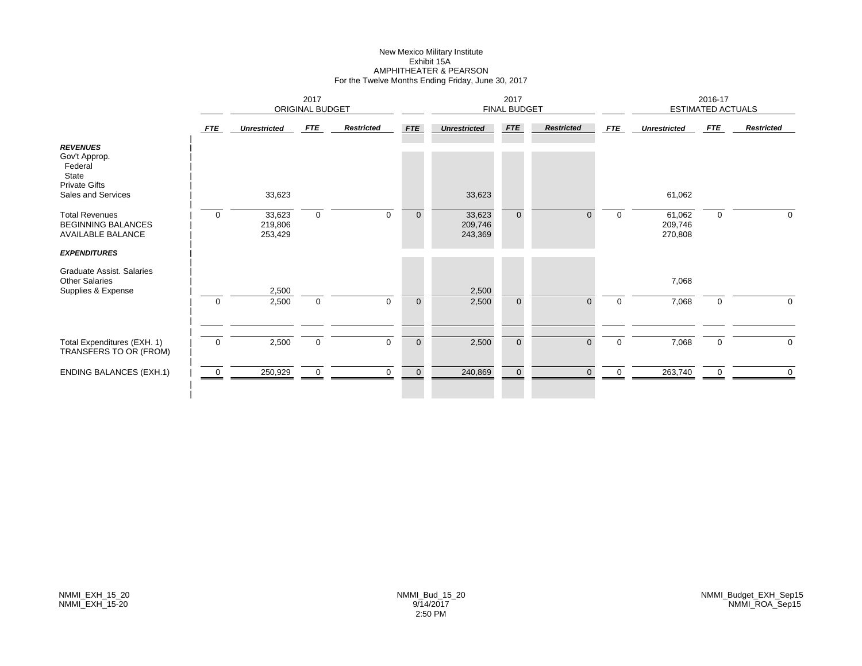# New Mexico Military Institute Exhibit 15AAMPHITHEATER & PEARSON For the Twelve Months Ending Friday, June 30, 2017

|                                                                                                    |                |                              | 2017<br>ORIGINAL BUDGET |                   |                |                              | 2017<br><b>FINAL BUDGET</b> |                   |             |                              | 2016-17<br><b>ESTIMATED ACTUALS</b> |                   |
|----------------------------------------------------------------------------------------------------|----------------|------------------------------|-------------------------|-------------------|----------------|------------------------------|-----------------------------|-------------------|-------------|------------------------------|-------------------------------------|-------------------|
|                                                                                                    | <b>FTE</b>     | <b>Unrestricted</b>          | <b>FTE</b>              | <b>Restricted</b> | <b>FTE</b>     | <b>Unrestricted</b>          | <b>FTE</b>                  | <b>Restricted</b> | <b>FTE</b>  | <b>Unrestricted</b>          | FTE                                 | <b>Restricted</b> |
| <b>REVENUES</b><br>Gov't Approp.<br>Federal<br>State<br><b>Private Gifts</b><br>Sales and Services |                | 33,623                       |                         |                   |                | 33,623                       |                             |                   |             | 61,062                       |                                     |                   |
| <b>Total Revenues</b><br><b>BEGINNING BALANCES</b><br><b>AVAILABLE BALANCE</b>                     | $\mathbf 0$    | 33,623<br>219,806<br>253,429 | $\mathbf 0$             | $\mathbf 0$       | $\overline{0}$ | 33,623<br>209,746<br>243,369 | $\overline{0}$              | 0                 | 0           | 61,062<br>209,746<br>270,808 | 0                                   | 0                 |
| <b>EXPENDITURES</b>                                                                                |                |                              |                         |                   |                |                              |                             |                   |             |                              |                                     |                   |
| Graduate Assist. Salaries<br><b>Other Salaries</b><br>Supplies & Expense                           |                | 2,500                        |                         |                   |                | 2,500                        |                             |                   |             | 7,068                        |                                     |                   |
|                                                                                                    | $\overline{0}$ | 2,500                        | $\mathbf 0$             | $\Omega$          | $\mathbf 0$    | 2,500                        | $\overline{0}$              | $\Omega$          | $\mathbf 0$ | 7,068                        | $\mathbf 0$                         | $\mathbf 0$       |
| Total Expenditures (EXH. 1)<br>TRANSFERS TO OR (FROM)                                              | $\overline{0}$ | 2,500                        | $\mathbf 0$             | $\Omega$          | $\overline{0}$ | 2,500                        | $\overline{0}$              | $\overline{0}$    | $\mathbf 0$ | 7,068                        | $\mathbf 0$                         | $\mathbf 0$       |
| <b>ENDING BALANCES (EXH.1)</b>                                                                     | 0              | 250,929                      | $\mathbf 0$             | $\Omega$          | $\overline{0}$ | 240,869                      | $\mathbf 0$                 | $\Omega$          | 0           | 263,740                      | 0                                   | $\mathbf 0$       |
|                                                                                                    |                |                              |                         |                   |                |                              |                             |                   |             |                              |                                     |                   |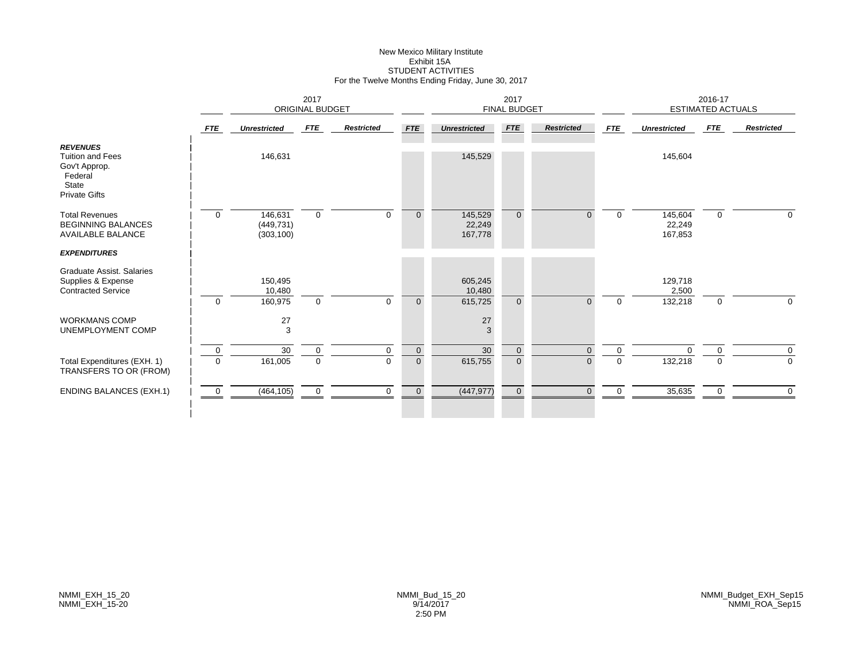# New Mexico Military Institute Exhibit 15ASTUDENT ACTIVITIES For the Twelve Months Ending Friday, June 30, 2017

|                                                                                                         | 2017<br><b>ORIGINAL BUDGET</b> |                                     |             |                   |                |                              | 2017<br><b>FINAL BUDGET</b> |                   |             |                              | 2016-17<br><b>ESTIMATED ACTUALS</b> |                   |
|---------------------------------------------------------------------------------------------------------|--------------------------------|-------------------------------------|-------------|-------------------|----------------|------------------------------|-----------------------------|-------------------|-------------|------------------------------|-------------------------------------|-------------------|
|                                                                                                         | <b>FTE</b>                     | <b>Unrestricted</b>                 | FTE         | <b>Restricted</b> | <b>FTE</b>     | <b>Unrestricted</b>          | FTE                         | <b>Restricted</b> | <b>FTE</b>  | <b>Unrestricted</b>          | <b>FTE</b>                          | <b>Restricted</b> |
| <b>REVENUES</b><br><b>Tuition and Fees</b><br>Gov't Approp.<br>Federal<br>State<br><b>Private Gifts</b> |                                | 146,631                             |             |                   |                | 145,529                      |                             |                   |             | 145,604                      |                                     |                   |
| <b>Total Revenues</b><br><b>BEGINNING BALANCES</b><br><b>AVAILABLE BALANCE</b>                          | $\mathbf 0$                    | 146,631<br>(449, 731)<br>(303, 100) | $\mathbf 0$ | $\mathbf 0$       | $\mathbf{0}$   | 145,529<br>22,249<br>167,778 | $\overline{0}$              | $\overline{0}$    | $\mathbf 0$ | 145,604<br>22,249<br>167,853 | $\mathbf 0$                         | $\Omega$          |
| <b>EXPENDITURES</b>                                                                                     |                                |                                     |             |                   |                |                              |                             |                   |             |                              |                                     |                   |
| Graduate Assist, Salaries<br>Supplies & Expense<br><b>Contracted Service</b>                            |                                | 150,495<br>10,480                   |             |                   |                | 605,245<br>10,480            |                             |                   |             | 129,718<br>2,500             |                                     |                   |
|                                                                                                         | $\overline{0}$                 | 160,975                             | $\mathbf 0$ | $\Omega$          | $\mathbf{0}$   | 615,725                      | $\overline{0}$              | $\overline{0}$    | 0           | 132,218                      | $\mathbf 0$                         | 0                 |
| <b>WORKMANS COMP</b><br>UNEMPLOYMENT COMP                                                               |                                | 27<br>3                             |             |                   |                | 27<br>3                      |                             |                   |             |                              |                                     |                   |
|                                                                                                         | $\mathbf 0$                    | $30\,$                              | $\mathsf 0$ | $\mathbf 0$       | $\mathbf 0$    | 30                           | $\mathbf 0$                 | $\overline{0}$    | $\mathbf 0$ | $\Omega$                     | $\mathbf 0$                         | 0                 |
| Total Expenditures (EXH. 1)<br>TRANSFERS TO OR (FROM)                                                   | $\Omega$                       | 161,005                             | $\mathbf 0$ | $\Omega$          | $\overline{0}$ | 615,755                      | $\overline{0}$              | 0                 | $\mathbf 0$ | 132,218                      | 0                                   | 0                 |
| <b>ENDING BALANCES (EXH.1)</b>                                                                          | $\overline{0}$                 | (464, 105)                          | $\mathbf 0$ | $\Omega$          | $\mathbf 0$    | (447, 977)                   | $\overline{0}$              | $\Omega$          | $\mathbf 0$ | 35,635                       | 0                                   | $\Omega$          |
|                                                                                                         |                                |                                     |             |                   |                |                              |                             |                   |             |                              |                                     |                   |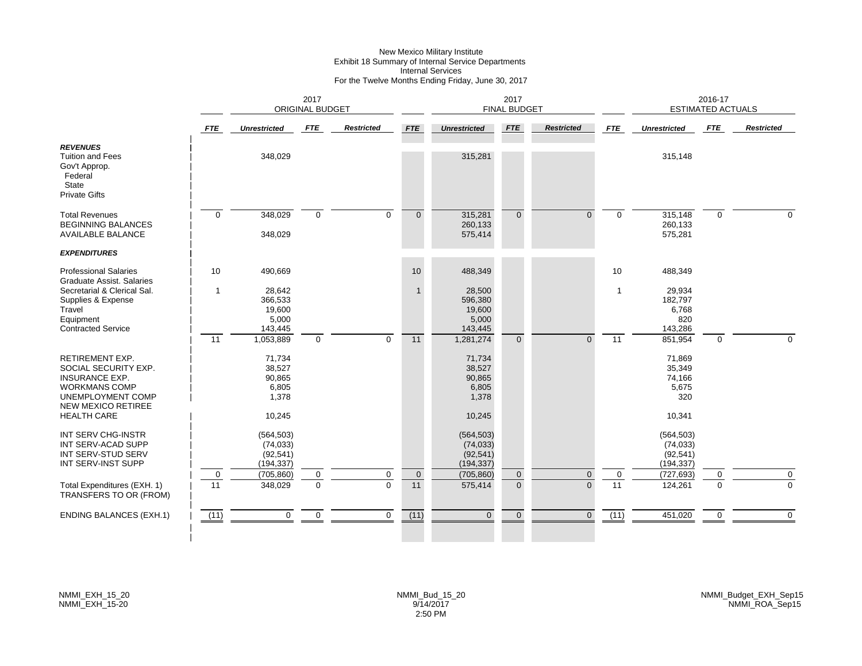# New Mexico Military Institute Exhibit 18 Summary of Internal Service Departments Internal Services For the Twelve Months Ending Friday, June 30, 2017

|                                                                                                                                                                         |                                | 2017<br><b>ORIGINAL BUDGET</b>                         |                               |                               |                   |                                                        | 2017<br><b>FINAL BUDGET</b>      |                          |                   |                                                      | 2016-17<br><b>ESTIMATED ACTUALS</b> |                             |
|-------------------------------------------------------------------------------------------------------------------------------------------------------------------------|--------------------------------|--------------------------------------------------------|-------------------------------|-------------------------------|-------------------|--------------------------------------------------------|----------------------------------|--------------------------|-------------------|------------------------------------------------------|-------------------------------------|-----------------------------|
|                                                                                                                                                                         | <b>FTE</b>                     | <b>Unrestricted</b>                                    | <b>FTE</b>                    | <b>Restricted</b>             | <b>FTE</b>        | <b>Unrestricted</b>                                    | <b>FTE</b>                       | <b>Restricted</b>        | <b>FTE</b>        | <b>Unrestricted</b>                                  | FTE                                 | <b>Restricted</b>           |
| <b>REVENUES</b><br><b>Tuition and Fees</b><br>Gov't Approp.<br>Federal<br>State<br><b>Private Gifts</b>                                                                 |                                | 348,029                                                |                               |                               |                   | 315,281                                                |                                  |                          |                   | 315,148                                              |                                     |                             |
| <b>Total Revenues</b><br><b>BEGINNING BALANCES</b><br><b>AVAILABLE BALANCE</b>                                                                                          | $\mathbf{0}$                   | 348,029<br>348,029                                     | $\mathbf 0$                   | $\mathbf{0}$                  | $\overline{0}$    | 315,281<br>260,133<br>575,414                          | $\overline{0}$                   | $\Omega$                 | $\mathbf 0$       | 315,148<br>260,133<br>575,281                        | $\mathbf 0$                         | $\Omega$                    |
| <b>EXPENDITURES</b>                                                                                                                                                     |                                |                                                        |                               |                               |                   |                                                        |                                  |                          |                   |                                                      |                                     |                             |
| <b>Professional Salaries</b><br><b>Graduate Assist, Salaries</b>                                                                                                        | 10                             | 490,669                                                |                               |                               | 10                | 488,349                                                |                                  |                          | 10                | 488,349                                              |                                     |                             |
| Secretarial & Clerical Sal.<br>Supplies & Expense<br>Travel<br>Equipment<br><b>Contracted Service</b>                                                                   | 1                              | 28,642<br>366,533<br>19,600<br>5,000<br>143,445        |                               |                               | $\mathbf{1}$      | 28,500<br>596,380<br>19,600<br>5,000<br>143,445        |                                  |                          | $\mathbf{1}$      | 29,934<br>182,797<br>6,768<br>820<br>143,286         |                                     |                             |
|                                                                                                                                                                         | 11                             | 1,053,889                                              | $\mathbf 0$                   | $\Omega$                      | 11                | 1,281,274                                              | $\Omega$                         | $\Omega$                 | 11                | 851,954                                              | $\mathbf 0$                         | $\Omega$                    |
| <b>RETIREMENT EXP.</b><br>SOCIAL SECURITY EXP.<br><b>INSURANCE EXP.</b><br><b>WORKMANS COMP</b><br><b>UNEMPLOYMENT COMP</b><br>NEW MEXICO RETIREE<br><b>HEALTH CARE</b> |                                | 71,734<br>38,527<br>90,865<br>6,805<br>1,378<br>10,245 |                               |                               |                   | 71,734<br>38,527<br>90,865<br>6,805<br>1,378<br>10,245 |                                  |                          |                   | 71,869<br>35,349<br>74,166<br>5,675<br>320<br>10,341 |                                     |                             |
| INT SERV CHG-INSTR<br>INT SERV-ACAD SUPP<br>INT SERV-STUD SERV<br>INT SERV-INST SUPP                                                                                    |                                | (564, 503)<br>(74, 033)<br>(92, 541)<br>(194, 337)     |                               |                               |                   | (564, 503)<br>(74, 033)<br>(92, 541)<br>(194, 337)     |                                  |                          |                   | (564, 503)<br>(74, 033)<br>(92, 541)<br>(194, 337)   |                                     |                             |
| Total Expenditures (EXH. 1)<br>TRANSFERS TO OR (FROM)                                                                                                                   | $\mathbf 0$<br>$\overline{11}$ | (705, 860)<br>348,029                                  | $\mathbf 0$<br>$\overline{0}$ | $\mathbf 0$<br>$\overline{0}$ | $\mathbf 0$<br>11 | (705, 860)<br>575,414                                  | $\overline{0}$<br>$\overline{0}$ | $\mathbf{0}$<br>$\Omega$ | $\mathbf 0$<br>11 | (727, 693)<br>124,261                                | 0<br>$\overline{0}$                 | $\mathbf 0$<br>$\mathbf{0}$ |
| <b>ENDING BALANCES (EXH.1)</b>                                                                                                                                          | (11)                           | $\mathbf{0}$                                           | $\mathbf 0$                   | $\mathbf 0$                   | (11)              | $\Omega$                                               | $\Omega$                         | $\Omega$                 | (11)              | 451,020                                              | $\mathbf 0$                         | $\overline{0}$              |
|                                                                                                                                                                         |                                |                                                        |                               |                               |                   |                                                        |                                  |                          |                   |                                                      |                                     |                             |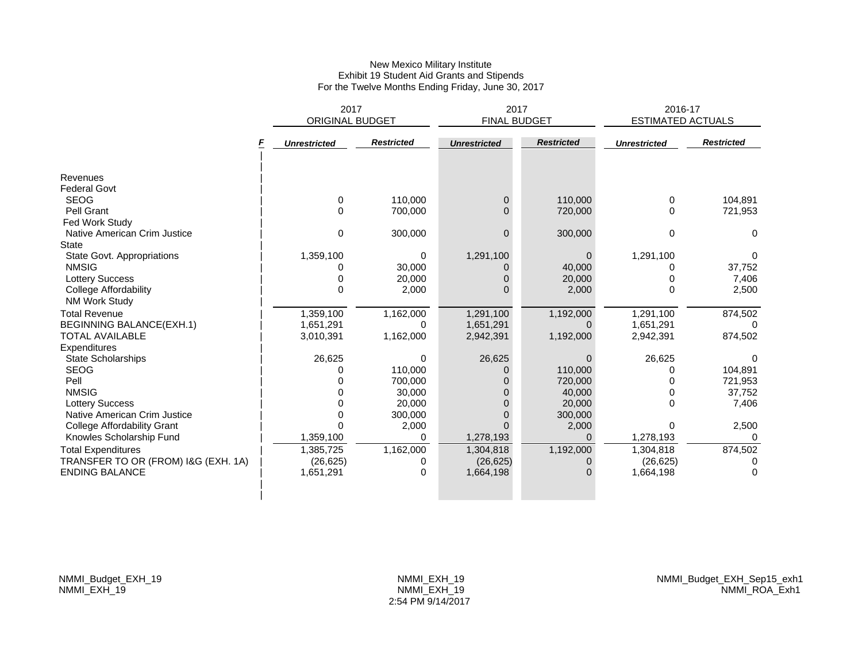### New Mexico Military Institute Exhibit 19 Student Aid Grants and Stipends For the Twelve Months Ending Friday, June 30, 2017

|                                        | 2017<br><b>ORIGINAL BUDGET</b> |                   |                     | 2017<br><b>FINAL BUDGET</b> | 2016-17<br><b>ESTIMATED ACTUALS</b> |                   |
|----------------------------------------|--------------------------------|-------------------|---------------------|-----------------------------|-------------------------------------|-------------------|
|                                        | <b>Unrestricted</b>            | <b>Restricted</b> | <b>Unrestricted</b> | <b>Restricted</b>           | <b>Unrestricted</b>                 | <b>Restricted</b> |
| Revenues<br><b>Federal Govt</b>        |                                |                   |                     |                             |                                     |                   |
| <b>SEOG</b>                            | 0                              | 110,000           | 0                   | 110,000                     | 0                                   | 104,891           |
| Pell Grant                             | $\Omega$                       | 700,000           | $\Omega$            | 720,000                     | $\Omega$                            | 721,953           |
| Fed Work Study                         |                                |                   |                     |                             |                                     |                   |
| Native American Crim Justice           | 0                              | 300,000           | $\Omega$            | 300,000                     | 0                                   | $\Omega$          |
| <b>State</b>                           |                                |                   |                     |                             |                                     |                   |
| State Govt. Appropriations             | 1,359,100                      | 0                 | 1,291,100           | 0                           | 1,291,100                           | 0                 |
| <b>NMSIG</b>                           |                                | 30,000            | 0                   | 40.000                      | n                                   | 37,752            |
| <b>Lottery Success</b>                 |                                | 20,000            | 0                   | 20,000                      |                                     | 7,406             |
| College Affordability<br>NM Work Study | 0                              | 2,000             | ი                   | 2,000                       | $\Omega$                            | 2,500             |
| <b>Total Revenue</b>                   | 1,359,100                      | 1,162,000         | 1,291,100           | 1,192,000                   | 1,291,100                           | 874,502           |
| <b>BEGINNING BALANCE(EXH.1)</b>        | 1,651,291                      | 0                 | 1,651,291           | 0                           | 1,651,291                           | $\Omega$          |
| <b>TOTAL AVAILABLE</b><br>Expenditures | 3,010,391                      | 1,162,000         | 2,942,391           | 1,192,000                   | 2,942,391                           | 874,502           |
| <b>State Scholarships</b>              | 26,625                         | 0                 | 26,625              | 0                           | 26,625                              | 0                 |
| <b>SEOG</b>                            | 0                              | 110,000           | 0                   | 110,000                     | ი                                   | 104,891           |
| Pell                                   |                                | 700,000           | ი                   | 720,000                     | O                                   | 721,953           |
| <b>NMSIG</b>                           |                                | 30,000            |                     | 40,000                      | $\Omega$                            | 37,752            |
| <b>Lottery Success</b>                 |                                | 20,000            | ი                   | 20,000                      | $\Omega$                            | 7,406             |
| Native American Crim Justice           |                                | 300,000           |                     | 300,000                     |                                     |                   |
| <b>College Affordability Grant</b>     |                                | 2,000             | ი                   | 2,000                       | 0                                   | 2,500             |
| Knowles Scholarship Fund               | 1,359,100                      | 0                 | 1,278,193           | $\Omega$                    | 1,278,193                           | <sup>n</sup>      |
| <b>Total Expenditures</b>              | 1,385,725                      | 1,162,000         | 1,304,818           | 1,192,000                   | 1,304,818                           | 874,502           |
| TRANSFER TO OR (FROM) I&G (EXH. 1A)    | (26, 625)                      | 0                 | (26, 625)           | 0                           | (26, 625)                           |                   |
| <b>ENDING BALANCE</b>                  | 1,651,291                      | 0                 | 1,664,198           | $\Omega$                    | 1,664,198                           | $\Omega$          |
|                                        |                                |                   |                     |                             |                                     |                   |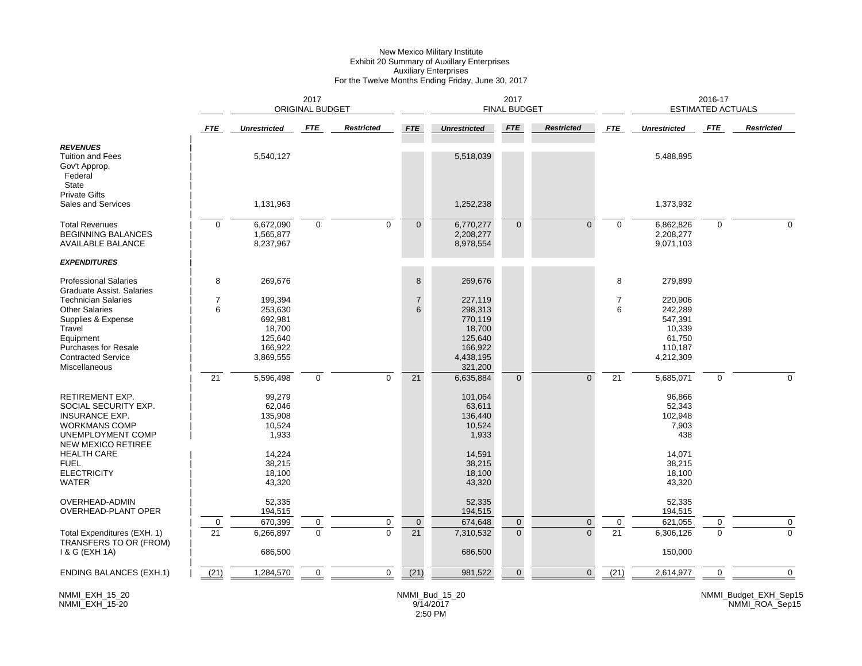#### New Mexico Military Institute Exhibit 20 Summary of Auxillary Enterprises Auxiliary Enterprises For the Twelve Months Ending Friday, June 30, 2017

|                                                                                                                                            |                                |                                                               | 2017<br>ORIGINAL BUDGET |                   |                                |                                                               | 2017<br><b>FINAL BUDGET</b>    |                         |                                |                                                              | 2016-17<br>ESTIMATED ACTUALS |                   |
|--------------------------------------------------------------------------------------------------------------------------------------------|--------------------------------|---------------------------------------------------------------|-------------------------|-------------------|--------------------------------|---------------------------------------------------------------|--------------------------------|-------------------------|--------------------------------|--------------------------------------------------------------|------------------------------|-------------------|
|                                                                                                                                            | <b>FTE</b>                     | <b>Unrestricted</b>                                           | FTE                     | <b>Restricted</b> | <b>FTE</b>                     | <b>Unrestricted</b>                                           | <b>FTE</b>                     | <b>Restricted</b>       | <b>FTE</b>                     | <b>Unrestricted</b>                                          | FTE                          | <b>Restricted</b> |
| <b>REVENUES</b><br><b>Tuition and Fees</b><br>Gov't Approp.<br>Federal<br>State                                                            |                                | 5,540,127                                                     |                         |                   |                                | 5,518,039                                                     |                                |                         |                                | 5,488,895                                                    |                              |                   |
| <b>Private Gifts</b><br>Sales and Services                                                                                                 |                                | 1,131,963                                                     |                         |                   |                                | 1,252,238                                                     |                                |                         |                                | 1,373,932                                                    |                              |                   |
| <b>Total Revenues</b><br><b>BEGINNING BALANCES</b><br><b>AVAILABLE BALANCE</b><br><b>EXPENDITURES</b>                                      | $\Omega$                       | 6,672,090<br>1,565,877<br>8,237,967                           | $\mathbf 0$             | $\Omega$          | $\mathbf{0}$                   | 6,770,277<br>2,208,277<br>8,978,554                           | $\overline{0}$                 | $\Omega$                | $\Omega$                       | 6,862,826<br>2,208,277<br>9,071,103                          | 0                            | $\Omega$          |
| <b>Professional Salaries</b><br>Graduate Assist, Salaries                                                                                  | 8                              | 269,676                                                       |                         |                   | 8                              | 269,676                                                       |                                |                         | 8                              | 279,899                                                      |                              |                   |
| <b>Technician Salaries</b><br><b>Other Salaries</b><br>Supplies & Expense<br>Travel<br>Equipment<br><b>Purchases for Resale</b>            | $\overline{7}$<br>6            | 199.394<br>253,630<br>692,981<br>18,700<br>125,640<br>166,922 |                         |                   | $\overline{7}$<br>6            | 227,119<br>298,313<br>770,119<br>18,700<br>125,640<br>166,922 |                                |                         | $\overline{7}$<br>6            | 220.906<br>242,289<br>547,391<br>10,339<br>61,750<br>110,187 |                              |                   |
| <b>Contracted Service</b><br>Miscellaneous                                                                                                 | 21                             | 3,869,555<br>5,596,498                                        | $\mathbf 0$             | $\Omega$          | 21                             | 4,438,195<br>321,200<br>6,635,884                             | $\overline{0}$                 | $\Omega$                | $\overline{21}$                | 4,212,309<br>5,685,071                                       | $\mathbf 0$                  | $\Omega$          |
| RETIREMENT EXP.<br>SOCIAL SECURITY EXP.<br><b>INSURANCE EXP.</b><br><b>WORKMANS COMP</b><br>UNEMPLOYMENT COMP<br><b>NEW MEXICO RETIREE</b> |                                | 99,279<br>62,046<br>135,908<br>10,524<br>1,933                |                         |                   |                                | 101,064<br>63,611<br>136,440<br>10,524<br>1,933               |                                |                         |                                | 96,866<br>52,343<br>102,948<br>7,903<br>438                  |                              |                   |
| <b>HEALTH CARE</b><br><b>FUEL</b><br><b>ELECTRICITY</b><br><b>WATER</b>                                                                    |                                | 14,224<br>38,215<br>18,100<br>43,320                          |                         |                   |                                | 14,591<br>38,215<br>18,100<br>43,320                          |                                |                         |                                | 14,071<br>38,215<br>18,100<br>43,320                         |                              |                   |
| OVERHEAD-ADMIN<br>OVERHEAD-PLANT OPER                                                                                                      |                                | 52,335<br>194,515                                             |                         |                   |                                | 52,335<br>194,515                                             |                                |                         |                                | 52,335<br>194,515                                            |                              |                   |
| Total Expenditures (EXH. 1)<br>TRANSFERS TO OR (FROM)<br>1 & G (EXH 1A)                                                                    | $\mathbf 0$<br>$\overline{21}$ | 670,399<br>6,266,897<br>686,500                               | 0<br>$\mathbf{0}$       | 0<br>$\Omega$     | $\mathbf 0$<br>$\overline{21}$ | 674,648<br>7,310,532<br>686,500                               | $\overline{0}$<br>$\mathbf{0}$ | $\mathbf 0$<br>$\Omega$ | $\mathbf 0$<br>$\overline{21}$ | 621,055<br>6,306,126<br>150,000                              | 0<br>0                       | 0<br>$\mathbf{0}$ |
| <b>ENDING BALANCES (EXH.1)</b>                                                                                                             | (21)                           | 1,284,570                                                     | $\mathbf 0$             | 0                 | $\overline{(21)}$              | 981,522                                                       | $\overline{0}$                 | $\overline{0}$          | $\overline{(21)}$              | 2,614,977                                                    | $\Omega$                     | $\mathbf 0$       |

NMMI\_EXH\_15\_20 NMMI\_EXH\_15-20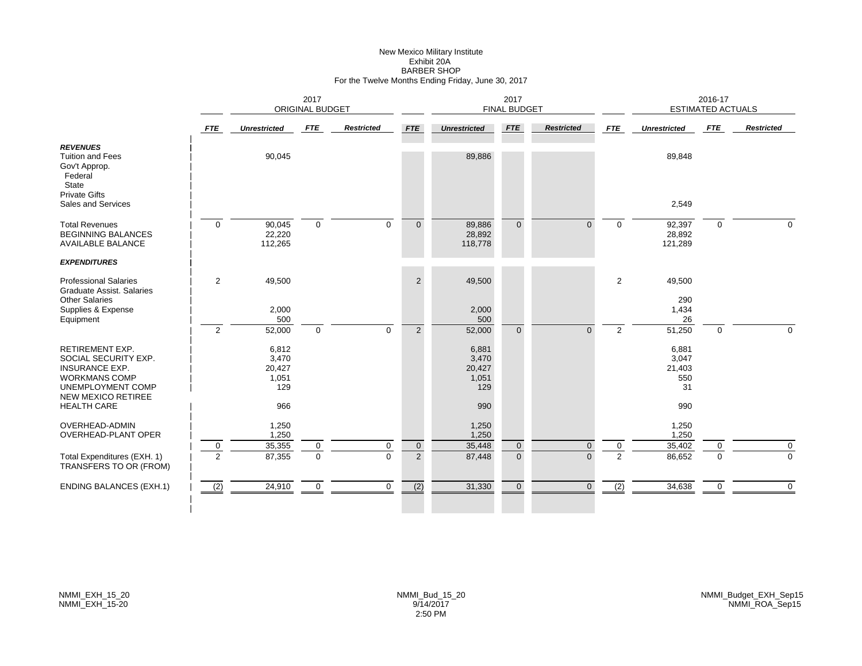#### New Mexico Military Institute Exhibit 20A BARBER SHOPFor the Twelve Months Ending Friday, June 30, 2017

|                                                                                                                                                   |                | 2017<br><b>ORIGINAL BUDGET</b>           |             |                   |                |                                          | 2017<br><b>FINAL BUDGET</b> |                   |                |                                       | 2016-17<br><b>ESTIMATED ACTUALS</b> |                   |
|---------------------------------------------------------------------------------------------------------------------------------------------------|----------------|------------------------------------------|-------------|-------------------|----------------|------------------------------------------|-----------------------------|-------------------|----------------|---------------------------------------|-------------------------------------|-------------------|
|                                                                                                                                                   | <b>FTE</b>     | <b>Unrestricted</b>                      | FTE         | <b>Restricted</b> | <b>FTE</b>     | <b>Unrestricted</b>                      | <b>FTE</b>                  | <b>Restricted</b> | <b>FTE</b>     | <b>Unrestricted</b>                   | FTE                                 | <b>Restricted</b> |
| <b>REVENUES</b><br><b>Tuition and Fees</b><br>Gov't Approp.<br>Federal<br>State<br><b>Private Gifts</b>                                           |                | 90,045                                   |             |                   |                | 89,886                                   |                             |                   |                | 89,848                                |                                     |                   |
| Sales and Services                                                                                                                                |                |                                          |             |                   |                |                                          |                             |                   |                | 2,549                                 |                                     |                   |
| <b>Total Revenues</b><br><b>BEGINNING BALANCES</b><br><b>AVAILABLE BALANCE</b>                                                                    | $\mathbf 0$    | 90,045<br>22,220<br>112,265              | $\mathbf 0$ | $\Omega$          | $\Omega$       | 89,886<br>28,892<br>118,778              | $\Omega$                    | $\Omega$          | $\Omega$       | 92,397<br>28,892<br>121,289           | $\overline{0}$                      | $\Omega$          |
| <b>EXPENDITURES</b>                                                                                                                               |                |                                          |             |                   |                |                                          |                             |                   |                |                                       |                                     |                   |
| <b>Professional Salaries</b><br><b>Graduate Assist, Salaries</b><br><b>Other Salaries</b>                                                         | $\overline{2}$ | 49,500                                   |             |                   | $\overline{2}$ | 49,500                                   |                             |                   | $\overline{2}$ | 49,500<br>290                         |                                     |                   |
| Supplies & Expense<br>Equipment                                                                                                                   |                | 2,000<br>500                             |             |                   |                | 2,000<br>500                             |                             |                   |                | 1,434<br>26                           |                                     |                   |
|                                                                                                                                                   | $\overline{2}$ | 52,000                                   | $\mathbf 0$ | $\mathbf 0$       | $\overline{2}$ | 52,000                                   | $\Omega$                    | $\Omega$          | $\overline{2}$ | 51,250                                | 0                                   | $\Omega$          |
| <b>RETIREMENT EXP.</b><br>SOCIAL SECURITY EXP.<br><b>INSURANCE EXP.</b><br><b>WORKMANS COMP</b><br>UNEMPLOYMENT COMP<br><b>NEW MEXICO RETIREE</b> |                | 6,812<br>3,470<br>20,427<br>1,051<br>129 |             |                   |                | 6,881<br>3,470<br>20,427<br>1,051<br>129 |                             |                   |                | 6,881<br>3,047<br>21,403<br>550<br>31 |                                     |                   |
| <b>HEALTH CARE</b>                                                                                                                                |                | 966                                      |             |                   |                | 990                                      |                             |                   |                | 990                                   |                                     |                   |
| <b>OVERHEAD-ADMIN</b><br>OVERHEAD-PLANT OPER                                                                                                      | $\mathbf 0$    | 1,250<br>1,250<br>35,355                 | $\mathbf 0$ | 0                 | $\overline{0}$ | 1,250<br>1,250<br>35,448                 | $\mathbf{0}$                | $\mathbf 0$       | 0              | 1,250<br>1,250<br>35,402              | 0                                   | 0                 |
| Total Expenditures (EXH. 1)<br>TRANSFERS TO OR (FROM)                                                                                             | $\overline{2}$ | 87,355                                   | $\Omega$    | $\Omega$          | $\overline{2}$ | 87,448                                   | $\Omega$                    | $\Omega$          | $\overline{2}$ | 86,652                                | $\Omega$                            | $\Omega$          |
| <b>ENDING BALANCES (EXH.1)</b>                                                                                                                    | (2)            | 24,910                                   | $\mathbf 0$ | 0                 | (2)            | 31,330                                   | $\overline{0}$              | $\mathbf{0}$      | (2)            | 34,638                                | 0                                   | $\mathbf 0$       |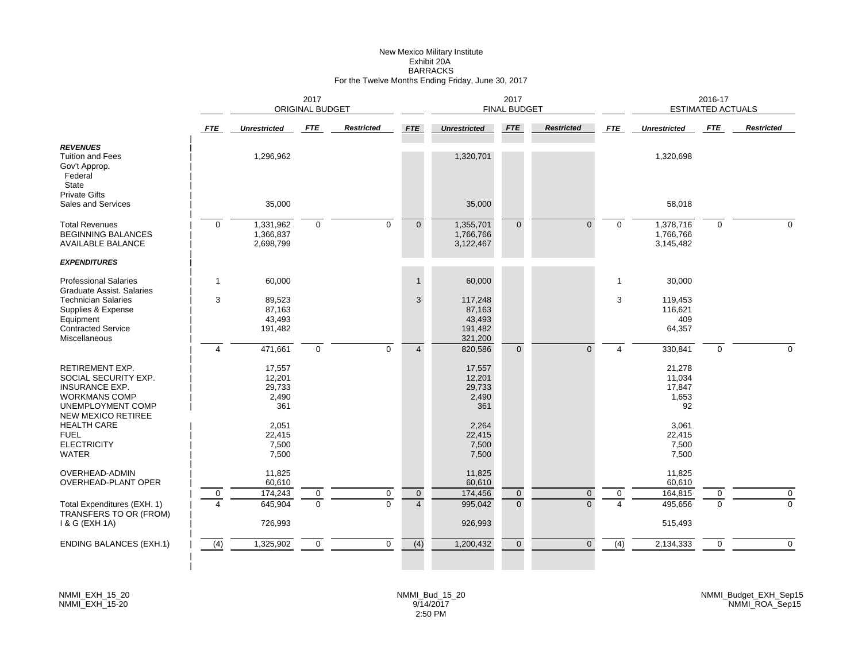# New Mexico Military Institute Exhibit 20ABARRACKS For the Twelve Months Ending Friday, June 30, 2017

|                                                                                                                                            |                | 2017<br>ORIGINAL BUDGET                    |             |                   |                  |                                                   | 2017<br><b>FINAL BUDGET</b> |                   |              |                                           | 2016-17<br><b>ESTIMATED ACTUALS</b> |                   |
|--------------------------------------------------------------------------------------------------------------------------------------------|----------------|--------------------------------------------|-------------|-------------------|------------------|---------------------------------------------------|-----------------------------|-------------------|--------------|-------------------------------------------|-------------------------------------|-------------------|
|                                                                                                                                            | <b>FTE</b>     | <b>Unrestricted</b>                        | <b>FTE</b>  | <b>Restricted</b> | <b>FTE</b>       | <b>Unrestricted</b>                               | <b>FTE</b>                  | <b>Restricted</b> | <b>FTE</b>   | <b>Unrestricted</b>                       | <b>FTE</b>                          | <b>Restricted</b> |
| <b>REVENUES</b><br><b>Tuition and Fees</b><br>Gov't Approp.<br>Federal<br>State                                                            |                | 1,296,962                                  |             |                   |                  | 1,320,701                                         |                             |                   |              | 1,320,698                                 |                                     |                   |
| <b>Private Gifts</b><br>Sales and Services                                                                                                 |                | 35,000                                     |             |                   |                  | 35,000                                            |                             |                   |              | 58,018                                    |                                     |                   |
| <b>Total Revenues</b><br><b>BEGINNING BALANCES</b><br><b>AVAILABLE BALANCE</b>                                                             | $\mathbf 0$    | 1,331,962<br>1,366,837<br>2,698,799        | $\mathbf 0$ | $\mathbf 0$       | $\overline{0}$   | 1,355,701<br>1,766,766<br>3,122,467               | $\Omega$                    | $\Omega$          | $\Omega$     | 1,378,716<br>1,766,766<br>3,145,482       | $\mathbf 0$                         | $\Omega$          |
| <b>EXPENDITURES</b>                                                                                                                        |                |                                            |             |                   |                  |                                                   |                             |                   |              |                                           |                                     |                   |
| <b>Professional Salaries</b><br>Graduate Assist. Salaries                                                                                  | $\mathbf{1}$   | 60,000                                     |             |                   | $\mathbf{1}$     | 60,000                                            |                             |                   | $\mathbf{1}$ | 30,000                                    |                                     |                   |
| <b>Technician Salaries</b><br>Supplies & Expense<br>Equipment<br><b>Contracted Service</b><br>Miscellaneous                                | 3              | 89,523<br>87,163<br>43,493<br>191,482      |             |                   | 3                | 117,248<br>87,163<br>43,493<br>191,482<br>321,200 |                             |                   | 3            | 119,453<br>116,621<br>409<br>64,357       |                                     |                   |
|                                                                                                                                            | $\overline{4}$ | 471,661                                    | $\mathbf 0$ | $\mathbf 0$       | $\overline{4}$   | 820,586                                           | $\overline{0}$              | $\Omega$          | 4            | 330,841                                   | $\Omega$                            |                   |
| <b>RETIREMENT EXP.</b><br>SOCIAL SECURITY EXP.<br><b>INSURANCE EXP.</b><br><b>WORKMANS COMP</b><br>UNEMPLOYMENT COMP<br>NEW MEXICO RETIREE |                | 17,557<br>12,201<br>29,733<br>2,490<br>361 |             |                   |                  | 17,557<br>12,201<br>29,733<br>2,490<br>361        |                             |                   |              | 21,278<br>11,034<br>17,847<br>1,653<br>92 |                                     |                   |
| <b>HEALTH CARE</b><br><b>FUEL</b><br><b>ELECTRICITY</b><br><b>WATER</b>                                                                    |                | 2,051<br>22,415<br>7,500<br>7,500          |             |                   |                  | 2,264<br>22,415<br>7,500<br>7,500                 |                             |                   |              | 3,061<br>22,415<br>7,500<br>7,500         |                                     |                   |
| OVERHEAD-ADMIN<br><b>OVERHEAD-PLANT OPER</b>                                                                                               |                | 11,825<br>60,610                           |             |                   |                  | 11,825<br>60,610                                  |                             |                   |              | 11,825<br>60,610                          |                                     |                   |
|                                                                                                                                            | 0              | 174,243                                    | 0           | $\mathbf 0$       | $\overline{0}$   | 174,456                                           | $\mathbf 0$                 | $\overline{0}$    | 0            | 164,815                                   | 0                                   | 0                 |
| Total Expenditures (EXH. 1)<br>TRANSFERS TO OR (FROM)<br>1 & G (EXH 1A)                                                                    |                | 645,904<br>726,993                         | $\mathbf 0$ | $\Omega$          | $\overline{4}$   | 995,042<br>926,993                                | $\overline{0}$              | $\Omega$          |              | 495,656<br>515,493                        | $\Omega$                            | $\Omega$          |
| <b>ENDING BALANCES (EXH.1)</b>                                                                                                             | (4)            | 1,325,902                                  | $\mathbf 0$ | $\mathbf 0$       | $\overline{(4)}$ | 1,200,432                                         | $\mathbf 0$                 | $\Omega$          | (4)          | 2,134,333                                 | $\mathbf 0$                         | $\mathbf 0$       |
|                                                                                                                                            |                |                                            |             |                   |                  |                                                   |                             |                   |              |                                           |                                     |                   |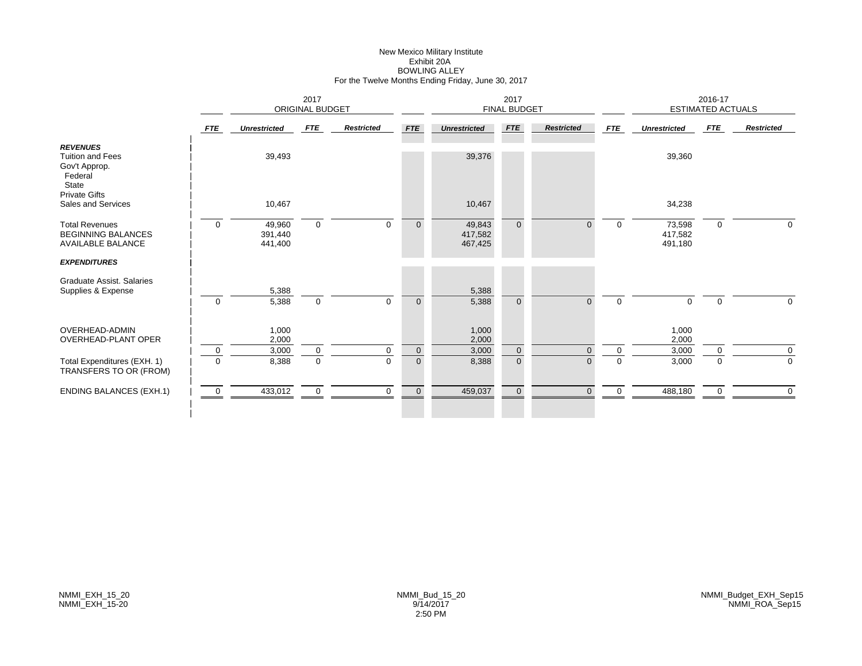# New Mexico Military Institute Exhibit 20ABOWLING ALLEY For the Twelve Months Ending Friday, June 30, 2017

|                                                                                                         |             |                              |                        |                   | 2017           |                              |                     |                   | 2016-17     |                              |                          |                   |
|---------------------------------------------------------------------------------------------------------|-------------|------------------------------|------------------------|-------------------|----------------|------------------------------|---------------------|-------------------|-------------|------------------------------|--------------------------|-------------------|
|                                                                                                         |             |                              | <b>ORIGINAL BUDGET</b> |                   |                |                              | <b>FINAL BUDGET</b> |                   |             |                              | <b>ESTIMATED ACTUALS</b> |                   |
|                                                                                                         | <b>FTE</b>  | <b>Unrestricted</b>          | FTE                    | <b>Restricted</b> | <b>FTE</b>     | <b>Unrestricted</b>          | FTE                 | <b>Restricted</b> | <b>FTE</b>  | <b>Unrestricted</b>          | FTE                      | <b>Restricted</b> |
| <b>REVENUES</b><br><b>Tuition and Fees</b><br>Gov't Approp.<br>Federal<br>State<br><b>Private Gifts</b> |             | 39,493                       |                        |                   |                | 39,376                       |                     |                   |             | 39,360                       |                          |                   |
| Sales and Services                                                                                      |             | 10,467                       |                        |                   |                | 10,467                       |                     |                   |             | 34,238                       |                          |                   |
| <b>Total Revenues</b><br><b>BEGINNING BALANCES</b><br><b>AVAILABLE BALANCE</b>                          | $\mathbf 0$ | 49,960<br>391,440<br>441,400 | $\mathbf 0$            | $\mathbf 0$       | $\mathbf 0$    | 49,843<br>417,582<br>467,425 | $\overline{0}$      | $\Omega$          | $\mathbf 0$ | 73,598<br>417,582<br>491,180 | 0                        | $\mathbf 0$       |
| <b>EXPENDITURES</b>                                                                                     |             |                              |                        |                   |                |                              |                     |                   |             |                              |                          |                   |
| Graduate Assist. Salaries<br>Supplies & Expense                                                         | $\mathbf 0$ | 5,388<br>5,388               | $\mathbf 0$            | $\mathbf 0$       | $\mathbf 0$    | 5,388<br>5,388               | $\overline{0}$      | $\Omega$          | $\Omega$    | $\mathbf 0$                  | $\mathbf 0$              | $\mathbf 0$       |
| <b>OVERHEAD-ADMIN</b><br><b>OVERHEAD-PLANT OPER</b>                                                     |             | 1,000<br>2,000               |                        |                   |                | 1,000<br>2,000               |                     |                   |             | 1,000<br>2,000               |                          |                   |
|                                                                                                         | $\mathbf 0$ | 3,000                        | $\mathbf 0$            | 0                 | $\pmb{0}$      | 3,000                        | $\mathbf 0$         | $\Omega$          | $\mathbf 0$ | 3,000                        | 0                        | $\mathbf 0$       |
| Total Expenditures (EXH. 1)<br>TRANSFERS TO OR (FROM)                                                   | $\Omega$    | 8,388                        | $\mathbf 0$            | $\Omega$          | $\mathbf{0}$   | 8,388                        | $\mathbf{0}$        | $\Omega$          | $\Omega$    | 3,000                        | $\Omega$                 | $\overline{0}$    |
| <b>ENDING BALANCES (EXH.1)</b>                                                                          | $\mathbf 0$ | 433,012                      | $\mathbf 0$            | $\mathbf 0$       | $\overline{0}$ | 459,037                      | $\mathbf 0$         | $\overline{0}$    | $\mathbf 0$ | 488,180                      | 0                        | $\mathbf 0$       |
|                                                                                                         |             |                              |                        |                   |                |                              |                     |                   |             |                              |                          |                   |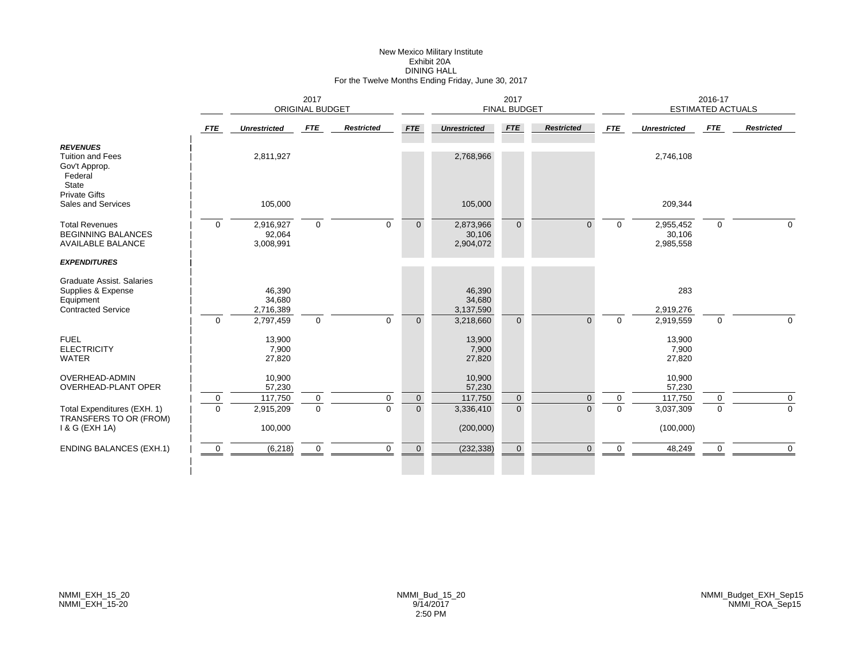# New Mexico Military Institute Exhibit 20ADINING HALL For the Twelve Months Ending Friday, June 30, 2017

|                                                                                                         |               | 2017<br>ORIGINAL BUDGET                    |                            |                   |                               |                                            | 2017<br><b>FINAL BUDGET</b> |                      |               |                                   | 2016-17<br>ESTIMATED ACTUALS |                                    |
|---------------------------------------------------------------------------------------------------------|---------------|--------------------------------------------|----------------------------|-------------------|-------------------------------|--------------------------------------------|-----------------------------|----------------------|---------------|-----------------------------------|------------------------------|------------------------------------|
|                                                                                                         | <b>FTE</b>    | <b>Unrestricted</b>                        | FTE                        | <b>Restricted</b> | <b>FTE</b>                    | <b>Unrestricted</b>                        | <b>FTE</b>                  | <b>Restricted</b>    | <b>FTE</b>    | <b>Unrestricted</b>               | FTE                          | <b>Restricted</b>                  |
| <b>REVENUES</b><br><b>Tuition and Fees</b><br>Gov't Approp.<br>Federal<br>State<br><b>Private Gifts</b> |               | 2,811,927                                  |                            |                   |                               | 2,768,966                                  |                             |                      |               | 2,746,108                         |                              |                                    |
| Sales and Services                                                                                      |               | 105,000                                    |                            |                   |                               | 105,000                                    |                             |                      |               | 209,344                           |                              |                                    |
| <b>Total Revenues</b><br><b>BEGINNING BALANCES</b><br><b>AVAILABLE BALANCE</b>                          | $\mathbf 0$   | 2,916,927<br>92,064<br>3,008,991           | $\mathbf 0$                | $\mathbf 0$       | $\mathbf{0}$                  | 2,873,966<br>30,106<br>2,904,072           | $\overline{0}$              | $\Omega$             | $\mathbf 0$   | 2,955,452<br>30,106<br>2,985,558  | $\mathbf 0$                  | $\Omega$                           |
| <b>EXPENDITURES</b>                                                                                     |               |                                            |                            |                   |                               |                                            |                             |                      |               |                                   |                              |                                    |
| Graduate Assist, Salaries<br>Supplies & Expense<br>Equipment<br><b>Contracted Service</b>               | $\Omega$      | 46,390<br>34,680<br>2,716,389<br>2,797,459 | $\mathbf 0$                | $\Omega$          | $\overline{0}$                | 46,390<br>34,680<br>3,137,590<br>3,218,660 | $\Omega$                    | $\Omega$             | $\Omega$      | 283<br>2,919,276<br>2,919,559     | $\mathbf 0$                  | $\Omega$                           |
| <b>FUEL</b><br><b>ELECTRICITY</b><br><b>WATER</b>                                                       |               | 13,900<br>7,900<br>27,820                  |                            |                   |                               | 13,900<br>7,900<br>27,820                  |                             |                      |               | 13,900<br>7,900<br>27,820         |                              |                                    |
| OVERHEAD-ADMIN<br>OVERHEAD-PLANT OPER                                                                   |               | 10,900<br>57,230                           |                            |                   |                               | 10,900<br>57,230                           |                             |                      |               | 10,900<br>57,230                  |                              |                                    |
| Total Expenditures (EXH. 1)<br>TRANSFERS TO OR (FROM)<br>1 & G (EXH 1A)                                 | 0<br>$\Omega$ | 117,750<br>2,915,209<br>100,000            | $\mathbf 0$<br>$\mathbf 0$ | 0<br>$\Omega$     | $\mathbf 0$<br>$\overline{0}$ | 117,750<br>3,336,410<br>(200,000)          | $\mathbf 0$<br>$\Omega$     | $\Omega$<br>$\Omega$ | 0<br>$\Omega$ | 117,750<br>3,037,309<br>(100,000) | 0<br>$\Omega$                | $\mathsf{O}\xspace$<br>$\mathbf 0$ |
|                                                                                                         |               |                                            |                            |                   |                               |                                            |                             |                      |               |                                   |                              |                                    |
| <b>ENDING BALANCES (EXH.1)</b>                                                                          | $\mathbf 0$   | (6, 218)                                   | $\mathbf 0$                | $\mathbf 0$       | $\mathbf 0$                   | (232, 338)                                 | $\mathbf{0}$                | $\overline{0}$       | $\Omega$      | 48,249                            | 0                            | $\overline{0}$                     |
|                                                                                                         |               |                                            |                            |                   |                               |                                            |                             |                      |               |                                   |                              |                                    |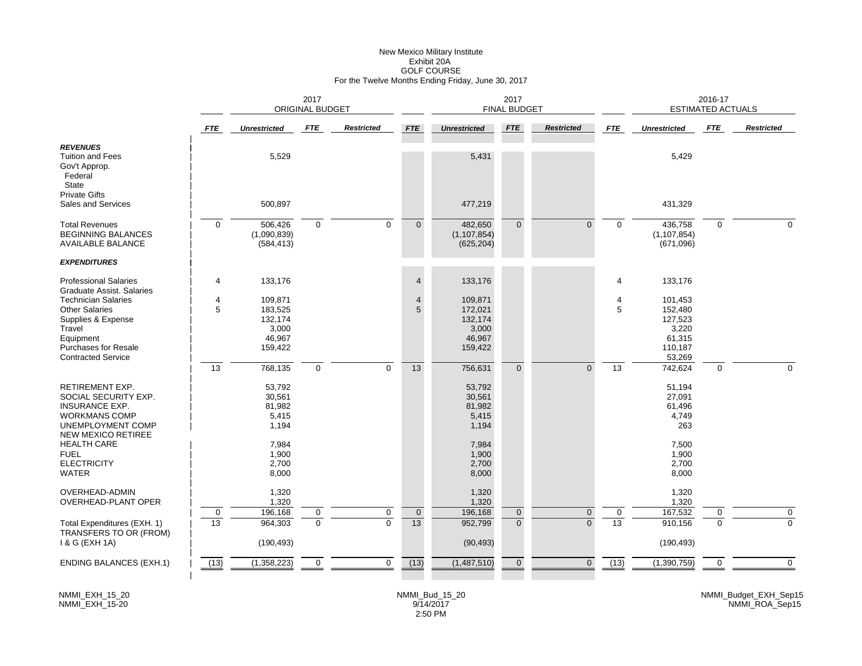# New Mexico Military Institute Exhibit 20AGOLF COURSE For the Twelve Months Ending Friday, June 30, 2017

|                                                                                                                                                              |             | 2017<br><b>ORIGINAL BUDGET</b>                              |             |                   |                     |                                                             | 2017<br><b>FINAL BUDGET</b> |                   |            |                                                                       | 2016-17<br><b>ESTIMATED ACTUALS</b> |                   |
|--------------------------------------------------------------------------------------------------------------------------------------------------------------|-------------|-------------------------------------------------------------|-------------|-------------------|---------------------|-------------------------------------------------------------|-----------------------------|-------------------|------------|-----------------------------------------------------------------------|-------------------------------------|-------------------|
|                                                                                                                                                              | <b>FTE</b>  | <b>Unrestricted</b>                                         | <b>FTE</b>  | <b>Restricted</b> | <b>FTE</b>          | <b>Unrestricted</b>                                         | <b>FTE</b>                  | <b>Restricted</b> | <b>FTE</b> | <b>Unrestricted</b>                                                   | <b>FTE</b>                          | <b>Restricted</b> |
| <b>REVENUES</b><br><b>Tuition and Fees</b><br>Gov't Approp.<br>Federal<br>State                                                                              |             | 5,529                                                       |             |                   |                     | 5,431                                                       |                             |                   |            | 5,429                                                                 |                                     |                   |
| <b>Private Gifts</b><br>Sales and Services                                                                                                                   |             | 500,897                                                     |             |                   |                     | 477,219                                                     |                             |                   |            | 431,329                                                               |                                     |                   |
| <b>Total Revenues</b><br><b>BEGINNING BALANCES</b><br><b>AVAILABLE BALANCE</b>                                                                               | $\Omega$    | 506,426<br>(1,090,839)<br>(584, 413)                        | $\mathbf 0$ | $\mathbf 0$       | $\overline{0}$      | 482,650<br>(1, 107, 854)<br>(625, 204)                      | $\overline{0}$              | $\Omega$          | $\Omega$   | 436,758<br>(1, 107, 854)<br>(671,096)                                 | $\mathbf 0$                         | $\Omega$          |
| <b>EXPENDITURES</b>                                                                                                                                          |             |                                                             |             |                   |                     |                                                             |                             |                   |            |                                                                       |                                     |                   |
| <b>Professional Salaries</b><br>Graduate Assist, Salaries                                                                                                    | 4           | 133,176                                                     |             |                   | $\overline{4}$      | 133,176                                                     |                             |                   | 4          | 133,176                                                               |                                     |                   |
| <b>Technician Salaries</b><br><b>Other Salaries</b><br>Supplies & Expense<br>Travel<br>Equipment<br><b>Purchases for Resale</b><br><b>Contracted Service</b> | 4<br>5      | 109,871<br>183,525<br>132,174<br>3,000<br>46,967<br>159,422 |             |                   | $\overline{4}$<br>5 | 109,871<br>172,021<br>132,174<br>3,000<br>46,967<br>159,422 |                             |                   | 4<br>5     | 101,453<br>152,480<br>127,523<br>3,220<br>61,315<br>110,187<br>53,269 |                                     |                   |
|                                                                                                                                                              | 13          | 768,135                                                     | 0           | $\mathbf 0$       | 13                  | 756,631                                                     | $\overline{0}$              | $\mathbf{0}$      | 13         | 742,624                                                               | $\mathbf 0$                         | $\Omega$          |
| <b>RETIREMENT EXP.</b><br>SOCIAL SECURITY EXP.<br><b>INSURANCE EXP.</b><br><b>WORKMANS COMP</b><br>UNEMPLOYMENT COMP<br><b>NEW MEXICO RETIREE</b>            |             | 53,792<br>30,561<br>81,982<br>5,415<br>1,194                |             |                   |                     | 53,792<br>30,561<br>81,982<br>5,415<br>1,194                |                             |                   |            | 51,194<br>27,091<br>61,496<br>4,749<br>263                            |                                     |                   |
| <b>HEALTH CARE</b><br><b>FUEL</b><br><b>ELECTRICITY</b><br><b>WATER</b>                                                                                      |             | 7,984<br>1,900<br>2,700<br>8,000                            |             |                   |                     | 7,984<br>1,900<br>2,700<br>8,000                            |                             |                   |            | 7,500<br>1,900<br>2,700<br>8,000                                      |                                     |                   |
| OVERHEAD-ADMIN<br>OVERHEAD-PLANT OPER                                                                                                                        |             | 1,320<br>1,320                                              |             |                   |                     | 1,320<br>1,320                                              |                             |                   |            | 1,320<br>1,320                                                        |                                     |                   |
|                                                                                                                                                              | $\mathbf 0$ | 196,168                                                     | 0           | 0                 | $\pmb{0}$           | 196,168                                                     | $\mathbf 0$                 | $\mathbf 0$       | 0          | 167,532                                                               | 0                                   | $\mathbf 0$       |
| Total Expenditures (EXH. 1)<br>TRANSFERS TO OR (FROM)<br>1 & G (EXH 1A)                                                                                      | 13          | 964,303<br>(190, 493)                                       | $\mathbf 0$ | $\Omega$          | 13                  | 952,799<br>(90, 493)                                        | $\overline{0}$              | $\mathbf{0}$      | 13         | 910,156<br>(190, 493)                                                 | $\mathbf 0$                         | $\mathbf 0$       |
| <b>ENDING BALANCES (EXH.1)</b>                                                                                                                               | (13)        | (1,358,223)                                                 | $\mathbf 0$ | $\mathbf 0$       | (13)                | (1,487,510)                                                 | $\mathbf{0}$                | $\mathbf{0}$      | (13)       | (1, 390, 759)                                                         | 0                                   | $\mathbf 0$       |
|                                                                                                                                                              |             |                                                             |             |                   |                     |                                                             |                             |                   |            |                                                                       |                                     |                   |

NMMI\_EXH\_15\_20 NMMI\_EXH\_15-20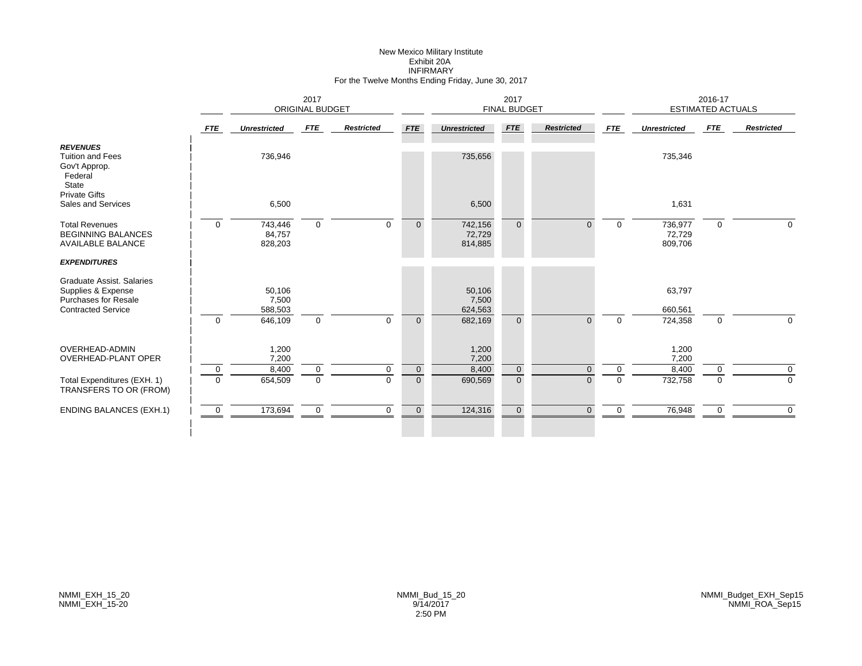#### New Mexico Military Institute Exhibit 20A INFIRMARY For the Twelve Months Ending Friday, June 30, 2017

|                                                                                 |              |                              | 2017<br>ORIGINAL BUDGET |                   |                     |                              | 2017<br><b>FINAL BUDGET</b> |                   |            |                              | 2016-17<br><b>ESTIMATED ACTUALS</b> |                   |
|---------------------------------------------------------------------------------|--------------|------------------------------|-------------------------|-------------------|---------------------|------------------------------|-----------------------------|-------------------|------------|------------------------------|-------------------------------------|-------------------|
|                                                                                 | <b>FTE</b>   | <b>Unrestricted</b>          | <b>FTE</b>              | <b>Restricted</b> | <b>FTE</b>          | <b>Unrestricted</b>          | <b>FTE</b>                  | <b>Restricted</b> | <b>FTE</b> | <b>Unrestricted</b>          | FTE                                 | <b>Restricted</b> |
| <b>REVENUES</b><br><b>Tuition and Fees</b><br>Gov't Approp.<br>Federal<br>State |              | 736,946                      |                         |                   |                     | 735,656                      |                             |                   |            | 735,346                      |                                     |                   |
| <b>Private Gifts</b><br>Sales and Services                                      |              | 6,500                        |                         |                   |                     | 6,500                        |                             |                   |            | 1,631                        |                                     |                   |
| <b>Total Revenues</b><br><b>BEGINNING BALANCES</b><br><b>AVAILABLE BALANCE</b>  | $\Omega$     | 743,446<br>84,757<br>828,203 | $\mathbf 0$             | $\Omega$          | $\mathbf{0}$        | 742,156<br>72,729<br>814,885 | $\Omega$                    | $\Omega$          | $\Omega$   | 736,977<br>72,729<br>809,706 | $\mathbf{0}$                        | $\Omega$          |
| <b>EXPENDITURES</b>                                                             |              |                              |                         |                   |                     |                              |                             |                   |            |                              |                                     |                   |
| Graduate Assist. Salaries<br>Supplies & Expense<br><b>Purchases for Resale</b>  |              | 50,106<br>7,500              |                         |                   |                     | 50,106<br>7,500              |                             |                   |            | 63,797                       |                                     |                   |
| <b>Contracted Service</b>                                                       | $\mathbf{0}$ | 588,503<br>646,109           | $\mathbf 0$             | $\mathbf 0$       | $\mathbf{0}$        | 624,563<br>682,169           | $\Omega$                    | $\Omega$          | $\Omega$   | 660,561<br>724,358           | $\mathbf 0$                         | $\mathbf 0$       |
| OVERHEAD-ADMIN<br><b>OVERHEAD-PLANT OPER</b>                                    |              | 1,200<br>7,200               |                         |                   |                     | 1,200<br>7,200               |                             |                   |            | 1,200<br>7,200               |                                     |                   |
|                                                                                 | $\mathbf 0$  | 8,400                        | 0                       | 0                 | $\mathsf{O}\xspace$ | 8,400                        | $\mathbf{0}$                | $\Omega$          | 0          | 8,400                        | 0                                   | $\mathbf 0$       |
| Total Expenditures (EXH. 1)<br>TRANSFERS TO OR (FROM)                           | $\Omega$     | 654,509                      | $\mathbf 0$             | $\Omega$          | $\overline{0}$      | 690,569                      | $\mathbf{0}$                | $\Omega$          | $\Omega$   | 732,758                      | $\Omega$                            | $\overline{0}$    |
| <b>ENDING BALANCES (EXH.1)</b>                                                  | $\mathbf 0$  | 173,694                      | $\Omega$                | $\Omega$          | $\mathbf 0$         | 124,316                      | $\Omega$                    |                   |            | 76,948                       | 0                                   | $\Omega$          |
|                                                                                 |              |                              |                         |                   |                     |                              |                             |                   |            |                              |                                     |                   |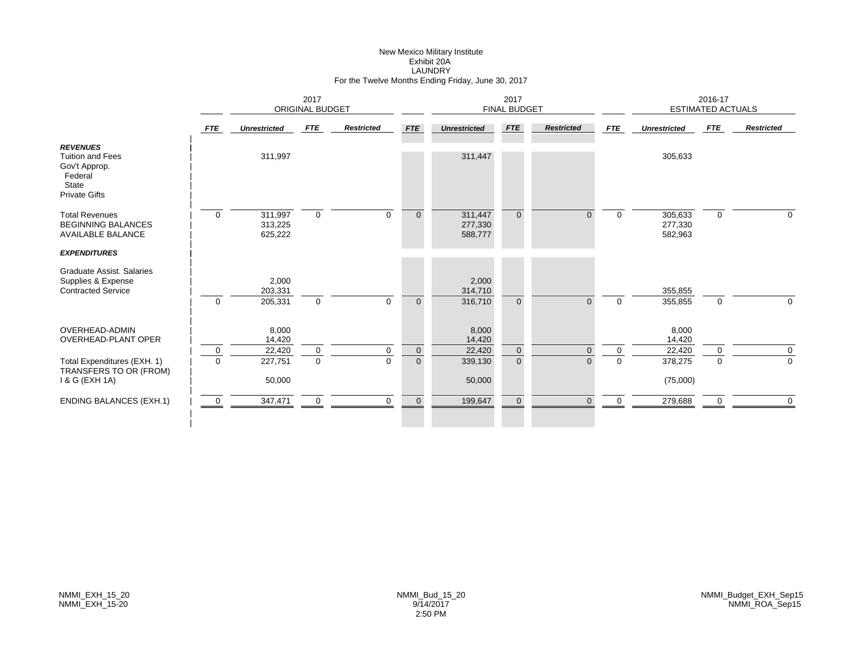#### New Mexico Military Institute Exhibit 20A LAUNDRY For the Twelve Months Ending Friday, June 30, 2017

| 2017<br>ORIGINAL BUDGET |                               |                                        |                            |                      |                               | 2017                         |                      |                                             |                               | 2016-17                                  |                                                     |
|-------------------------|-------------------------------|----------------------------------------|----------------------------|----------------------|-------------------------------|------------------------------|----------------------|---------------------------------------------|-------------------------------|------------------------------------------|-----------------------------------------------------|
| <b>FTE</b>              | <b>Unrestricted</b>           | FTE                                    | <b>Restricted</b>          | <b>FTE</b>           | <b>Unrestricted</b>           | FTE                          | <b>Restricted</b>    | <b>FTE</b>                                  | <b>Unrestricted</b>           | FTE                                      | <b>Restricted</b>                                   |
|                         | 311,997                       |                                        |                            |                      | 311,447                       |                              |                      |                                             | 305,633                       |                                          |                                                     |
| $\overline{0}$          | 311,997<br>313,225<br>625,222 | $\mathbf 0$                            | $\Omega$                   | $\mathbf{0}$         | 311,447<br>277,330<br>588,777 | $\overline{0}$               | $\Omega$             | $\Omega$                                    | 305,633<br>277,330<br>582,963 | $\mathbf 0$                              | $\Omega$                                            |
|                         |                               |                                        |                            |                      |                               |                              |                      |                                             |                               |                                          |                                                     |
|                         | 2,000<br>203,331              |                                        |                            |                      | 2,000<br>314,710              |                              |                      |                                             | 355,855                       |                                          | $\Omega$                                            |
|                         |                               |                                        |                            |                      |                               |                              |                      |                                             |                               |                                          |                                                     |
|                         | 8,000<br>14,420               |                                        |                            |                      | 8,000<br>14,420               |                              |                      |                                             | 8,000<br>14,420               |                                          |                                                     |
| $\mathbf 0$             |                               | $\mathbf 0$                            | 0                          | $\mathbf 0$          |                               | $\mathbf{0}$                 | $\Omega$             | $\mathbf 0$                                 |                               | $\Omega$                                 | $\mathbf 0$                                         |
|                         |                               |                                        |                            |                      |                               |                              |                      |                                             |                               |                                          | $\Omega$                                            |
|                         |                               |                                        |                            |                      | 50,000                        |                              |                      |                                             |                               |                                          |                                                     |
| $\mathbf 0$             | 347,471                       | 0                                      | $\mathbf 0$                | $\overline{0}$       | 199,647                       | $\mathbf{0}$                 | $\Omega$             | $\Omega$                                    | 279,688                       | 0                                        | $\Omega$                                            |
|                         | $\Omega$<br>$\Omega$          | 205,331<br>22,420<br>227,751<br>50,000 | $\mathbf 0$<br>$\mathbf 0$ | $\Omega$<br>$\Omega$ | $\Omega$<br>$\overline{0}$    | 316,710<br>22,420<br>339,130 | $\Omega$<br>$\Omega$ | <b>FINAL BUDGET</b><br>$\Omega$<br>$\Omega$ | $\Omega$<br>$\Omega$          | 355,855<br>22,420<br>378,275<br>(75,000) | <b>ESTIMATED ACTUALS</b><br>$\mathbf 0$<br>$\Omega$ |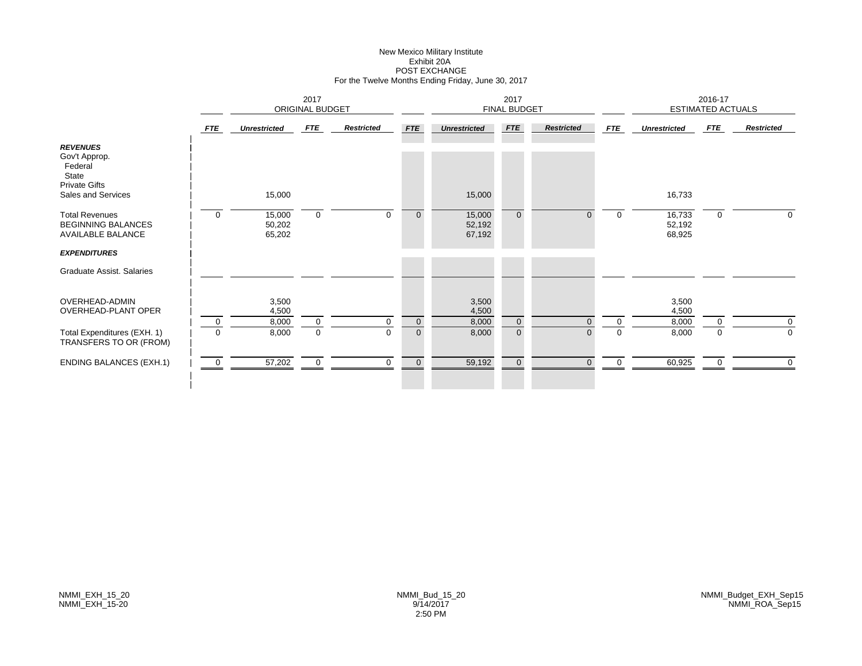# New Mexico Military Institute Exhibit 20APOST EXCHANGE For the Twelve Months Ending Friday, June 30, 2017

|                                                                                                    |                            |                            | 2017<br><b>ORIGINAL BUDGET</b> |                   |                            |                            | 2017<br><b>FINAL BUDGET</b> |                      |                            |                            | 2016-17<br><b>ESTIMATED ACTUALS</b> |                            |
|----------------------------------------------------------------------------------------------------|----------------------------|----------------------------|--------------------------------|-------------------|----------------------------|----------------------------|-----------------------------|----------------------|----------------------------|----------------------------|-------------------------------------|----------------------------|
|                                                                                                    | <b>FTE</b>                 | <b>Unrestricted</b>        | FTE                            | <b>Restricted</b> | <b>FTE</b>                 | <b>Unrestricted</b>        | FTE                         | <b>Restricted</b>    | <b>FTE</b>                 | <b>Unrestricted</b>        | FTE                                 | <b>Restricted</b>          |
| <b>REVENUES</b><br>Gov't Approp.<br>Federal<br>State<br><b>Private Gifts</b><br>Sales and Services |                            | 15,000                     |                                |                   |                            | 15,000                     |                             |                      |                            | 16,733                     |                                     |                            |
| <b>Total Revenues</b><br><b>BEGINNING BALANCES</b><br><b>AVAILABLE BALANCE</b>                     | $\mathbf 0$                | 15,000<br>50,202<br>65,202 | $\mathbf 0$                    | $\Omega$          | $\overline{0}$             | 15,000<br>52,192<br>67,192 | $\mathbf{0}$                | $\Omega$             | $\overline{0}$             | 16,733<br>52,192<br>68,925 | $\mathbf 0$                         | $\mathbf 0$                |
| <b>EXPENDITURES</b>                                                                                |                            |                            |                                |                   |                            |                            |                             |                      |                            |                            |                                     |                            |
| Graduate Assist. Salaries                                                                          |                            |                            |                                |                   |                            |                            |                             |                      |                            |                            |                                     |                            |
| OVERHEAD-ADMIN<br><b>OVERHEAD-PLANT OPER</b>                                                       |                            | 3,500<br>4,500             |                                |                   |                            | 3,500<br>4,500             |                             |                      |                            | 3,500<br>4,500             |                                     |                            |
| Total Expenditures (EXH. 1)<br>TRANSFERS TO OR (FROM)                                              | $\mathbf 0$<br>$\mathbf 0$ | 8,000<br>8,000             | $\mathbf 0$<br>$\mathbf 0$     | 0<br>$\mathbf 0$  | $\mathbf 0$<br>$\mathbf 0$ | 8,000<br>8,000             | $\mathbf 0$<br>$\mathbf{0}$ | $\Omega$<br>$\Omega$ | $\overline{0}$<br>$\Omega$ | 8,000<br>8,000             | $\mathbf 0$<br>$\mathbf 0$          | $\mathbf 0$<br>$\mathbf 0$ |
| <b>ENDING BALANCES (EXH.1)</b>                                                                     | $\mathbf 0$                | 57,202                     | $\mathbf 0$                    | 0                 | $\mathbf 0$                | 59,192                     | $\overline{0}$              | $\Omega$             | $\mathbf 0$                | 60,925                     | 0                                   | $\mathbf 0$                |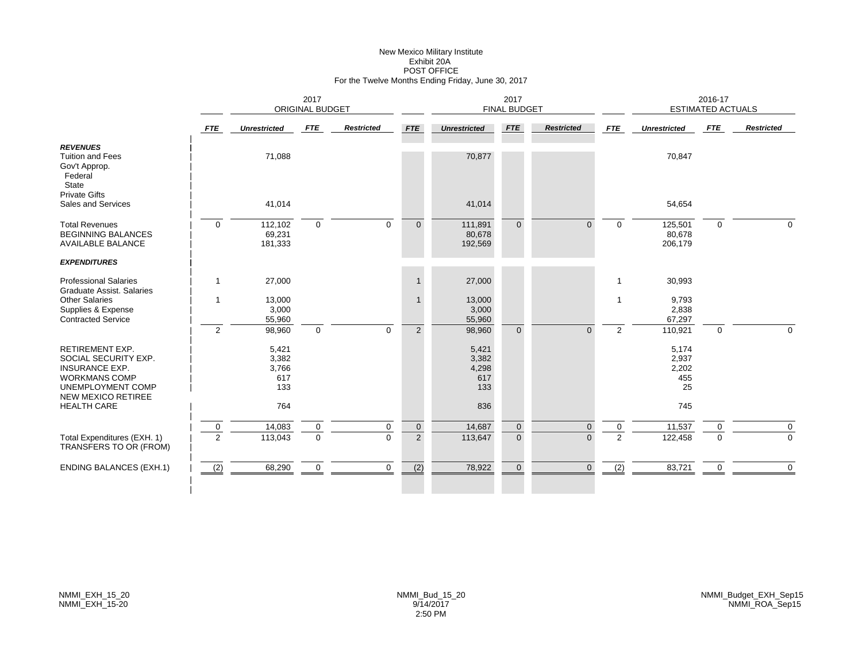# New Mexico Military Institute Exhibit 20APOST OFFICE For the Twelve Months Ending Friday, June 30, 2017

|                                                                                                                                                   |                               |                                       | 2017<br><b>ORIGINAL BUDGET</b> |                   |                               |                                       | 2017<br><b>FINAL BUDGET</b> |                      |                  |                                      | 2016-17<br><b>ESTIMATED ACTUALS</b> |                   |
|---------------------------------------------------------------------------------------------------------------------------------------------------|-------------------------------|---------------------------------------|--------------------------------|-------------------|-------------------------------|---------------------------------------|-----------------------------|----------------------|------------------|--------------------------------------|-------------------------------------|-------------------|
|                                                                                                                                                   | <b>FTE</b>                    | <b>Unrestricted</b>                   | <b>FTE</b>                     | <b>Restricted</b> | <b>FTE</b>                    | <b>Unrestricted</b>                   | <b>FTE</b>                  | <b>Restricted</b>    | <b>FTE</b>       | <b>Unrestricted</b>                  | <b>FTE</b>                          | <b>Restricted</b> |
| <b>REVENUES</b><br><b>Tuition and Fees</b><br>Gov't Approp.<br>Federal<br>State                                                                   |                               | 71,088                                |                                |                   |                               | 70,877                                |                             |                      |                  | 70,847                               |                                     |                   |
| <b>Private Gifts</b><br>Sales and Services                                                                                                        |                               | 41,014                                |                                |                   |                               | 41,014                                |                             |                      |                  | 54,654                               |                                     |                   |
| <b>Total Revenues</b><br><b>BEGINNING BALANCES</b><br><b>AVAILABLE BALANCE</b>                                                                    | $\mathbf 0$                   | 112,102<br>69,231<br>181,333          | $\mathbf 0$                    | $\mathbf 0$       | $\mathbf{0}$                  | 111,891<br>80,678<br>192,569          | $\Omega$                    | $\Omega$             | $\Omega$         | 125,501<br>80,678<br>206,179         | $\mathbf 0$                         | $\mathbf 0$       |
| <b>EXPENDITURES</b>                                                                                                                               |                               |                                       |                                |                   |                               |                                       |                             |                      |                  |                                      |                                     |                   |
| <b>Professional Salaries</b><br><b>Graduate Assist, Salaries</b>                                                                                  | $\mathbf 1$                   | 27,000                                |                                |                   | $\mathbf{1}$                  | 27,000                                |                             |                      | -1               | 30,993                               |                                     |                   |
| <b>Other Salaries</b><br>Supplies & Expense<br><b>Contracted Service</b>                                                                          | -1                            | 13,000<br>3,000<br>55,960             |                                |                   | $\mathbf{1}$                  | 13,000<br>3,000<br>55,960             |                             |                      | 1                | 9,793<br>2,838<br>67,297             |                                     |                   |
|                                                                                                                                                   | $\overline{2}$                | 98,960                                | $\mathbf 0$                    | $\mathbf{0}$      | $\overline{2}$                | 98,960                                | $\overline{0}$              | $\Omega$             | $\overline{2}$   | 110,921                              | $\mathbf 0$                         | $\Omega$          |
| <b>RETIREMENT EXP.</b><br>SOCIAL SECURITY EXP.<br><b>INSURANCE EXP.</b><br><b>WORKMANS COMP</b><br>UNEMPLOYMENT COMP<br><b>NEW MEXICO RETIREE</b> |                               | 5,421<br>3,382<br>3,766<br>617<br>133 |                                |                   |                               | 5,421<br>3,382<br>4,298<br>617<br>133 |                             |                      |                  | 5,174<br>2,937<br>2,202<br>455<br>25 |                                     |                   |
| <b>HEALTH CARE</b>                                                                                                                                |                               | 764                                   |                                |                   |                               | 836                                   |                             |                      |                  | 745                                  |                                     |                   |
| Total Expenditures (EXH. 1)<br>TRANSFERS TO OR (FROM)                                                                                             | $\mathbf 0$<br>$\overline{2}$ | 14,083<br>113,043                     | 0<br>$\mathbf 0$               | 0<br>$\Omega$     | $\mathbf 0$<br>$\overline{2}$ | 14,687<br>113,647                     | $\mathbf 0$<br>$\mathbf{0}$ | $\Omega$<br>$\Omega$ | $\mathbf 0$<br>2 | 11,537<br>122,458                    | 0<br>$\Omega$                       | 0<br>$\mathbf 0$  |
| <b>ENDING BALANCES (EXH.1)</b>                                                                                                                    | (2)                           | 68,290                                | $\mathbf 0$                    | $\mathbf 0$       | (2)                           | 78,922                                | $\mathbf 0$                 | $\mathbf{0}$         | (2)              | 83,721                               | $\mathbf 0$                         | $\mathbf 0$       |
|                                                                                                                                                   |                               |                                       |                                |                   |                               |                                       |                             |                      |                  |                                      |                                     |                   |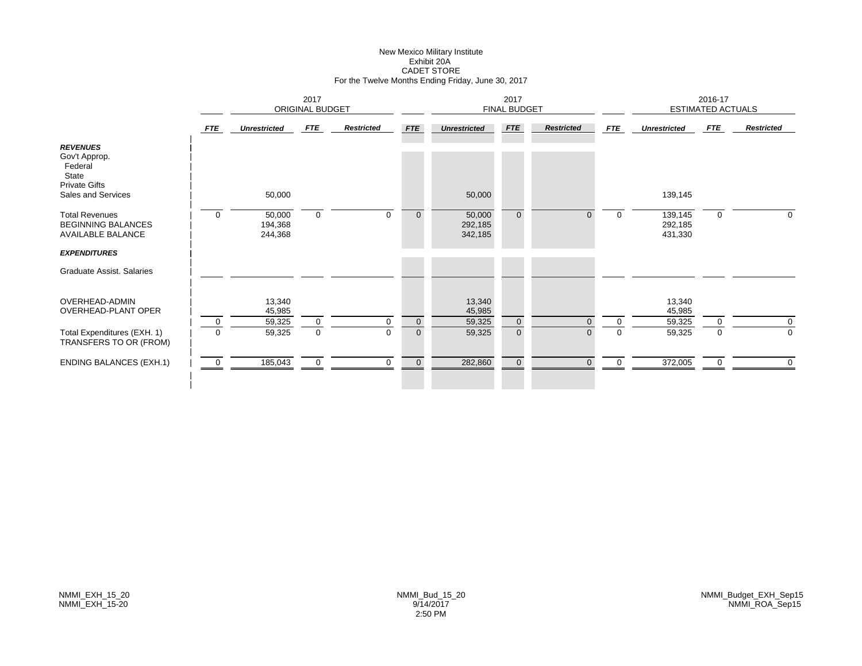# New Mexico Military Institute Exhibit 20ACADET STORE For the Twelve Months Ending Friday, June 30, 2017

|                                                                                                    |             | 2017<br><b>ORIGINAL BUDGET</b> |             |                   |              |                              | 2017<br><b>FINAL BUDGET</b> |                      |                            |                               | 2016-17<br><b>ESTIMATED ACTUALS</b> |                   |
|----------------------------------------------------------------------------------------------------|-------------|--------------------------------|-------------|-------------------|--------------|------------------------------|-----------------------------|----------------------|----------------------------|-------------------------------|-------------------------------------|-------------------|
|                                                                                                    | FTE         | <b>Unrestricted</b>            | FTE         | <b>Restricted</b> | <b>FTE</b>   | <b>Unrestricted</b>          | <b>FTE</b>                  | <b>Restricted</b>    | <b>FTE</b>                 | <b>Unrestricted</b>           | <b>FTE</b>                          | <b>Restricted</b> |
| <b>REVENUES</b><br>Gov't Approp.<br>Federal<br>State<br><b>Private Gifts</b><br>Sales and Services |             | 50,000                         |             |                   |              | 50,000                       |                             |                      |                            | 139,145                       |                                     |                   |
| <b>Total Revenues</b><br><b>BEGINNING BALANCES</b><br><b>AVAILABLE BALANCE</b>                     | $\Omega$    | 50,000<br>194,368<br>244,368   | $\mathbf 0$ | $\Omega$          | $\mathbf{0}$ | 50,000<br>292,185<br>342,185 | $\overline{0}$              | $\Omega$             | $\mathbf 0$                | 139,145<br>292,185<br>431,330 | $\mathbf 0$                         | $\mathbf 0$       |
| <b>EXPENDITURES</b>                                                                                |             |                                |             |                   |              |                              |                             |                      |                            |                               |                                     |                   |
| Graduate Assist. Salaries                                                                          |             |                                |             |                   |              |                              |                             |                      |                            |                               |                                     |                   |
| OVERHEAD-ADMIN<br><b>OVERHEAD-PLANT OPER</b>                                                       |             | 13,340<br>45,985               |             |                   |              | 13,340<br>45,985             |                             |                      |                            | 13,340<br>45,985              |                                     |                   |
|                                                                                                    | 0           | 59,325                         | $\mathbf 0$ | 0                 | $\mathbf 0$  | 59,325                       | $\mathbf 0$                 | $\Omega$<br>$\Omega$ | $\overline{0}$<br>$\Omega$ | 59,325                        | $\mathbf 0$                         | 0                 |
| Total Expenditures (EXH. 1)<br>TRANSFERS TO OR (FROM)                                              | $\mathbf 0$ | 59,325                         | $\mathbf 0$ | $\mathbf 0$       | $\mathbf 0$  | 59,325                       | $\overline{0}$              |                      |                            | 59,325                        | $\mathbf 0$                         | $\mathbf 0$       |
| <b>ENDING BALANCES (EXH.1)</b>                                                                     | $\mathbf 0$ | 185,043                        | 0           | 0                 | $\mathbf 0$  | 282,860                      | $\overline{0}$              | $\Omega$             | $\mathbf 0$                | 372,005                       | 0                                   | 0                 |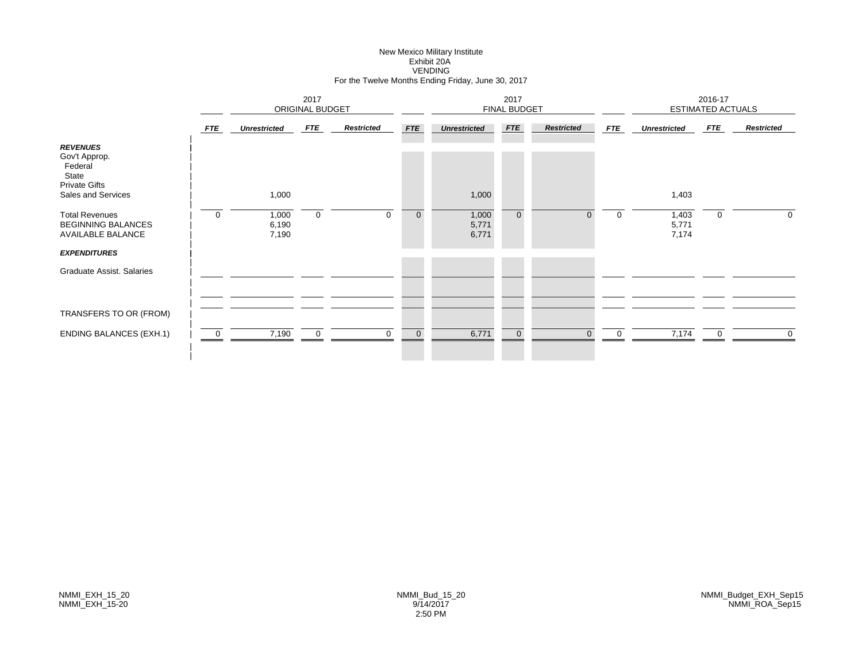# New Mexico Military Institute Exhibit 20AVENDING For the Twelve Months Ending Friday, June 30, 2017

|                                                                                                    |                | 2017<br>ORIGINAL BUDGET |             |                   |             |                         | 2017<br><b>FINAL BUDGET</b> |                   |             |                         | 2016-17<br><b>ESTIMATED ACTUALS</b> |                   |
|----------------------------------------------------------------------------------------------------|----------------|-------------------------|-------------|-------------------|-------------|-------------------------|-----------------------------|-------------------|-------------|-------------------------|-------------------------------------|-------------------|
|                                                                                                    | FTE            | <b>Unrestricted</b>     | FTE         | <b>Restricted</b> | <b>FTE</b>  | <b>Unrestricted</b>     | FTE                         | <b>Restricted</b> | <b>FTE</b>  | <b>Unrestricted</b>     | <b>FTE</b>                          | <b>Restricted</b> |
| <b>REVENUES</b><br>Gov't Approp.<br>Federal<br>State<br><b>Private Gifts</b><br>Sales and Services |                | 1,000                   |             |                   |             | 1,000                   |                             |                   |             | 1,403                   |                                     |                   |
| <b>Total Revenues</b><br><b>BEGINNING BALANCES</b><br><b>AVAILABLE BALANCE</b>                     | 0              | 1,000<br>6,190<br>7,190 | $\mathbf 0$ | $\mathbf 0$       | $\mathbf 0$ | 1,000<br>5,771<br>6,771 | $\overline{0}$              | $\overline{0}$    | $\mathbf 0$ | 1,403<br>5,771<br>7,174 | 0                                   | $\overline{0}$    |
| <b>EXPENDITURES</b>                                                                                |                |                         |             |                   |             |                         |                             |                   |             |                         |                                     |                   |
| Graduate Assist. Salaries                                                                          |                |                         |             |                   |             |                         |                             |                   |             |                         |                                     |                   |
| TRANSFERS TO OR (FROM)                                                                             |                |                         |             |                   |             |                         |                             |                   |             |                         |                                     |                   |
| <b>ENDING BALANCES (EXH.1)</b>                                                                     | $\overline{0}$ | 7,190                   | $\mathbf 0$ | $\Omega$          | $\mathbf 0$ | 6,771                   | $\overline{0}$              | $\Omega$          | $\Omega$    | 7,174                   | $\overline{0}$                      | $\overline{0}$    |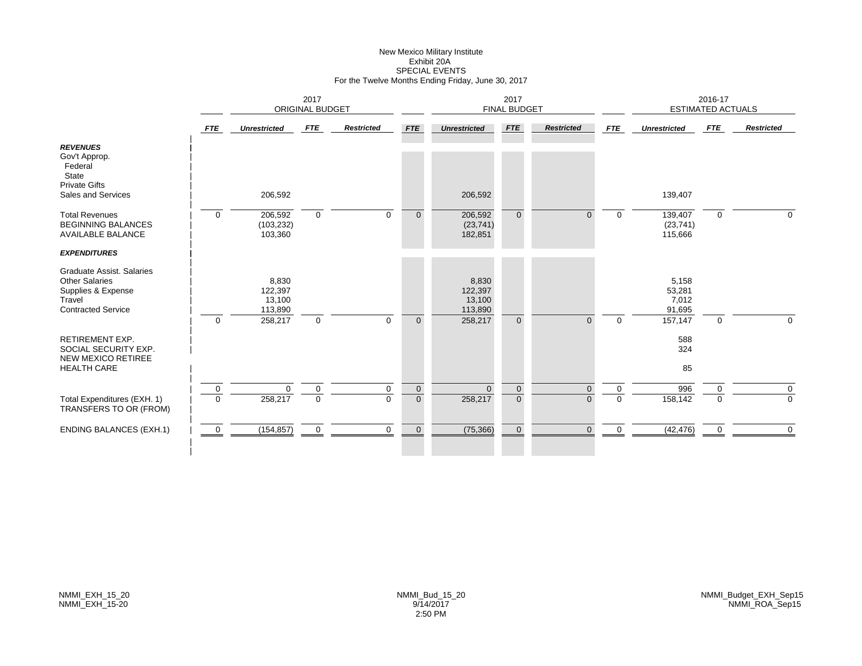# New Mexico Military Institute Exhibit 20ASPECIAL EVENTS For the Twelve Months Ending Friday, June 30, 2017

|                                                                                                                 |                |                                       | 2017<br>ORIGINAL BUDGET |                   |                |                                       | 2017<br><b>FINAL BUDGET</b> |                   |             |                                    | 2016-17<br><b>ESTIMATED ACTUALS</b> |                   |
|-----------------------------------------------------------------------------------------------------------------|----------------|---------------------------------------|-------------------------|-------------------|----------------|---------------------------------------|-----------------------------|-------------------|-------------|------------------------------------|-------------------------------------|-------------------|
|                                                                                                                 | <b>FTE</b>     | <b>Unrestricted</b>                   | FTE                     | <b>Restricted</b> | <b>FTE</b>     | <b>Unrestricted</b>                   | <b>FTE</b>                  | <b>Restricted</b> | <b>FTE</b>  | <b>Unrestricted</b>                | <b>FTE</b>                          | <b>Restricted</b> |
| <b>REVENUES</b><br>Gov't Approp.<br>Federal<br>State<br><b>Private Gifts</b><br>Sales and Services              |                | 206,592                               |                         |                   |                | 206,592                               |                             |                   |             | 139,407                            |                                     |                   |
| <b>Total Revenues</b><br><b>BEGINNING BALANCES</b><br><b>AVAILABLE BALANCE</b>                                  | $\mathbf 0$    | 206,592<br>(103, 232)<br>103,360      | $\mathbf 0$             | $\Omega$          | $\Omega$       | 206,592<br>(23, 741)<br>182,851       | $\overline{0}$              | $\Omega$          | $\Omega$    | 139,407<br>(23, 741)<br>115,666    | $\mathbf{0}$                        | $\Omega$          |
| <b>EXPENDITURES</b>                                                                                             |                |                                       |                         |                   |                |                                       |                             |                   |             |                                    |                                     |                   |
| Graduate Assist. Salaries<br><b>Other Salaries</b><br>Supplies & Expense<br>Travel<br><b>Contracted Service</b> |                | 8,830<br>122,397<br>13,100<br>113,890 |                         |                   |                | 8,830<br>122,397<br>13,100<br>113,890 |                             |                   |             | 5,158<br>53,281<br>7,012<br>91,695 |                                     |                   |
|                                                                                                                 | $\Omega$       | 258,217                               | $\mathbf 0$             | $\Omega$          | $\Omega$       | 258,217                               | $\overline{0}$              | $\Omega$          | $\Omega$    | 157,147                            | $\mathbf 0$                         | $\mathbf 0$       |
| <b>RETIREMENT EXP.</b><br>SOCIAL SECURITY EXP.<br><b>NEW MEXICO RETIREE</b>                                     |                |                                       |                         |                   |                |                                       |                             |                   |             | 588<br>324                         |                                     |                   |
| <b>HEALTH CARE</b>                                                                                              |                |                                       |                         |                   |                |                                       |                             |                   |             | 85                                 |                                     |                   |
|                                                                                                                 | $\mathbf 0$    | $\mathbf 0$                           | $\mathbf 0$             | $\mathbf 0$       | $\mathbf{0}$   | $\Omega$                              | $\overline{0}$              | $\Omega$          | $\mathbf 0$ | 996                                | $\mathbf 0$                         | $\mathbf 0$       |
| Total Expenditures (EXH. 1)<br>TRANSFERS TO OR (FROM)                                                           | $\Omega$       | 258,217                               | $\mathbf 0$             | $\Omega$          | $\overline{0}$ | 258,217                               | $\overline{0}$              | $\Omega$          | $\Omega$    | 158,142                            | $\Omega$                            | $\Omega$          |
| <b>ENDING BALANCES (EXH.1)</b>                                                                                  | $\overline{0}$ | (154, 857)                            | $\mathbf 0$             | $\mathbf{0}$      | $\mathbf{0}$   | (75, 366)                             | $\overline{0}$              | $\Omega$          | $\mathbf 0$ | (42, 476)                          | 0                                   | $\mathbf 0$       |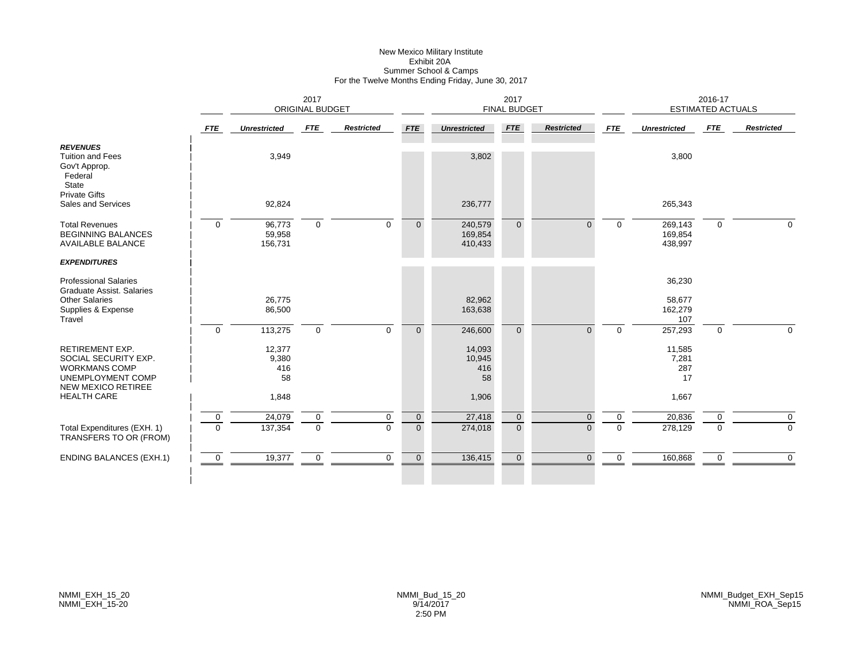#### New Mexico Military Institute Exhibit 20A Summer School & Camps For the Twelve Months Ending Friday, June 30, 2017

|                                                                                                                          |                         | 2017<br><b>ORIGINAL BUDGET</b> |                            |                         |                               |                               | 2017<br><b>FINAL BUDGET</b> |                      |                      |                               | 2016-17<br><b>ESTIMATED ACTUALS</b> |                   |
|--------------------------------------------------------------------------------------------------------------------------|-------------------------|--------------------------------|----------------------------|-------------------------|-------------------------------|-------------------------------|-----------------------------|----------------------|----------------------|-------------------------------|-------------------------------------|-------------------|
|                                                                                                                          | FTE                     | <b>Unrestricted</b>            | FTE                        | <b>Restricted</b>       | <b>FTE</b>                    | <b>Unrestricted</b>           | <b>FTE</b>                  | <b>Restricted</b>    | <b>FTE</b>           | <b>Unrestricted</b>           | FTE                                 | <b>Restricted</b> |
| <b>REVENUES</b><br><b>Tuition and Fees</b><br>Gov't Approp.<br>Federal<br><b>State</b>                                   |                         | 3,949                          |                            |                         |                               | 3,802                         |                             |                      |                      | 3,800                         |                                     |                   |
| <b>Private Gifts</b><br>Sales and Services                                                                               |                         | 92,824                         |                            |                         |                               | 236,777                       |                             |                      |                      | 265,343                       |                                     |                   |
| <b>Total Revenues</b><br><b>BEGINNING BALANCES</b><br><b>AVAILABLE BALANCE</b>                                           | $\mathbf 0$             | 96,773<br>59,958<br>156,731    | $\mathbf 0$                | $\Omega$                | $\Omega$                      | 240,579<br>169,854<br>410,433 | $\Omega$                    | $\Omega$             | $\Omega$             | 269,143<br>169,854<br>438,997 | $\Omega$                            | $\Omega$          |
| <b>EXPENDITURES</b>                                                                                                      |                         |                                |                            |                         |                               |                               |                             |                      |                      |                               |                                     |                   |
| <b>Professional Salaries</b><br><b>Graduate Assist. Salaries</b><br><b>Other Salaries</b><br>Supplies & Expense          |                         | 26,775<br>86,500               |                            |                         |                               | 82,962<br>163,638             |                             |                      |                      | 36,230<br>58,677<br>162,279   |                                     |                   |
| Travel                                                                                                                   | $\mathbf 0$             | 113,275                        | $\mathbf 0$                | $\Omega$                | $\Omega$                      | 246,600                       | $\Omega$                    | $\Omega$             | $\Omega$             | 107<br>257,293                | $\mathbf{0}$                        | $\Omega$          |
| <b>RETIREMENT EXP.</b><br>SOCIAL SECURITY EXP.<br><b>WORKMANS COMP</b><br>UNEMPLOYMENT COMP<br><b>NEW MEXICO RETIREE</b> |                         | 12,377<br>9,380<br>416<br>58   |                            |                         |                               | 14,093<br>10,945<br>416<br>58 |                             |                      |                      | 11,585<br>7,281<br>287<br>17  |                                     |                   |
| <b>HEALTH CARE</b>                                                                                                       |                         | 1,848                          |                            |                         |                               | 1,906                         |                             |                      |                      | 1,667                         |                                     |                   |
| Total Expenditures (EXH. 1)<br>TRANSFERS TO OR (FROM)                                                                    | $\mathbf 0$<br>$\Omega$ | 24,079<br>137,354              | $\mathbf 0$<br>$\mathbf 0$ | $\mathbf 0$<br>$\Omega$ | $\mathbf 0$<br>$\overline{0}$ | 27,418<br>274,018             | $\mathbf 0$<br>$\Omega$     | $\Omega$<br>$\Omega$ | $\Omega$<br>$\Omega$ | 20,836<br>278,129             | 0<br>$\Omega$                       | 0<br>$\Omega$     |
| <b>ENDING BALANCES (EXH.1)</b>                                                                                           | $\overline{0}$          | 19,377                         | $\mathbf 0$                | $\mathbf 0$             | $\overline{0}$                | 136,415                       | $\mathbf 0$                 | $\Omega$             | 0                    | 160,868                       | 0                                   | $\mathbf 0$       |
|                                                                                                                          |                         |                                |                            |                         |                               |                               |                             |                      |                      |                               |                                     |                   |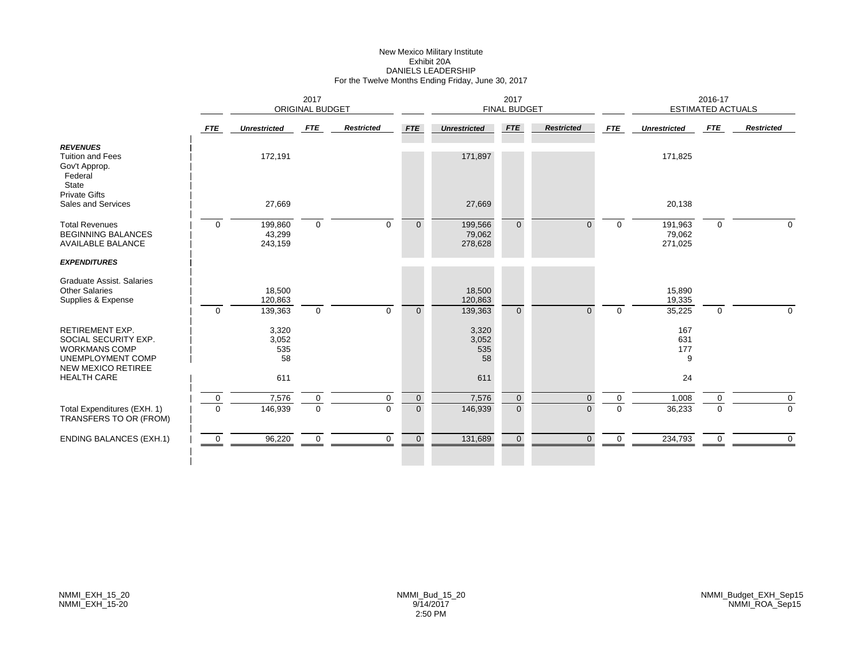# New Mexico Military Institute Exhibit 20ADANIELS LEADERSHIP For the Twelve Months Ending Friday, June 30, 2017

|                | 2017<br><b>ORIGINAL BUDGET</b> |                    |                         |                      |                              | 2017               |                            |                                             |                              | 2016-17          |                                                     |
|----------------|--------------------------------|--------------------|-------------------------|----------------------|------------------------------|--------------------|----------------------------|---------------------------------------------|------------------------------|------------------|-----------------------------------------------------|
| <b>FTE</b>     | <b>Unrestricted</b>            | FTE                | <b>Restricted</b>       | <b>FTE</b>           | <b>Unrestricted</b>          | <b>FTE</b>         | <b>Restricted</b>          | <b>FTE</b>                                  | <b>Unrestricted</b>          | <b>FTE</b>       | <b>Restricted</b>                                   |
|                | 172,191                        |                    |                         |                      | 171,897                      |                    |                            |                                             | 171,825                      |                  |                                                     |
|                | 27,669                         |                    |                         |                      | 27,669                       |                    |                            |                                             | 20,138                       |                  |                                                     |
| $\overline{0}$ | 199,860<br>43,299<br>243,159   | $\mathbf 0$        | $\mathbf 0$             | $\mathbf{0}$         | 199,566<br>79,062<br>278,628 | $\overline{0}$     | $\Omega$                   | $\mathbf 0$                                 | 191,963<br>79,062<br>271,025 | 0                | $\mathbf{0}$                                        |
|                |                                |                    |                         |                      |                              |                    |                            |                                             |                              |                  |                                                     |
|                | 18,500<br>120,863              |                    |                         |                      | 18,500<br>120,863            |                    |                            |                                             | 15,890<br>19,335             |                  |                                                     |
|                |                                |                    |                         |                      |                              |                    |                            |                                             |                              |                  | $\Omega$                                            |
|                | 3,320<br>3,052<br>535<br>58    |                    |                         |                      | 3,320<br>3,052<br>535<br>58  |                    |                            |                                             | 167<br>631<br>177<br>9       |                  |                                                     |
|                | 611                            |                    |                         |                      | 611                          |                    |                            |                                             | 24                           |                  |                                                     |
| $\mathbf 0$    | 7,576                          | 0                  | $\mathbf 0$             | $\mathbf 0$          | 7,576                        | $\overline{0}$     | $\mathbf{0}$               | $\mathbf 0$                                 | 1,008                        | 0                | $\mathbf 0$                                         |
|                |                                |                    |                         |                      |                              |                    |                            |                                             |                              |                  | $\Omega$                                            |
| $\overline{0}$ | 96,220                         | $\mathbf 0$        | $\mathbf 0$             | $\overline{0}$       | 131,689                      | $\overline{0}$     | $\Omega$                   | $\overline{0}$                              | 234,793                      | 0                | $\mathbf 0$                                         |
|                | $\overline{0}$<br>$\Omega$     | 139,363<br>146,939 | $\mathbf 0$<br>$\Omega$ | $\Omega$<br>$\Omega$ | $\Omega$<br>$\overline{0}$   | 139,363<br>146,939 | $\Omega$<br>$\overline{0}$ | <b>FINAL BUDGET</b><br>$\Omega$<br>$\Omega$ | $\Omega$<br>$\Omega$         | 35,225<br>36,233 | <b>ESTIMATED ACTUALS</b><br>$\mathbf 0$<br>$\Omega$ |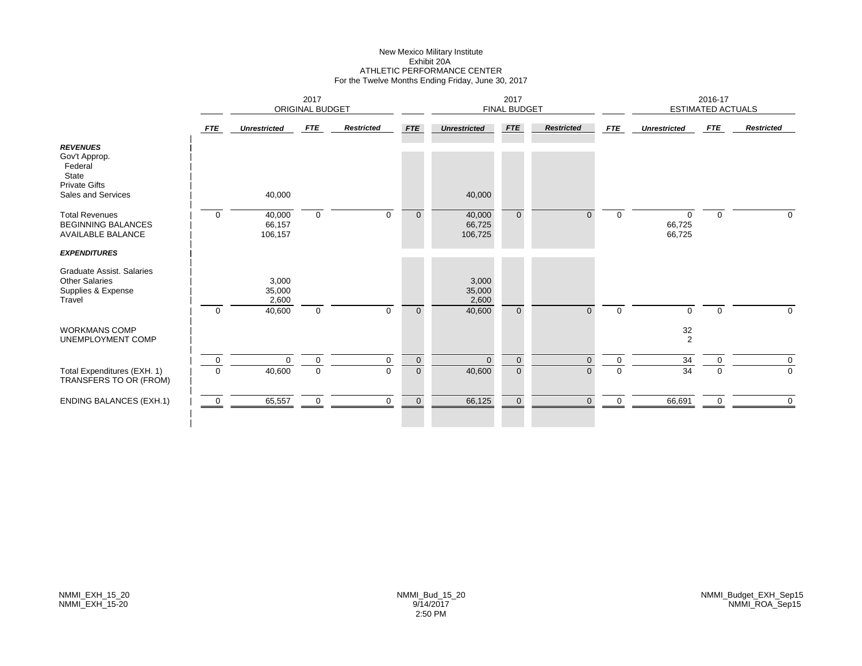#### New Mexico Military Institute Exhibit 20A ATHLETIC PERFORMANCE CENTER For the Twelve Months Ending Friday, June 30, 2017

|                                                                                                    |             | 2017<br><b>ORIGINAL BUDGET</b>     |             |                   |                |                                    | 2017<br><b>FINAL BUDGET</b> |                   |            |                              | 2016-17<br><b>ESTIMATED ACTUALS</b> |                   |
|----------------------------------------------------------------------------------------------------|-------------|------------------------------------|-------------|-------------------|----------------|------------------------------------|-----------------------------|-------------------|------------|------------------------------|-------------------------------------|-------------------|
|                                                                                                    | <b>FTE</b>  | <b>Unrestricted</b>                | FTE         | <b>Restricted</b> | FTE            | <b>Unrestricted</b>                | FTE                         | <b>Restricted</b> | <b>FTE</b> | <b>Unrestricted</b>          | FTE                                 | <b>Restricted</b> |
| <b>REVENUES</b><br>Gov't Approp.<br>Federal<br>State<br><b>Private Gifts</b><br>Sales and Services |             | 40,000                             |             |                   |                | 40,000                             |                             |                   |            |                              |                                     |                   |
| <b>Total Revenues</b><br><b>BEGINNING BALANCES</b><br><b>AVAILABLE BALANCE</b>                     | $\mathbf 0$ | 40,000<br>66,157<br>106,157        | $\mathbf 0$ | $\Omega$          | $\mathbf{0}$   | 40,000<br>66,725<br>106,725        | $\overline{0}$              | 0                 | $\Omega$   | $\Omega$<br>66,725<br>66,725 | $\mathbf{0}$                        | 0                 |
| <b>EXPENDITURES</b>                                                                                |             |                                    |             |                   |                |                                    |                             |                   |            |                              |                                     |                   |
| Graduate Assist. Salaries<br><b>Other Salaries</b><br>Supplies & Expense<br>Travel                 | $\mathbf 0$ | 3,000<br>35,000<br>2,600<br>40,600 | $\mathbf 0$ | $\Omega$          | $\overline{0}$ | 3,000<br>35,000<br>2,600<br>40,600 | $\overline{0}$              | $\Omega$          | $\Omega$   | $\Omega$                     | $\Omega$                            | $\mathbf 0$       |
| <b>WORKMANS COMP</b><br>UNEMPLOYMENT COMP                                                          |             |                                    |             |                   |                |                                    |                             |                   |            | $\frac{32}{2}$               |                                     |                   |
|                                                                                                    | 0           | $\Omega$                           | $\mathbf 0$ | $\mathbf 0$       | $\mathbf 0$    | $\Omega$                           | $\mathbf 0$                 | $\Omega$          | 0          | 34                           | 0                                   | $\mathbf 0$       |
| Total Expenditures (EXH. 1)<br>TRANSFERS TO OR (FROM)                                              | $\mathbf 0$ | 40,600                             | $\mathbf 0$ | $\Omega$          | $\mathbf 0$    | 40,600                             | $\overline{0}$              | $\Omega$          | $\Omega$   | 34                           | $\Omega$                            | 0                 |
| <b>ENDING BALANCES (EXH.1)</b>                                                                     | 0           | 65,557                             | $\mathbf 0$ | $\mathbf 0$       | $\overline{0}$ | 66,125                             | $\mathbf{0}$                | $\Omega$          | 0          | 66,691                       | $\mathbf 0$                         | $\Omega$          |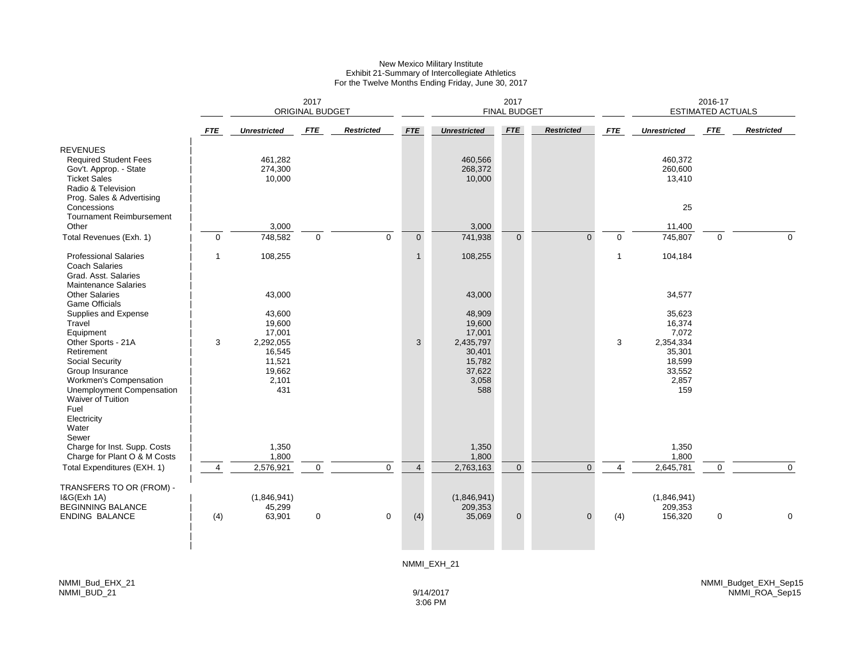#### New Mexico Military Institute Exhibit 21-Summary of Intercollegiate Athletics For the Twelve Months Ending Friday, June 30, 2017

|                                                                                                                                                                  |                |                                                         | 2017<br>ORIGINAL BUDGET |                   |                | 2017<br><b>FINAL BUDGET</b>                             |                |                   |                |                                                         | 2016-17<br><b>ESTIMATED ACTUALS</b> |                   |  |
|------------------------------------------------------------------------------------------------------------------------------------------------------------------|----------------|---------------------------------------------------------|-------------------------|-------------------|----------------|---------------------------------------------------------|----------------|-------------------|----------------|---------------------------------------------------------|-------------------------------------|-------------------|--|
|                                                                                                                                                                  | <b>FTE</b>     | <b>Unrestricted</b>                                     | <b>FTE</b>              | <b>Restricted</b> | <b>FTE</b>     | <b>Unrestricted</b>                                     | <b>FTE</b>     | <b>Restricted</b> | <b>FTE</b>     | <b>Unrestricted</b>                                     | <b>FTE</b>                          | <b>Restricted</b> |  |
| <b>REVENUES</b><br><b>Required Student Fees</b><br>Gov't. Approp. - State<br><b>Ticket Sales</b><br>Radio & Television<br>Prog. Sales & Advertising              |                | 461,282<br>274,300<br>10,000                            |                         |                   |                | 460,566<br>268,372<br>10,000                            |                |                   |                | 460,372<br>260,600<br>13,410                            |                                     |                   |  |
| Concessions<br><b>Tournament Reimbursement</b><br>Other                                                                                                          |                | 3,000                                                   |                         |                   |                | 3,000                                                   |                |                   |                | 25<br>11,400                                            |                                     |                   |  |
| Total Revenues (Exh. 1)                                                                                                                                          | $\pmb{0}$      | 748,582                                                 | $\mathbf 0$             | $\mathbf 0$       | $\overline{0}$ | 741,938                                                 | $\overline{0}$ | $\Omega$          | $\mathbf 0$    | 745,807                                                 | $\Omega$                            | $\mathbf 0$       |  |
| <b>Professional Salaries</b><br><b>Coach Salaries</b><br>Grad. Asst. Salaries<br><b>Maintenance Salaries</b>                                                     | $\mathbf{1}$   | 108,255                                                 |                         |                   | $\mathbf{1}$   | 108,255                                                 |                |                   | $\mathbf{1}$   | 104,184                                                 |                                     |                   |  |
| <b>Other Salaries</b>                                                                                                                                            |                | 43,000                                                  |                         |                   |                | 43,000                                                  |                |                   |                | 34,577                                                  |                                     |                   |  |
| <b>Game Officials</b><br>Supplies and Expense<br>Travel<br>Equipment                                                                                             |                | 43,600<br>19,600<br>17,001                              |                         |                   |                | 48,909<br>19,600<br>17,001                              |                |                   |                | 35,623<br>16,374<br>7,072                               |                                     |                   |  |
| Other Sports - 21A<br>Retirement<br><b>Social Security</b><br>Group Insurance<br>Workmen's Compensation<br>Unemployment Compensation<br><b>Waiver of Tuition</b> | 3              | 2,292,055<br>16,545<br>11,521<br>19,662<br>2,101<br>431 |                         |                   | 3              | 2,435,797<br>30,401<br>15,782<br>37,622<br>3,058<br>588 |                |                   | 3              | 2,354,334<br>35,301<br>18,599<br>33,552<br>2,857<br>159 |                                     |                   |  |
| Fuel<br>Electricity<br>Water<br>Sewer                                                                                                                            |                |                                                         |                         |                   |                |                                                         |                |                   |                |                                                         |                                     |                   |  |
| Charge for Inst. Supp. Costs<br>Charge for Plant O & M Costs                                                                                                     |                | 1,350<br>1,800                                          |                         |                   |                | 1,350<br>1,800                                          |                |                   |                | 1,350<br>1,800                                          |                                     |                   |  |
| Total Expenditures (EXH. 1)                                                                                                                                      | $\overline{4}$ | 2,576,921                                               | $\mathbf 0$             | $\mathbf{0}$      | $\overline{4}$ | 2,763,163                                               | $\mathbf 0$    | $\Omega$          | $\overline{4}$ | 2,645,781                                               | $\mathbf 0$                         | $\mathbf 0$       |  |
| TRANSFERS TO OR (FROM) -<br><b>I&amp;G(Exh 1A)</b><br><b>BEGINNING BALANCE</b>                                                                                   |                | (1,846,941)<br>45,299                                   |                         |                   |                | (1,846,941)<br>209,353                                  |                |                   |                | (1,846,941)<br>209,353                                  |                                     |                   |  |
| <b>ENDING BALANCE</b>                                                                                                                                            | (4)            | 63,901                                                  | $\boldsymbol{0}$        | $\mathbf 0$       | (4)            | 35,069                                                  | $\mathbf 0$    | $\mathbf{0}$      | (4)            | 156,320                                                 | $\mathbf 0$                         | 0                 |  |
|                                                                                                                                                                  |                |                                                         |                         |                   |                | NMMI_EXH_21                                             |                |                   |                |                                                         |                                     |                   |  |

3:06 PM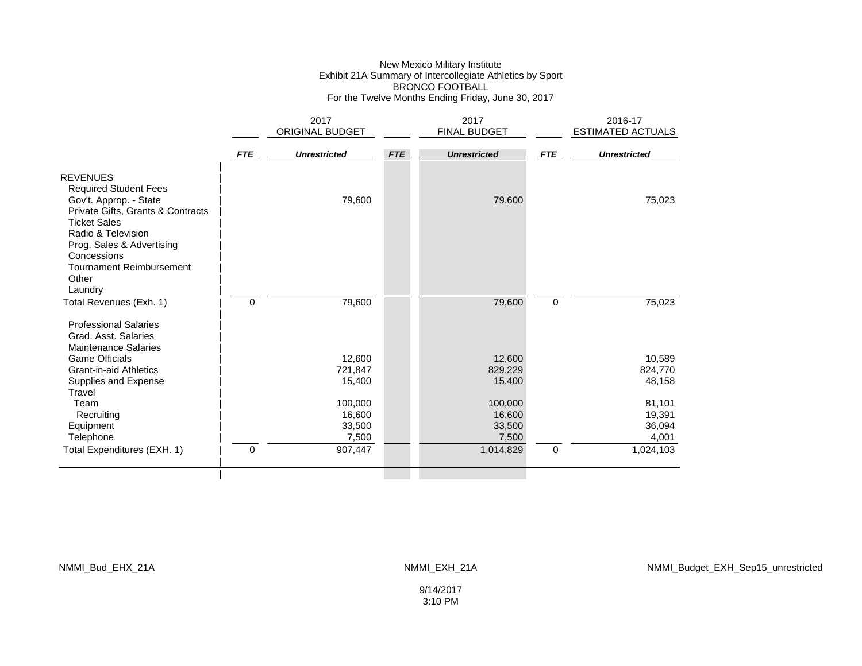#### New Mexico Military Institute Exhibit 21A Summary of Intercollegiate Athletics by Sport BRONCO FOOTBALL For the Twelve Months Ending Friday, June 30, 2017

|                                           |            | 2017<br>ORIGINAL BUDGET |            | 2017<br><b>FINAL BUDGET</b> |                     | 2016-17<br>ESTIMATED ACTUALS |
|-------------------------------------------|------------|-------------------------|------------|-----------------------------|---------------------|------------------------------|
|                                           |            |                         |            |                             |                     |                              |
|                                           | <b>FTE</b> | <b>Unrestricted</b>     | <b>FTE</b> | <b>Unrestricted</b>         | <b>FTE</b>          | <b>Unrestricted</b>          |
| <b>REVENUES</b>                           |            |                         |            |                             |                     |                              |
| <b>Required Student Fees</b>              |            |                         |            |                             |                     |                              |
| Gov't. Approp. - State                    |            | 79,600                  |            | 79,600                      |                     | 75,023                       |
| Private Gifts, Grants & Contracts         |            |                         |            |                             |                     |                              |
| <b>Ticket Sales</b><br>Radio & Television |            |                         |            |                             |                     |                              |
| Prog. Sales & Advertising                 |            |                         |            |                             |                     |                              |
| Concessions                               |            |                         |            |                             |                     |                              |
| <b>Tournament Reimbursement</b>           |            |                         |            |                             |                     |                              |
| Other                                     |            |                         |            |                             |                     |                              |
| Laundry                                   |            |                         |            |                             |                     |                              |
| Total Revenues (Exh. 1)                   | $\Omega$   | 79,600                  |            | 79,600                      | $\mathsf{O}\xspace$ | 75,023                       |
| <b>Professional Salaries</b>              |            |                         |            |                             |                     |                              |
| Grad. Asst. Salaries                      |            |                         |            |                             |                     |                              |
| <b>Maintenance Salaries</b>               |            |                         |            |                             |                     |                              |
| <b>Game Officials</b>                     |            | 12,600                  |            | 12,600                      |                     | 10,589                       |
| <b>Grant-in-aid Athletics</b>             |            | 721,847                 |            | 829,229                     |                     | 824,770                      |
| Supplies and Expense<br>Travel            |            | 15,400                  |            | 15,400                      |                     | 48,158                       |
| Team                                      |            | 100,000                 |            | 100,000                     |                     | 81,101                       |
| Recruiting                                |            | 16,600                  |            | 16,600                      |                     | 19,391                       |
| Equipment                                 |            | 33,500                  |            | 33,500                      |                     | 36,094                       |
| Telephone                                 |            | 7,500                   |            | 7,500                       |                     | 4,001                        |
| Total Expenditures (EXH. 1)               | $\Omega$   | 907,447                 |            | 1,014,829                   | $\mathbf 0$         | 1,024,103                    |
|                                           |            |                         |            |                             |                     |                              |
|                                           |            |                         |            |                             |                     |                              |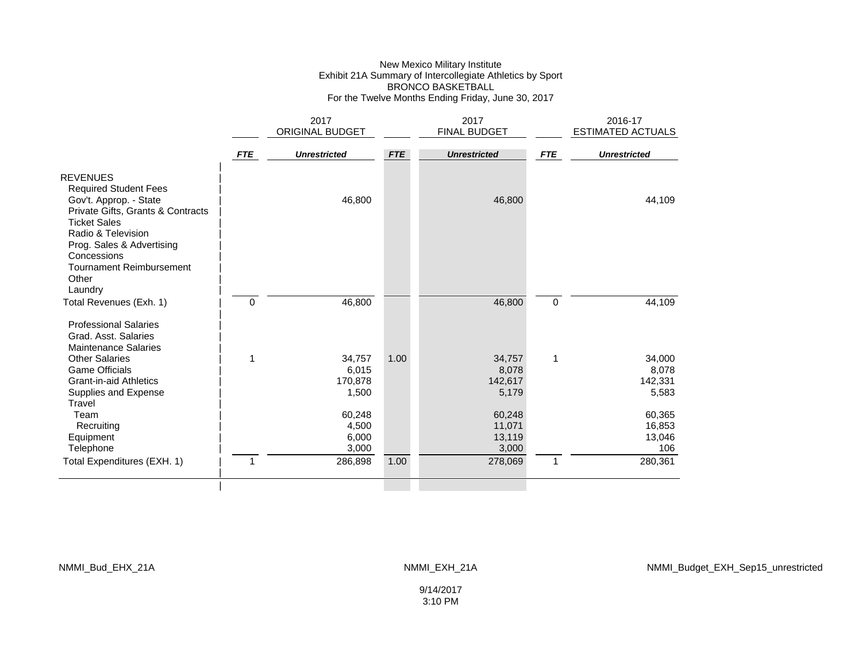#### New Mexico Military Institute Exhibit 21A Summary of Intercollegiate Athletics by Sport BRONCO BASKETBALL For the Twelve Months Ending Friday, June 30, 2017

|                                                                                                                                                             |            | 2017                   |            | 2017                |             | 2016-17                  |
|-------------------------------------------------------------------------------------------------------------------------------------------------------------|------------|------------------------|------------|---------------------|-------------|--------------------------|
|                                                                                                                                                             |            | <b>ORIGINAL BUDGET</b> |            | <b>FINAL BUDGET</b> |             | <b>ESTIMATED ACTUALS</b> |
|                                                                                                                                                             | <b>FTE</b> | <b>Unrestricted</b>    | <b>FTE</b> | <b>Unrestricted</b> | <b>FTE</b>  | <b>Unrestricted</b>      |
| <b>REVENUES</b><br><b>Required Student Fees</b><br>Gov't. Approp. - State<br>Private Gifts, Grants & Contracts<br><b>Ticket Sales</b><br>Radio & Television |            | 46,800                 |            | 46,800              |             | 44,109                   |
| Prog. Sales & Advertising<br>Concessions<br><b>Tournament Reimbursement</b><br>Other<br>Laundry                                                             |            |                        |            |                     |             |                          |
| Total Revenues (Exh. 1)                                                                                                                                     | 0          | 46,800                 |            | 46,800              | $\mathbf 0$ | 44,109                   |
| <b>Professional Salaries</b><br>Grad. Asst. Salaries<br><b>Maintenance Salaries</b>                                                                         |            |                        |            |                     |             |                          |
| <b>Other Salaries</b>                                                                                                                                       | 1          | 34,757                 | 1.00       | 34,757              | 1           | 34,000                   |
| <b>Game Officials</b>                                                                                                                                       |            | 6,015                  |            | 8,078               |             | 8,078                    |
| <b>Grant-in-aid Athletics</b>                                                                                                                               |            | 170,878                |            | 142,617             |             | 142,331                  |
| Supplies and Expense<br>Travel                                                                                                                              |            | 1,500                  |            | 5,179               |             | 5,583                    |
| Team                                                                                                                                                        |            | 60,248                 |            | 60,248              |             | 60,365                   |
| Recruiting                                                                                                                                                  |            | 4,500                  |            | 11,071              |             | 16,853                   |
| Equipment                                                                                                                                                   |            | 6,000                  |            | 13,119              |             | 13,046                   |
| Telephone                                                                                                                                                   |            | 3,000                  |            | 3,000               |             | 106                      |
| Total Expenditures (EXH. 1)                                                                                                                                 | 1          | 286,898                | 1.00       | 278,069             | 1           | 280,361                  |
|                                                                                                                                                             |            |                        |            |                     |             |                          |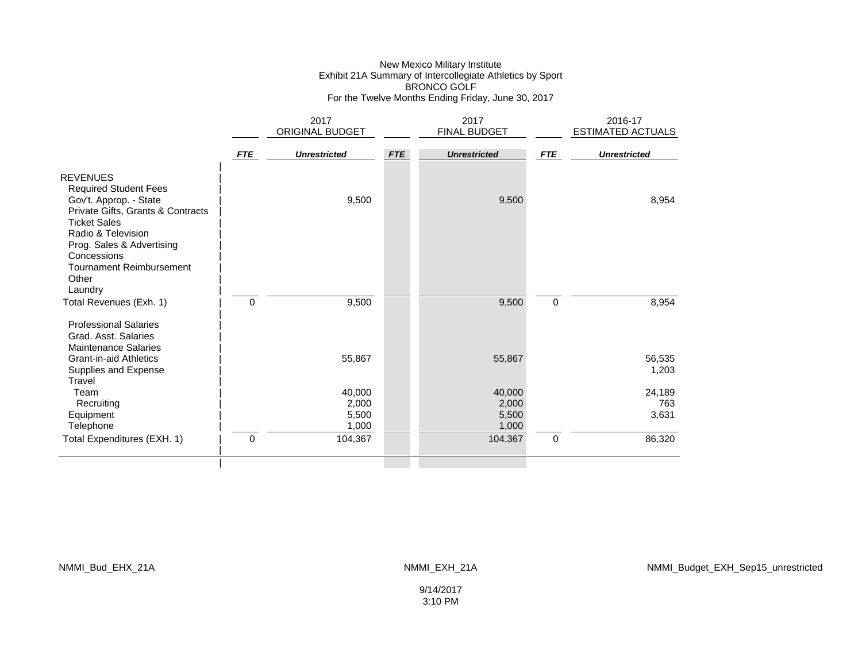### New Mexico Military Institute Exhibit 21A Summary of Intercollegiate Athletics by Sport BRONCO GOLF For the Twelve Months Ending Friday, June 30, 2017

|                                                             |             | 2017                |            | 2017                |            | 2016-17             |
|-------------------------------------------------------------|-------------|---------------------|------------|---------------------|------------|---------------------|
|                                                             |             | ORIGINAL BUDGET     |            | FINAL BUDGET        |            | ESTIMATED ACTUALS   |
|                                                             | <b>FTE</b>  | <b>Unrestricted</b> | <b>FTE</b> | <b>Unrestricted</b> | <b>FTE</b> | <b>Unrestricted</b> |
| <b>REVENUES</b>                                             |             |                     |            |                     |            |                     |
| <b>Required Student Fees</b>                                |             |                     |            |                     |            |                     |
| Gov't. Approp. - State<br>Private Gifts, Grants & Contracts |             | 9,500               |            | 9,500               |            | 8,954               |
| <b>Ticket Sales</b>                                         |             |                     |            |                     |            |                     |
| Radio & Television                                          |             |                     |            |                     |            |                     |
| Prog. Sales & Advertising<br>Concessions                    |             |                     |            |                     |            |                     |
| <b>Tournament Reimbursement</b>                             |             |                     |            |                     |            |                     |
| Other                                                       |             |                     |            |                     |            |                     |
| Laundry                                                     |             |                     |            |                     |            |                     |
| Total Revenues (Exh. 1)                                     | $\mathbf 0$ | 9,500               |            | 9,500               | 0          | 8,954               |
| <b>Professional Salaries</b>                                |             |                     |            |                     |            |                     |
| Grad, Asst. Salaries                                        |             |                     |            |                     |            |                     |
| <b>Maintenance Salaries</b>                                 |             |                     |            |                     |            |                     |
| <b>Grant-in-aid Athletics</b><br>Supplies and Expense       |             | 55,867              |            | 55,867              |            | 56,535<br>1,203     |
| Travel                                                      |             |                     |            |                     |            |                     |
| Team                                                        |             | 40,000              |            | 40,000              |            | 24,189              |
| Recruiting                                                  |             | 2,000               |            | 2,000               |            | 763                 |
| Equipment<br>Telephone                                      |             | 5,500<br>1,000      |            | 5,500<br>1,000      |            | 3,631               |
| Total Expenditures (EXH. 1)                                 | $\Omega$    | 104,367             |            | 104,367             | 0          | 86,320              |
|                                                             |             |                     |            |                     |            |                     |
|                                                             |             |                     |            |                     |            |                     |

NMMI\_Bud\_EHX\_21A NMMI\_EXH\_21A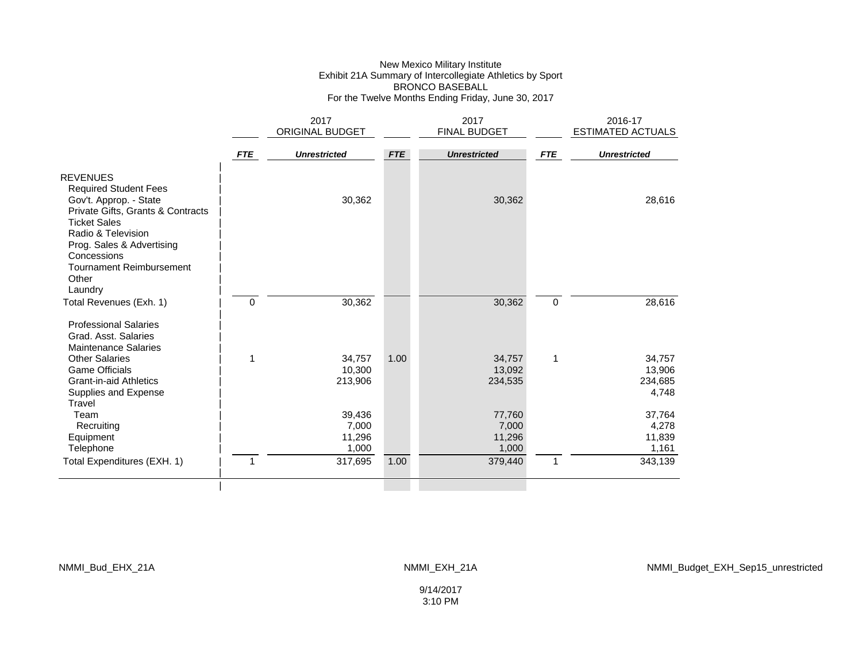#### New Mexico Military Institute Exhibit 21A Summary of Intercollegiate Athletics by Sport BRONCO BASEBALL For the Twelve Months Ending Friday, June 30, 2017

|                                                                                                                                                                                                                                                     |            | 2017                               |            | 2017                               |              | 2016-17                              |
|-----------------------------------------------------------------------------------------------------------------------------------------------------------------------------------------------------------------------------------------------------|------------|------------------------------------|------------|------------------------------------|--------------|--------------------------------------|
|                                                                                                                                                                                                                                                     |            | ORIGINAL BUDGET                    |            | FINAL BUDGET                       |              | <b>ESTIMATED ACTUALS</b>             |
|                                                                                                                                                                                                                                                     | <b>FTE</b> | <b>Unrestricted</b>                | <b>FTE</b> | <b>Unrestricted</b>                | <b>FTE</b>   | <b>Unrestricted</b>                  |
| <b>REVENUES</b><br><b>Required Student Fees</b><br>Gov't. Approp. - State<br>Private Gifts, Grants & Contracts<br><b>Ticket Sales</b><br>Radio & Television<br>Prog. Sales & Advertising<br>Concessions<br><b>Tournament Reimbursement</b><br>Other |            | 30,362                             |            | 30,362                             |              | 28,616                               |
| Laundry<br>Total Revenues (Exh. 1)                                                                                                                                                                                                                  | 0          | 30,362                             |            | 30,362                             | $\mathbf 0$  | 28,616                               |
| <b>Professional Salaries</b><br>Grad. Asst. Salaries<br><b>Maintenance Salaries</b>                                                                                                                                                                 |            |                                    |            |                                    |              |                                      |
| Other Salaries<br><b>Game Officials</b><br><b>Grant-in-aid Athletics</b><br>Supplies and Expense<br>Travel                                                                                                                                          | 1          | 34,757<br>10,300<br>213,906        | 1.00       | 34,757<br>13,092<br>234,535        | 1            | 34,757<br>13,906<br>234,685<br>4,748 |
| Team<br>Recruiting<br>Equipment<br>Telephone                                                                                                                                                                                                        |            | 39,436<br>7,000<br>11,296<br>1,000 |            | 77,760<br>7,000<br>11,296<br>1,000 |              | 37,764<br>4,278<br>11,839<br>1,161   |
| Total Expenditures (EXH. 1)                                                                                                                                                                                                                         | 1          | 317,695                            | 1.00       | 379,440                            | $\mathbf{1}$ | 343,139                              |
|                                                                                                                                                                                                                                                     |            |                                    |            |                                    |              |                                      |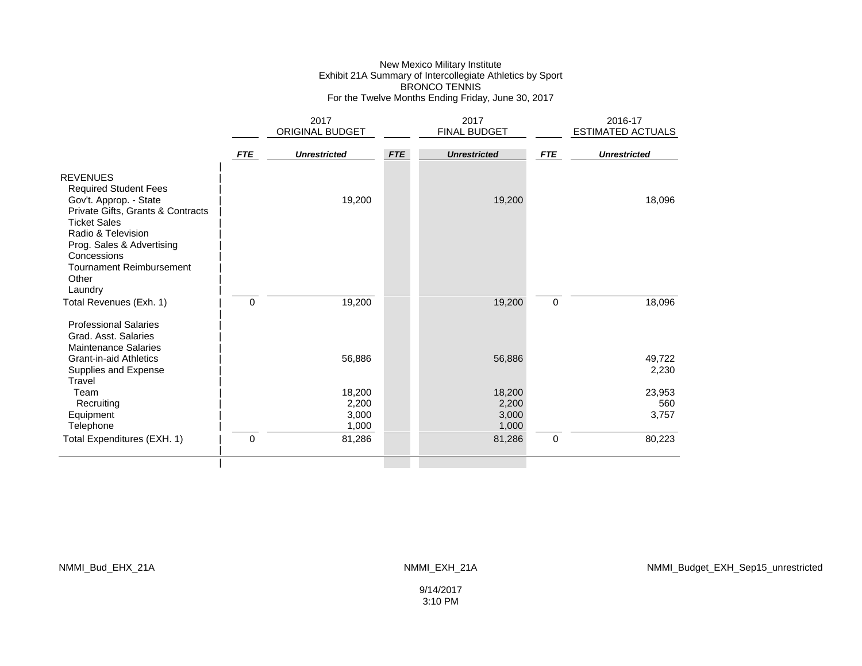### New Mexico Military Institute Exhibit 21A Summary of Intercollegiate Athletics by Sport BRONCO TENNIS For the Twelve Months Ending Friday, June 30, 2017

|                                                                                                                                                                                                         |             | 2017                              |            | 2017                              |            | 2016-17                |
|---------------------------------------------------------------------------------------------------------------------------------------------------------------------------------------------------------|-------------|-----------------------------------|------------|-----------------------------------|------------|------------------------|
|                                                                                                                                                                                                         |             | ORIGINAL BUDGET                   |            | FINAL BUDGET                      |            | ESTIMATED ACTUALS      |
|                                                                                                                                                                                                         | <b>FTE</b>  | <b>Unrestricted</b>               | <b>FTE</b> | <b>Unrestricted</b>               | <b>FTE</b> | <b>Unrestricted</b>    |
| <b>REVENUES</b><br><b>Required Student Fees</b><br>Gov't. Approp. - State<br>Private Gifts, Grants & Contracts<br><b>Ticket Sales</b><br>Radio & Television<br>Prog. Sales & Advertising<br>Concessions |             | 19,200                            |            | 19,200                            |            | 18,096                 |
| <b>Tournament Reimbursement</b><br>Other<br>Laundry<br>Total Revenues (Exh. 1)                                                                                                                          | $\mathbf 0$ | 19,200                            |            | 19,200                            | 0          | 18,096                 |
| <b>Professional Salaries</b><br>Grad, Asst. Salaries<br><b>Maintenance Salaries</b><br><b>Grant-in-aid Athletics</b><br>Supplies and Expense<br>Travel                                                  |             | 56,886                            |            | 56,886                            |            | 49,722<br>2,230        |
| Team<br>Recruiting<br>Equipment<br>Telephone                                                                                                                                                            |             | 18,200<br>2,200<br>3,000<br>1,000 |            | 18,200<br>2,200<br>3,000<br>1,000 |            | 23,953<br>560<br>3,757 |
| Total Expenditures (EXH. 1)                                                                                                                                                                             | $\Omega$    | 81,286                            |            | 81,286                            | 0          | 80,223                 |
|                                                                                                                                                                                                         |             |                                   |            |                                   |            |                        |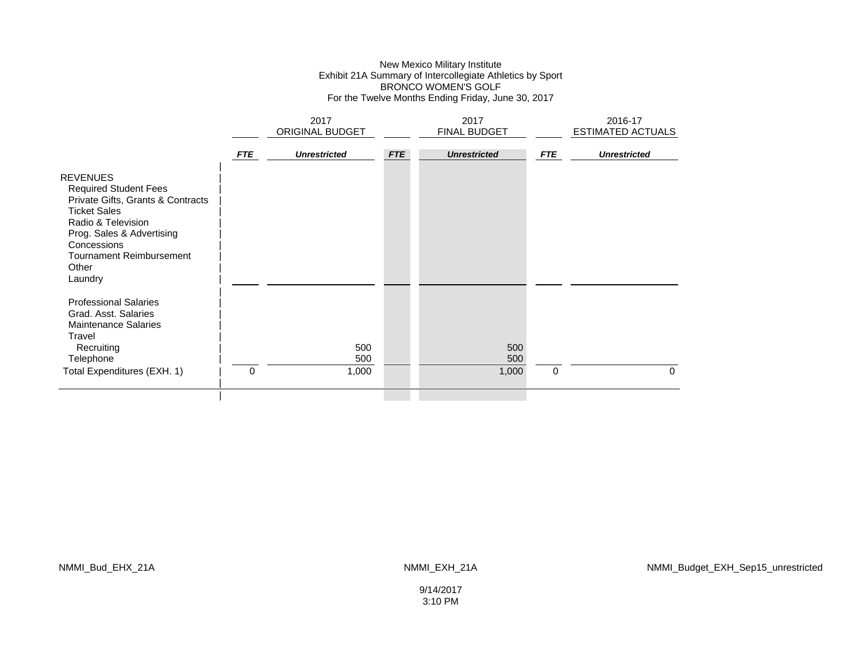### New Mexico Military Institute Exhibit 21A Summary of Intercollegiate Athletics by Sport BRONCO WOMEN'S GOLF For the Twelve Months Ending Friday, June 30, 2017

|                                                                                                                                                                                                                                      |            | 2017<br><b>ORIGINAL BUDGET</b> |            | 2017<br><b>FINAL BUDGET</b> |             | 2016-17<br>ESTIMATED ACTUALS |
|--------------------------------------------------------------------------------------------------------------------------------------------------------------------------------------------------------------------------------------|------------|--------------------------------|------------|-----------------------------|-------------|------------------------------|
|                                                                                                                                                                                                                                      | <b>FTE</b> | <b>Unrestricted</b>            | <b>FTE</b> | <b>Unrestricted</b>         | <b>FTE</b>  | <b>Unrestricted</b>          |
| <b>REVENUES</b><br><b>Required Student Fees</b><br>Private Gifts, Grants & Contracts<br><b>Ticket Sales</b><br>Radio & Television<br>Prog. Sales & Advertising<br>Concessions<br><b>Tournament Reimbursement</b><br>Other<br>Laundry |            |                                |            |                             |             |                              |
| <b>Professional Salaries</b><br>Grad, Asst. Salaries<br><b>Maintenance Salaries</b><br>Travel<br>Recruiting<br>Telephone<br>Total Expenditures (EXH. 1)                                                                              | 0          | 500<br>500<br>1,000            |            | 500<br>500<br>1,000         | $\mathbf 0$ | $\Omega$                     |
|                                                                                                                                                                                                                                      |            |                                |            |                             |             |                              |

NMMI\_Bud\_EHX\_21A NMMI\_EXH\_21A

NMMI\_Budget\_EXH\_Sep15\_unrestricted

9/14/2017 3:10 PM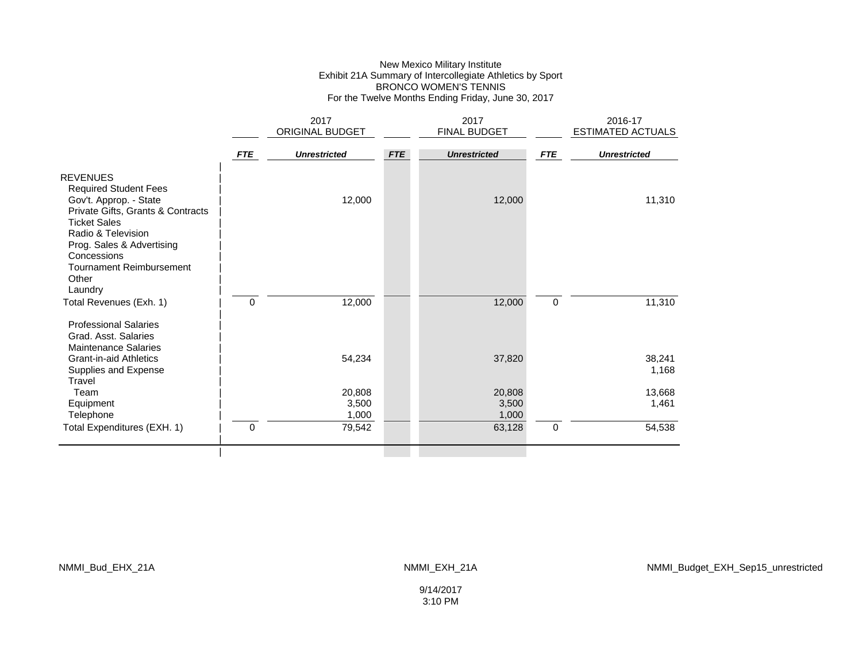### New Mexico Military Institute Exhibit 21A Summary of Intercollegiate Athletics by Sport BRONCO WOMEN'S TENNIS For the Twelve Months Ending Friday, June 30, 2017

|                                                                                                                                                                                                                                            |            | 2017                     |            | 2017                     |             | 2016-17             |
|--------------------------------------------------------------------------------------------------------------------------------------------------------------------------------------------------------------------------------------------|------------|--------------------------|------------|--------------------------|-------------|---------------------|
|                                                                                                                                                                                                                                            |            | ORIGINAL BUDGET          |            | FINAL BUDGET             |             | ESTIMATED ACTUALS   |
|                                                                                                                                                                                                                                            | <b>FTE</b> | <b>Unrestricted</b>      | <b>FTE</b> | <b>Unrestricted</b>      | <b>FTE</b>  | <b>Unrestricted</b> |
| <b>REVENUES</b><br><b>Required Student Fees</b><br>Gov't. Approp. - State<br>Private Gifts, Grants & Contracts<br><b>Ticket Sales</b><br>Radio & Television<br>Prog. Sales & Advertising<br>Concessions<br><b>Tournament Reimbursement</b> |            | 12,000                   |            | 12,000                   |             | 11,310              |
| Other<br>Laundry<br>Total Revenues (Exh. 1)                                                                                                                                                                                                | $\Omega$   | 12,000                   |            | 12,000                   | $\mathbf 0$ | 11,310              |
| <b>Professional Salaries</b><br>Grad. Asst. Salaries<br><b>Maintenance Salaries</b><br><b>Grant-in-aid Athletics</b><br>Supplies and Expense<br>Travel                                                                                     |            | 54,234                   |            | 37,820                   |             | 38,241<br>1,168     |
| Team<br>Equipment<br>Telephone                                                                                                                                                                                                             |            | 20,808<br>3,500<br>1,000 |            | 20,808<br>3,500<br>1,000 |             | 13,668<br>1,461     |
| Total Expenditures (EXH. 1)                                                                                                                                                                                                                | 0          | 79,542                   |            | 63,128                   | $\pmb{0}$   | 54,538              |
|                                                                                                                                                                                                                                            |            |                          |            |                          |             |                     |

NMMI\_Bud\_EHX\_21A NMMI\_EXH\_21A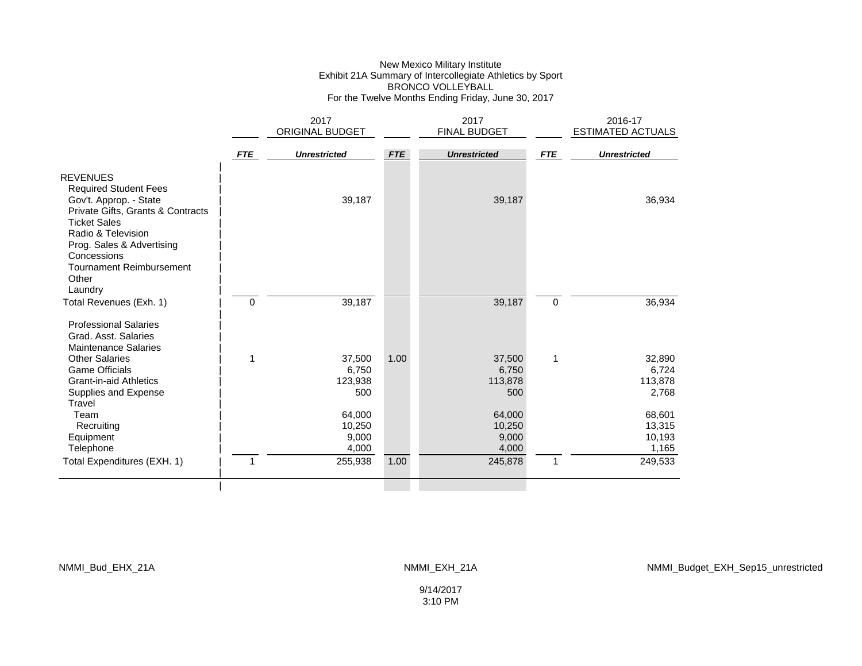#### New Mexico Military Institute Exhibit 21A Summary of Intercollegiate Athletics by Sport BRONCO VOLLEYBALL For the Twelve Months Ending Friday, June 30, 2017

|                                                                                                                                                                                                                                                     |            | 2017                               |            | 2017                               |              | 2016-17                             |
|-----------------------------------------------------------------------------------------------------------------------------------------------------------------------------------------------------------------------------------------------------|------------|------------------------------------|------------|------------------------------------|--------------|-------------------------------------|
|                                                                                                                                                                                                                                                     |            | ORIGINAL BUDGET                    |            | <b>FINAL BUDGET</b>                |              | <b>ESTIMATED ACTUALS</b>            |
|                                                                                                                                                                                                                                                     | <b>FTE</b> | <b>Unrestricted</b>                | <b>FTE</b> | <b>Unrestricted</b>                | <b>FTE</b>   | <b>Unrestricted</b>                 |
| <b>REVENUES</b><br><b>Required Student Fees</b><br>Gov't. Approp. - State<br>Private Gifts, Grants & Contracts<br><b>Ticket Sales</b><br>Radio & Television<br>Prog. Sales & Advertising<br>Concessions<br><b>Tournament Reimbursement</b><br>Other |            | 39,187                             |            | 39,187                             |              | 36,934                              |
| Laundry<br>Total Revenues (Exh. 1)                                                                                                                                                                                                                  | 0          | 39,187                             |            | 39,187                             | $\mathbf 0$  | 36,934                              |
| <b>Professional Salaries</b><br>Grad. Asst. Salaries<br><b>Maintenance Salaries</b>                                                                                                                                                                 |            |                                    |            |                                    |              |                                     |
| Other Salaries<br><b>Game Officials</b><br><b>Grant-in-aid Athletics</b><br>Supplies and Expense<br>Travel                                                                                                                                          | 1          | 37,500<br>6,750<br>123,938<br>500  | 1.00       | 37,500<br>6,750<br>113,878<br>500  | $\mathbf{1}$ | 32,890<br>6,724<br>113,878<br>2,768 |
| Team<br>Recruiting<br>Equipment<br>Telephone                                                                                                                                                                                                        |            | 64,000<br>10,250<br>9,000<br>4,000 |            | 64,000<br>10,250<br>9,000<br>4,000 |              | 68,601<br>13,315<br>10,193<br>1,165 |
| Total Expenditures (EXH. 1)                                                                                                                                                                                                                         |            | 255,938                            | 1.00       | 245,878                            | 1            | 249,533                             |
|                                                                                                                                                                                                                                                     |            |                                    |            |                                    |              |                                     |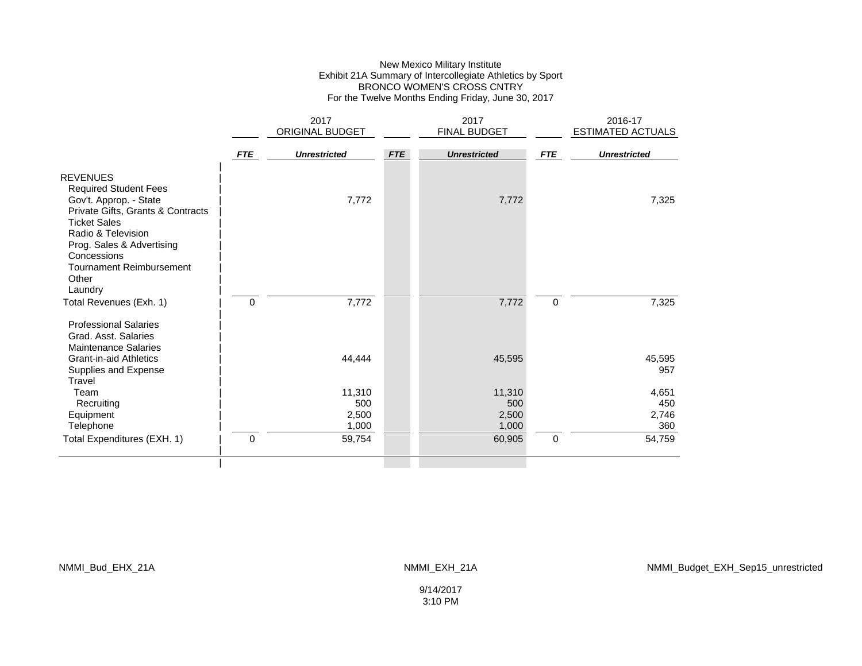### New Mexico Military Institute Exhibit 21A Summary of Intercollegiate Athletics by Sport BRONCO WOMEN'S CROSS CNTRY For the Twelve Months Ending Friday, June 30, 2017

| ORIGINAL BUDGET<br>FINAL BUDGET<br>ESTIMATED ACTUALS<br><b>FTE</b><br><b>FTE</b><br><b>Unrestricted</b><br><b>FTE</b><br><b>Unrestricted</b><br><b>Unrestricted</b> |              |
|---------------------------------------------------------------------------------------------------------------------------------------------------------------------|--------------|
|                                                                                                                                                                     |              |
|                                                                                                                                                                     |              |
| <b>REVENUES</b>                                                                                                                                                     |              |
| <b>Required Student Fees</b><br>Gov't. Approp. - State<br>7,772<br>7,772                                                                                            | 7,325        |
| Private Gifts, Grants & Contracts                                                                                                                                   |              |
| <b>Ticket Sales</b>                                                                                                                                                 |              |
| Radio & Television<br>Prog. Sales & Advertising                                                                                                                     |              |
| Concessions                                                                                                                                                         |              |
| <b>Tournament Reimbursement</b>                                                                                                                                     |              |
| Other<br>Laundry                                                                                                                                                    |              |
| 7,772<br>7,772<br>0<br>$\mathbf 0$<br>Total Revenues (Exh. 1)                                                                                                       | 7,325        |
| <b>Professional Salaries</b>                                                                                                                                        |              |
| Grad, Asst. Salaries                                                                                                                                                |              |
| <b>Maintenance Salaries</b><br>44,444<br>45,595<br><b>Grant-in-aid Athletics</b>                                                                                    | 45,595       |
| Supplies and Expense                                                                                                                                                | 957          |
| Travel                                                                                                                                                              |              |
| 11,310<br>11,310<br>Team<br>500<br>500<br>Recruiting                                                                                                                | 4,651<br>450 |
| 2,500<br>2,500<br>Equipment                                                                                                                                         | 2,746        |
| 1,000<br>1,000<br>Telephone                                                                                                                                         | 360          |
| $\mathbf 0$<br>$\Omega$<br>59,754<br>60,905<br>Total Expenditures (EXH. 1)                                                                                          | 54,759       |
|                                                                                                                                                                     |              |

NMMI\_Bud\_EHX\_21A NMMI\_EXH\_21A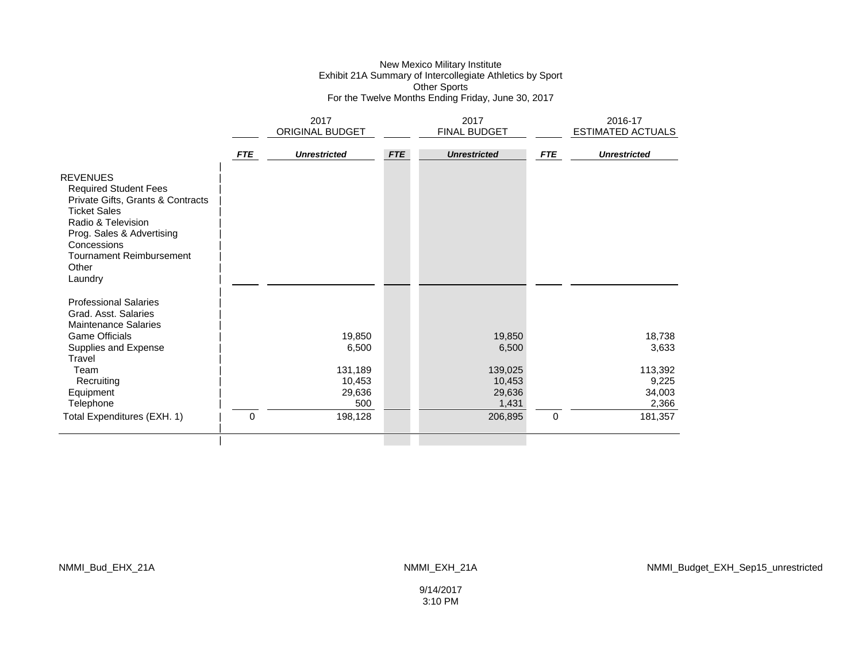#### New Mexico Military Institute Exhibit 21A Summary of Intercollegiate Athletics by Sport Other Sports For the Twelve Months Ending Friday, June 30, 2017

|                                                                                                                                                                                                                                      |            | 2017                                                  |            | 2017                                                    |            | 2016-17                                                |
|--------------------------------------------------------------------------------------------------------------------------------------------------------------------------------------------------------------------------------------|------------|-------------------------------------------------------|------------|---------------------------------------------------------|------------|--------------------------------------------------------|
|                                                                                                                                                                                                                                      |            | ORIGINAL BUDGET                                       |            | FINAL BUDGET                                            |            | ESTIMATED ACTUALS                                      |
|                                                                                                                                                                                                                                      | <b>FTE</b> | <b>Unrestricted</b>                                   | <b>FTE</b> | <b>Unrestricted</b>                                     | <b>FTE</b> | <b>Unrestricted</b>                                    |
| <b>REVENUES</b><br><b>Required Student Fees</b><br>Private Gifts, Grants & Contracts<br><b>Ticket Sales</b><br>Radio & Television<br>Prog. Sales & Advertising<br>Concessions<br><b>Tournament Reimbursement</b><br>Other<br>Laundry |            |                                                       |            |                                                         |            |                                                        |
| <b>Professional Salaries</b><br>Grad. Asst. Salaries<br><b>Maintenance Salaries</b><br><b>Game Officials</b><br>Supplies and Expense<br>Travel<br>Team<br>Recruiting<br>Equipment<br>Telephone                                       |            | 19,850<br>6,500<br>131,189<br>10,453<br>29,636<br>500 |            | 19,850<br>6,500<br>139,025<br>10,453<br>29,636<br>1,431 |            | 18,738<br>3,633<br>113,392<br>9,225<br>34,003<br>2,366 |
| Total Expenditures (EXH. 1)                                                                                                                                                                                                          | 0          | 198,128                                               |            | 206,895                                                 | 0          | 181,357                                                |
|                                                                                                                                                                                                                                      |            |                                                       |            |                                                         |            |                                                        |

NMMI\_Bud\_EHX\_21A NMMI\_EXH\_21A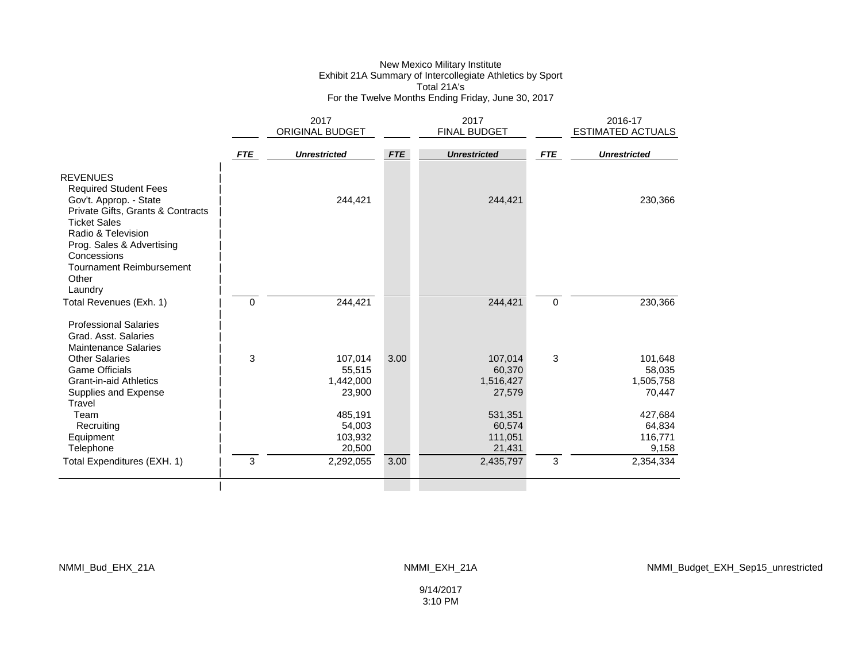### New Mexico Military Institute Exhibit 21A Summary of Intercollegiate Athletics by Sport Total 21A's For the Twelve Months Ending Friday, June 30, 2017

|                                                                                                                                              |            | 2017                |            | 2017                |             | 2016-17                  |
|----------------------------------------------------------------------------------------------------------------------------------------------|------------|---------------------|------------|---------------------|-------------|--------------------------|
|                                                                                                                                              |            | ORIGINAL BUDGET     |            | FINAL BUDGET        |             | <b>ESTIMATED ACTUALS</b> |
|                                                                                                                                              | <b>FTE</b> | <b>Unrestricted</b> | <b>FTE</b> | <b>Unrestricted</b> | <b>FTE</b>  | <b>Unrestricted</b>      |
| <b>REVENUES</b><br><b>Required Student Fees</b><br>Gov't. Approp. - State<br>Private Gifts, Grants & Contracts                               |            | 244,421             |            | 244,421             |             | 230,366                  |
| <b>Ticket Sales</b><br>Radio & Television<br>Prog. Sales & Advertising<br>Concessions<br><b>Tournament Reimbursement</b><br>Other<br>Laundry |            |                     |            |                     |             |                          |
| Total Revenues (Exh. 1)                                                                                                                      | 0          | 244,421             |            | 244,421             | $\mathbf 0$ | 230,366                  |
| <b>Professional Salaries</b><br>Grad. Asst. Salaries<br><b>Maintenance Salaries</b>                                                          |            |                     |            |                     |             |                          |
| Other Salaries                                                                                                                               | 3          | 107,014             | 3.00       | 107,014             | 3           | 101,648                  |
| <b>Game Officials</b>                                                                                                                        |            | 55,515              |            | 60,370              |             | 58,035                   |
| <b>Grant-in-aid Athletics</b>                                                                                                                |            | 1,442,000           |            | 1,516,427           |             | 1,505,758                |
| Supplies and Expense<br>Travel                                                                                                               |            | 23,900              |            | 27,579              |             | 70,447                   |
| Team                                                                                                                                         |            | 485,191             |            | 531,351             |             | 427,684                  |
| Recruiting                                                                                                                                   |            | 54,003              |            | 60,574              |             | 64,834                   |
| Equipment                                                                                                                                    |            | 103,932             |            | 111,051             |             | 116,771                  |
| Telephone                                                                                                                                    |            | 20,500              |            | 21,431              |             | 9,158                    |
| Total Expenditures (EXH. 1)                                                                                                                  | 3          | 2,292,055           | 3.00       | 2,435,797           | 3           | 2,354,334                |
|                                                                                                                                              |            |                     |            |                     |             |                          |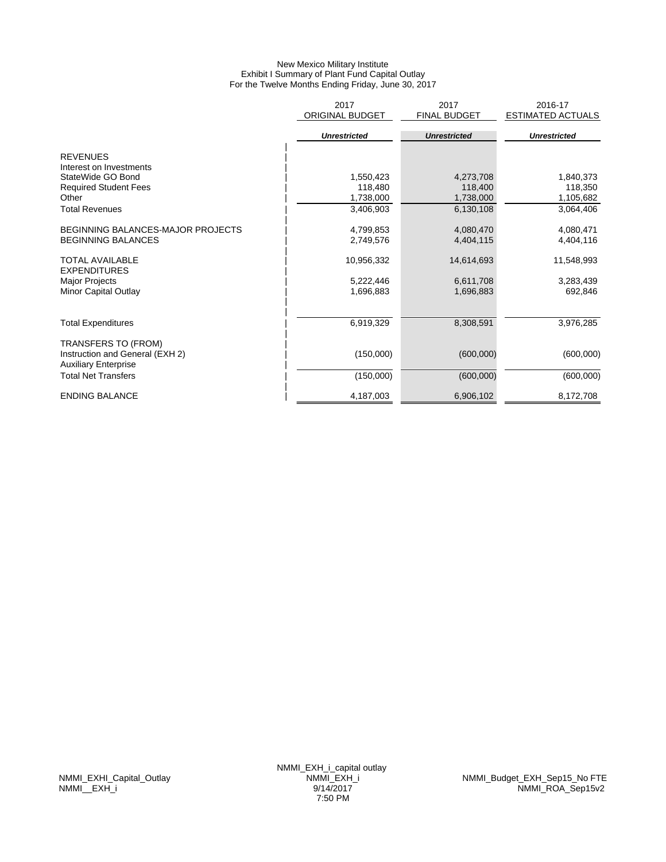# New Mexico Military Institute Exhibit I Summary of Plant Fund Capital Outlay For the Twelve Months Ending Friday, June 30, 2017

|                                                                | 2017<br>ORIGINAL BUDGET | 2017<br><b>FINAL BUDGET</b> | 2016-17<br><b>ESTIMATED ACTUALS</b> |
|----------------------------------------------------------------|-------------------------|-----------------------------|-------------------------------------|
|                                                                | <b>Unrestricted</b>     | <b>Unrestricted</b>         | <b>Unrestricted</b>                 |
| <b>REVENUES</b>                                                |                         |                             |                                     |
| Interest on Investments                                        |                         |                             |                                     |
| StateWide GO Bond                                              | 1,550,423               | 4,273,708                   | 1,840,373                           |
| <b>Required Student Fees</b>                                   | 118,480                 | 118,400                     | 118,350                             |
| Other                                                          | 1,738,000               | 1,738,000                   | 1,105,682                           |
| <b>Total Revenues</b>                                          | 3,406,903               | 6,130,108                   | 3,064,406                           |
| BEGINNING BALANCES-MAJOR PROJECTS                              | 4,799,853               | 4,080,470                   | 4,080,471                           |
| <b>BEGINNING BALANCES</b>                                      | 2,749,576               | 4,404,115                   | 4,404,116                           |
| <b>TOTAL AVAILABLE</b><br><b>EXPENDITURES</b>                  | 10,956,332              | 14,614,693                  | 11,548,993                          |
| Major Projects                                                 | 5,222,446               | 6,611,708                   | 3,283,439                           |
| Minor Capital Outlay                                           | 1,696,883               | 1,696,883                   | 692,846                             |
|                                                                |                         |                             |                                     |
| <b>Total Expenditures</b>                                      | 6,919,329               | 8,308,591                   | 3,976,285                           |
| TRANSFERS TO (FROM)                                            |                         |                             |                                     |
| Instruction and General (EXH 2)<br><b>Auxiliary Enterprise</b> | (150,000)               | (600,000)                   | (600,000)                           |
| <b>Total Net Transfers</b>                                     | (150,000)               | (600,000)                   | (600,000)                           |
| <b>ENDING BALANCE</b>                                          | 4,187,003               | 6,906,102                   | 8.172.708                           |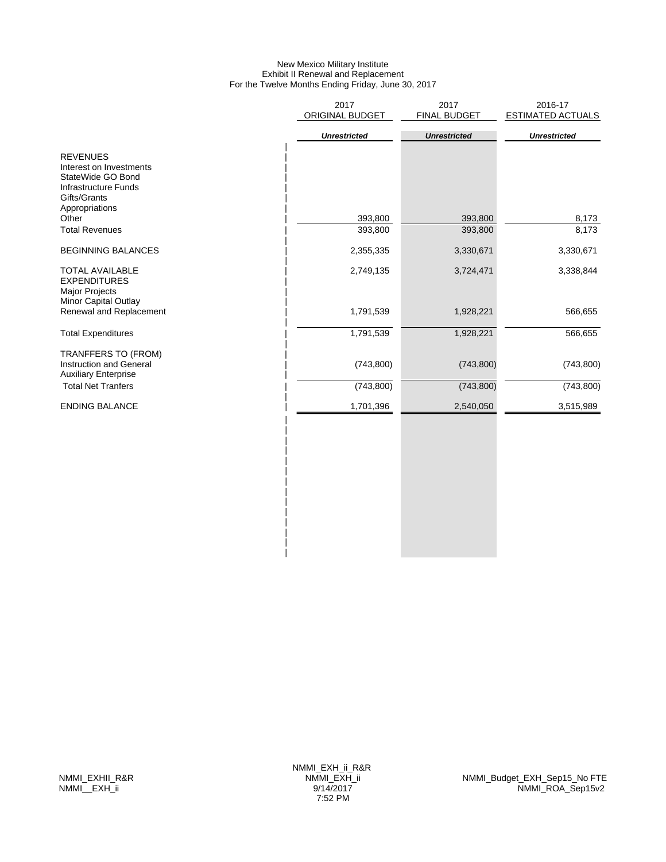# New Mexico Military Institute Exhibit II Renewal and Replacement For the Twelve Months Ending Friday, June 30, 2017

| 2017<br>ORIGINAL BUDGET | 2017<br>FINAL BUDGET | 2016-17<br><b>ESTIMATED ACTUALS</b> |
|-------------------------|----------------------|-------------------------------------|
| <b>Unrestricted</b>     | <b>Unrestricted</b>  | <b>Unrestricted</b>                 |
| 393,800                 | 393,800              | 8,173<br>8,173                      |
|                         |                      | 3,330,671                           |
| 2,749,135               | 3,724,471            | 3,338,844                           |
| 1,791,539               | 1,928,221            | 566,655                             |
| 1,791,539               | 1,928,221            | 566,655                             |
| (743, 800)              | (743, 800)           | (743, 800)                          |
| (743, 800)              | (743, 800)           | (743, 800)                          |
| 1,701,396               | 2,540,050            | 3,515,989                           |
|                         |                      |                                     |
|                         | 393,800<br>2,355,335 | 393,800<br>3,330,671                |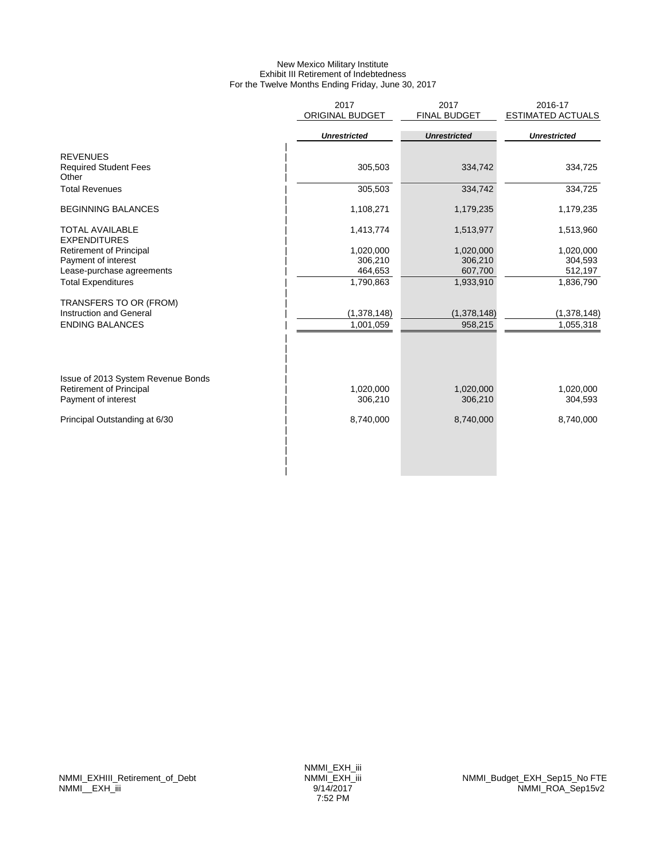# New Mexico Military Institute Exhibit III Retirement of Indebtedness For the Twelve Months Ending Friday, June 30, 2017

|                                    | 2017                   | 2017                | 2016-17                  |
|------------------------------------|------------------------|---------------------|--------------------------|
|                                    | <b>ORIGINAL BUDGET</b> | <b>FINAL BUDGET</b> | <b>ESTIMATED ACTUALS</b> |
|                                    |                        |                     |                          |
|                                    | <b>Unrestricted</b>    | <b>Unrestricted</b> | <b>Unrestricted</b>      |
| <b>REVENUES</b>                    |                        |                     |                          |
| <b>Required Student Fees</b>       | 305,503                |                     | 334,725                  |
| Other                              |                        | 334,742             |                          |
| <b>Total Revenues</b>              | 305,503                | 334,742             | 334,725                  |
|                                    |                        |                     |                          |
| <b>BEGINNING BALANCES</b>          | 1,108,271              | 1,179,235           | 1,179,235                |
|                                    |                        |                     |                          |
| <b>TOTAL AVAILABLE</b>             | 1,413,774              | 1,513,977           | 1,513,960                |
| <b>EXPENDITURES</b>                |                        |                     |                          |
| <b>Retirement of Principal</b>     | 1,020,000              | 1,020,000           | 1,020,000                |
| Payment of interest                | 306,210                | 306,210             | 304,593                  |
| Lease-purchase agreements          | 464,653                | 607,700             | 512,197                  |
| <b>Total Expenditures</b>          | 1,790,863              | 1,933,910           | 1,836,790                |
| TRANSFERS TO OR (FROM)             |                        |                     |                          |
| Instruction and General            | (1,378,148)            | (1,378,148)         | (1,378,148)              |
| <b>ENDING BALANCES</b>             | 1,001,059              | 958,215             | 1,055,318                |
|                                    |                        |                     |                          |
|                                    |                        |                     |                          |
|                                    |                        |                     |                          |
|                                    |                        |                     |                          |
| Issue of 2013 System Revenue Bonds | 1,020,000              | 1,020,000           |                          |
| <b>Retirement of Principal</b>     |                        |                     | 1,020,000                |
| Payment of interest                | 306,210                | 306,210             | 304,593                  |
| Principal Outstanding at 6/30      | 8,740,000              | 8,740,000           | 8,740,000                |
|                                    |                        |                     |                          |
|                                    |                        |                     |                          |
|                                    |                        |                     |                          |
|                                    |                        |                     |                          |
|                                    |                        |                     |                          |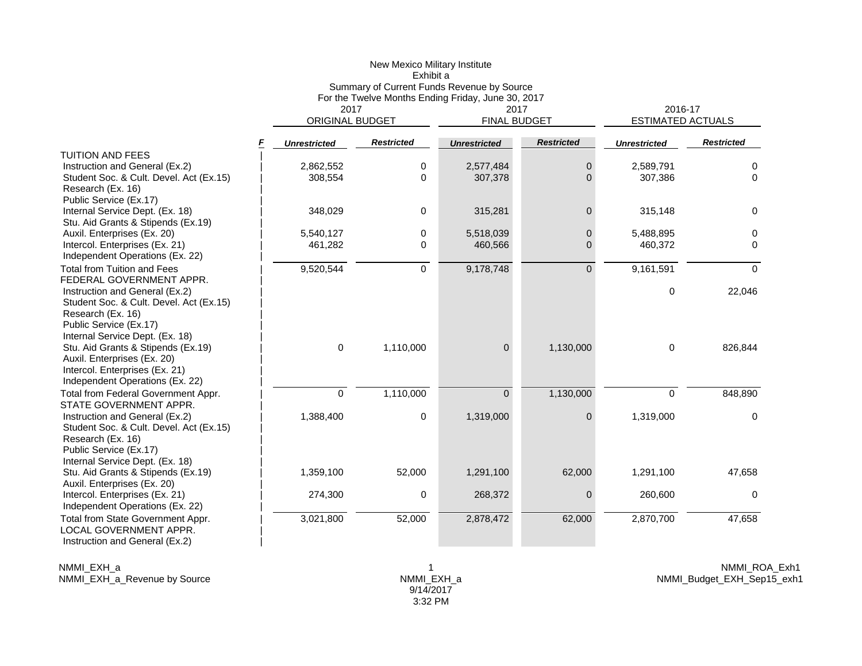|                                                                                                                                                                           |                        | New Mexico Military Institute<br>Exhibit a                                                       |                     |                   |                          |                   |  |
|---------------------------------------------------------------------------------------------------------------------------------------------------------------------------|------------------------|--------------------------------------------------------------------------------------------------|---------------------|-------------------|--------------------------|-------------------|--|
|                                                                                                                                                                           | 2017                   | Summary of Current Funds Revenue by Source<br>For the Twelve Months Ending Friday, June 30, 2017 | 2016-17             |                   |                          |                   |  |
|                                                                                                                                                                           | <b>ORIGINAL BUDGET</b> |                                                                                                  | 2017                | FINAL BUDGET      | <b>ESTIMATED ACTUALS</b> |                   |  |
| F                                                                                                                                                                         | <b>Unrestricted</b>    | <b>Restricted</b>                                                                                | <b>Unrestricted</b> | <b>Restricted</b> | <b>Unrestricted</b>      | <b>Restricted</b> |  |
| <b>TUITION AND FEES</b>                                                                                                                                                   |                        |                                                                                                  |                     |                   |                          |                   |  |
| Instruction and General (Ex.2)                                                                                                                                            | 2,862,552              | 0                                                                                                | 2,577,484           | $\overline{0}$    | 2,589,791                | 0                 |  |
| Student Soc. & Cult. Devel. Act (Ex.15)<br>Research (Ex. 16)                                                                                                              | 308,554                | $\mathbf 0$                                                                                      | 307,378             | $\Omega$          | 307,386                  | $\Omega$          |  |
| Public Service (Ex.17)                                                                                                                                                    |                        |                                                                                                  |                     |                   |                          |                   |  |
| Internal Service Dept. (Ex. 18)<br>Stu. Aid Grants & Stipends (Ex.19)                                                                                                     | 348,029                | $\mathbf 0$                                                                                      | 315,281             | $\overline{0}$    | 315,148                  | 0                 |  |
| Auxil. Enterprises (Ex. 20)                                                                                                                                               | 5,540,127              | $\mathbf 0$                                                                                      | 5,518,039           | $\overline{0}$    | 5,488,895                | 0                 |  |
| Intercol. Enterprises (Ex. 21)                                                                                                                                            | 461,282                | $\mathbf 0$                                                                                      | 460,566             | $\overline{0}$    | 460,372                  | 0                 |  |
| Independent Operations (Ex. 22)                                                                                                                                           |                        |                                                                                                  |                     |                   |                          |                   |  |
| <b>Total from Tuition and Fees</b><br>FEDERAL GOVERNMENT APPR.                                                                                                            | 9,520,544              | $\overline{0}$                                                                                   | 9,178,748           | $\Omega$          | 9,161,591                | $\Omega$          |  |
| Instruction and General (Ex.2)<br>Student Soc. & Cult. Devel. Act (Ex.15)<br>Research (Ex. 16)<br>Public Service (Ex.17)                                                  |                        |                                                                                                  |                     |                   | $\mathbf 0$              | 22,046            |  |
| Internal Service Dept. (Ex. 18)<br>Stu. Aid Grants & Stipends (Ex.19)<br>Auxil. Enterprises (Ex. 20)<br>Intercol. Enterprises (Ex. 21)<br>Independent Operations (Ex. 22) | $\mathbf 0$            | 1,110,000                                                                                        | $\overline{0}$      | 1,130,000         | $\mathbf 0$              | 826,844           |  |
| Total from Federal Government Appr.<br>STATE GOVERNMENT APPR.                                                                                                             | $\mathbf 0$            | 1,110,000                                                                                        | $\Omega$            | 1,130,000         | $\Omega$                 | 848,890           |  |
| Instruction and General (Ex.2)<br>Student Soc. & Cult. Devel. Act (Ex.15)<br>Research (Ex. 16)<br>Public Service (Ex.17)<br>Internal Service Dept. (Ex. 18)               | 1,388,400              | 0                                                                                                | 1,319,000           | $\mathbf{0}$      | 1,319,000                | 0                 |  |
| Stu. Aid Grants & Stipends (Ex.19)<br>Auxil. Enterprises (Ex. 20)                                                                                                         | 1,359,100              | 52,000                                                                                           | 1,291,100           | 62,000            | 1,291,100                | 47,658            |  |
| Intercol. Enterprises (Ex. 21)<br>Independent Operations (Ex. 22)                                                                                                         | 274,300                | $\mathbf 0$                                                                                      | 268,372             | $\overline{0}$    | 260,600                  | 0                 |  |
| Total from State Government Appr.<br>LOCAL GOVERNMENT APPR.<br>Instruction and General (Ex.2)                                                                             | 3,021,800              | 52,000                                                                                           | 2,878,472           | 62,000            | 2,870,700                | 47,658            |  |

NMMI\_EXH\_a NMMI\_EXH\_a\_Revenue by Source 1 NMMI\_EXH\_a 9/14/2017 3:32 PM

NMMI\_ROA\_Exh1 NMMI\_Budget\_EXH\_Sep15\_exh1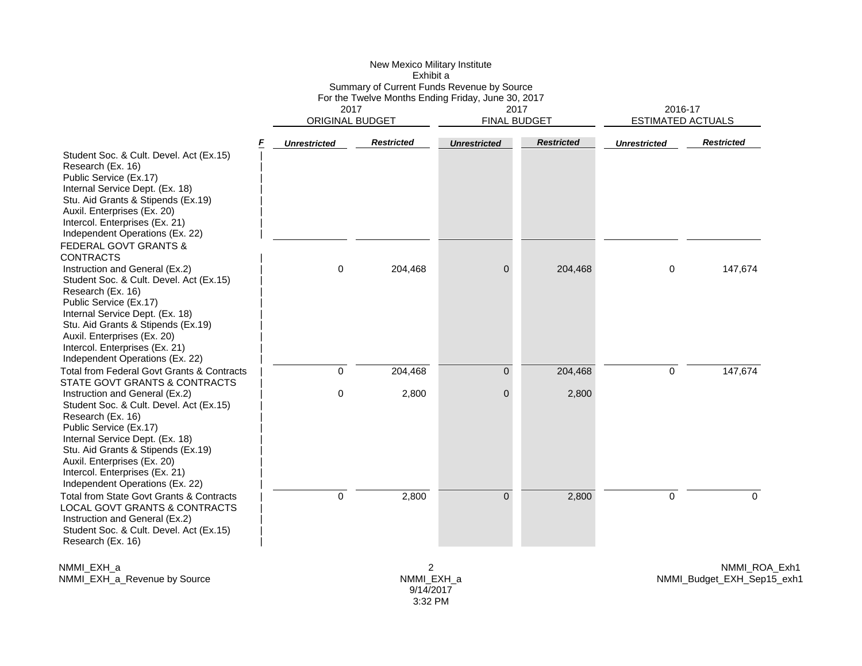| New Mexico Military Institute                      |                     |
|----------------------------------------------------|---------------------|
| Exhibit a                                          |                     |
| Summary of Current Funds Revenue by Source         |                     |
| For the Twelve Months Ending Friday, June 30, 2017 |                     |
| 2017                                               | 2017                |
| ORIGINAL BUDGET                                    | <b>FINAL BUDGET</b> |

2016-17ESTIMATED ACTUALS

|                                                                                                                                                                                                                                                                                                       | <b>Unrestricted</b> | <b>Restricted</b> | <b>Unrestricted</b> | <b>Restricted</b> | <b>Unrestricted</b> | <b>Restricted</b> |
|-------------------------------------------------------------------------------------------------------------------------------------------------------------------------------------------------------------------------------------------------------------------------------------------------------|---------------------|-------------------|---------------------|-------------------|---------------------|-------------------|
| Student Soc. & Cult. Devel. Act (Ex.15)<br>Research (Ex. 16)<br>Public Service (Ex.17)<br>Internal Service Dept. (Ex. 18)<br>Stu. Aid Grants & Stipends (Ex.19)<br>Auxil. Enterprises (Ex. 20)<br>Intercol. Enterprises (Ex. 21)<br>Independent Operations (Ex. 22)                                   |                     |                   |                     |                   |                     |                   |
| <b>FEDERAL GOVT GRANTS &amp;</b><br><b>CONTRACTS</b>                                                                                                                                                                                                                                                  |                     |                   |                     |                   |                     |                   |
| Instruction and General (Ex.2)<br>Student Soc. & Cult. Devel. Act (Ex.15)<br>Research (Ex. 16)<br>Public Service (Ex.17)<br>Internal Service Dept. (Ex. 18)<br>Stu. Aid Grants & Stipends (Ex.19)<br>Auxil. Enterprises (Ex. 20)<br>Intercol. Enterprises (Ex. 21)<br>Independent Operations (Ex. 22) | 0                   | 204,468           | $\Omega$            | 204,468           | 0                   | 147,674           |
| Total from Federal Govt Grants & Contracts                                                                                                                                                                                                                                                            | $\Omega$            | 204,468           | $\overline{0}$      | 204,468           | 0                   | 147,674           |
| STATE GOVT GRANTS & CONTRACTS                                                                                                                                                                                                                                                                         |                     |                   |                     |                   |                     |                   |
| Instruction and General (Ex.2)<br>Student Soc. & Cult. Devel. Act (Ex.15)<br>Research (Ex. 16)<br>Public Service (Ex.17)<br>Internal Service Dept. (Ex. 18)<br>Stu. Aid Grants & Stipends (Ex.19)<br>Auxil. Enterprises (Ex. 20)<br>Intercol. Enterprises (Ex. 21)<br>Independent Operations (Ex. 22) | 0                   | 2,800             | 0                   | 2,800             |                     |                   |
| <b>Total from State Govt Grants &amp; Contracts</b><br><b>LOCAL GOVT GRANTS &amp; CONTRACTS</b><br>Instruction and General (Ex.2)<br>Student Soc. & Cult. Devel. Act (Ex.15)<br>Research (Ex. 16)                                                                                                     | $\mathbf 0$         | 2,800             | $\overline{0}$      | 2,800             | 0                   | $\mathbf 0$       |

NMMI\_EXH\_a NMMI\_EXH\_a\_Revenue by Source

2 NMMI\_EXH\_a 9/14/2017 3:32 PM

NMMI\_ROA\_Exh1 NMMI\_Budget\_EXH\_Sep15\_exh1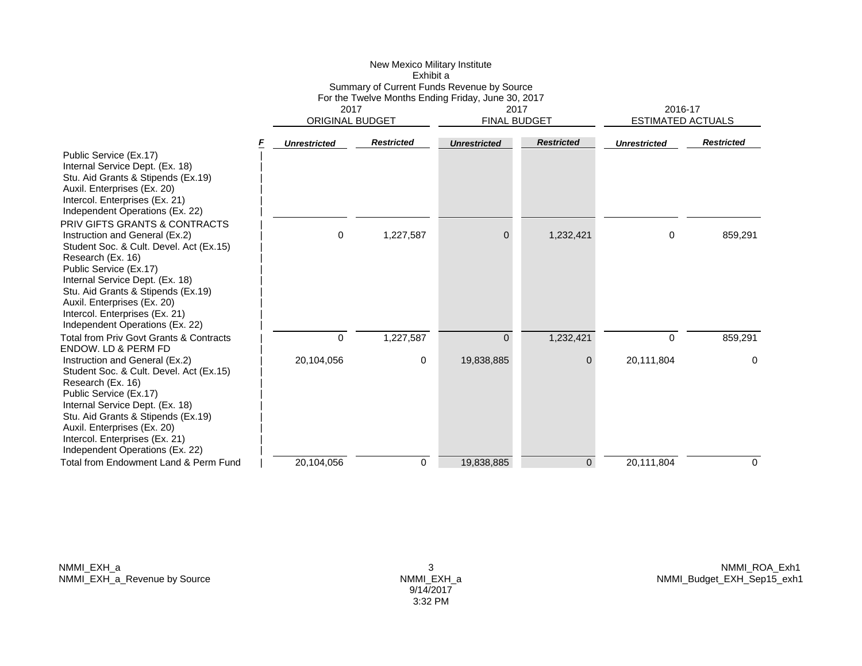|                                                                                                                                                                                                                                                                                                                                        |                     | Exhibit a                                                                            |                                            |                             |                                     |                   |  |
|----------------------------------------------------------------------------------------------------------------------------------------------------------------------------------------------------------------------------------------------------------------------------------------------------------------------------------------|---------------------|--------------------------------------------------------------------------------------|--------------------------------------------|-----------------------------|-------------------------------------|-------------------|--|
|                                                                                                                                                                                                                                                                                                                                        |                     |                                                                                      | Summary of Current Funds Revenue by Source |                             |                                     |                   |  |
|                                                                                                                                                                                                                                                                                                                                        |                     | For the Twelve Months Ending Friday, June 30, 2017<br>2017<br><b>ORIGINAL BUDGET</b> |                                            | 2017<br><b>FINAL BUDGET</b> | 2016-17<br><b>ESTIMATED ACTUALS</b> |                   |  |
|                                                                                                                                                                                                                                                                                                                                        | <b>Unrestricted</b> | <b>Restricted</b>                                                                    | <b>Unrestricted</b>                        | <b>Restricted</b>           | <b>Unrestricted</b>                 | <b>Restricted</b> |  |
| Public Service (Ex.17)<br>Internal Service Dept. (Ex. 18)<br>Stu. Aid Grants & Stipends (Ex.19)<br>Auxil. Enterprises (Ex. 20)<br>Intercol. Enterprises (Ex. 21)<br>Independent Operations (Ex. 22)                                                                                                                                    |                     |                                                                                      |                                            |                             |                                     |                   |  |
| PRIV GIFTS GRANTS & CONTRACTS<br>Instruction and General (Ex.2)<br>Student Soc. & Cult. Devel. Act (Ex.15)<br>Research (Ex. 16)<br>Public Service (Ex.17)<br>Internal Service Dept. (Ex. 18)<br>Stu. Aid Grants & Stipends (Ex.19)<br>Auxil. Enterprises (Ex. 20)<br>Intercol. Enterprises (Ex. 21)<br>Independent Operations (Ex. 22) | $\Omega$            | 1,227,587                                                                            | $\Omega$                                   | 1,232,421                   | $\Omega$                            | 859,291           |  |
| Total from Priv Govt Grants & Contracts                                                                                                                                                                                                                                                                                                | $\Omega$            | 1,227,587                                                                            | $\overline{0}$                             | 1,232,421                   | $\Omega$                            | 859,291           |  |
| ENDOW. LD & PERM FD<br>Instruction and General (Ex.2)<br>Student Soc. & Cult. Devel. Act (Ex.15)<br>Research (Ex. 16)<br>Public Service (Ex.17)<br>Internal Service Dept. (Ex. 18)<br>Stu. Aid Grants & Stipends (Ex.19)<br>Auxil. Enterprises (Ex. 20)<br>Intercol. Enterprises (Ex. 21)<br>Independent Operations (Ex. 22)           | 20,104,056          | 0                                                                                    | 19,838,885                                 | 0                           | 20,111,804                          | 0                 |  |
| Total from Endowment Land & Perm Fund                                                                                                                                                                                                                                                                                                  | 20.104.056          | $\mathbf 0$                                                                          | 19,838,885                                 | $\overline{0}$              | 20,111,804                          | 0                 |  |

New Mexico Military Institute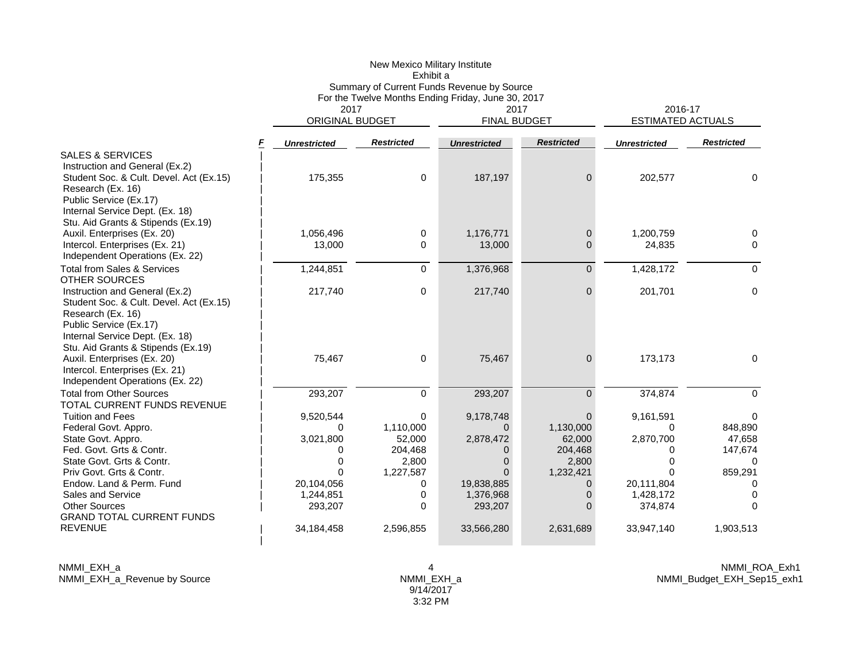|                                                                           |                          | New Mexico Military Institute<br>Exhibit a         |                                            |                    |                          |                   |
|---------------------------------------------------------------------------|--------------------------|----------------------------------------------------|--------------------------------------------|--------------------|--------------------------|-------------------|
|                                                                           |                          |                                                    | Summary of Current Funds Revenue by Source |                    |                          |                   |
|                                                                           | 2017                     | For the Twelve Months Ending Friday, June 30, 2017 | 2016-17                                    |                    |                          |                   |
|                                                                           | ORIGINAL BUDGET          |                                                    | 2017<br><b>FINAL BUDGET</b>                |                    | <b>ESTIMATED ACTUALS</b> |                   |
|                                                                           | F<br><b>Unrestricted</b> | <b>Restricted</b>                                  | <b>Unrestricted</b>                        | <b>Restricted</b>  | <b>Unrestricted</b>      | <b>Restricted</b> |
| <b>SALES &amp; SERVICES</b>                                               |                          |                                                    |                                            |                    |                          |                   |
| Instruction and General (Ex.2)                                            |                          |                                                    |                                            |                    |                          |                   |
| Student Soc. & Cult. Devel. Act (Ex.15)                                   | 175,355                  | 0                                                  | 187,197                                    | $\Omega$           | 202,577                  | $\Omega$          |
| Research (Ex. 16)                                                         |                          |                                                    |                                            |                    |                          |                   |
| Public Service (Ex.17)<br>Internal Service Dept. (Ex. 18)                 |                          |                                                    |                                            |                    |                          |                   |
| Stu. Aid Grants & Stipends (Ex.19)                                        |                          |                                                    |                                            |                    |                          |                   |
| Auxil. Enterprises (Ex. 20)                                               | 1,056,496                | 0                                                  | 1,176,771                                  | $\mathbf{0}$       | 1,200,759                | 0                 |
| Intercol. Enterprises (Ex. 21)                                            | 13,000                   | 0                                                  | 13,000                                     | 0                  | 24,835                   | 0                 |
| Independent Operations (Ex. 22)                                           |                          |                                                    |                                            |                    |                          |                   |
| <b>Total from Sales &amp; Services</b>                                    | 1,244,851                | $\mathbf 0$                                        | 1,376,968                                  | $\overline{0}$     | 1,428,172                | $\Omega$          |
| <b>OTHER SOURCES</b>                                                      |                          |                                                    |                                            |                    |                          |                   |
| Instruction and General (Ex.2)<br>Student Soc. & Cult. Devel. Act (Ex.15) | 217,740                  | 0                                                  | 217,740                                    | $\Omega$           | 201,701                  | 0                 |
| Research (Ex. 16)                                                         |                          |                                                    |                                            |                    |                          |                   |
| Public Service (Ex.17)                                                    |                          |                                                    |                                            |                    |                          |                   |
| Internal Service Dept. (Ex. 18)                                           |                          |                                                    |                                            |                    |                          |                   |
| Stu. Aid Grants & Stipends (Ex.19)                                        |                          |                                                    |                                            |                    |                          |                   |
| Auxil. Enterprises (Ex. 20)                                               | 75,467                   | 0                                                  | 75,467                                     | 0                  | 173,173                  | 0                 |
| Intercol. Enterprises (Ex. 21)<br>Independent Operations (Ex. 22)         |                          |                                                    |                                            |                    |                          |                   |
| <b>Total from Other Sources</b>                                           | 293,207                  | $\mathbf 0$                                        | 293,207                                    | $\overline{0}$     | 374,874                  | $\Omega$          |
| TOTAL CURRENT FUNDS REVENUE                                               |                          |                                                    |                                            |                    |                          |                   |
| <b>Tuition and Fees</b>                                                   | 9,520,544                | 0                                                  | 9,178,748                                  | $\Omega$           | 9,161,591                | 0                 |
| Federal Govt. Appro.                                                      | 0                        | 1,110,000                                          | $\Omega$                                   | 1,130,000          | $\Omega$                 | 848,890           |
| State Govt. Appro.                                                        | 3,021,800                | 52,000                                             | 2,878,472                                  | 62,000             | 2,870,700                | 47,658            |
| Fed. Govt. Grts & Contr.                                                  | 0                        | 204,468                                            | 0                                          | 204,468            | $\Omega$                 | 147,674           |
| State Govt. Grts & Contr.<br>Priv Govt. Grts & Contr.                     | $\Omega$<br>$\Omega$     | 2,800<br>1,227,587                                 | $\Omega$<br>$\Omega$                       | 2,800<br>1,232,421 | $\Omega$<br>0            | 0<br>859,291      |
| Endow. Land & Perm. Fund                                                  | 20,104,056               | 0                                                  | 19,838,885                                 | 0                  | 20,111,804               | 0                 |
| Sales and Service                                                         | 1,244,851                | 0                                                  | 1,376,968                                  | 0                  | 1,428,172                | 0                 |
| <b>Other Sources</b>                                                      | 293,207                  | $\Omega$                                           | 293,207                                    | 0                  | 374,874                  | 0                 |
| <b>GRAND TOTAL CURRENT FUNDS</b>                                          |                          |                                                    |                                            |                    |                          |                   |
| <b>REVENUE</b>                                                            | 34,184,458               | 2,596,855                                          | 33,566,280                                 | 2,631,689          | 33,947,140               | 1,903,513         |
|                                                                           |                          |                                                    |                                            |                    |                          |                   |

NMMI\_EXH\_a NMMI\_EXH\_a\_Revenue by Source 4 NMMI\_EXH\_a 9/14/2017 3:32 PM

NMMI\_ROA\_Exh1 NMMI\_Budget\_EXH\_Sep15\_exh1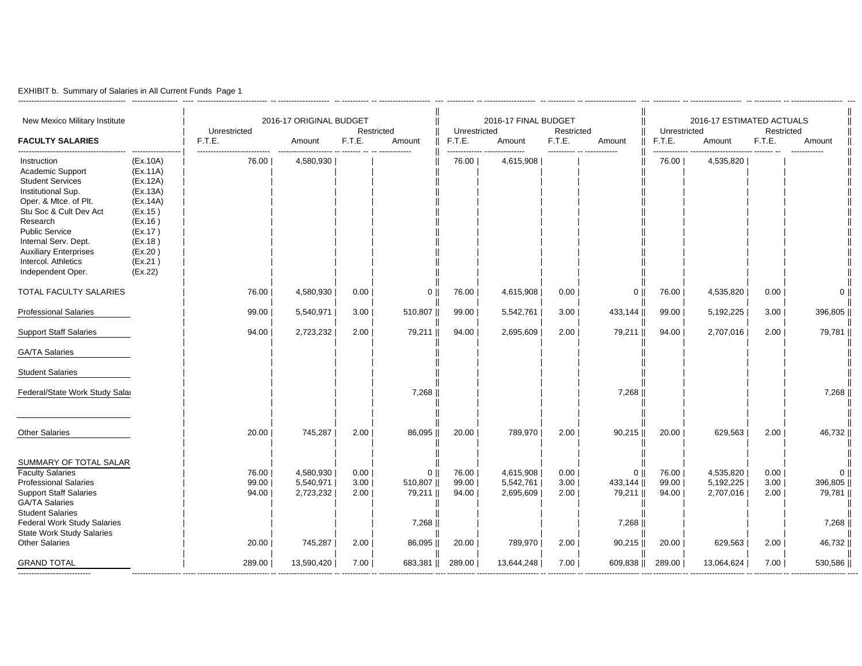|  |  | EXHIBIT b. Summary of Salaries in All Current Funds Page 1 |  |  |  |  |  |
|--|--|------------------------------------------------------------|--|--|--|--|--|
|--|--|------------------------------------------------------------|--|--|--|--|--|

----------------------------------------

| New Mexico Military Institute<br><b>FACULTY SALARIES</b>                                                                                                                                                                                                                     |                                                                                                                                       | Unrestricted<br>F.T.E.           | 2016-17 ORIGINAL BUDGET<br>Amount              | F.T.E.                       | Restricted<br>Amount                                   | Unrestricted<br>F.T.E.           | 2016-17 FINAL BUDGET<br>Amount                 | Restricted<br>F.T.E.         | Amount                                                    | Unrestricted<br>F.T.E.           | 2016-17 ESTIMATED ACTUALS<br>Amount            | Restricted<br>F.T.E.         | Amount                                                      |
|------------------------------------------------------------------------------------------------------------------------------------------------------------------------------------------------------------------------------------------------------------------------------|---------------------------------------------------------------------------------------------------------------------------------------|----------------------------------|------------------------------------------------|------------------------------|--------------------------------------------------------|----------------------------------|------------------------------------------------|------------------------------|-----------------------------------------------------------|----------------------------------|------------------------------------------------|------------------------------|-------------------------------------------------------------|
| Instruction<br>Academic Support<br><b>Student Services</b><br>Institutional Sup.<br>Oper. & Mtce. of Plt.<br>Stu Soc & Cult Dev Act<br>Research<br><b>Public Service</b><br>Internal Serv. Dept.<br><b>Auxiliary Enterprises</b><br>Intercol. Athletics<br>Independent Oper. | (EX.10A)<br>(EX.11A)<br>(EX.12A)<br>(EX.13A)<br>(EX.14A)<br>(EX.15)<br>(EX.16)<br>(EX.17)<br>(EX.18)<br>(EX.20)<br>(EX.21)<br>(EX.22) | 76.00                            | 4,580,930                                      |                              |                                                        | 76.00                            | 4,615,908                                      |                              |                                                           | 76.00                            | 4,535,820                                      |                              |                                                             |
| TOTAL FACULTY SALARIES                                                                                                                                                                                                                                                       |                                                                                                                                       | 76.00                            | 4,580,930                                      | 0.00                         | 0 <sup>1</sup>                                         | 76.00                            | 4,615,908                                      | 0.00                         | $0$                                                       | 76.00                            | 4,535,820                                      | 0.00                         | $0$                                                         |
| <b>Professional Salaries</b>                                                                                                                                                                                                                                                 |                                                                                                                                       | 99.00                            | 5,540,971                                      | 3.00                         | 510,807                                                | 99.00                            | 5,542,761                                      | 3.00                         | 433,144                                                   | 99.00                            | 5,192,225                                      | 3.00                         | 396,805                                                     |
| <b>Support Staff Salaries</b>                                                                                                                                                                                                                                                |                                                                                                                                       | 94.00                            | 2,723,232                                      | 2.00                         | 79,211                                                 | 94.00                            | 2,695,609                                      | 2.00                         | 79,211                                                    | 94.00                            | 2,707,016                                      | 2.00                         | 79,781                                                      |
| <b>GA/TA Salaries</b>                                                                                                                                                                                                                                                        |                                                                                                                                       |                                  |                                                |                              |                                                        |                                  |                                                |                              |                                                           |                                  |                                                |                              |                                                             |
| <b>Student Salaries</b>                                                                                                                                                                                                                                                      |                                                                                                                                       |                                  |                                                |                              |                                                        |                                  |                                                |                              |                                                           |                                  |                                                |                              |                                                             |
| Federal/State Work Study Salar                                                                                                                                                                                                                                               |                                                                                                                                       |                                  |                                                |                              | 7,268                                                  |                                  |                                                |                              | 7,268                                                     |                                  |                                                |                              | 7,268                                                       |
| <b>Other Salaries</b>                                                                                                                                                                                                                                                        |                                                                                                                                       | 20.00                            | 745,287                                        | 2.00                         | 86,095                                                 | 20.00                            | 789,970                                        | 2.00                         | $90,215$                                                  | 20.00                            | 629,563                                        | 2.00                         | 46,732                                                      |
| SUMMARY OF TOTAL SALAR<br><b>Faculty Salaries</b><br><b>Professional Salaries</b><br><b>Support Staff Salaries</b><br><b>GA/TA Salaries</b><br><b>Student Salaries</b><br>Federal Work Study Salaries<br><b>State Work Study Salaries</b><br><b>Other Salaries</b>           |                                                                                                                                       | 76.00<br>99.00<br>94.00<br>20.00 | 4,580,930<br>5,540,971<br>2,723,232<br>745,287 | 0.00<br>3.00<br>2.00<br>2.00 | 0 <sup>1</sup><br>510,807<br>79,211<br>7,268<br>86,095 | 76.00<br>99.00<br>94.00<br>20.00 | 4,615,908<br>5,542,761<br>2,695,609<br>789,970 | 0.00<br>3.00<br>2.00<br>2.00 | $0$   <br>433,144   <br>79,211   <br>7,268   <br>$90,215$ | 76.00<br>99.00<br>94.00<br>20.00 | 4,535,820<br>5,192,225<br>2,707,016<br>629,563 | 0.00<br>3.00<br>2.00<br>2.00 | 0 <sup>1</sup><br>396,805  <br>79,781   <br>7,268<br>46,732 |
| <b>GRAND TOTAL</b>                                                                                                                                                                                                                                                           |                                                                                                                                       | 289.00                           | 13,590,420                                     | 7.00                         | 683,381                                                | 289.00                           | 13,644,248                                     | 7.00                         | 609,838                                                   | 289.00                           | 13,064,624                                     | 7.00                         | 530,586                                                     |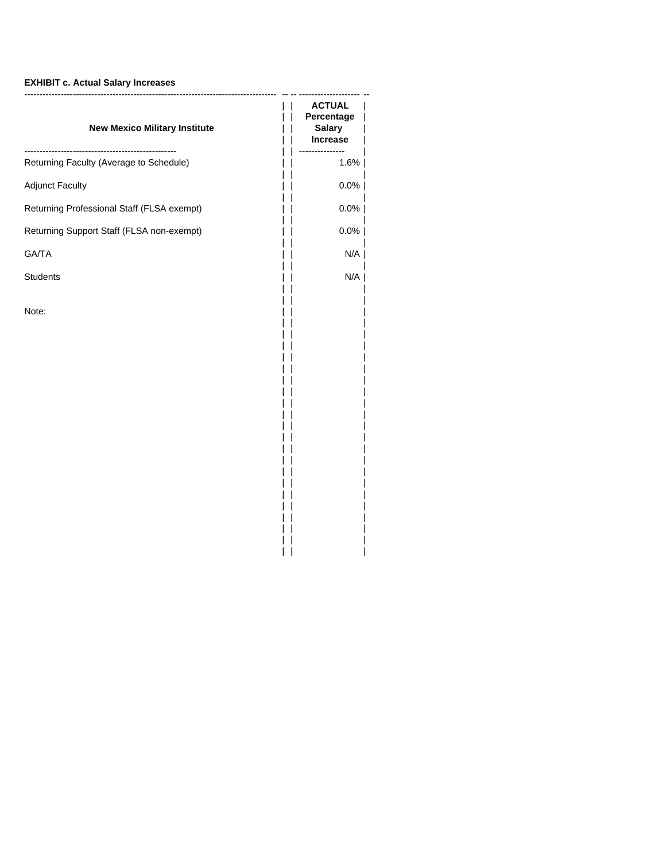# **EXHIBIT c. Actual Salary Increases**

| <b>New Mexico Military Institute</b>       | <b>ACTUAL</b><br>Percentage<br><b>Salary</b><br><b>Increase</b> |
|--------------------------------------------|-----------------------------------------------------------------|
| Returning Faculty (Average to Schedule)    | ----------<br>1.6%                                              |
| <b>Adjunct Faculty</b>                     | $0.0\%$                                                         |
| Returning Professional Staff (FLSA exempt) | $0.0\%$                                                         |
| Returning Support Staff (FLSA non-exempt)  | $0.0\%$                                                         |
| GA/TA                                      | N/A                                                             |
| Students                                   | N/A                                                             |
| Note:                                      |                                                                 |

|| |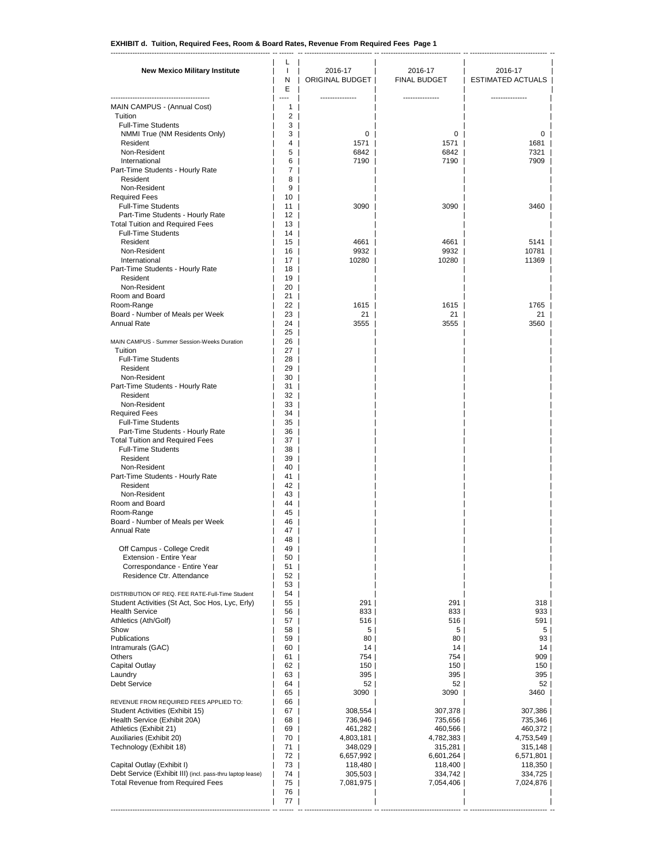------------------------------------------------------------------ -- ------ -- ---------------------------- -- --------------------------------- -- -------------------------------- --

| <b>New Mexico Military Institute</b>                                                               | L<br>T<br>N<br>Ε        | 2016-17<br>ORIGINAL BUDGET | 2016-17<br><b>FINAL BUDGET</b> | 2016-17<br><b>ESTIMATED ACTUALS  </b> |
|----------------------------------------------------------------------------------------------------|-------------------------|----------------------------|--------------------------------|---------------------------------------|
| -----------------------------<br>MAIN CAMPUS - (Annual Cost)                                       | Ξ.<br>1 <sup>1</sup>    |                            |                                |                                       |
| Tuition                                                                                            | $\overline{2}$          |                            |                                |                                       |
| <b>Full-Time Students</b>                                                                          | 3                       |                            |                                |                                       |
| NMMI True (NM Residents Only)<br>Resident                                                          | 3<br>4                  | 0<br>1571                  | $\mathbf{0}$<br>1571           | 0<br>1681                             |
| Non-Resident                                                                                       | 5                       | 6842                       | 6842                           | 7321                                  |
| International                                                                                      | 6                       | 7190                       | 7190                           | 7909                                  |
| Part-Time Students - Hourly Rate<br>Resident                                                       | 7<br>8                  |                            |                                |                                       |
| Non-Resident                                                                                       | 9                       |                            |                                |                                       |
| <b>Required Fees</b>                                                                               | 10                      |                            |                                |                                       |
| <b>Full-Time Students</b><br>Part-Time Students - Hourly Rate                                      | 11<br>12 l              | 3090                       | 3090                           | 3460                                  |
| <b>Total Tuition and Required Fees</b>                                                             | 13                      |                            |                                |                                       |
| <b>Full-Time Students</b>                                                                          | 14 l                    |                            |                                |                                       |
| Resident<br>Non-Resident                                                                           | 15 <sup>1</sup><br>16   | 4661<br>9932               | 4661<br>9932                   | 5141<br>10781                         |
| International                                                                                      | 17 I                    | 10280                      | 10280                          | 11369                                 |
| Part-Time Students - Hourly Rate                                                                   | 18                      |                            |                                |                                       |
| Resident<br>Non-Resident                                                                           | 19                      |                            |                                |                                       |
| Room and Board                                                                                     | 20 <sub>1</sub><br>$21$ |                            |                                |                                       |
| Room-Range                                                                                         | 22 l                    | 1615                       | $1615$                         | 1765                                  |
| Board - Number of Meals per Week                                                                   | $23$                    | 21                         | 21                             | 21                                    |
| Annual Rate                                                                                        | 24 l<br>25              | 3555                       | 3555                           | 3560                                  |
| MAIN CAMPUS - Summer Session-Weeks Duration                                                        | 26                      |                            |                                |                                       |
| Tuition                                                                                            | 27                      |                            |                                |                                       |
| <b>Full-Time Students</b><br>Resident                                                              | 28<br>29                |                            |                                |                                       |
| Non-Resident                                                                                       | 30                      |                            |                                |                                       |
| Part-Time Students - Hourly Rate                                                                   | 31                      |                            |                                |                                       |
| Resident                                                                                           | 32                      |                            |                                |                                       |
| Non-Resident<br><b>Required Fees</b>                                                               | 33<br>34                |                            |                                |                                       |
| <b>Full-Time Students</b>                                                                          | 35                      |                            |                                |                                       |
| Part-Time Students - Hourly Rate                                                                   | 36                      |                            |                                |                                       |
| <b>Total Tuition and Required Fees</b><br><b>Full-Time Students</b>                                | 37<br>38                |                            |                                |                                       |
| Resident                                                                                           | 39                      |                            |                                |                                       |
| Non-Resident                                                                                       | 40                      |                            |                                |                                       |
| Part-Time Students - Hourly Rate<br>Resident                                                       | 41<br>42                |                            |                                |                                       |
| Non-Resident                                                                                       | 43                      |                            |                                |                                       |
| Room and Board                                                                                     | 44                      |                            |                                |                                       |
| Room-Range<br>Board - Number of Meals per Week                                                     | 45                      |                            |                                |                                       |
| Annual Rate                                                                                        | 46<br>47                |                            |                                |                                       |
|                                                                                                    | 48                      |                            |                                |                                       |
| Off Campus - College Credit                                                                        | 49                      |                            |                                |                                       |
| Extension - Entire Year<br>Correspondance - Entire Year                                            | 50<br>51                |                            |                                |                                       |
| Residence Ctr. Attendance                                                                          | 52                      |                            |                                |                                       |
|                                                                                                    | 53                      |                            |                                |                                       |
| DISTRIBUTION OF REQ. FEE RATE-Full-Time Student<br>Student Activities (St Act, Soc Hos, Lyc, Erly) | 54<br>55                | 291                        | 291                            | 318                                   |
| <b>Health Service</b>                                                                              | 56                      | 833                        | 833                            | 933                                   |
| Athletics (Ath/Golf)                                                                               | 57                      | 516                        | 516                            | 591                                   |
| Show<br>Publications                                                                               | 58<br>59                | 5 <br>80                   | 5 <br>80                       | 5 <sup>1</sup><br>93                  |
| Intramurals (GAC)                                                                                  | 60                      | 14                         | 14                             | 14                                    |
| Others                                                                                             | 61                      | 754                        | 754                            | 909                                   |
| <b>Capital Outlay</b><br>Laundry                                                                   | 62<br>63                | 150                        | 150                            | 150<br>395                            |
| <b>Debt Service</b>                                                                                | 64                      | 395  <br>52                | $395$  <br>52                  | 52                                    |
|                                                                                                    | 65                      | 3090                       | 3090                           | 3460                                  |
| REVENUE FROM REQUIRED FEES APPLIED TO:                                                             | 66                      |                            |                                |                                       |
| Student Activities (Exhibit 15)<br>Health Service (Exhibit 20A)                                    | 67<br>68                | 308,554<br>736,946         | 307,378<br>735,656             | 307,386<br>735,346                    |
| Athletics (Exhibit 21)                                                                             | 69                      | 461,282                    | 460,566                        | 460,372                               |
| Auxiliaries (Exhibit 20)                                                                           | 70                      | 4,803,181                  | 4,782,383                      | 4,753,549                             |
| Technology (Exhibit 18)                                                                            | 71  <br>72 I            | 348,029                    | 315,281                        | 315,148                               |
| Capital Outlay (Exhibit I)                                                                         | 73                      | 6,657,992  <br>118,480     | 6,601,264<br>118,400           | 6,571,801<br>118,350                  |
| Debt Service (Exhibit III) (incl. pass-thru laptop lease)                                          | 74                      | 305,503                    | 334,742                        | 334,725                               |
| Total Revenue from Required Fees                                                                   | 75                      | 7,081,975                  | 7,054,406                      | 7,024,876                             |
|                                                                                                    | 76<br>77                |                            |                                |                                       |
|                                                                                                    |                         |                            |                                |                                       |